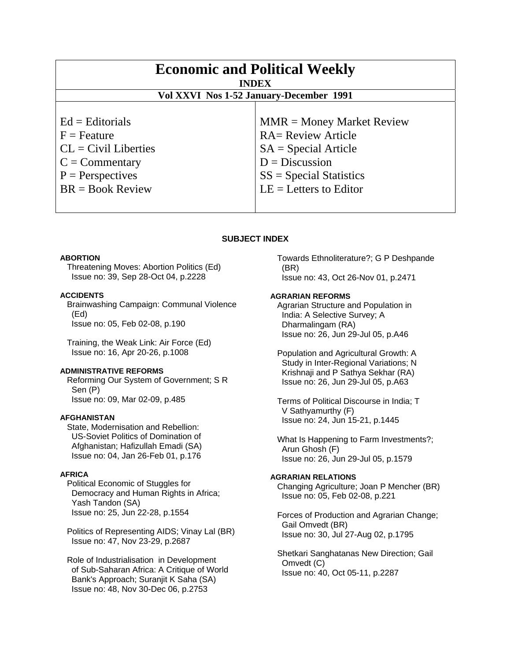| <b>Economic and Political Weekly</b><br><b>INDEX</b><br>Vol XXVI Nos 1-52 January-December 1991 |                             |
|-------------------------------------------------------------------------------------------------|-----------------------------|
| $Ed =$ Editorials                                                                               | $MMR = Money Market Review$ |
| $F =$ Feature                                                                                   | <b>RA= Review Article</b>   |
| $CL = Civil Libraries$                                                                          | $SA = Special Article$      |
| $C = \text{Commentary}$                                                                         | $D = Discussion$            |
| $P =$ Perspectives                                                                              | $SS = Special Statistics$   |
| $BR = Book Review$                                                                              | $LE = Letters to Editor$    |

# **SUBJECT INDEX**

## **ABORTION**

 Threatening Moves: Abortion Politics (Ed) Issue no: 39, Sep 28-Oct 04, p.2228

#### **ACCIDENTS**

 Brainwashing Campaign: Communal Violence (Ed) Issue no: 05, Feb 02-08, p.190

 Training, the Weak Link: Air Force (Ed) Issue no: 16, Apr 20-26, p.1008

## **ADMINISTRATIVE REFORMS**

 Reforming Our System of Government; S R Sen (P) Issue no: 09, Mar 02-09, p.485

#### **AFGHANISTAN**

 State, Modernisation and Rebellion: US-Soviet Politics of Domination of Afghanistan; Hafizullah Emadi (SA) Issue no: 04, Jan 26-Feb 01, p.176

#### **AFRICA**

 Political Economic of Stuggles for Democracy and Human Rights in Africa; Yash Tandon (SA) Issue no: 25, Jun 22-28, p.1554

 Politics of Representing AIDS; Vinay Lal (BR) Issue no: 47, Nov 23-29, p.2687

 Role of Industrialisation in Development of Sub-Saharan Africa: A Critique of World Bank's Approach; Suranjit K Saha (SA) Issue no: 48, Nov 30-Dec 06, p.2753

 Towards Ethnoliterature?; G P Deshpande (BR) Issue no: 43, Oct 26-Nov 01, p.2471

#### **AGRARIAN REFORMS**

 Agrarian Structure and Population in India: A Selective Survey; A Dharmalingam (RA) Issue no: 26, Jun 29-Jul 05, p.A46

 Population and Agricultural Growth: A Study in Inter-Regional Variations; N Krishnaji and P Sathya Sekhar (RA) Issue no: 26, Jun 29-Jul 05, p.A63

 Terms of Political Discourse in India; T V Sathyamurthy (F) Issue no: 24, Jun 15-21, p.1445

 What Is Happening to Farm Investments?; Arun Ghosh (F) Issue no: 26, Jun 29-Jul 05, p.1579

#### **AGRARIAN RELATIONS**

 Changing Agriculture; Joan P Mencher (BR) Issue no: 05, Feb 02-08, p.221

 Forces of Production and Agrarian Change; Gail Omvedt (BR) Issue no: 30, Jul 27-Aug 02, p.1795

 Shetkari Sanghatanas New Direction; Gail Omvedt (C) Issue no: 40, Oct 05-11, p.2287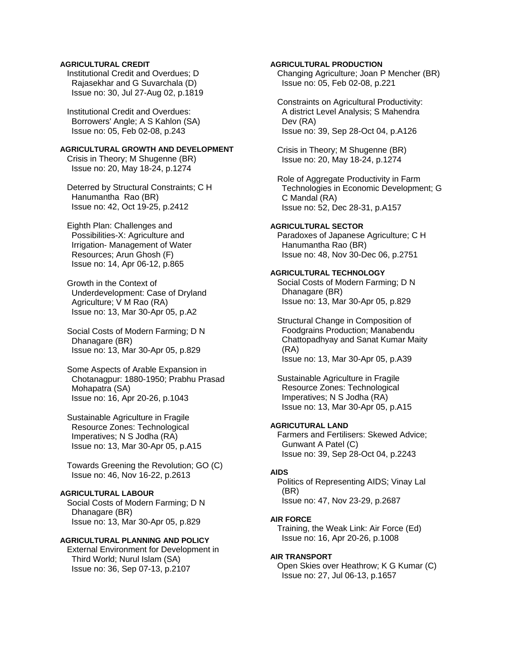## **AGRICULTURAL CREDIT**

 Institutional Credit and Overdues; D Rajasekhar and G Suvarchala (D) Issue no: 30, Jul 27-Aug 02, p.1819

 Institutional Credit and Overdues: Borrowers' Angle; A S Kahlon (SA) Issue no: 05, Feb 02-08, p.243

#### **AGRICULTURAL GROWTH AND DEVELOPMENT**

 Crisis in Theory; M Shugenne (BR) Issue no: 20, May 18-24, p.1274

 Deterred by Structural Constraints; C H Hanumantha Rao (BR) Issue no: 42, Oct 19-25, p.2412

 Eighth Plan: Challenges and Possibilities-X: Agriculture and Irrigation- Management of Water Resources; Arun Ghosh (F) Issue no: 14, Apr 06-12, p.865

 Growth in the Context of Underdevelopment: Case of Dryland Agriculture; V M Rao (RA) Issue no: 13, Mar 30-Apr 05, p.A2

 Social Costs of Modern Farming; D N Dhanagare (BR) Issue no: 13, Mar 30-Apr 05, p.829

 Some Aspects of Arable Expansion in Chotanagpur: 1880-1950; Prabhu Prasad Mohapatra (SA) Issue no: 16, Apr 20-26, p.1043

 Sustainable Agriculture in Fragile Resource Zones: Technological Imperatives; N S Jodha (RA) Issue no: 13, Mar 30-Apr 05, p.A15

 Towards Greening the Revolution; GO (C) Issue no: 46, Nov 16-22, p.2613

## **AGRICULTURAL LABOUR**

 Social Costs of Modern Farming; D N Dhanagare (BR) Issue no: 13, Mar 30-Apr 05, p.829

## **AGRICULTURAL PLANNING AND POLICY**

 External Environment for Development in Third World; Nurul Islam (SA) Issue no: 36, Sep 07-13, p.2107

## **AGRICULTURAL PRODUCTION**

 Changing Agriculture; Joan P Mencher (BR) Issue no: 05, Feb 02-08, p.221

 Constraints on Agricultural Productivity: A district Level Analysis; S Mahendra Dev (RA) Issue no: 39, Sep 28-Oct 04, p.A126

 Crisis in Theory; M Shugenne (BR) Issue no: 20, May 18-24, p.1274

 Role of Aggregate Productivity in Farm Technologies in Economic Development; G C Mandal (RA) Issue no: 52, Dec 28-31, p.A157

## **AGRICULTURAL SECTOR**

 Paradoxes of Japanese Agriculture; C H Hanumantha Rao (BR) Issue no: 48, Nov 30-Dec 06, p.2751

#### **AGRICULTURAL TECHNOLOGY**

 Social Costs of Modern Farming; D N Dhanagare (BR) Issue no: 13, Mar 30-Apr 05, p.829

 Structural Change in Composition of Foodgrains Production; Manabendu Chattopadhyay and Sanat Kumar Maity (RA) Issue no: 13, Mar 30-Apr 05, p.A39

 Sustainable Agriculture in Fragile Resource Zones: Technological Imperatives; N S Jodha (RA) Issue no: 13, Mar 30-Apr 05, p.A15

## **AGRICUTURAL LAND**

 Farmers and Fertilisers: Skewed Advice; Gunwant A Patel (C) Issue no: 39, Sep 28-Oct 04, p.2243

## **AIDS**

 Politics of Representing AIDS; Vinay Lal (BR) Issue no: 47, Nov 23-29, p.2687

#### **AIR FORCE**

 Training, the Weak Link: Air Force (Ed) Issue no: 16, Apr 20-26, p.1008

#### **AIR TRANSPORT**

 Open Skies over Heathrow; K G Kumar (C) Issue no: 27, Jul 06-13, p.1657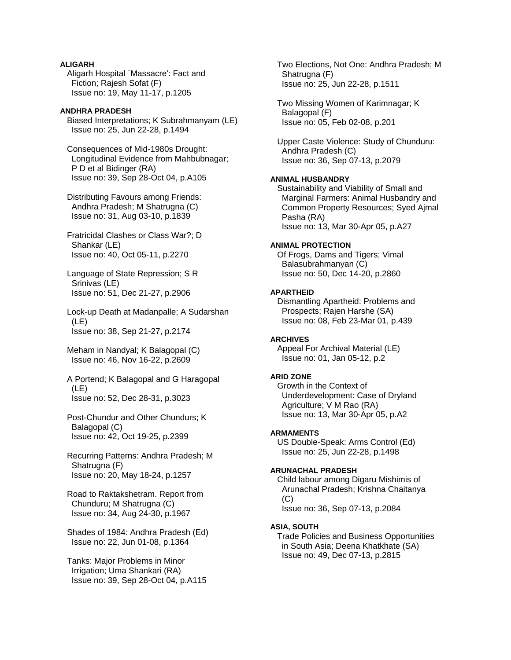## **ALIGARH**

 Aligarh Hospital `Massacre': Fact and Fiction; Rajesh Sofat (F) Issue no: 19, May 11-17, p.1205

## **ANDHRA PRADESH**

 Biased Interpretations; K Subrahmanyam (LE) Issue no: 25, Jun 22-28, p.1494

 Consequences of Mid-1980s Drought: Longitudinal Evidence from Mahbubnagar; P D et al Bidinger (RA) Issue no: 39, Sep 28-Oct 04, p.A105

 Distributing Favours among Friends: Andhra Pradesh; M Shatrugna (C) Issue no: 31, Aug 03-10, p.1839

 Fratricidal Clashes or Class War?; D Shankar (LE) Issue no: 40, Oct 05-11, p.2270

 Language of State Repression; S R Srinivas (LE) Issue no: 51, Dec 21-27, p.2906

 Lock-up Death at Madanpalle; A Sudarshan (LE) Issue no: 38, Sep 21-27, p.2174

 Meham in Nandyal; K Balagopal (C) Issue no: 46, Nov 16-22, p.2609

 A Portend; K Balagopal and G Haragopal (LE) Issue no: 52, Dec 28-31, p.3023

 Post-Chundur and Other Chundurs; K Balagopal (C) Issue no: 42, Oct 19-25, p.2399

 Recurring Patterns: Andhra Pradesh; M Shatrugna (F) Issue no: 20, May 18-24, p.1257

 Road to Raktakshetram. Report from Chunduru; M Shatrugna (C) Issue no: 34, Aug 24-30, p.1967

 Shades of 1984: Andhra Pradesh (Ed) Issue no: 22, Jun 01-08, p.1364

 Tanks: Major Problems in Minor Irrigation; Uma Shankari (RA) Issue no: 39, Sep 28-Oct 04, p.A115  Two Elections, Not One: Andhra Pradesh; M Shatrugna (F) Issue no: 25, Jun 22-28, p.1511

 Two Missing Women of Karimnagar; K Balagopal (F) Issue no: 05, Feb 02-08, p.201

 Upper Caste Violence: Study of Chunduru: Andhra Pradesh (C) Issue no: 36, Sep 07-13, p.2079

## **ANIMAL HUSBANDRY**

 Sustainability and Viability of Small and Marginal Farmers: Animal Husbandry and Common Property Resources; Syed Ajmal Pasha (RA) Issue no: 13, Mar 30-Apr 05, p.A27

#### **ANIMAL PROTECTION**

 Of Frogs, Dams and Tigers; Vimal Balasubrahmanyan (C) Issue no: 50, Dec 14-20, p.2860

#### **APARTHEID**

 Dismantling Apartheid: Problems and Prospects; Rajen Harshe (SA) Issue no: 08, Feb 23-Mar 01, p.439

## **ARCHIVES**

 Appeal For Archival Material (LE) Issue no: 01, Jan 05-12, p.2

## **ARID ZONE**

 Growth in the Context of Underdevelopment: Case of Dryland Agriculture; V M Rao (RA) Issue no: 13, Mar 30-Apr 05, p.A2

## **ARMAMENTS**

 US Double-Speak: Arms Control (Ed) Issue no: 25, Jun 22-28, p.1498

#### **ARUNACHAL PRADESH**

 Child labour among Digaru Mishimis of Arunachal Pradesh; Krishna Chaitanya  $(C)$ Issue no: 36, Sep 07-13, p.2084

#### **ASIA, SOUTH**

 Trade Policies and Business Opportunities in South Asia; Deena Khatkhate (SA) Issue no: 49, Dec 07-13, p.2815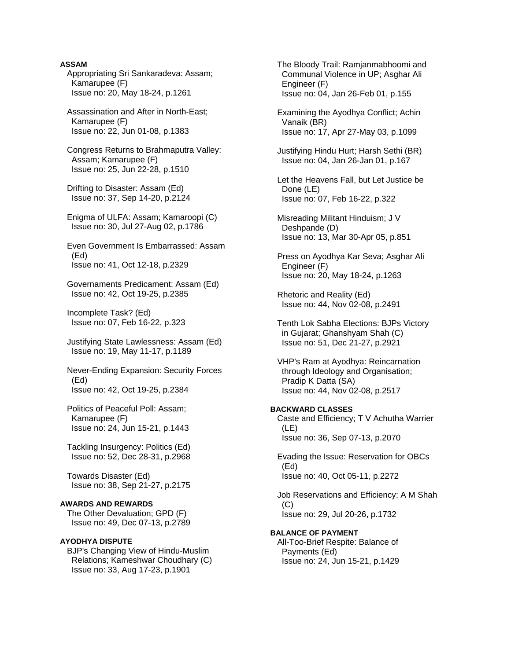## **ASSAM**

 Appropriating Sri Sankaradeva: Assam; Kamarupee (F) Issue no: 20, May 18-24, p.1261

 Assassination and After in North-East; Kamarupee (F) Issue no: 22, Jun 01-08, p.1383

 Congress Returns to Brahmaputra Valley: Assam; Kamarupee (F) Issue no: 25, Jun 22-28, p.1510

 Drifting to Disaster: Assam (Ed) Issue no: 37, Sep 14-20, p.2124

 Enigma of ULFA: Assam; Kamaroopi (C) Issue no: 30, Jul 27-Aug 02, p.1786

 Even Government Is Embarrassed: Assam (Ed) Issue no: 41, Oct 12-18, p.2329

 Governaments Predicament: Assam (Ed) Issue no: 42, Oct 19-25, p.2385

 Incomplete Task? (Ed) Issue no: 07, Feb 16-22, p.323

 Justifying State Lawlessness: Assam (Ed) Issue no: 19, May 11-17, p.1189

 Never-Ending Expansion: Security Forces (Ed) Issue no: 42, Oct 19-25, p.2384

 Politics of Peaceful Poll: Assam; Kamarupee (F) Issue no: 24, Jun 15-21, p.1443

 Tackling Insurgency: Politics (Ed) Issue no: 52, Dec 28-31, p.2968

 Towards Disaster (Ed) Issue no: 38, Sep 21-27, p.2175

## **AWARDS AND REWARDS**

 The Other Devaluation; GPD (F) Issue no: 49, Dec 07-13, p.2789

## **AYODHYA DISPUTE**

 BJP's Changing View of Hindu-Muslim Relations; Kameshwar Choudhary (C) Issue no: 33, Aug 17-23, p.1901

 The Bloody Trail: Ramjanmabhoomi and Communal Violence in UP; Asghar Ali Engineer (F) Issue no: 04, Jan 26-Feb 01, p.155

 Examining the Ayodhya Conflict; Achin Vanaik (BR) Issue no: 17, Apr 27-May 03, p.1099

 Justifying Hindu Hurt; Harsh Sethi (BR) Issue no: 04, Jan 26-Jan 01, p.167

 Let the Heavens Fall, but Let Justice be Done (LE) Issue no: 07, Feb 16-22, p.322

 Misreading Militant Hinduism; J V Deshpande (D) Issue no: 13, Mar 30-Apr 05, p.851

 Press on Ayodhya Kar Seva; Asghar Ali Engineer (F) Issue no: 20, May 18-24, p.1263

 Rhetoric and Reality (Ed) Issue no: 44, Nov 02-08, p.2491

 Tenth Lok Sabha Elections: BJPs Victory in Gujarat; Ghanshyam Shah (C) Issue no: 51, Dec 21-27, p.2921

 VHP's Ram at Ayodhya: Reincarnation through Ideology and Organisation; Pradip K Datta (SA) Issue no: 44, Nov 02-08, p.2517

**BACKWARD CLASSES**  Caste and Efficiency; T V Achutha Warrier (LE) Issue no: 36, Sep 07-13, p.2070

 Evading the Issue: Reservation for OBCs (Ed) Issue no: 40, Oct 05-11, p.2272

 Job Reservations and Efficiency; A M Shah (C) Issue no: 29, Jul 20-26, p.1732

**BALANCE OF PAYMENT**  All-Too-Brief Respite: Balance of Payments (Ed) Issue no: 24, Jun 15-21, p.1429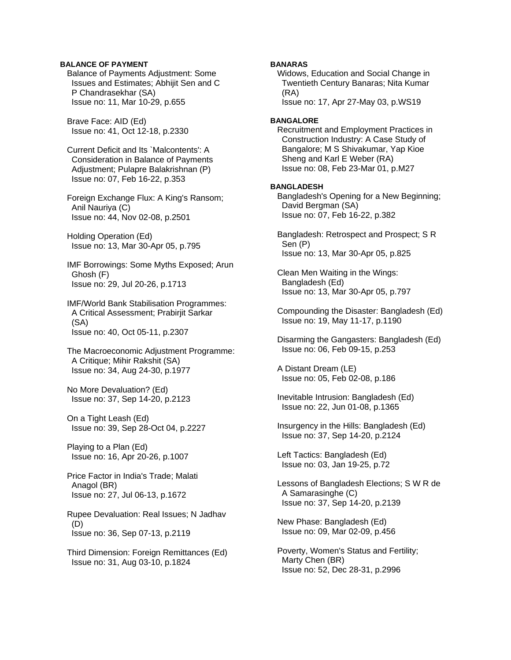## **BALANCE OF PAYMENT**

 Balance of Payments Adjustment: Some Issues and Estimates; Abhijit Sen and C P Chandrasekhar (SA) Issue no: 11, Mar 10-29, p.655

 Brave Face: AID (Ed) Issue no: 41, Oct 12-18, p.2330

 Current Deficit and Its `Malcontents': A Consideration in Balance of Payments Adjustment; Pulapre Balakrishnan (P) Issue no: 07, Feb 16-22, p.353

 Foreign Exchange Flux: A King's Ransom; Anil Nauriya (C) Issue no: 44, Nov 02-08, p.2501

 Holding Operation (Ed) Issue no: 13, Mar 30-Apr 05, p.795

 IMF Borrowings: Some Myths Exposed; Arun Ghosh (F) Issue no: 29, Jul 20-26, p.1713

 IMF/World Bank Stabilisation Programmes: A Critical Assessment; Prabirjit Sarkar (SA) Issue no: 40, Oct 05-11, p.2307

 The Macroeconomic Adjustment Programme: A Critique; Mihir Rakshit (SA) Issue no: 34, Aug 24-30, p.1977

 No More Devaluation? (Ed) Issue no: 37, Sep 14-20, p.2123

 On a Tight Leash (Ed) Issue no: 39, Sep 28-Oct 04, p.2227

 Playing to a Plan (Ed) Issue no: 16, Apr 20-26, p.1007

 Price Factor in India's Trade; Malati Anagol (BR) Issue no: 27, Jul 06-13, p.1672

 Rupee Devaluation: Real Issues; N Jadhav (D) Issue no: 36, Sep 07-13, p.2119

 Third Dimension: Foreign Remittances (Ed) Issue no: 31, Aug 03-10, p.1824

## **BANARAS**

 Widows, Education and Social Change in Twentieth Century Banaras; Nita Kumar (RA) Issue no: 17, Apr 27-May 03, p.WS19

**BANGALORE** 

 Recruitment and Employment Practices in Construction Industry: A Case Study of Bangalore; M S Shivakumar, Yap Kioe Sheng and Karl E Weber (RA) Issue no: 08, Feb 23-Mar 01, p.M27

#### **BANGLADESH**

 Bangladesh's Opening for a New Beginning; David Bergman (SA) Issue no: 07, Feb 16-22, p.382

 Bangladesh: Retrospect and Prospect; S R Sen (P) Issue no: 13, Mar 30-Apr 05, p.825

 Clean Men Waiting in the Wings: Bangladesh (Ed) Issue no: 13, Mar 30-Apr 05, p.797

 Compounding the Disaster: Bangladesh (Ed) Issue no: 19, May 11-17, p.1190

 Disarming the Gangasters: Bangladesh (Ed) Issue no: 06, Feb 09-15, p.253

 A Distant Dream (LE) Issue no: 05, Feb 02-08, p.186

 Inevitable Intrusion: Bangladesh (Ed) Issue no: 22, Jun 01-08, p.1365

 Insurgency in the Hills: Bangladesh (Ed) Issue no: 37, Sep 14-20, p.2124

 Left Tactics: Bangladesh (Ed) Issue no: 03, Jan 19-25, p.72

 Lessons of Bangladesh Elections; S W R de A Samarasinghe (C) Issue no: 37, Sep 14-20, p.2139

 New Phase: Bangladesh (Ed) Issue no: 09, Mar 02-09, p.456

 Poverty, Women's Status and Fertility; Marty Chen (BR) Issue no: 52, Dec 28-31, p.2996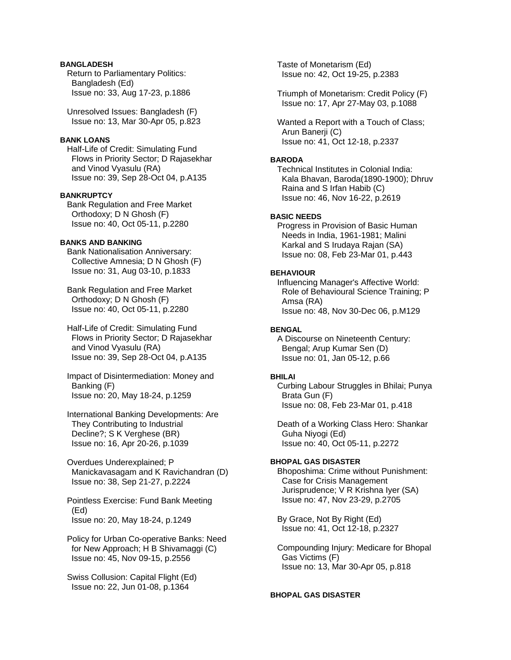## **BANGLADESH**

 Return to Parliamentary Politics: Bangladesh (Ed) Issue no: 33, Aug 17-23, p.1886

 Unresolved Issues: Bangladesh (F) Issue no: 13, Mar 30-Apr 05, p.823

## **BANK LOANS**

 Half-Life of Credit: Simulating Fund Flows in Priority Sector; D Rajasekhar and Vinod Vyasulu (RA) Issue no: 39, Sep 28-Oct 04, p.A135

#### **BANKRUPTCY**

 Bank Regulation and Free Market Orthodoxy; D N Ghosh (F) Issue no: 40, Oct 05-11, p.2280

## **BANKS AND BANKING**

 Bank Nationalisation Anniversary: Collective Amnesia; D N Ghosh (F) Issue no: 31, Aug 03-10, p.1833

 Bank Regulation and Free Market Orthodoxy; D N Ghosh (F) Issue no: 40, Oct 05-11, p.2280

 Half-Life of Credit: Simulating Fund Flows in Priority Sector; D Rajasekhar and Vinod Vyasulu (RA) Issue no: 39, Sep 28-Oct 04, p.A135

 Impact of Disintermediation: Money and Banking (F) Issue no: 20, May 18-24, p.1259

 International Banking Developments: Are They Contributing to Industrial Decline?; S K Verghese (BR) Issue no: 16, Apr 20-26, p.1039

 Overdues Underexplained; P Manickavasagam and K Ravichandran (D) Issue no: 38, Sep 21-27, p.2224

 Pointless Exercise: Fund Bank Meeting (Ed) Issue no: 20, May 18-24, p.1249

 Policy for Urban Co-operative Banks: Need for New Approach; H B Shivamaggi (C) Issue no: 45, Nov 09-15, p.2556

 Swiss Collusion: Capital Flight (Ed) Issue no: 22, Jun 01-08, p.1364

 Taste of Monetarism (Ed) Issue no: 42, Oct 19-25, p.2383

 Triumph of Monetarism: Credit Policy (F) Issue no: 17, Apr 27-May 03, p.1088

 Wanted a Report with a Touch of Class; Arun Banerji (C) Issue no: 41, Oct 12-18, p.2337

## **BARODA**

 Technical Institutes in Colonial India: Kala Bhavan, Baroda(1890-1900); Dhruv Raina and S Irfan Habib (C) Issue no: 46, Nov 16-22, p.2619

## **BASIC NEEDS**

 Progress in Provision of Basic Human Needs in India, 1961-1981; Malini Karkal and S Irudaya Rajan (SA) Issue no: 08, Feb 23-Mar 01, p.443

#### **BEHAVIOUR**

 Influencing Manager's Affective World: Role of Behavioural Science Training; P Amsa (RA) Issue no: 48, Nov 30-Dec 06, p.M129

## **BENGAL**

 A Discourse on Nineteenth Century: Bengal; Arup Kumar Sen (D) Issue no: 01, Jan 05-12, p.66

## **BHILAI**

 Curbing Labour Struggles in Bhilai; Punya Brata Gun (F) Issue no: 08, Feb 23-Mar 01, p.418

 Death of a Working Class Hero: Shankar Guha Niyogi (Ed) Issue no: 40, Oct 05-11, p.2272

## **BHOPAL GAS DISASTER**

 Bhoposhima: Crime without Punishment: Case for Crisis Management Jurisprudence; V R Krishna Iyer (SA) Issue no: 47, Nov 23-29, p.2705

 By Grace, Not By Right (Ed) Issue no: 41, Oct 12-18, p.2327

 Compounding Injury: Medicare for Bhopal Gas Victims (F) Issue no: 13, Mar 30-Apr 05, p.818

#### **BHOPAL GAS DISASTER**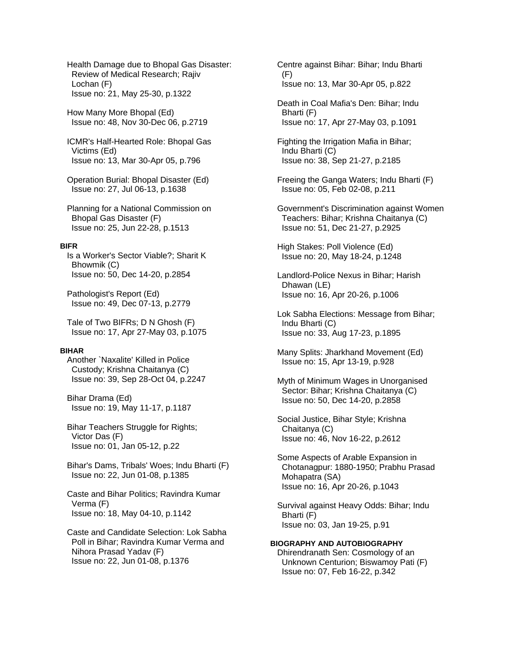Health Damage due to Bhopal Gas Disaster: Review of Medical Research; Rajiv Lochan (F) Issue no: 21, May 25-30, p.1322

 How Many More Bhopal (Ed) Issue no: 48, Nov 30-Dec 06, p.2719

 ICMR's Half-Hearted Role: Bhopal Gas Victims (Ed) Issue no: 13, Mar 30-Apr 05, p.796

 Operation Burial: Bhopal Disaster (Ed) Issue no: 27, Jul 06-13, p.1638

 Planning for a National Commission on Bhopal Gas Disaster (F) Issue no: 25, Jun 22-28, p.1513

#### **BIFR**

 Is a Worker's Sector Viable?; Sharit K Bhowmik (C) Issue no: 50, Dec 14-20, p.2854

 Pathologist's Report (Ed) Issue no: 49, Dec 07-13, p.2779

 Tale of Two BIFRs; D N Ghosh (F) Issue no: 17, Apr 27-May 03, p.1075

#### **BIHAR**

 Another `Naxalite' Killed in Police Custody; Krishna Chaitanya (C) Issue no: 39, Sep 28-Oct 04, p.2247

 Bihar Drama (Ed) Issue no: 19, May 11-17, p.1187

 Bihar Teachers Struggle for Rights; Victor Das (F) Issue no: 01, Jan 05-12, p.22

 Bihar's Dams, Tribals' Woes; Indu Bharti (F) Issue no: 22, Jun 01-08, p.1385

 Caste and Bihar Politics; Ravindra Kumar Verma (F) Issue no: 18, May 04-10, p.1142

 Caste and Candidate Selection: Lok Sabha Poll in Bihar; Ravindra Kumar Verma and Nihora Prasad Yadav (F) Issue no: 22, Jun 01-08, p.1376

 Centre against Bihar: Bihar; Indu Bharti (F) Issue no: 13, Mar 30-Apr 05, p.822

 Death in Coal Mafia's Den: Bihar; Indu Bharti (F) Issue no: 17, Apr 27-May 03, p.1091

 Fighting the Irrigation Mafia in Bihar; Indu Bharti (C) Issue no: 38, Sep 21-27, p.2185

 Freeing the Ganga Waters; Indu Bharti (F) Issue no: 05, Feb 02-08, p.211

 Government's Discrimination against Women Teachers: Bihar; Krishna Chaitanya (C) Issue no: 51, Dec 21-27, p.2925

 High Stakes: Poll Violence (Ed) Issue no: 20, May 18-24, p.1248

 Landlord-Police Nexus in Bihar; Harish Dhawan (LE) Issue no: 16, Apr 20-26, p.1006

 Lok Sabha Elections: Message from Bihar; Indu Bharti (C) Issue no: 33, Aug 17-23, p.1895

 Many Splits: Jharkhand Movement (Ed) Issue no: 15, Apr 13-19, p.928

 Myth of Minimum Wages in Unorganised Sector: Bihar; Krishna Chaitanya (C) Issue no: 50, Dec 14-20, p.2858

 Social Justice, Bihar Style; Krishna Chaitanya (C) Issue no: 46, Nov 16-22, p.2612

 Some Aspects of Arable Expansion in Chotanagpur: 1880-1950; Prabhu Prasad Mohapatra (SA) Issue no: 16, Apr 20-26, p.1043

 Survival against Heavy Odds: Bihar; Indu Bharti (F) Issue no: 03, Jan 19-25, p.91

# **BIOGRAPHY AND AUTOBIOGRAPHY**

 Dhirendranath Sen: Cosmology of an Unknown Centurion; Biswamoy Pati (F) Issue no: 07, Feb 16-22, p.342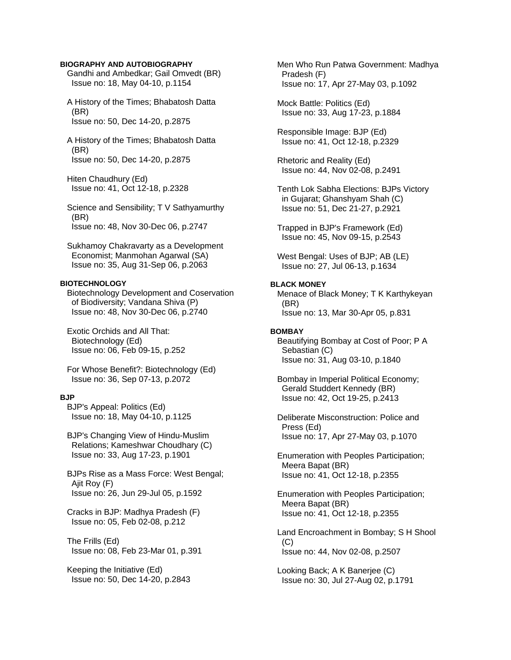#### **BIOGRAPHY AND AUTOBIOGRAPHY**

 Gandhi and Ambedkar; Gail Omvedt (BR) Issue no: 18, May 04-10, p.1154

 A History of the Times; Bhabatosh Datta (BR) Issue no: 50, Dec 14-20, p.2875

 A History of the Times; Bhabatosh Datta (BR) Issue no: 50, Dec 14-20, p.2875

 Hiten Chaudhury (Ed) Issue no: 41, Oct 12-18, p.2328

 Science and Sensibility; T V Sathyamurthy (BR) Issue no: 48, Nov 30-Dec 06, p.2747

 Sukhamoy Chakravarty as a Development Economist; Manmohan Agarwal (SA) Issue no: 35, Aug 31-Sep 06, p.2063

## **BIOTECHNOLOGY**

 Biotechnology Development and Coservation of Biodiversity; Vandana Shiva (P) Issue no: 48, Nov 30-Dec 06, p.2740

 Exotic Orchids and All That: Biotechnology (Ed) Issue no: 06, Feb 09-15, p.252

 For Whose Benefit?: Biotechnology (Ed) Issue no: 36, Sep 07-13, p.2072

#### **BJP**

 BJP's Appeal: Politics (Ed) Issue no: 18, May 04-10, p.1125

 BJP's Changing View of Hindu-Muslim Relations; Kameshwar Choudhary (C) Issue no: 33, Aug 17-23, p.1901

 BJPs Rise as a Mass Force: West Bengal; Ajit Roy (F) Issue no: 26, Jun 29-Jul 05, p.1592

 Cracks in BJP: Madhya Pradesh (F) Issue no: 05, Feb 02-08, p.212

 The Frills (Ed) Issue no: 08, Feb 23-Mar 01, p.391

 Keeping the Initiative (Ed) Issue no: 50, Dec 14-20, p.2843  Men Who Run Patwa Government: Madhya Pradesh (F) Issue no: 17, Apr 27-May 03, p.1092

 Mock Battle: Politics (Ed) Issue no: 33, Aug 17-23, p.1884

 Responsible Image: BJP (Ed) Issue no: 41, Oct 12-18, p.2329

 Rhetoric and Reality (Ed) Issue no: 44, Nov 02-08, p.2491

 Tenth Lok Sabha Elections: BJPs Victory in Gujarat; Ghanshyam Shah (C) Issue no: 51, Dec 21-27, p.2921

 Trapped in BJP's Framework (Ed) Issue no: 45, Nov 09-15, p.2543

 West Bengal: Uses of BJP; AB (LE) Issue no: 27, Jul 06-13, p.1634

## **BLACK MONEY**

 Menace of Black Money; T K Karthykeyan (BR) Issue no: 13, Mar 30-Apr 05, p.831

#### **BOMBAY**

 Beautifying Bombay at Cost of Poor; P A Sebastian (C) Issue no: 31, Aug 03-10, p.1840

 Bombay in Imperial Political Economy; Gerald Studdert Kennedy (BR) Issue no: 42, Oct 19-25, p.2413

 Deliberate Misconstruction: Police and Press (Ed) Issue no: 17, Apr 27-May 03, p.1070

 Enumeration with Peoples Participation; Meera Bapat (BR) Issue no: 41, Oct 12-18, p.2355

 Enumeration with Peoples Participation; Meera Bapat (BR) Issue no: 41, Oct 12-18, p.2355

 Land Encroachment in Bombay; S H Shool  $(C)$ Issue no: 44, Nov 02-08, p.2507

 Looking Back; A K Banerjee (C) Issue no: 30, Jul 27-Aug 02, p.1791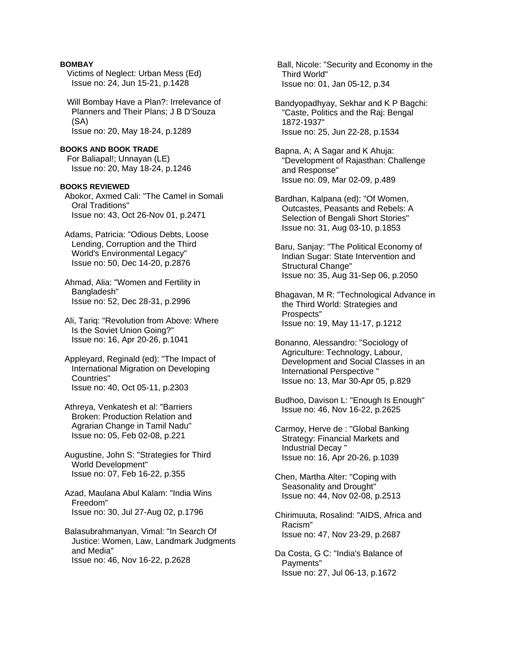## **BOMBAY**

- Victims of Neglect: Urban Mess (Ed) Issue no: 24, Jun 15-21, p.1428
- Will Bombay Have a Plan?: Irrelevance of Planners and Their Plans; J B D'Souza (SA) Issue no: 20, May 18-24, p.1289
- **BOOKS AND BOOK TRADE**  For Baliapal!; Unnayan (LE) Issue no: 20, May 18-24, p.1246
- **BOOKS REVIEWED**  Abokor, Axmed Cali: "The Camel in Somali Oral Traditions" Issue no: 43, Oct 26-Nov 01, p.2471
- Adams, Patricia: "Odious Debts, Loose Lending, Corruption and the Third World's Environmental Legacy" Issue no: 50, Dec 14-20, p.2876
- Ahmad, Alia: "Women and Fertility in Bangladesh" Issue no: 52, Dec 28-31, p.2996
- Ali, Tariq: "Revolution from Above: Where Is the Soviet Union Going?" Issue no: 16, Apr 20-26, p.1041
- Appleyard, Reginald (ed): "The Impact of International Migration on Developing Countries" Issue no: 40, Oct 05-11, p.2303
- Athreya, Venkatesh et al: "Barriers Broken: Production Relation and Agrarian Change in Tamil Nadu" Issue no: 05, Feb 02-08, p.221
- Augustine, John S: "Strategies for Third World Development" Issue no: 07, Feb 16-22, p.355
- Azad, Maulana Abul Kalam: "India Wins Freedom" Issue no: 30, Jul 27-Aug 02, p.1796
- Balasubrahmanyan, Vimal: "In Search Of Justice: Women, Law, Landmark Judgments and Media" Issue no: 46, Nov 16-22, p.2628

 Ball, Nicole: "Security and Economy in the Third World" Issue no: 01, Jan 05-12, p.34

- Bandyopadhyay, Sekhar and K P Bagchi: "Caste, Politics and the Raj: Bengal 1872-1937" Issue no: 25, Jun 22-28, p.1534
- Bapna, A; A Sagar and K Ahuja: "Development of Rajasthan: Challenge and Response" Issue no: 09, Mar 02-09, p.489
- Bardhan, Kalpana (ed): "Of Women, Outcastes, Peasants and Rebels: A Selection of Bengali Short Stories" Issue no: 31, Aug 03-10, p.1853
- Baru, Sanjay: "The Political Economy of Indian Sugar: State Intervention and Structural Change" Issue no: 35, Aug 31-Sep 06, p.2050
- Bhagavan, M R: "Technological Advance in the Third World: Strategies and Prospects" Issue no: 19, May 11-17, p.1212
- Bonanno, Alessandro: "Sociology of Agriculture: Technology, Labour, Development and Social Classes in an International Perspective " Issue no: 13, Mar 30-Apr 05, p.829
- Budhoo, Davison L: "Enough Is Enough" Issue no: 46, Nov 16-22, p.2625
- Carmoy, Herve de : "Global Banking Strategy: Financial Markets and Industrial Decay " Issue no: 16, Apr 20-26, p.1039
- Chen, Martha Alter: "Coping with Seasonality and Drought" Issue no: 44, Nov 02-08, p.2513
- Chirimuuta, Rosalind: "AIDS, Africa and Racism" Issue no: 47, Nov 23-29, p.2687
- Da Costa, G C: "India's Balance of Payments" Issue no: 27, Jul 06-13, p.1672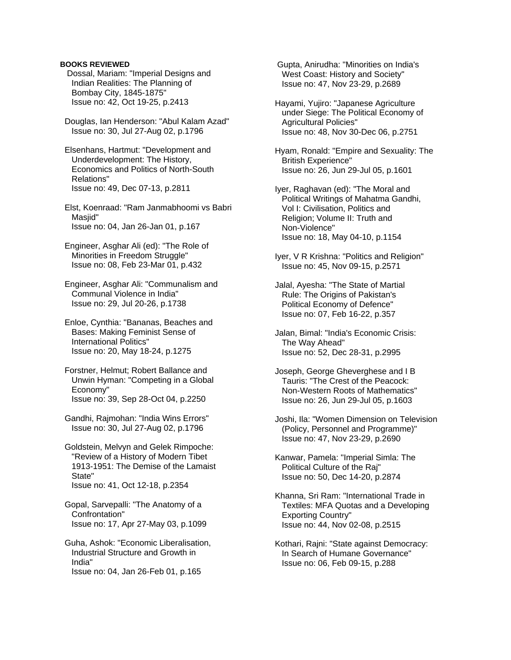## **BOOKS REVIEWED**

 Dossal, Mariam: "Imperial Designs and Indian Realities: The Planning of Bombay City, 1845-1875" Issue no: 42, Oct 19-25, p.2413

 Douglas, Ian Henderson: "Abul Kalam Azad" Issue no: 30, Jul 27-Aug 02, p.1796

 Elsenhans, Hartmut: "Development and Underdevelopment: The History, Economics and Politics of North-South Relations" Issue no: 49, Dec 07-13, p.2811

 Elst, Koenraad: "Ram Janmabhoomi vs Babri Masiid" Issue no: 04, Jan 26-Jan 01, p.167

 Engineer, Asghar Ali (ed): "The Role of Minorities in Freedom Struggle" Issue no: 08, Feb 23-Mar 01, p.432

 Engineer, Asghar Ali: "Communalism and Communal Violence in India" Issue no: 29, Jul 20-26, p.1738

 Enloe, Cynthia: "Bananas, Beaches and Bases: Making Feminist Sense of International Politics" Issue no: 20, May 18-24, p.1275

 Forstner, Helmut; Robert Ballance and Unwin Hyman: "Competing in a Global Economy" Issue no: 39, Sep 28-Oct 04, p.2250

 Gandhi, Rajmohan: "India Wins Errors" Issue no: 30, Jul 27-Aug 02, p.1796

 Goldstein, Melvyn and Gelek Rimpoche: "Review of a History of Modern Tibet 1913-1951: The Demise of the Lamaist State" Issue no: 41, Oct 12-18, p.2354

 Gopal, Sarvepalli: "The Anatomy of a Confrontation" Issue no: 17, Apr 27-May 03, p.1099

 Guha, Ashok: "Economic Liberalisation, Industrial Structure and Growth in India" Issue no: 04, Jan 26-Feb 01, p.165

 Gupta, Anirudha: "Minorities on India's West Coast: History and Society" Issue no: 47, Nov 23-29, p.2689

 Hayami, Yujiro: "Japanese Agriculture under Siege: The Political Economy of Agricultural Policies" Issue no: 48, Nov 30-Dec 06, p.2751

 Hyam, Ronald: "Empire and Sexuality: The British Experience" Issue no: 26, Jun 29-Jul 05, p.1601

 Iyer, Raghavan (ed): "The Moral and Political Writings of Mahatma Gandhi, Vol I: Civilisation, Politics and Religion; Volume II: Truth and Non-Violence" Issue no: 18, May 04-10, p.1154

 Iyer, V R Krishna: "Politics and Religion" Issue no: 45, Nov 09-15, p.2571

 Jalal, Ayesha: "The State of Martial Rule: The Origins of Pakistan's Political Economy of Defence" Issue no: 07, Feb 16-22, p.357

 Jalan, Bimal: "India's Economic Crisis: The Way Ahead" Issue no: 52, Dec 28-31, p.2995

 Joseph, George Gheverghese and I B Tauris: "The Crest of the Peacock: Non-Western Roots of Mathematics" Issue no: 26, Jun 29-Jul 05, p.1603

 Joshi, Ila: "Women Dimension on Television (Policy, Personnel and Programme)" Issue no: 47, Nov 23-29, p.2690

 Kanwar, Pamela: "Imperial Simla: The Political Culture of the Raj" Issue no: 50, Dec 14-20, p.2874

 Khanna, Sri Ram: "International Trade in Textiles: MFA Quotas and a Developing Exporting Country" Issue no: 44, Nov 02-08, p.2515

 Kothari, Rajni: "State against Democracy: In Search of Humane Governance" Issue no: 06, Feb 09-15, p.288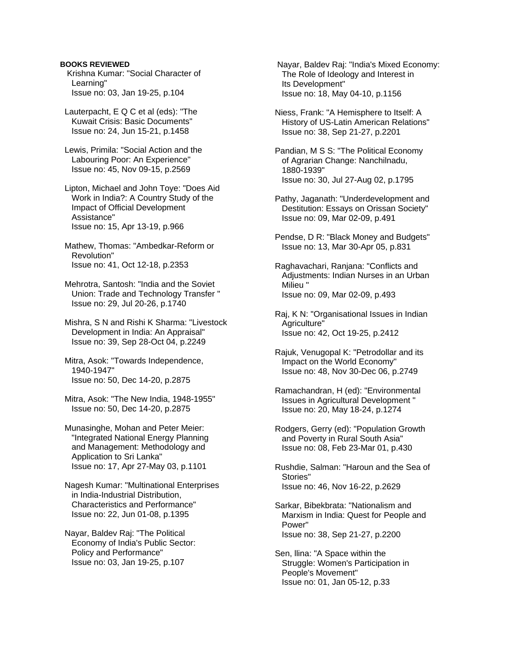## **BOOKS REVIEWED**

 Krishna Kumar: "Social Character of Learning" Issue no: 03, Jan 19-25, p.104

 Lauterpacht, E Q C et al (eds): "The Kuwait Crisis: Basic Documents" Issue no: 24, Jun 15-21, p.1458

 Lewis, Primila: "Social Action and the Labouring Poor: An Experience" Issue no: 45, Nov 09-15, p.2569

 Lipton, Michael and John Toye: "Does Aid Work in India?: A Country Study of the Impact of Official Development Assistance" Issue no: 15, Apr 13-19, p.966

 Mathew, Thomas: "Ambedkar-Reform or Revolution" Issue no: 41, Oct 12-18, p.2353

 Mehrotra, Santosh: "India and the Soviet Union: Trade and Technology Transfer " Issue no: 29, Jul 20-26, p.1740

 Mishra, S N and Rishi K Sharma: "Livestock Development in India: An Appraisal" Issue no: 39, Sep 28-Oct 04, p.2249

 Mitra, Asok: "Towards Independence, 1940-1947" Issue no: 50, Dec 14-20, p.2875

 Mitra, Asok: "The New India, 1948-1955" Issue no: 50, Dec 14-20, p.2875

 Munasinghe, Mohan and Peter Meier: "Integrated National Energy Planning and Management: Methodology and Application to Sri Lanka" Issue no: 17, Apr 27-May 03, p.1101

 Nagesh Kumar: "Multinational Enterprises in India-Industrial Distribution, Characteristics and Performance" Issue no: 22, Jun 01-08, p.1395

 Nayar, Baldev Raj: "The Political Economy of India's Public Sector: Policy and Performance" Issue no: 03, Jan 19-25, p.107

 Nayar, Baldev Raj: "India's Mixed Economy: The Role of Ideology and Interest in Its Development" Issue no: 18, May 04-10, p.1156

 Niess, Frank: "A Hemisphere to Itself: A History of US-Latin American Relations" Issue no: 38, Sep 21-27, p.2201

 Pandian, M S S: "The Political Economy of Agrarian Change: Nanchilnadu, 1880-1939" Issue no: 30, Jul 27-Aug 02, p.1795

 Pathy, Jaganath: "Underdevelopment and Destitution: Essays on Orissan Society" Issue no: 09, Mar 02-09, p.491

 Pendse, D R: "Black Money and Budgets" Issue no: 13, Mar 30-Apr 05, p.831

 Raghavachari, Ranjana: "Conflicts and Adjustments: Indian Nurses in an Urban Milieu " Issue no: 09, Mar 02-09, p.493

 Raj, K N: "Organisational Issues in Indian Agriculture" Issue no: 42, Oct 19-25, p.2412

 Rajuk, Venugopal K: "Petrodollar and its Impact on the World Economy" Issue no: 48, Nov 30-Dec 06, p.2749

 Ramachandran, H (ed): "Environmental Issues in Agricultural Development " Issue no: 20, May 18-24, p.1274

 Rodgers, Gerry (ed): "Population Growth and Poverty in Rural South Asia" Issue no: 08, Feb 23-Mar 01, p.430

 Rushdie, Salman: "Haroun and the Sea of Stories" Issue no: 46, Nov 16-22, p.2629

 Sarkar, Bibekbrata: "Nationalism and Marxism in India: Quest for People and Power" Issue no: 38, Sep 21-27, p.2200

 Sen, llina: "A Space within the Struggle: Women's Participation in People's Movement" Issue no: 01, Jan 05-12, p.33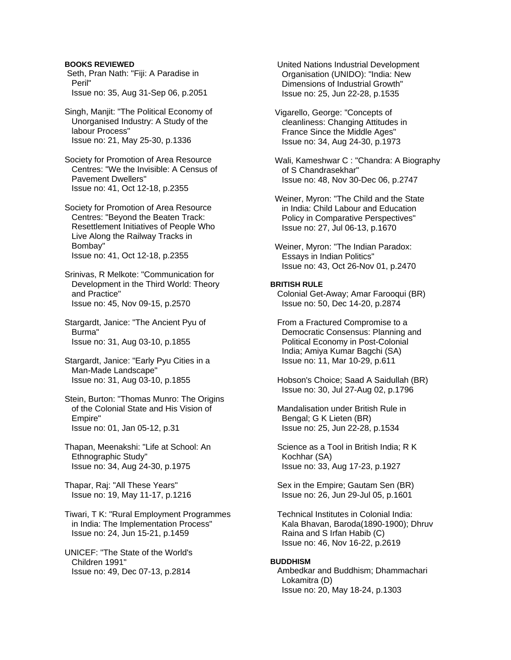## **BOOKS REVIEWED**

 Seth, Pran Nath: "Fiji: A Paradise in Peril" Issue no: 35, Aug 31-Sep 06, p.2051

 Singh, Manjit: "The Political Economy of Unorganised Industry: A Study of the labour Process" Issue no: 21, May 25-30, p.1336

 Society for Promotion of Area Resource Centres: "We the Invisible: A Census of Pavement Dwellers" Issue no: 41, Oct 12-18, p.2355

 Society for Promotion of Area Resource Centres: "Beyond the Beaten Track: Resettlement Initiatives of People Who Live Along the Railway Tracks in Bombay" Issue no: 41, Oct 12-18, p.2355

 Srinivas, R Melkote: "Communication for Development in the Third World: Theory and Practice" Issue no: 45, Nov 09-15, p.2570

 Stargardt, Janice: "The Ancient Pyu of Burma" Issue no: 31, Aug 03-10, p.1855

 Stargardt, Janice: "Early Pyu Cities in a Man-Made Landscape" Issue no: 31, Aug 03-10, p.1855

 Stein, Burton: "Thomas Munro: The Origins of the Colonial State and His Vision of Empire" Issue no: 01, Jan 05-12, p.31

 Thapan, Meenakshi: "Life at School: An Ethnographic Study" Issue no: 34, Aug 24-30, p.1975

 Thapar, Raj: "All These Years" Issue no: 19, May 11-17, p.1216

 Tiwari, T K: "Rural Employment Programmes in India: The Implementation Process" Issue no: 24, Jun 15-21, p.1459

 UNICEF: "The State of the World's Children 1991" Issue no: 49, Dec 07-13, p.2814

 United Nations Industrial Development Organisation (UNIDO): "India: New Dimensions of Industrial Growth" Issue no: 25, Jun 22-28, p.1535

 Vigarello, George: "Concepts of cleanliness: Changing Attitudes in France Since the Middle Ages" Issue no: 34, Aug 24-30, p.1973

 Wali, Kameshwar C : "Chandra: A Biography of S Chandrasekhar" Issue no: 48, Nov 30-Dec 06, p.2747

 Weiner, Myron: "The Child and the State in India: Child Labour and Education Policy in Comparative Perspectives" Issue no: 27, Jul 06-13, p.1670

 Weiner, Myron: "The Indian Paradox: Essays in Indian Politics" Issue no: 43, Oct 26-Nov 01, p.2470

## **BRITISH RULE**

 Colonial Get-Away; Amar Farooqui (BR) Issue no: 50, Dec 14-20, p.2874

 From a Fractured Compromise to a Democratic Consensus: Planning and Political Economy in Post-Colonial India; Amiya Kumar Bagchi (SA) Issue no: 11, Mar 10-29, p.611

 Hobson's Choice; Saad A Saidullah (BR) Issue no: 30, Jul 27-Aug 02, p.1796

 Mandalisation under British Rule in Bengal; G K Lieten (BR) Issue no: 25, Jun 22-28, p.1534

 Science as a Tool in British India; R K Kochhar (SA) Issue no: 33, Aug 17-23, p.1927

 Sex in the Empire; Gautam Sen (BR) Issue no: 26, Jun 29-Jul 05, p.1601

 Technical Institutes in Colonial India: Kala Bhavan, Baroda(1890-1900); Dhruv Raina and S Irfan Habib (C) Issue no: 46, Nov 16-22, p.2619

#### **BUDDHISM**

 Ambedkar and Buddhism; Dhammachari Lokamitra (D) Issue no: 20, May 18-24, p.1303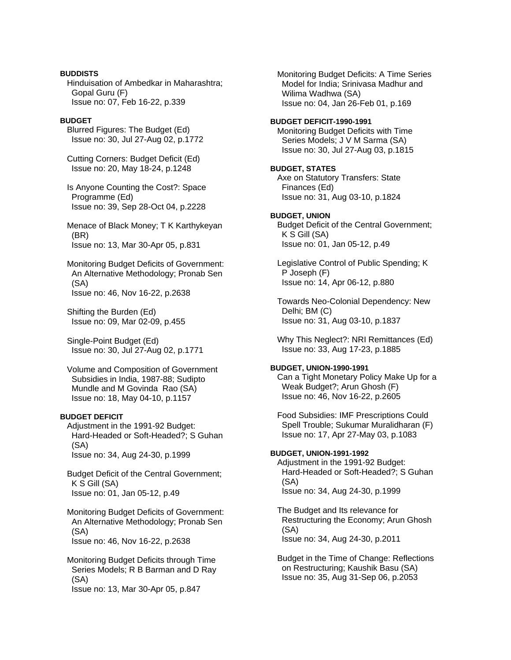## **BUDDISTS**

 Hinduisation of Ambedkar in Maharashtra; Gopal Guru (F) Issue no: 07, Feb 16-22, p.339

## **BUDGET**

 Blurred Figures: The Budget (Ed) Issue no: 30, Jul 27-Aug 02, p.1772

 Cutting Corners: Budget Deficit (Ed) Issue no: 20, May 18-24, p.1248

 Is Anyone Counting the Cost?: Space Programme (Ed) Issue no: 39, Sep 28-Oct 04, p.2228

 Menace of Black Money; T K Karthykeyan (BR) Issue no: 13, Mar 30-Apr 05, p.831

 Monitoring Budget Deficits of Government: An Alternative Methodology; Pronab Sen (SA) Issue no: 46, Nov 16-22, p.2638

 Shifting the Burden (Ed) Issue no: 09, Mar 02-09, p.455

 Single-Point Budget (Ed) Issue no: 30, Jul 27-Aug 02, p.1771

 Volume and Composition of Government Subsidies in India, 1987-88; Sudipto Mundle and M Govinda Rao (SA) Issue no: 18, May 04-10, p.1157

## **BUDGET DEFICIT**

 Adjustment in the 1991-92 Budget: Hard-Headed or Soft-Headed?; S Guhan (SA) Issue no: 34, Aug 24-30, p.1999

 Budget Deficit of the Central Government; K S Gill (SA) Issue no: 01, Jan 05-12, p.49

 Monitoring Budget Deficits of Government: An Alternative Methodology; Pronab Sen (SA) Issue no: 46, Nov 16-22, p.2638

 Monitoring Budget Deficits through Time Series Models; R B Barman and D Ray (SA) Issue no: 13, Mar 30-Apr 05, p.847

 Monitoring Budget Deficits: A Time Series Model for India; Srinivasa Madhur and Wilima Wadhwa (SA) Issue no: 04, Jan 26-Feb 01, p.169

## **BUDGET DEFICIT-1990-1991**

 Monitoring Budget Deficits with Time Series Models; J V M Sarma (SA) Issue no: 30, Jul 27-Aug 03, p.1815

# **BUDGET, STATES**

 Axe on Statutory Transfers: State Finances (Ed) Issue no: 31, Aug 03-10, p.1824

## **BUDGET, UNION**

 Budget Deficit of the Central Government; K S Gill (SA) Issue no: 01, Jan 05-12, p.49

 Legislative Control of Public Spending; K P Joseph (F) Issue no: 14, Apr 06-12, p.880

 Towards Neo-Colonial Dependency: New Delhi; BM (C) Issue no: 31, Aug 03-10, p.1837

 Why This Neglect?: NRI Remittances (Ed) Issue no: 33, Aug 17-23, p.1885

## **BUDGET, UNION-1990-1991**

 Can a Tight Monetary Policy Make Up for a Weak Budget?; Arun Ghosh (F) Issue no: 46, Nov 16-22, p.2605

 Food Subsidies: IMF Prescriptions Could Spell Trouble; Sukumar Muralidharan (F) Issue no: 17, Apr 27-May 03, p.1083

## **BUDGET, UNION-1991-1992**

 Adjustment in the 1991-92 Budget: Hard-Headed or Soft-Headed?; S Guhan (SA) Issue no: 34, Aug 24-30, p.1999

 The Budget and Its relevance for Restructuring the Economy; Arun Ghosh (SA) Issue no: 34, Aug 24-30, p.2011

 Budget in the Time of Change: Reflections on Restructuring; Kaushik Basu (SA) Issue no: 35, Aug 31-Sep 06, p.2053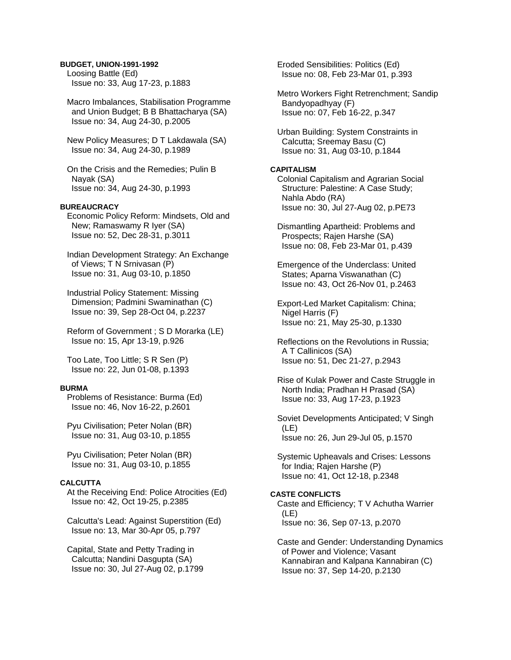## **BUDGET, UNION-1991-1992**

 Loosing Battle (Ed) Issue no: 33, Aug 17-23, p.1883

 Macro Imbalances, Stabilisation Programme and Union Budget; B B Bhattacharya (SA) Issue no: 34, Aug 24-30, p.2005

 New Policy Measures; D T Lakdawala (SA) Issue no: 34, Aug 24-30, p.1989

 On the Crisis and the Remedies; Pulin B Nayak (SA) Issue no: 34, Aug 24-30, p.1993

#### **BUREAUCRACY**

 Economic Policy Reform: Mindsets, Old and New; Ramaswamy R Iyer (SA) Issue no: 52, Dec 28-31, p.3011

 Indian Development Strategy: An Exchange of Views; T N Srnivasan (P) Issue no: 31, Aug 03-10, p.1850

 Industrial Policy Statement: Missing Dimension; Padmini Swaminathan (C) Issue no: 39, Sep 28-Oct 04, p.2237

 Reform of Government ; S D Morarka (LE) Issue no: 15, Apr 13-19, p.926

 Too Late, Too Little; S R Sen (P) Issue no: 22, Jun 01-08, p.1393

#### **BURMA**

 Problems of Resistance: Burma (Ed) Issue no: 46, Nov 16-22, p.2601

 Pyu Civilisation; Peter Nolan (BR) Issue no: 31, Aug 03-10, p.1855

 Pyu Civilisation; Peter Nolan (BR) Issue no: 31, Aug 03-10, p.1855

## **CALCUTTA**

 At the Receiving End: Police Atrocities (Ed) Issue no: 42, Oct 19-25, p.2385

 Calcutta's Lead: Against Superstition (Ed) Issue no: 13, Mar 30-Apr 05, p.797

 Capital, State and Petty Trading in Calcutta; Nandini Dasgupta (SA) Issue no: 30, Jul 27-Aug 02, p.1799  Eroded Sensibilities: Politics (Ed) Issue no: 08, Feb 23-Mar 01, p.393

 Metro Workers Fight Retrenchment; Sandip Bandyopadhyay (F) Issue no: 07, Feb 16-22, p.347

 Urban Building: System Constraints in Calcutta; Sreemay Basu (C) Issue no: 31, Aug 03-10, p.1844

## **CAPITALISM**

 Colonial Capitalism and Agrarian Social Structure: Palestine: A Case Study; Nahla Abdo (RA) Issue no: 30, Jul 27-Aug 02, p.PE73

 Dismantling Apartheid: Problems and Prospects; Rajen Harshe (SA) Issue no: 08, Feb 23-Mar 01, p.439

 Emergence of the Underclass: United States; Aparna Viswanathan (C) Issue no: 43, Oct 26-Nov 01, p.2463

 Export-Led Market Capitalism: China; Nigel Harris (F) Issue no: 21, May 25-30, p.1330

 Reflections on the Revolutions in Russia; A T Callinicos (SA) Issue no: 51, Dec 21-27, p.2943

 Rise of Kulak Power and Caste Struggle in North India; Pradhan H Prasad (SA) Issue no: 33, Aug 17-23, p.1923

 Soviet Developments Anticipated; V Singh (LE) Issue no: 26, Jun 29-Jul 05, p.1570

 Systemic Upheavals and Crises: Lessons for India; Rajen Harshe (P) Issue no: 41, Oct 12-18, p.2348

## **CASTE CONFLICTS**

 Caste and Efficiency; T V Achutha Warrier (LE) Issue no: 36, Sep 07-13, p.2070

 Caste and Gender: Understanding Dynamics of Power and Violence; Vasant Kannabiran and Kalpana Kannabiran (C) Issue no: 37, Sep 14-20, p.2130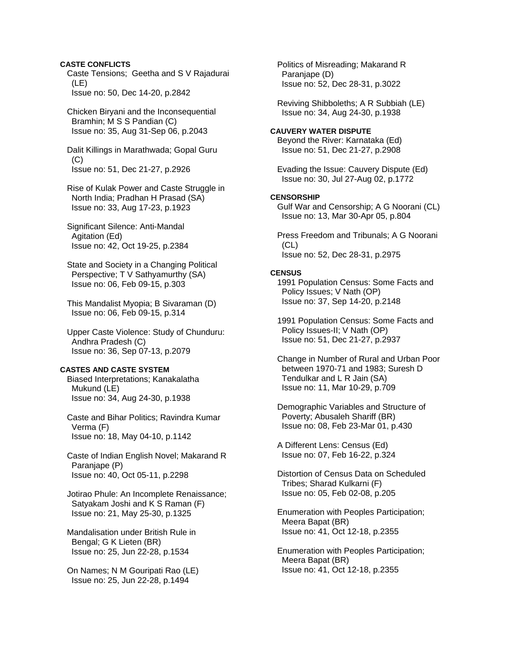## **CASTE CONFLICTS**

 Caste Tensions; Geetha and S V Rajadurai (LE) Issue no: 50, Dec 14-20, p.2842

 Chicken Biryani and the Inconsequential Bramhin; M S S Pandian (C) Issue no: 35, Aug 31-Sep 06, p.2043

 Dalit Killings in Marathwada; Gopal Guru  $(C)$ Issue no: 51, Dec 21-27, p.2926

 Rise of Kulak Power and Caste Struggle in North India; Pradhan H Prasad (SA) Issue no: 33, Aug 17-23, p.1923

 Significant Silence: Anti-Mandal Agitation (Ed) Issue no: 42, Oct 19-25, p.2384

 State and Society in a Changing Political Perspective; T V Sathyamurthy (SA) Issue no: 06, Feb 09-15, p.303

 This Mandalist Myopia; B Sivaraman (D) Issue no: 06, Feb 09-15, p.314

 Upper Caste Violence: Study of Chunduru: Andhra Pradesh (C) Issue no: 36, Sep 07-13, p.2079

#### **CASTES AND CASTE SYSTEM**

 Biased Interpretations; Kanakalatha Mukund (LE) Issue no: 34, Aug 24-30, p.1938

 Caste and Bihar Politics; Ravindra Kumar Verma (F) Issue no: 18, May 04-10, p.1142

 Caste of Indian English Novel; Makarand R Paranjape (P) Issue no: 40, Oct 05-11, p.2298

 Jotirao Phule: An Incomplete Renaissance; Satyakam Joshi and K S Raman (F) Issue no: 21, May 25-30, p.1325

 Mandalisation under British Rule in Bengal; G K Lieten (BR) Issue no: 25, Jun 22-28, p.1534

 On Names; N M Gouripati Rao (LE) Issue no: 25, Jun 22-28, p.1494

 Politics of Misreading; Makarand R Paranjape (D) Issue no: 52, Dec 28-31, p.3022

 Reviving Shibboleths; A R Subbiah (LE) Issue no: 34, Aug 24-30, p.1938

## **CAUVERY WATER DISPUTE**

 Beyond the River: Karnataka (Ed) Issue no: 51, Dec 21-27, p.2908

 Evading the Issue: Cauvery Dispute (Ed) Issue no: 30, Jul 27-Aug 02, p.1772

## **CENSORSHIP**

 Gulf War and Censorship; A G Noorani (CL) Issue no: 13, Mar 30-Apr 05, p.804

 Press Freedom and Tribunals; A G Noorani (CL) Issue no: 52, Dec 28-31, p.2975

#### **CENSUS**

 1991 Population Census: Some Facts and Policy Issues; V Nath (OP) Issue no: 37, Sep 14-20, p.2148

 1991 Population Census: Some Facts and Policy Issues-II; V Nath (OP) Issue no: 51, Dec 21-27, p.2937

 Change in Number of Rural and Urban Poor between 1970-71 and 1983; Suresh D Tendulkar and L R Jain (SA) Issue no: 11, Mar 10-29, p.709

 Demographic Variables and Structure of Poverty; Abusaleh Shariff (BR) Issue no: 08, Feb 23-Mar 01, p.430

 A Different Lens: Census (Ed) Issue no: 07, Feb 16-22, p.324

 Distortion of Census Data on Scheduled Tribes; Sharad Kulkarni (F) Issue no: 05, Feb 02-08, p.205

 Enumeration with Peoples Participation; Meera Bapat (BR) Issue no: 41, Oct 12-18, p.2355

 Enumeration with Peoples Participation; Meera Bapat (BR) Issue no: 41, Oct 12-18, p.2355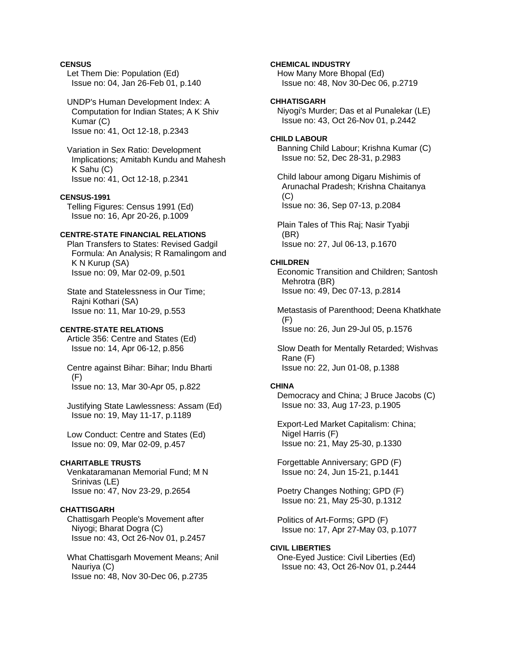## **CENSUS**

 Let Them Die: Population (Ed) Issue no: 04, Jan 26-Feb 01, p.140

## UNDP's Human Development Index: A Computation for Indian States; A K Shiv Kumar (C) Issue no: 41, Oct 12-18, p.2343

 Variation in Sex Ratio: Development Implications; Amitabh Kundu and Mahesh K Sahu (C) Issue no: 41, Oct 12-18, p.2341

## **CENSUS-1991**

 Telling Figures: Census 1991 (Ed) Issue no: 16, Apr 20-26, p.1009

## **CENTRE-STATE FINANCIAL RELATIONS**

 Plan Transfers to States: Revised Gadgil Formula: An Analysis; R Ramalingom and K N Kurup (SA) Issue no: 09, Mar 02-09, p.501

 State and Statelessness in Our Time; Rajni Kothari (SA) Issue no: 11, Mar 10-29, p.553

#### **CENTRE-STATE RELATIONS**

 Article 356: Centre and States (Ed) Issue no: 14, Apr 06-12, p.856

 Centre against Bihar: Bihar; Indu Bharti (F) Issue no: 13, Mar 30-Apr 05, p.822

 Justifying State Lawlessness: Assam (Ed) Issue no: 19, May 11-17, p.1189

 Low Conduct: Centre and States (Ed) Issue no: 09, Mar 02-09, p.457

## **CHARITABLE TRUSTS**

 Venkataramanan Memorial Fund; M N Srinivas (LE) Issue no: 47, Nov 23-29, p.2654

#### **CHATTISGARH**

 Chattisgarh People's Movement after Niyogi; Bharat Dogra (C) Issue no: 43, Oct 26-Nov 01, p.2457

 What Chattisgarh Movement Means; Anil Nauriya (C) Issue no: 48, Nov 30-Dec 06, p.2735

## **CHEMICAL INDUSTRY**

 How Many More Bhopal (Ed) Issue no: 48, Nov 30-Dec 06, p.2719

# **CHHATISGARH**

 Niyogi's Murder; Das et al Punalekar (LE) Issue no: 43, Oct 26-Nov 01, p.2442

#### **CHILD LABOUR**

 Banning Child Labour; Krishna Kumar (C) Issue no: 52, Dec 28-31, p.2983

 Child labour among Digaru Mishimis of Arunachal Pradesh; Krishna Chaitanya  $(C)$ Issue no: 36, Sep 07-13, p.2084

 Plain Tales of This Raj; Nasir Tyabji (BR) Issue no: 27, Jul 06-13, p.1670

#### **CHILDREN**

 Economic Transition and Children; Santosh Mehrotra (BR) Issue no: 49, Dec 07-13, p.2814

 Metastasis of Parenthood; Deena Khatkhate (F) Issue no: 26, Jun 29-Jul 05, p.1576

 Slow Death for Mentally Retarded; Wishvas Rane (F) Issue no: 22, Jun 01-08, p.1388

## **CHINA**

 Democracy and China; J Bruce Jacobs (C) Issue no: 33, Aug 17-23, p.1905

 Export-Led Market Capitalism: China; Nigel Harris (F) Issue no: 21, May 25-30, p.1330

 Forgettable Anniversary; GPD (F) Issue no: 24, Jun 15-21, p.1441

 Poetry Changes Nothing; GPD (F) Issue no: 21, May 25-30, p.1312

 Politics of Art-Forms; GPD (F) Issue no: 17, Apr 27-May 03, p.1077

#### **CIVIL LIBERTIES**

 One-Eyed Justice: Civil Liberties (Ed) Issue no: 43, Oct 26-Nov 01, p.2444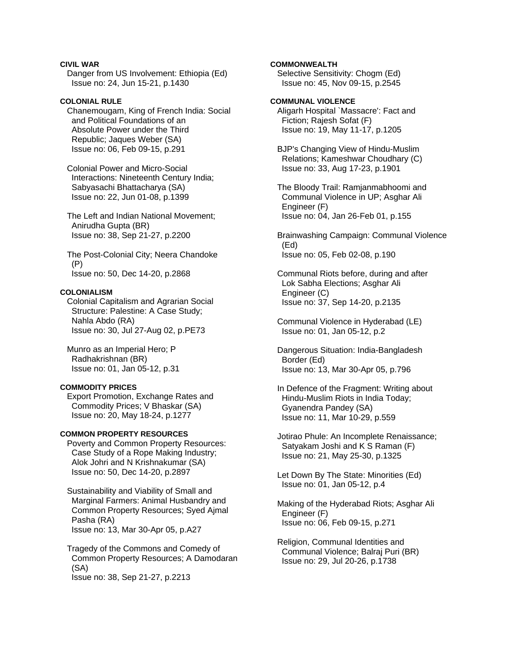## **CIVIL WAR**

 Danger from US Involvement: Ethiopia (Ed) Issue no: 24, Jun 15-21, p.1430

## **COLONIAL RULE**

 Chanemougam, King of French India: Social and Political Foundations of an Absolute Power under the Third Republic; Jaques Weber (SA) Issue no: 06, Feb 09-15, p.291

 Colonial Power and Micro-Social Interactions: Nineteenth Century India; Sabyasachi Bhattacharya (SA) Issue no: 22, Jun 01-08, p.1399

 The Left and Indian National Movement; Anirudha Gupta (BR) Issue no: 38, Sep 21-27, p.2200

 The Post-Colonial City; Neera Chandoke (P) Issue no: 50, Dec 14-20, p.2868

#### **COLONIALISM**

 Colonial Capitalism and Agrarian Social Structure: Palestine: A Case Study; Nahla Abdo (RA) Issue no: 30, Jul 27-Aug 02, p.PE73

 Munro as an Imperial Hero; P Radhakrishnan (BR) Issue no: 01, Jan 05-12, p.31

#### **COMMODITY PRICES**

 Export Promotion, Exchange Rates and Commodity Prices; V Bhaskar (SA) Issue no: 20, May 18-24, p.1277

#### **COMMON PROPERTY RESOURCES**

 Poverty and Common Property Resources: Case Study of a Rope Making Industry; Alok Johri and N Krishnakumar (SA) Issue no: 50, Dec 14-20, p.2897

 Sustainability and Viability of Small and Marginal Farmers: Animal Husbandry and Common Property Resources; Syed Ajmal Pasha (RA) Issue no: 13, Mar 30-Apr 05, p.A27

 Tragedy of the Commons and Comedy of Common Property Resources; A Damodaran (SA) Issue no: 38, Sep 21-27, p.2213

## **COMMONWEALTH**

 Selective Sensitivity: Chogm (Ed) Issue no: 45, Nov 09-15, p.2545

## **COMMUNAL VIOLENCE**

 Aligarh Hospital `Massacre': Fact and Fiction; Rajesh Sofat (F) Issue no: 19, May 11-17, p.1205

 BJP's Changing View of Hindu-Muslim Relations; Kameshwar Choudhary (C) Issue no: 33, Aug 17-23, p.1901

 The Bloody Trail: Ramjanmabhoomi and Communal Violence in UP; Asghar Ali Engineer (F) Issue no: 04, Jan 26-Feb 01, p.155

 Brainwashing Campaign: Communal Violence (Ed) Issue no: 05, Feb 02-08, p.190

 Communal Riots before, during and after Lok Sabha Elections; Asghar Ali Engineer (C) Issue no: 37, Sep 14-20, p.2135

 Communal Violence in Hyderabad (LE) Issue no: 01, Jan 05-12, p.2

 Dangerous Situation: India-Bangladesh Border (Ed) Issue no: 13, Mar 30-Apr 05, p.796

 In Defence of the Fragment: Writing about Hindu-Muslim Riots in India Today; Gyanendra Pandey (SA) Issue no: 11, Mar 10-29, p.559

 Jotirao Phule: An Incomplete Renaissance; Satyakam Joshi and K S Raman (F) Issue no: 21, May 25-30, p.1325

 Let Down By The State: Minorities (Ed) Issue no: 01, Jan 05-12, p.4

 Making of the Hyderabad Riots; Asghar Ali Engineer (F) Issue no: 06, Feb 09-15, p.271

 Religion, Communal Identities and Communal Violence; Balraj Puri (BR) Issue no: 29, Jul 20-26, p.1738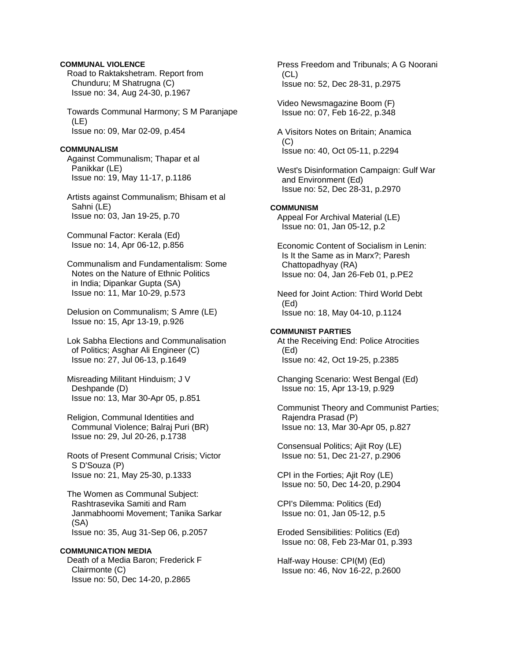## **COMMUNAL VIOLENCE**

 Road to Raktakshetram. Report from Chunduru; M Shatrugna (C) Issue no: 34, Aug 24-30, p.1967

 Towards Communal Harmony; S M Paranjape (LE) Issue no: 09, Mar 02-09, p.454

### **COMMUNALISM**

 Against Communalism; Thapar et al Panikkar (LE) Issue no: 19, May 11-17, p.1186

 Artists against Communalism; Bhisam et al Sahni (LE) Issue no: 03, Jan 19-25, p.70

 Communal Factor: Kerala (Ed) Issue no: 14, Apr 06-12, p.856

 Communalism and Fundamentalism: Some Notes on the Nature of Ethnic Politics in India; Dipankar Gupta (SA) Issue no: 11, Mar 10-29, p.573

 Delusion on Communalism; S Amre (LE) Issue no: 15, Apr 13-19, p.926

 Lok Sabha Elections and Communalisation of Politics; Asghar Ali Engineer (C) Issue no: 27, Jul 06-13, p.1649

 Misreading Militant Hinduism; J V Deshpande (D) Issue no: 13, Mar 30-Apr 05, p.851

 Religion, Communal Identities and Communal Violence; Balraj Puri (BR) Issue no: 29, Jul 20-26, p.1738

 Roots of Present Communal Crisis; Victor S D'Souza (P) Issue no: 21, May 25-30, p.1333

 The Women as Communal Subject: Rashtrasevika Samiti and Ram Janmabhoomi Movement; Tanika Sarkar (SA) Issue no: 35, Aug 31-Sep 06, p.2057

## **COMMUNICATION MEDIA**

 Death of a Media Baron; Frederick F Clairmonte (C) Issue no: 50, Dec 14-20, p.2865

 Press Freedom and Tribunals; A G Noorani (CL) Issue no: 52, Dec 28-31, p.2975

 Video Newsmagazine Boom (F) Issue no: 07, Feb 16-22, p.348

 A Visitors Notes on Britain; Anamica (C) Issue no: 40, Oct 05-11, p.2294

 West's Disinformation Campaign: Gulf War and Environment (Ed) Issue no: 52, Dec 28-31, p.2970

#### **COMMUNISM**

 Appeal For Archival Material (LE) Issue no: 01, Jan 05-12, p.2

 Economic Content of Socialism in Lenin: Is It the Same as in Marx?; Paresh Chattopadhyay (RA) Issue no: 04, Jan 26-Feb 01, p.PE2

 Need for Joint Action: Third World Debt (Ed) Issue no: 18, May 04-10, p.1124

## **COMMUNIST PARTIES**  At the Receiving End: Police Atrocities (Ed) Issue no: 42, Oct 19-25, p.2385

 Changing Scenario: West Bengal (Ed) Issue no: 15, Apr 13-19, p.929

 Communist Theory and Communist Parties; Rajendra Prasad (P) Issue no: 13, Mar 30-Apr 05, p.827

 Consensual Politics; Ajit Roy (LE) Issue no: 51, Dec 21-27, p.2906

 CPI in the Forties; Ajit Roy (LE) Issue no: 50, Dec 14-20, p.2904

 CPI's Dilemma: Politics (Ed) Issue no: 01, Jan 05-12, p.5

 Eroded Sensibilities: Politics (Ed) Issue no: 08, Feb 23-Mar 01, p.393

 Half-way House: CPI(M) (Ed) Issue no: 46, Nov 16-22, p.2600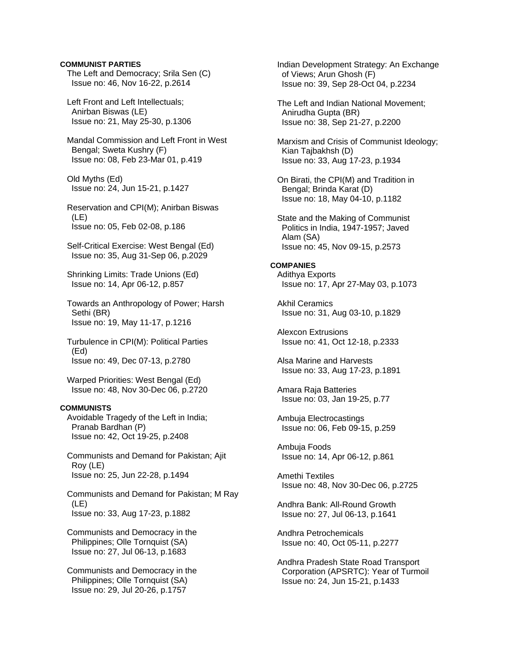## **COMMUNIST PARTIES**

 The Left and Democracy; Srila Sen (C) Issue no: 46, Nov 16-22, p.2614

 Left Front and Left Intellectuals; Anirban Biswas (LE) Issue no: 21, May 25-30, p.1306

 Mandal Commission and Left Front in West Bengal; Sweta Kushry (F) Issue no: 08, Feb 23-Mar 01, p.419

 Old Myths (Ed) Issue no: 24, Jun 15-21, p.1427

 Reservation and CPI(M); Anirban Biswas (LE) Issue no: 05, Feb 02-08, p.186

 Self-Critical Exercise: West Bengal (Ed) Issue no: 35, Aug 31-Sep 06, p.2029

 Shrinking Limits: Trade Unions (Ed) Issue no: 14, Apr 06-12, p.857

 Towards an Anthropology of Power; Harsh Sethi (BR) Issue no: 19, May 11-17, p.1216

 Turbulence in CPI(M): Political Parties (Ed) Issue no: 49, Dec 07-13, p.2780

 Warped Priorities: West Bengal (Ed) Issue no: 48, Nov 30-Dec 06, p.2720

## **COMMUNISTS**

 Avoidable Tragedy of the Left in India; Pranab Bardhan (P) Issue no: 42, Oct 19-25, p.2408

 Communists and Demand for Pakistan; Ajit Roy (LE) Issue no: 25, Jun 22-28, p.1494

 Communists and Demand for Pakistan; M Ray (LE) Issue no: 33, Aug 17-23, p.1882

 Communists and Democracy in the Philippines; Olle Tornquist (SA) Issue no: 27, Jul 06-13, p.1683

 Communists and Democracy in the Philippines; Olle Tornquist (SA) Issue no: 29, Jul 20-26, p.1757

 Indian Development Strategy: An Exchange of Views; Arun Ghosh (F) Issue no: 39, Sep 28-Oct 04, p.2234

 The Left and Indian National Movement; Anirudha Gupta (BR) Issue no: 38, Sep 21-27, p.2200

 Marxism and Crisis of Communist Ideology; Kian Tajbakhsh (D) Issue no: 33, Aug 17-23, p.1934

 On Birati, the CPI(M) and Tradition in Bengal; Brinda Karat (D) Issue no: 18, May 04-10, p.1182

 State and the Making of Communist Politics in India, 1947-1957; Javed Alam (SA) Issue no: 45, Nov 09-15, p.2573

# **COMPANIES**

 Adithya Exports Issue no: 17, Apr 27-May 03, p.1073

 Akhil Ceramics Issue no: 31, Aug 03-10, p.1829

 Alexcon Extrusions Issue no: 41, Oct 12-18, p.2333

 Alsa Marine and Harvests Issue no: 33, Aug 17-23, p.1891

 Amara Raja Batteries Issue no: 03, Jan 19-25, p.77

 Ambuja Electrocastings Issue no: 06, Feb 09-15, p.259

 Ambuja Foods Issue no: 14, Apr 06-12, p.861

 Amethi Textiles Issue no: 48, Nov 30-Dec 06, p.2725

 Andhra Bank: All-Round Growth Issue no: 27, Jul 06-13, p.1641

 Andhra Petrochemicals Issue no: 40, Oct 05-11, p.2277

 Andhra Pradesh State Road Transport Corporation (APSRTC): Year of Turmoil Issue no: 24, Jun 15-21, p.1433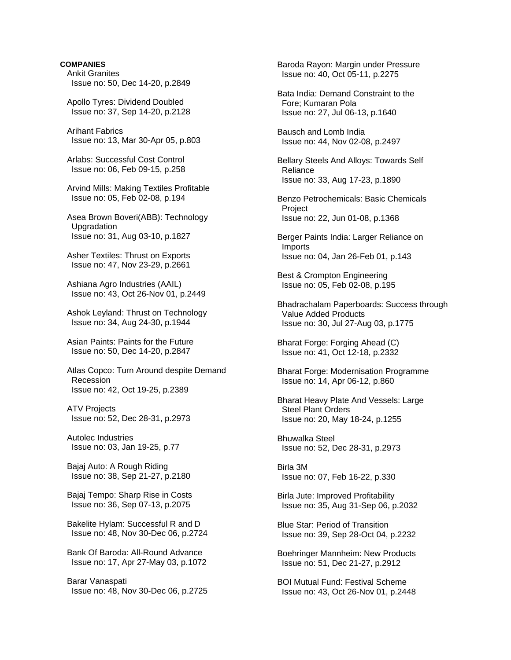# **COMPANIES**  Ankit Granites Issue no: 50, Dec 14-20, p.2849 Apollo Tyres: Dividend Doubled Issue no: 37, Sep 14-20, p.2128 Arihant Fabrics Issue no: 13, Mar 30-Apr 05, p.803 Arlabs: Successful Cost Control Issue no: 06, Feb 09-15, p.258 Arvind Mills: Making Textiles Profitable Issue no: 05, Feb 02-08, p.194 Asea Brown Boveri(ABB): Technology **Upgradation**  Issue no: 31, Aug 03-10, p.1827 Asher Textiles: Thrust on Exports Issue no: 47, Nov 23-29, p.2661 Ashiana Agro Industries (AAIL) Issue no: 43, Oct 26-Nov 01, p.2449 Ashok Leyland: Thrust on Technology Issue no: 34, Aug 24-30, p.1944 Asian Paints: Paints for the Future Issue no: 50, Dec 14-20, p.2847 Atlas Copco: Turn Around despite Demand Recession Issue no: 42, Oct 19-25, p.2389 ATV Projects Issue no: 52, Dec 28-31, p.2973 Autolec Industries Issue no: 03, Jan 19-25, p.77 Bajaj Auto: A Rough Riding Issue no: 38, Sep 21-27, p.2180 Bajaj Tempo: Sharp Rise in Costs Issue no: 36, Sep 07-13, p.2075 Bakelite Hylam: Successful R and D Issue no: 48, Nov 30-Dec 06, p.2724 Bank Of Baroda: All-Round Advance Issue no: 17, Apr 27-May 03, p.1072 Barar Vanaspati Issue no: 48, Nov 30-Dec 06, p.2725

 Baroda Rayon: Margin under Pressure Issue no: 40, Oct 05-11, p.2275

 Bata India: Demand Constraint to the Fore; Kumaran Pola Issue no: 27, Jul 06-13, p.1640

 Bausch and Lomb India Issue no: 44, Nov 02-08, p.2497

 Bellary Steels And Alloys: Towards Self Reliance Issue no: 33, Aug 17-23, p.1890

 Benzo Petrochemicals: Basic Chemicals **Project** Issue no: 22, Jun 01-08, p.1368

 Berger Paints India: Larger Reliance on Imports Issue no: 04, Jan 26-Feb 01, p.143

 Best & Crompton Engineering Issue no: 05, Feb 02-08, p.195

 Bhadrachalam Paperboards: Success through Value Added Products Issue no: 30, Jul 27-Aug 03, p.1775

 Bharat Forge: Forging Ahead (C) Issue no: 41, Oct 12-18, p.2332

 Bharat Forge: Modernisation Programme Issue no: 14, Apr 06-12, p.860

 Bharat Heavy Plate And Vessels: Large Steel Plant Orders Issue no: 20, May 18-24, p.1255

 Bhuwalka Steel Issue no: 52, Dec 28-31, p.2973

 Birla 3M Issue no: 07, Feb 16-22, p.330

 Birla Jute: Improved Profitability Issue no: 35, Aug 31-Sep 06, p.2032

 Blue Star: Period of Transition Issue no: 39, Sep 28-Oct 04, p.2232

 Boehringer Mannheim: New Products Issue no: 51, Dec 21-27, p.2912

 BOI Mutual Fund: Festival Scheme Issue no: 43, Oct 26-Nov 01, p.2448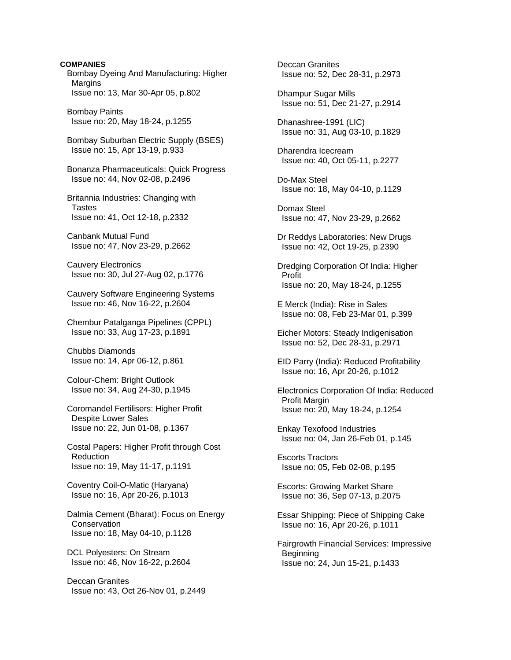**COMPANIES**  Bombay Dyeing And Manufacturing: Higher **Margins**  Issue no: 13, Mar 30-Apr 05, p.802 Bombay Paints Issue no: 20, May 18-24, p.1255 Bombay Suburban Electric Supply (BSES) Issue no: 15, Apr 13-19, p.933 Bonanza Pharmaceuticals: Quick Progress Issue no: 44, Nov 02-08, p.2496 Britannia Industries: Changing with **Tastes**  Issue no: 41, Oct 12-18, p.2332 Canbank Mutual Fund Issue no: 47, Nov 23-29, p.2662 Cauvery Electronics Issue no: 30, Jul 27-Aug 02, p.1776 Cauvery Software Engineering Systems Issue no: 46, Nov 16-22, p.2604 Chembur Patalganga Pipelines (CPPL) Issue no: 33, Aug 17-23, p.1891 Chubbs Diamonds Issue no: 14, Apr 06-12, p.861 Colour-Chem: Bright Outlook Issue no: 34, Aug 24-30, p.1945 Coromandel Fertilisers: Higher Profit Despite Lower Sales Issue no: 22, Jun 01-08, p.1367 Costal Papers: Higher Profit through Cost **Reduction**  Issue no: 19, May 11-17, p.1191 Coventry Coil-O-Matic (Haryana) Issue no: 16, Apr 20-26, p.1013 Dalmia Cement (Bharat): Focus on Energy **Conservation**  Issue no: 18, May 04-10, p.1128 DCL Polyesters: On Stream Issue no: 46, Nov 16-22, p.2604 Deccan Granites Issue no: 43, Oct 26-Nov 01, p.2449

 Deccan Granites Issue no: 52, Dec 28-31, p.2973

 Dhampur Sugar Mills Issue no: 51, Dec 21-27, p.2914

 Dhanashree-1991 (LIC) Issue no: 31, Aug 03-10, p.1829

 Dharendra Icecream Issue no: 40, Oct 05-11, p.2277

 Do-Max Steel Issue no: 18, May 04-10, p.1129

 Domax Steel Issue no: 47, Nov 23-29, p.2662

 Dr Reddys Laboratories: New Drugs Issue no: 42, Oct 19-25, p.2390

 Dredging Corporation Of India: Higher Profit Issue no: 20, May 18-24, p.1255

 E Merck (India): Rise in Sales Issue no: 08, Feb 23-Mar 01, p.399

 Eicher Motors: Steady Indigenisation Issue no: 52, Dec 28-31, p.2971

 EID Parry (India): Reduced Profitability Issue no: 16, Apr 20-26, p.1012

 Electronics Corporation Of India: Reduced Profit Margin Issue no: 20, May 18-24, p.1254

 Enkay Texofood Industries Issue no: 04, Jan 26-Feb 01, p.145

 Escorts Tractors Issue no: 05, Feb 02-08, p.195

 Escorts: Growing Market Share Issue no: 36, Sep 07-13, p.2075

 Essar Shipping: Piece of Shipping Cake Issue no: 16, Apr 20-26, p.1011

 Fairgrowth Financial Services: Impressive Beginning Issue no: 24, Jun 15-21, p.1433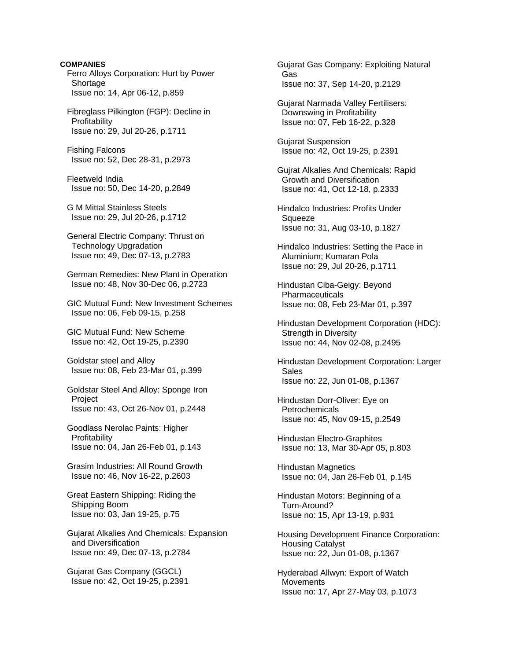**COMPANIES**  Ferro Alloys Corporation: Hurt by Power **Shortage** Issue no: 14, Apr 06-12, p.859

 Fibreglass Pilkington (FGP): Decline in **Profitability** Issue no: 29, Jul 20-26, p.1711

 Fishing Falcons Issue no: 52, Dec 28-31, p.2973

 Fleetweld India Issue no: 50, Dec 14-20, p.2849

 G M Mittal Stainless Steels Issue no: 29, Jul 20-26, p.1712

 General Electric Company: Thrust on Technology Upgradation Issue no: 49, Dec 07-13, p.2783

 German Remedies: New Plant in Operation Issue no: 48, Nov 30-Dec 06, p.2723

 GIC Mutual Fund: New Investment Schemes Issue no: 06, Feb 09-15, p.258

 GIC Mutual Fund: New Scheme Issue no: 42, Oct 19-25, p.2390

 Goldstar steel and Alloy Issue no: 08, Feb 23-Mar 01, p.399

 Goldstar Steel And Alloy: Sponge Iron Project Issue no: 43, Oct 26-Nov 01, p.2448

 Goodlass Nerolac Paints: Higher Profitability Issue no: 04, Jan 26-Feb 01, p.143

 Grasim Industries: All Round Growth Issue no: 46, Nov 16-22, p.2603

 Great Eastern Shipping: Riding the Shipping Boom Issue no: 03, Jan 19-25, p.75

 Gujarat Alkalies And Chemicals: Expansion and Diversification Issue no: 49, Dec 07-13, p.2784

 Gujarat Gas Company (GGCL) Issue no: 42, Oct 19-25, p.2391  Gujarat Gas Company: Exploiting Natural Gas Issue no: 37, Sep 14-20, p.2129

 Gujarat Narmada Valley Fertilisers: Downswing in Profitability Issue no: 07, Feb 16-22, p.328

 Gujarat Suspension Issue no: 42, Oct 19-25, p.2391

 Gujrat Alkalies And Chemicals: Rapid Growth and Diversification Issue no: 41, Oct 12-18, p.2333

 Hindalco Industries: Profits Under Squeeze Issue no: 31, Aug 03-10, p.1827

 Hindalco Industries: Setting the Pace in Aluminium; Kumaran Pola Issue no: 29, Jul 20-26, p.1711

 Hindustan Ciba-Geigy: Beyond Pharmaceuticals Issue no: 08, Feb 23-Mar 01, p.397

 Hindustan Development Corporation (HDC): Strength in Diversity Issue no: 44, Nov 02-08, p.2495

 Hindustan Development Corporation: Larger Sales Issue no: 22, Jun 01-08, p.1367

 Hindustan Dorr-Oliver: Eye on **Petrochemicals** Issue no: 45, Nov 09-15, p.2549

 Hindustan Electro-Graphites Issue no: 13, Mar 30-Apr 05, p.803

 Hindustan Magnetics Issue no: 04, Jan 26-Feb 01, p.145

 Hindustan Motors: Beginning of a Turn-Around? Issue no: 15, Apr 13-19, p.931

 Housing Development Finance Corporation: Housing Catalyst Issue no: 22, Jun 01-08, p.1367

 Hyderabad Allwyn: Export of Watch **Movements** Issue no: 17, Apr 27-May 03, p.1073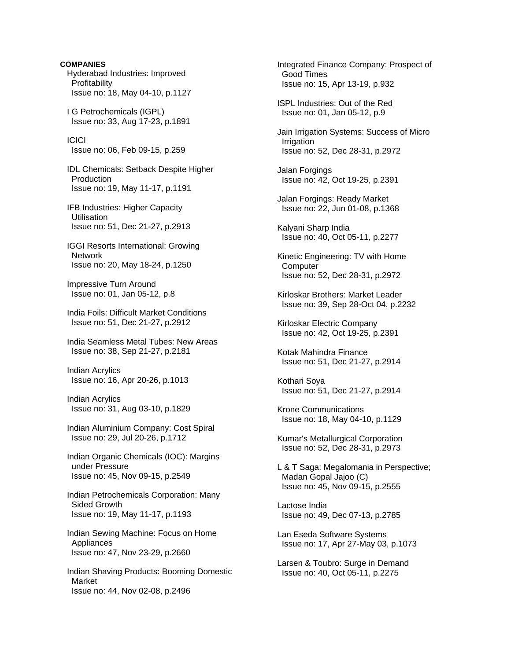**COMPANIES**  Hyderabad Industries: Improved Profitability Issue no: 18, May 04-10, p.1127 I G Petrochemicals (IGPL) Issue no: 33, Aug 17-23, p.1891 ICICI Issue no: 06, Feb 09-15, p.259 IDL Chemicals: Setback Despite Higher Production Issue no: 19, May 11-17, p.1191 IFB Industries: Higher Capacity Utilisation Issue no: 51, Dec 21-27, p.2913 IGGI Resorts International: Growing Network Issue no: 20, May 18-24, p.1250 Impressive Turn Around Issue no: 01, Jan 05-12, p.8 India Foils: Difficult Market Conditions Issue no: 51, Dec 21-27, p.2912 India Seamless Metal Tubes: New Areas Issue no: 38, Sep 21-27, p.2181 Indian Acrylics Issue no: 16, Apr 20-26, p.1013 Indian Acrylics Issue no: 31, Aug 03-10, p.1829 Indian Aluminium Company: Cost Spiral Issue no: 29, Jul 20-26, p.1712 Indian Organic Chemicals (IOC): Margins under Pressure Issue no: 45, Nov 09-15, p.2549 Indian Petrochemicals Corporation: Many Sided Growth Issue no: 19, May 11-17, p.1193 Indian Sewing Machine: Focus on Home **Appliances**  Issue no: 47, Nov 23-29, p.2660 Indian Shaving Products: Booming Domestic Market Issue no: 44, Nov 02-08, p.2496

 Integrated Finance Company: Prospect of Good Times Issue no: 15, Apr 13-19, p.932 ISPL Industries: Out of the Red Issue no: 01, Jan 05-12, p.9 Jain Irrigation Systems: Success of Micro **Irrigation**  Issue no: 52, Dec 28-31, p.2972 Jalan Forgings Issue no: 42, Oct 19-25, p.2391 Jalan Forgings: Ready Market Issue no: 22, Jun 01-08, p.1368 Kalyani Sharp India Issue no: 40, Oct 05-11, p.2277 Kinetic Engineering: TV with Home **Computer**  Issue no: 52, Dec 28-31, p.2972 Kirloskar Brothers: Market Leader Issue no: 39, Sep 28-Oct 04, p.2232 Kirloskar Electric Company Issue no: 42, Oct 19-25, p.2391 Kotak Mahindra Finance Issue no: 51, Dec 21-27, p.2914 Kothari Soya Issue no: 51, Dec 21-27, p.2914 Krone Communications Issue no: 18, May 04-10, p.1129 Kumar's Metallurgical Corporation Issue no: 52, Dec 28-31, p.2973 L & T Saga: Megalomania in Perspective; Madan Gopal Jajoo (C) Issue no: 45, Nov 09-15, p.2555 Lactose India Issue no: 49, Dec 07-13, p.2785 Lan Eseda Software Systems Issue no: 17, Apr 27-May 03, p.1073 Larsen & Toubro: Surge in Demand Issue no: 40, Oct 05-11, p.2275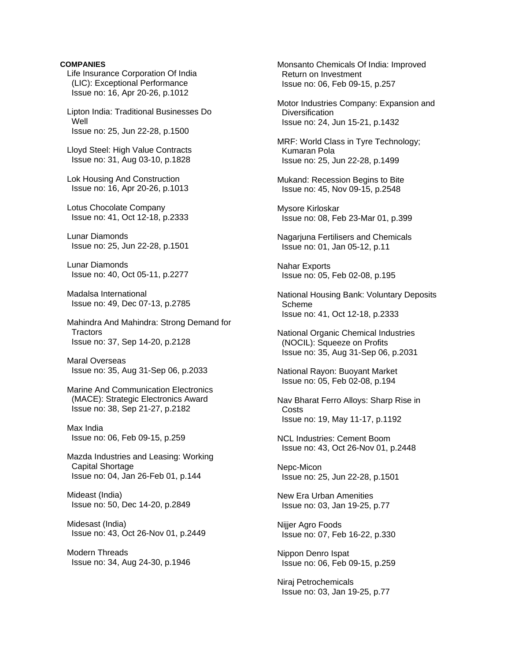## **COMPANIES**

 Life Insurance Corporation Of India (LIC): Exceptional Performance Issue no: 16, Apr 20-26, p.1012

 Lipton India: Traditional Businesses Do Well Issue no: 25, Jun 22-28, p.1500

 Lloyd Steel: High Value Contracts Issue no: 31, Aug 03-10, p.1828

 Lok Housing And Construction Issue no: 16, Apr 20-26, p.1013

 Lotus Chocolate Company Issue no: 41, Oct 12-18, p.2333

 Lunar Diamonds Issue no: 25, Jun 22-28, p.1501

 Lunar Diamonds Issue no: 40, Oct 05-11, p.2277

 Madalsa International Issue no: 49, Dec 07-13, p.2785

 Mahindra And Mahindra: Strong Demand for **Tractors** Issue no: 37, Sep 14-20, p.2128

 Maral Overseas Issue no: 35, Aug 31-Sep 06, p.2033

 Marine And Communication Electronics (MACE): Strategic Electronics Award Issue no: 38, Sep 21-27, p.2182

 Max India Issue no: 06, Feb 09-15, p.259

 Mazda Industries and Leasing: Working Capital Shortage Issue no: 04, Jan 26-Feb 01, p.144

 Mideast (India) Issue no: 50, Dec 14-20, p.2849

 Midesast (India) Issue no: 43, Oct 26-Nov 01, p.2449

 Modern Threads Issue no: 34, Aug 24-30, p.1946  Monsanto Chemicals Of India: Improved Return on Investment Issue no: 06, Feb 09-15, p.257

 Motor Industries Company: Expansion and **Diversification** Issue no: 24, Jun 15-21, p.1432

 MRF: World Class in Tyre Technology; Kumaran Pola Issue no: 25, Jun 22-28, p.1499

 Mukand: Recession Begins to Bite Issue no: 45, Nov 09-15, p.2548

 Mysore Kirloskar Issue no: 08, Feb 23-Mar 01, p.399

 Nagarjuna Fertilisers and Chemicals Issue no: 01, Jan 05-12, p.11

 Nahar Exports Issue no: 05, Feb 02-08, p.195

 National Housing Bank: Voluntary Deposits Scheme Issue no: 41, Oct 12-18, p.2333

 National Organic Chemical Industries (NOCIL): Squeeze on Profits Issue no: 35, Aug 31-Sep 06, p.2031

 National Rayon: Buoyant Market Issue no: 05, Feb 02-08, p.194

 Nav Bharat Ferro Alloys: Sharp Rise in **Costs** Issue no: 19, May 11-17, p.1192

 NCL Industries: Cement Boom Issue no: 43, Oct 26-Nov 01, p.2448

 Nepc-Micon Issue no: 25, Jun 22-28, p.1501

 New Era Urban Amenities Issue no: 03, Jan 19-25, p.77

 Nijjer Agro Foods Issue no: 07, Feb 16-22, p.330

 Nippon Denro Ispat Issue no: 06, Feb 09-15, p.259

 Niraj Petrochemicals Issue no: 03, Jan 19-25, p.77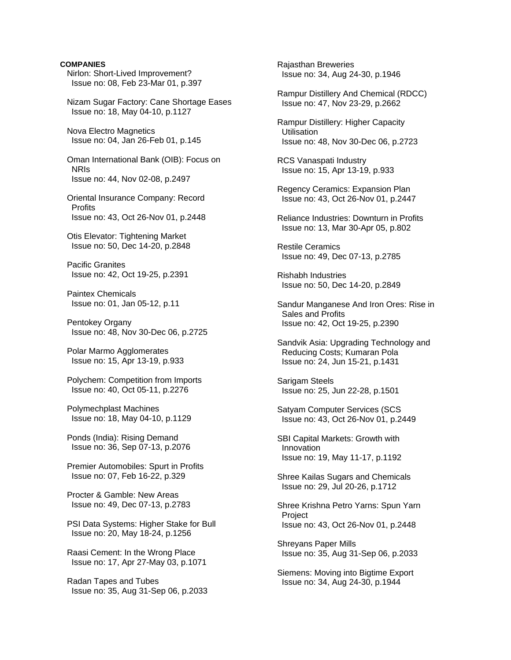# **COMPANIES**  Nirlon: Short-Lived Improvement? Issue no: 08, Feb 23-Mar 01, p.397 Nizam Sugar Factory: Cane Shortage Eases Issue no: 18, May 04-10, p.1127 Nova Electro Magnetics Issue no: 04, Jan 26-Feb 01, p.145 Oman International Bank (OIB): Focus on NRIs Issue no: 44, Nov 02-08, p.2497 Oriental Insurance Company: Record **Profits**  Issue no: 43, Oct 26-Nov 01, p.2448 Otis Elevator: Tightening Market Issue no: 50, Dec 14-20, p.2848 Pacific Granites Issue no: 42, Oct 19-25, p.2391 Paintex Chemicals Issue no: 01, Jan 05-12, p.11 Pentokey Organy Issue no: 48, Nov 30-Dec 06, p.2725 Polar Marmo Agglomerates Issue no: 15, Apr 13-19, p.933 Polychem: Competition from Imports Issue no: 40, Oct 05-11, p.2276 Polymechplast Machines Issue no: 18, May 04-10, p.1129 Ponds (India): Rising Demand Issue no: 36, Sep 07-13, p.2076 Premier Automobiles: Spurt in Profits Issue no: 07, Feb 16-22, p.329 Procter & Gamble: New Areas Issue no: 49, Dec 07-13, p.2783 PSI Data Systems: Higher Stake for Bull Issue no: 20, May 18-24, p.1256 Raasi Cement: In the Wrong Place Issue no: 17, Apr 27-May 03, p.1071

 Radan Tapes and Tubes Issue no: 35, Aug 31-Sep 06, p.2033  Rajasthan Breweries Issue no: 34, Aug 24-30, p.1946

 Rampur Distillery And Chemical (RDCC) Issue no: 47, Nov 23-29, p.2662

 Rampur Distillery: Higher Capacity **Utilisation** Issue no: 48, Nov 30-Dec 06, p.2723

 RCS Vanaspati Industry Issue no: 15, Apr 13-19, p.933

 Regency Ceramics: Expansion Plan Issue no: 43, Oct 26-Nov 01, p.2447

 Reliance Industries: Downturn in Profits Issue no: 13, Mar 30-Apr 05, p.802

 Restile Ceramics Issue no: 49, Dec 07-13, p.2785

 Rishabh Industries Issue no: 50, Dec 14-20, p.2849

 Sandur Manganese And Iron Ores: Rise in Sales and Profits Issue no: 42, Oct 19-25, p.2390

 Sandvik Asia: Upgrading Technology and Reducing Costs; Kumaran Pola Issue no: 24, Jun 15-21, p.1431

 Sarigam Steels Issue no: 25, Jun 22-28, p.1501

 Satyam Computer Services (SCS Issue no: 43, Oct 26-Nov 01, p.2449

 SBI Capital Markets: Growth with Innovation Issue no: 19, May 11-17, p.1192

 Shree Kailas Sugars and Chemicals Issue no: 29, Jul 20-26, p.1712

 Shree Krishna Petro Yarns: Spun Yarn **Project** Issue no: 43, Oct 26-Nov 01, p.2448

 Shreyans Paper Mills Issue no: 35, Aug 31-Sep 06, p.2033

 Siemens: Moving into Bigtime Export Issue no: 34, Aug 24-30, p.1944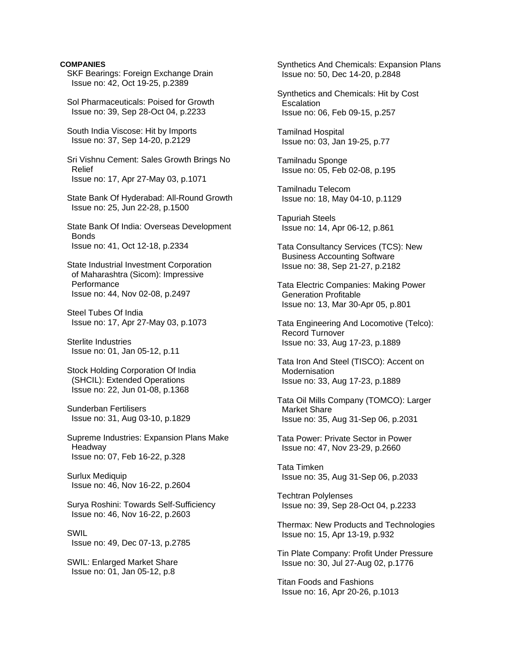## **COMPANIES**

- SKF Bearings: Foreign Exchange Drain Issue no: 42, Oct 19-25, p.2389
- Sol Pharmaceuticals: Poised for Growth Issue no: 39, Sep 28-Oct 04, p.2233
- South India Viscose: Hit by Imports Issue no: 37, Sep 14-20, p.2129

 Sri Vishnu Cement: Sales Growth Brings No Relief Issue no: 17, Apr 27-May 03, p.1071

 State Bank Of Hyderabad: All-Round Growth Issue no: 25, Jun 22-28, p.1500

 State Bank Of India: Overseas Development **Bonds** Issue no: 41, Oct 12-18, p.2334

 State Industrial Investment Corporation of Maharashtra (Sicom): Impressive **Performance** Issue no: 44, Nov 02-08, p.2497

 Steel Tubes Of India Issue no: 17, Apr 27-May 03, p.1073

 Sterlite Industries Issue no: 01, Jan 05-12, p.11

- Stock Holding Corporation Of India (SHCIL): Extended Operations Issue no: 22, Jun 01-08, p.1368
- Sunderban Fertilisers Issue no: 31, Aug 03-10, p.1829

 Supreme Industries: Expansion Plans Make Headway Issue no: 07, Feb 16-22, p.328

 Surlux Mediquip Issue no: 46, Nov 16-22, p.2604

 Surya Roshini: Towards Self-Sufficiency Issue no: 46, Nov 16-22, p.2603

## SWIL

Issue no: 49, Dec 07-13, p.2785

 SWIL: Enlarged Market Share Issue no: 01, Jan 05-12, p.8

 Synthetics And Chemicals: Expansion Plans Issue no: 50, Dec 14-20, p.2848

 Synthetics and Chemicals: Hit by Cost **Escalation** Issue no: 06, Feb 09-15, p.257

 Tamilnad Hospital Issue no: 03, Jan 19-25, p.77

 Tamilnadu Sponge Issue no: 05, Feb 02-08, p.195

 Tamilnadu Telecom Issue no: 18, May 04-10, p.1129

 Tapuriah Steels Issue no: 14, Apr 06-12, p.861

 Tata Consultancy Services (TCS): New Business Accounting Software Issue no: 38, Sep 21-27, p.2182

 Tata Electric Companies: Making Power Generation Profitable Issue no: 13, Mar 30-Apr 05, p.801

 Tata Engineering And Locomotive (Telco): Record Turnover Issue no: 33, Aug 17-23, p.1889

 Tata Iron And Steel (TISCO): Accent on **Modernisation** Issue no: 33, Aug 17-23, p.1889

 Tata Oil Mills Company (TOMCO): Larger Market Share Issue no: 35, Aug 31-Sep 06, p.2031

 Tata Power: Private Sector in Power Issue no: 47, Nov 23-29, p.2660

 Tata Timken Issue no: 35, Aug 31-Sep 06, p.2033

 Techtran Polylenses Issue no: 39, Sep 28-Oct 04, p.2233

 Thermax: New Products and Technologies Issue no: 15, Apr 13-19, p.932

 Tin Plate Company: Profit Under Pressure Issue no: 30, Jul 27-Aug 02, p.1776

 Titan Foods and Fashions Issue no: 16, Apr 20-26, p.1013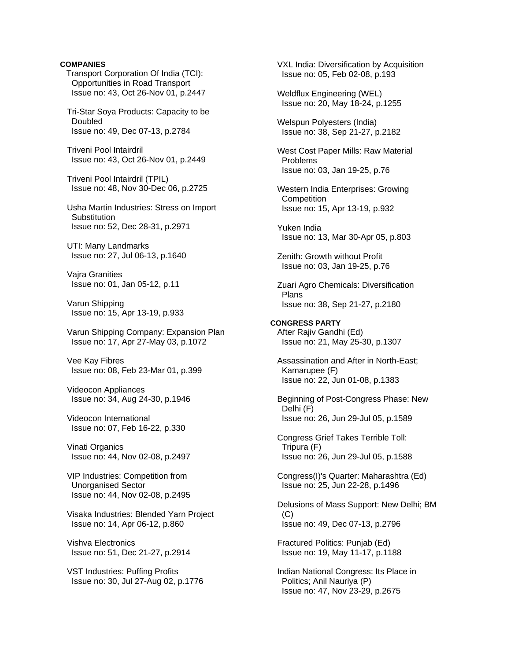## **COMPANIES**

Transport Corporation Of India (TCI): Opportunities in Road Transport Issue no: 43, Oct 26-Nov 01, p.2447

 Tri-Star Soya Products: Capacity to be Doubled Issue no: 49, Dec 07-13, p.2784

 Triveni Pool Intairdril Issue no: 43, Oct 26-Nov 01, p.2449

 Triveni Pool Intairdril (TPIL) Issue no: 48, Nov 30-Dec 06, p.2725

 Usha Martin Industries: Stress on Import **Substitution** Issue no: 52, Dec 28-31, p.2971

 UTI: Many Landmarks Issue no: 27, Jul 06-13, p.1640

 Vajra Granities Issue no: 01, Jan 05-12, p.11

 Varun Shipping Issue no: 15, Apr 13-19, p.933

 Varun Shipping Company: Expansion Plan Issue no: 17, Apr 27-May 03, p.1072

 Vee Kay Fibres Issue no: 08, Feb 23-Mar 01, p.399

 Videocon Appliances Issue no: 34, Aug 24-30, p.1946

 Videocon International Issue no: 07, Feb 16-22, p.330

 Vinati Organics Issue no: 44, Nov 02-08, p.2497

 VIP Industries: Competition from Unorganised Sector Issue no: 44, Nov 02-08, p.2495

 Visaka Industries: Blended Yarn Project Issue no: 14, Apr 06-12, p.860

 Vishva Electronics Issue no: 51, Dec 21-27, p.2914

 VST Industries: Puffing Profits Issue no: 30, Jul 27-Aug 02, p.1776

 VXL India: Diversification by Acquisition Issue no: 05, Feb 02-08, p.193 Weldflux Engineering (WEL) Issue no: 20, May 18-24, p.1255 Welspun Polyesters (India) Issue no: 38, Sep 21-27, p.2182 West Cost Paper Mills: Raw Material Problems Issue no: 03, Jan 19-25, p.76 Western India Enterprises: Growing **Competition**  Issue no: 15, Apr 13-19, p.932 Yuken India Issue no: 13, Mar 30-Apr 05, p.803 Zenith: Growth without Profit Issue no: 03, Jan 19-25, p.76 Zuari Agro Chemicals: Diversification Plans Issue no: 38, Sep 21-27, p.2180 **CONGRESS PARTY**  After Rajiv Gandhi (Ed) Issue no: 21, May 25-30, p.1307 Assassination and After in North-East; Kamarupee (F) Issue no: 22, Jun 01-08, p.1383 Beginning of Post-Congress Phase: New Delhi (F) Issue no: 26, Jun 29-Jul 05, p.1589 Congress Grief Takes Terrible Toll: Tripura (F) Issue no: 26, Jun 29-Jul 05, p.1588 Congress(I)'s Quarter: Maharashtra (Ed) Issue no: 25, Jun 22-28, p.1496 Delusions of Mass Support: New Delhi; BM  $(C)$  Issue no: 49, Dec 07-13, p.2796 Fractured Politics: Punjab (Ed) Issue no: 19, May 11-17, p.1188 Indian National Congress: Its Place in

 Politics; Anil Nauriya (P) Issue no: 47, Nov 23-29, p.2675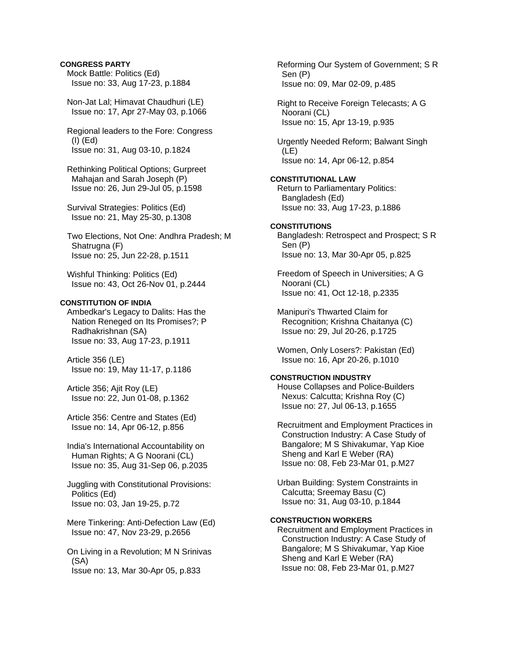## **CONGRESS PARTY**

 Mock Battle: Politics (Ed) Issue no: 33, Aug 17-23, p.1884

 Non-Jat Lal; Himavat Chaudhuri (LE) Issue no: 17, Apr 27-May 03, p.1066

 Regional leaders to the Fore: Congress (I) (Ed) Issue no: 31, Aug 03-10, p.1824

 Rethinking Political Options; Gurpreet Mahajan and Sarah Joseph (P) Issue no: 26, Jun 29-Jul 05, p.1598

 Survival Strategies: Politics (Ed) Issue no: 21, May 25-30, p.1308

 Two Elections, Not One: Andhra Pradesh; M Shatrugna (F) Issue no: 25, Jun 22-28, p.1511

 Wishful Thinking: Politics (Ed) Issue no: 43, Oct 26-Nov 01, p.2444

## **CONSTITUTION OF INDIA**

 Ambedkar's Legacy to Dalits: Has the Nation Reneged on Its Promises?; P Radhakrishnan (SA) Issue no: 33, Aug 17-23, p.1911

 Article 356 (LE) Issue no: 19, May 11-17, p.1186

 Article 356; Ajit Roy (LE) Issue no: 22, Jun 01-08, p.1362

 Article 356: Centre and States (Ed) Issue no: 14, Apr 06-12, p.856

 India's International Accountability on Human Rights; A G Noorani (CL) Issue no: 35, Aug 31-Sep 06, p.2035

 Juggling with Constitutional Provisions: Politics (Ed) Issue no: 03, Jan 19-25, p.72

 Mere Tinkering: Anti-Defection Law (Ed) Issue no: 47, Nov 23-29, p.2656

 On Living in a Revolution; M N Srinivas (SA) Issue no: 13, Mar 30-Apr 05, p.833

 Reforming Our System of Government; S R Sen (P) Issue no: 09, Mar 02-09, p.485

 Right to Receive Foreign Telecasts; A G Noorani (CL) Issue no: 15, Apr 13-19, p.935

 Urgently Needed Reform; Balwant Singh (LE) Issue no: 14, Apr 06-12, p.854

**CONSTITUTIONAL LAW**  Return to Parliamentary Politics: Bangladesh (Ed) Issue no: 33, Aug 17-23, p.1886

# **CONSTITUTIONS**  Bangladesh: Retrospect and Prospect; S R Sen (P)

Issue no: 13, Mar 30-Apr 05, p.825

 Freedom of Speech in Universities; A G Noorani (CL) Issue no: 41, Oct 12-18, p.2335

 Manipuri's Thwarted Claim for Recognition; Krishna Chaitanya (C) Issue no: 29, Jul 20-26, p.1725

 Women, Only Losers?: Pakistan (Ed) Issue no: 16, Apr 20-26, p.1010

# **CONSTRUCTION INDUSTRY**

 House Collapses and Police-Builders Nexus: Calcutta; Krishna Roy (C) Issue no: 27, Jul 06-13, p.1655

 Recruitment and Employment Practices in Construction Industry: A Case Study of Bangalore; M S Shivakumar, Yap Kioe Sheng and Karl E Weber (RA) Issue no: 08, Feb 23-Mar 01, p.M27

 Urban Building: System Constraints in Calcutta; Sreemay Basu (C) Issue no: 31, Aug 03-10, p.1844

## **CONSTRUCTION WORKERS**

 Recruitment and Employment Practices in Construction Industry: A Case Study of Bangalore; M S Shivakumar, Yap Kioe Sheng and Karl E Weber (RA) Issue no: 08, Feb 23-Mar 01, p.M27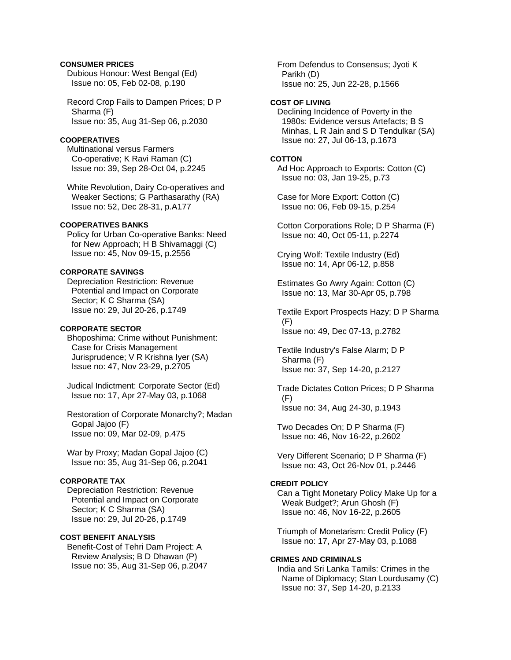## **CONSUMER PRICES**

 Dubious Honour: West Bengal (Ed) Issue no: 05, Feb 02-08, p.190

 Record Crop Fails to Dampen Prices; D P Sharma (F) Issue no: 35, Aug 31-Sep 06, p.2030

# **COOPERATIVES**

 Multinational versus Farmers Co-operative; K Ravi Raman (C) Issue no: 39, Sep 28-Oct 04, p.2245

 White Revolution, Dairy Co-operatives and Weaker Sections; G Parthasarathy (RA) Issue no: 52, Dec 28-31, p.A177

## **COOPERATIVES BANKS**

 Policy for Urban Co-operative Banks: Need for New Approach; H B Shivamaggi (C) Issue no: 45, Nov 09-15, p.2556

# **CORPORATE SAVINGS**

 Depreciation Restriction: Revenue Potential and Impact on Corporate Sector; K C Sharma (SA) Issue no: 29, Jul 20-26, p.1749

## **CORPORATE SECTOR**

 Bhoposhima: Crime without Punishment: Case for Crisis Management Jurisprudence; V R Krishna Iyer (SA) Issue no: 47, Nov 23-29, p.2705

 Judical Indictment: Corporate Sector (Ed) Issue no: 17, Apr 27-May 03, p.1068

 Restoration of Corporate Monarchy?; Madan Gopal Jajoo (F) Issue no: 09, Mar 02-09, p.475

 War by Proxy; Madan Gopal Jajoo (C) Issue no: 35, Aug 31-Sep 06, p.2041

## **CORPORATE TAX**

 Depreciation Restriction: Revenue Potential and Impact on Corporate Sector; K C Sharma (SA) Issue no: 29, Jul 20-26, p.1749

# **COST BENEFIT ANALYSIS**

 Benefit-Cost of Tehri Dam Project: A Review Analysis; B D Dhawan (P) Issue no: 35, Aug 31-Sep 06, p.2047  From Defendus to Consensus; Jyoti K Parikh (D) Issue no: 25, Jun 22-28, p.1566

## **COST OF LIVING**

 Declining Incidence of Poverty in the 1980s: Evidence versus Artefacts; B S Minhas, L R Jain and S D Tendulkar (SA) Issue no: 27, Jul 06-13, p.1673

#### **COTTON**

 Ad Hoc Approach to Exports: Cotton (C) Issue no: 03, Jan 19-25, p.73

 Case for More Export: Cotton (C) Issue no: 06, Feb 09-15, p.254

 Cotton Corporations Role; D P Sharma (F) Issue no: 40, Oct 05-11, p.2274

 Crying Wolf: Textile Industry (Ed) Issue no: 14, Apr 06-12, p.858

 Estimates Go Awry Again: Cotton (C) Issue no: 13, Mar 30-Apr 05, p.798

 Textile Export Prospects Hazy; D P Sharma (F) Issue no: 49, Dec 07-13, p.2782

 Textile Industry's False Alarm; D P Sharma (F) Issue no: 37, Sep 14-20, p.2127

 Trade Dictates Cotton Prices; D P Sharma (F) Issue no: 34, Aug 24-30, p.1943

 Two Decades On; D P Sharma (F) Issue no: 46, Nov 16-22, p.2602

 Very Different Scenario; D P Sharma (F) Issue no: 43, Oct 26-Nov 01, p.2446

#### **CREDIT POLICY**

 Can a Tight Monetary Policy Make Up for a Weak Budget?; Arun Ghosh (F) Issue no: 46, Nov 16-22, p.2605

 Triumph of Monetarism: Credit Policy (F) Issue no: 17, Apr 27-May 03, p.1088

#### **CRIMES AND CRIMINALS**

 India and Sri Lanka Tamils: Crimes in the Name of Diplomacy; Stan Lourdusamy (C) Issue no: 37, Sep 14-20, p.2133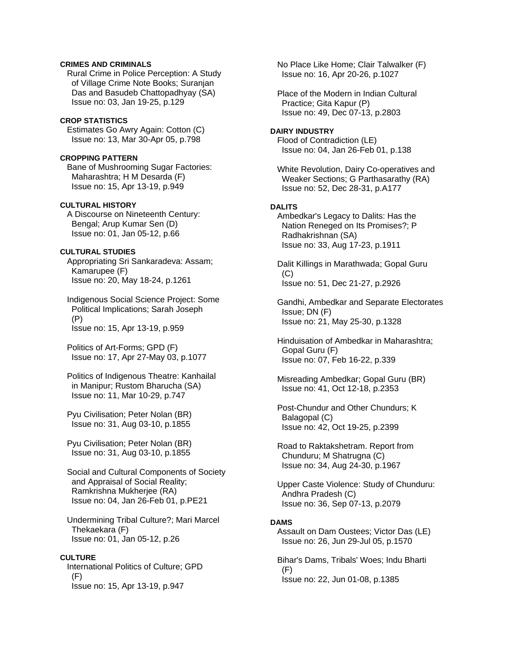## **CRIMES AND CRIMINALS**

 Rural Crime in Police Perception: A Study of Village Crime Note Books; Suranjan Das and Basudeb Chattopadhyay (SA) Issue no: 03, Jan 19-25, p.129

## **CROP STATISTICS**

 Estimates Go Awry Again: Cotton (C) Issue no: 13, Mar 30-Apr 05, p.798

## **CROPPING PATTERN**

 Bane of Mushrooming Sugar Factories: Maharashtra; H M Desarda (F) Issue no: 15, Apr 13-19, p.949

### **CULTURAL HISTORY**

 A Discourse on Nineteenth Century: Bengal; Arup Kumar Sen (D) Issue no: 01, Jan 05-12, p.66

## **CULTURAL STUDIES**

 Appropriating Sri Sankaradeva: Assam; Kamarupee (F) Issue no: 20, May 18-24, p.1261

 Indigenous Social Science Project: Some Political Implications; Sarah Joseph (P) Issue no: 15, Apr 13-19, p.959

 Politics of Art-Forms; GPD (F) Issue no: 17, Apr 27-May 03, p.1077

 Politics of Indigenous Theatre: Kanhailal in Manipur; Rustom Bharucha (SA) Issue no: 11, Mar 10-29, p.747

 Pyu Civilisation; Peter Nolan (BR) Issue no: 31, Aug 03-10, p.1855

 Pyu Civilisation; Peter Nolan (BR) Issue no: 31, Aug 03-10, p.1855

 Social and Cultural Components of Society and Appraisal of Social Reality; Ramkrishna Mukherjee (RA) Issue no: 04, Jan 26-Feb 01, p.PE21

 Undermining Tribal Culture?; Mari Marcel Thekaekara (F) Issue no: 01, Jan 05-12, p.26

## **CULTURE**

 International Politics of Culture; GPD (F) Issue no: 15, Apr 13-19, p.947

 No Place Like Home; Clair Talwalker (F) Issue no: 16, Apr 20-26, p.1027

 Place of the Modern in Indian Cultural Practice; Gita Kapur (P) Issue no: 49, Dec 07-13, p.2803

## **DAIRY INDUSTRY**

 Flood of Contradiction (LE) Issue no: 04, Jan 26-Feb 01, p.138

 White Revolution, Dairy Co-operatives and Weaker Sections; G Parthasarathy (RA) Issue no: 52, Dec 28-31, p.A177

## **DALITS**

 Ambedkar's Legacy to Dalits: Has the Nation Reneged on Its Promises?; P Radhakrishnan (SA) Issue no: 33, Aug 17-23, p.1911

 Dalit Killings in Marathwada; Gopal Guru (C) Issue no: 51, Dec 21-27, p.2926

 Gandhi, Ambedkar and Separate Electorates Issue; DN (F) Issue no: 21, May 25-30, p.1328

 Hinduisation of Ambedkar in Maharashtra; Gopal Guru (F) Issue no: 07, Feb 16-22, p.339

 Misreading Ambedkar; Gopal Guru (BR) Issue no: 41, Oct 12-18, p.2353

 Post-Chundur and Other Chundurs; K Balagopal (C) Issue no: 42, Oct 19-25, p.2399

 Road to Raktakshetram. Report from Chunduru; M Shatrugna (C) Issue no: 34, Aug 24-30, p.1967

 Upper Caste Violence: Study of Chunduru: Andhra Pradesh (C) Issue no: 36, Sep 07-13, p.2079

## **DAMS**

 Assault on Dam Oustees; Victor Das (LE) Issue no: 26, Jun 29-Jul 05, p.1570

 Bihar's Dams, Tribals' Woes; Indu Bharti (F) Issue no: 22, Jun 01-08, p.1385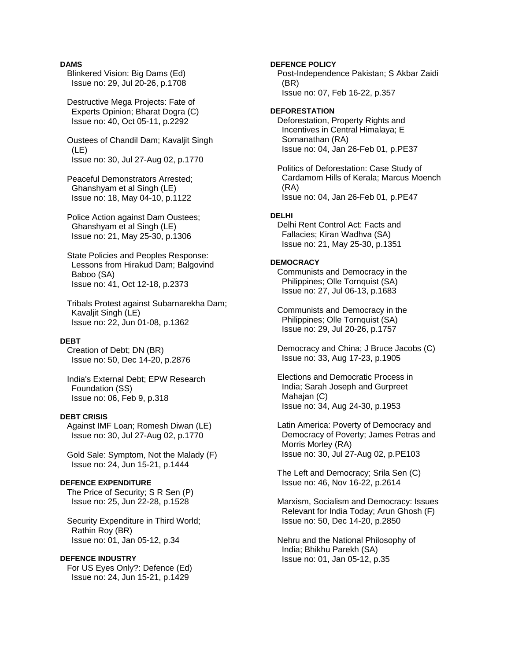### **DAMS**

 Blinkered Vision: Big Dams (Ed) Issue no: 29, Jul 20-26, p.1708

 Destructive Mega Projects: Fate of Experts Opinion; Bharat Dogra (C) Issue no: 40, Oct 05-11, p.2292

 Oustees of Chandil Dam; Kavaljit Singh (LE) Issue no: 30, Jul 27-Aug 02, p.1770

 Peaceful Demonstrators Arrested; Ghanshyam et al Singh (LE) Issue no: 18, May 04-10, p.1122

 Police Action against Dam Oustees; Ghanshyam et al Singh (LE) Issue no: 21, May 25-30, p.1306

 State Policies and Peoples Response: Lessons from Hirakud Dam; Balgovind Baboo (SA) Issue no: 41, Oct 12-18, p.2373

 Tribals Protest against Subarnarekha Dam; Kavaljit Singh (LE) Issue no: 22, Jun 01-08, p.1362

#### **DEBT**

 Creation of Debt; DN (BR) Issue no: 50, Dec 14-20, p.2876

 India's External Debt; EPW Research Foundation (SS) Issue no: 06, Feb 9, p.318

## **DEBT CRISIS**

 Against IMF Loan; Romesh Diwan (LE) Issue no: 30, Jul 27-Aug 02, p.1770

 Gold Sale: Symptom, Not the Malady (F) Issue no: 24, Jun 15-21, p.1444

#### **DEFENCE EXPENDITURE**

 The Price of Security; S R Sen (P) Issue no: 25, Jun 22-28, p.1528

 Security Expenditure in Third World; Rathin Roy (BR) Issue no: 01, Jan 05-12, p.34

#### **DEFENCE INDUSTRY**

 For US Eyes Only?: Defence (Ed) Issue no: 24, Jun 15-21, p.1429

**DEFENCE POLICY**  Post-Independence Pakistan; S Akbar Zaidi (BR) Issue no: 07, Feb 16-22, p.357 **DEFORESTATION**  Deforestation, Property Rights and Incentives in Central Himalaya; E Somanathan (RA) Issue no: 04, Jan 26-Feb 01, p.PE37 Politics of Deforestation: Case Study of Cardamom Hills of Kerala; Marcus Moench (RA) Issue no: 04, Jan 26-Feb 01, p.PE47 **DELHI**  Delhi Rent Control Act: Facts and Fallacies; Kiran Wadhva (SA) Issue no: 21, May 25-30, p.1351 **DEMOCRACY**  Communists and Democracy in the Philippines; Olle Tornquist (SA) Issue no: 27, Jul 06-13, p.1683 Communists and Democracy in the Philippines; Olle Tornquist (SA) Issue no: 29, Jul 20-26, p.1757 Democracy and China; J Bruce Jacobs (C) Issue no: 33, Aug 17-23, p.1905 Elections and Democratic Process in India; Sarah Joseph and Gurpreet Mahajan (C) Issue no: 34, Aug 24-30, p.1953 Latin America: Poverty of Democracy and Democracy of Poverty; James Petras and Morris Morley (RA) Issue no: 30, Jul 27-Aug 02, p.PE103 The Left and Democracy; Srila Sen (C) Issue no: 46, Nov 16-22, p.2614 Marxism, Socialism and Democracy: Issues Relevant for India Today; Arun Ghosh (F) Issue no: 50, Dec 14-20, p.2850

 Nehru and the National Philosophy of India; Bhikhu Parekh (SA) Issue no: 01, Jan 05-12, p.35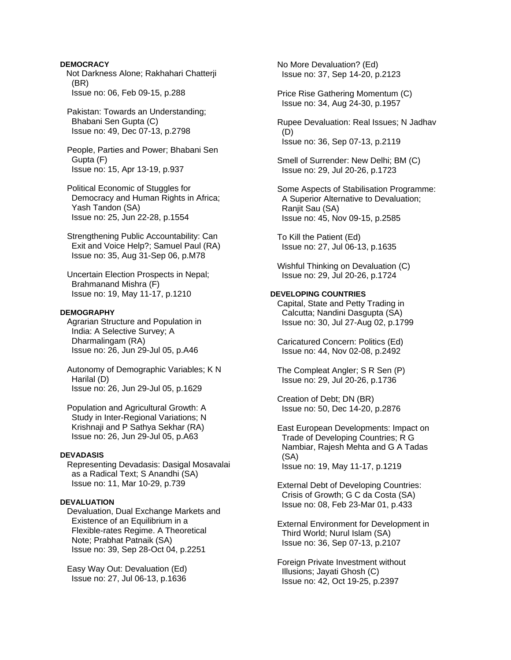**DEMOCRACY** Not Darkness Alone; Rakhahari Chatterji (BR) Issue no: 06, Feb 09-15, p.288

 Pakistan: Towards an Understanding; Bhabani Sen Gupta (C) Issue no: 49, Dec 07-13, p.2798

 People, Parties and Power; Bhabani Sen Gupta (F) Issue no: 15, Apr 13-19, p.937

 Political Economic of Stuggles for Democracy and Human Rights in Africa; Yash Tandon (SA) Issue no: 25, Jun 22-28, p.1554

 Strengthening Public Accountability: Can Exit and Voice Help?; Samuel Paul (RA) Issue no: 35, Aug 31-Sep 06, p.M78

 Uncertain Election Prospects in Nepal; Brahmanand Mishra (F) Issue no: 19, May 11-17, p.1210

## **DEMOGRAPHY**

 Agrarian Structure and Population in India: A Selective Survey; A Dharmalingam (RA) Issue no: 26, Jun 29-Jul 05, p.A46

 Autonomy of Demographic Variables; K N Harilal (D) Issue no: 26, Jun 29-Jul 05, p.1629

 Population and Agricultural Growth: A Study in Inter-Regional Variations; N Krishnaji and P Sathya Sekhar (RA) Issue no: 26, Jun 29-Jul 05, p.A63

#### **DEVADASIS**

 Representing Devadasis: Dasigal Mosavalai as a Radical Text; S Anandhi (SA) Issue no: 11, Mar 10-29, p.739

#### **DEVALUATION**

 Devaluation, Dual Exchange Markets and Existence of an Equilibrium in a Flexible-rates Regime. A Theoretical Note; Prabhat Patnaik (SA) Issue no: 39, Sep 28-Oct 04, p.2251

 Easy Way Out: Devaluation (Ed) Issue no: 27, Jul 06-13, p.1636  No More Devaluation? (Ed) Issue no: 37, Sep 14-20, p.2123

 Price Rise Gathering Momentum (C) Issue no: 34, Aug 24-30, p.1957

 Rupee Devaluation: Real Issues; N Jadhav (D) Issue no: 36, Sep 07-13, p.2119

 Smell of Surrender: New Delhi; BM (C) Issue no: 29, Jul 20-26, p.1723

 Some Aspects of Stabilisation Programme: A Superior Alternative to Devaluation; Ranjit Sau (SA) Issue no: 45, Nov 09-15, p.2585

 To Kill the Patient (Ed) Issue no: 27, Jul 06-13, p.1635

 Wishful Thinking on Devaluation (C) Issue no: 29, Jul 20-26, p.1724

## **DEVELOPING COUNTRIES**

 Capital, State and Petty Trading in Calcutta; Nandini Dasgupta (SA) Issue no: 30, Jul 27-Aug 02, p.1799

 Caricatured Concern: Politics (Ed) Issue no: 44, Nov 02-08, p.2492

 The Compleat Angler; S R Sen (P) Issue no: 29, Jul 20-26, p.1736

 Creation of Debt; DN (BR) Issue no: 50, Dec 14-20, p.2876

 East European Developments: Impact on Trade of Developing Countries; R G Nambiar, Rajesh Mehta and G A Tadas (SA) Issue no: 19, May 11-17, p.1219

 External Debt of Developing Countries: Crisis of Growth; G C da Costa (SA) Issue no: 08, Feb 23-Mar 01, p.433

 External Environment for Development in Third World; Nurul Islam (SA) Issue no: 36, Sep 07-13, p.2107

 Foreign Private Investment without Illusions; Jayati Ghosh (C) Issue no: 42, Oct 19-25, p.2397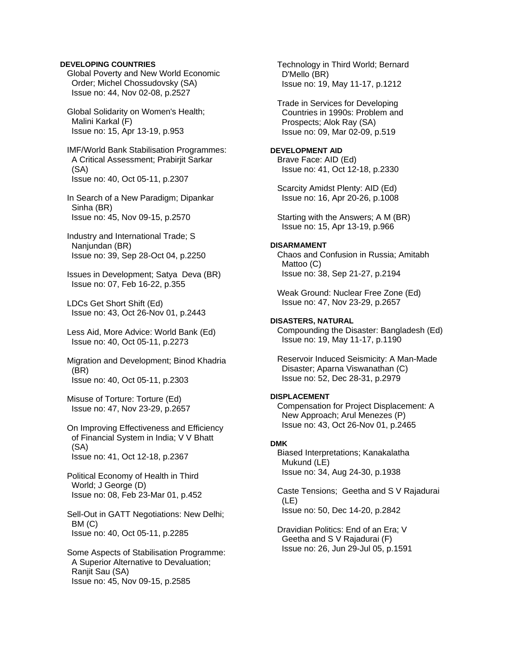## **DEVELOPING COUNTRIES**

 Global Poverty and New World Economic Order; Michel Chossudovsky (SA) Issue no: 44, Nov 02-08, p.2527

 Global Solidarity on Women's Health; Malini Karkal (F) Issue no: 15, Apr 13-19, p.953

 IMF/World Bank Stabilisation Programmes: A Critical Assessment; Prabirjit Sarkar (SA) Issue no: 40, Oct 05-11, p.2307

 In Search of a New Paradigm; Dipankar Sinha (BR) Issue no: 45, Nov 09-15, p.2570

 Industry and International Trade; S Nanjundan (BR) Issue no: 39, Sep 28-Oct 04, p.2250

 Issues in Development; Satya Deva (BR) Issue no: 07, Feb 16-22, p.355

 LDCs Get Short Shift (Ed) Issue no: 43, Oct 26-Nov 01, p.2443

 Less Aid, More Advice: World Bank (Ed) Issue no: 40, Oct 05-11, p.2273

 Migration and Development; Binod Khadria (BR) Issue no: 40, Oct 05-11, p.2303

 Misuse of Torture: Torture (Ed) Issue no: 47, Nov 23-29, p.2657

 On Improving Effectiveness and Efficiency of Financial System in India; V V Bhatt (SA) Issue no: 41, Oct 12-18, p.2367

 Political Economy of Health in Third World; J George (D) Issue no: 08, Feb 23-Mar 01, p.452

 Sell-Out in GATT Negotiations: New Delhi; BM (C) Issue no: 40, Oct 05-11, p.2285

 Some Aspects of Stabilisation Programme: A Superior Alternative to Devaluation; Ranjit Sau (SA) Issue no: 45, Nov 09-15, p.2585

 Technology in Third World; Bernard D'Mello (BR) Issue no: 19, May 11-17, p.1212

 Trade in Services for Developing Countries in 1990s: Problem and Prospects; Alok Ray (SA) Issue no: 09, Mar 02-09, p.519

**DEVELOPMENT AID**  Brave Face: AID (Ed)

Issue no: 41, Oct 12-18, p.2330

 Scarcity Amidst Plenty: AID (Ed) Issue no: 16, Apr 20-26, p.1008

 Starting with the Answers; A M (BR) Issue no: 15, Apr 13-19, p.966

## **DISARMAMENT**

 Chaos and Confusion in Russia; Amitabh Mattoo (C) Issue no: 38, Sep 21-27, p.2194

 Weak Ground: Nuclear Free Zone (Ed) Issue no: 47, Nov 23-29, p.2657

# **DISASTERS, NATURAL**

 Compounding the Disaster: Bangladesh (Ed) Issue no: 19, May 11-17, p.1190

 Reservoir Induced Seismicity: A Man-Made Disaster; Aparna Viswanathan (C) Issue no: 52, Dec 28-31, p.2979

## **DISPLACEMENT**

 Compensation for Project Displacement: A New Approach; Arul Menezes (P) Issue no: 43, Oct 26-Nov 01, p.2465

## **DMK**

 Biased Interpretations; Kanakalatha Mukund (LE) Issue no: 34, Aug 24-30, p.1938

 Caste Tensions; Geetha and S V Rajadurai (LE) Issue no: 50, Dec 14-20, p.2842

 Dravidian Politics: End of an Era; V Geetha and S V Rajadurai (F) Issue no: 26, Jun 29-Jul 05, p.1591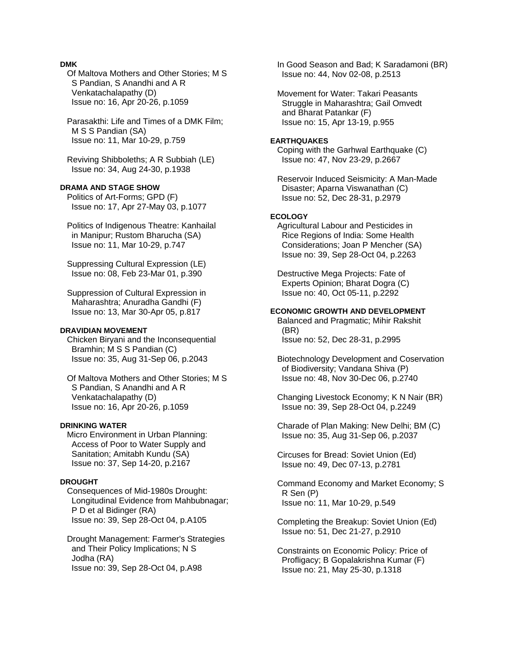## **DMK**

 Of Maltova Mothers and Other Stories; M S S Pandian, S Anandhi and A R Venkatachalapathy (D) Issue no: 16, Apr 20-26, p.1059

 Parasakthi: Life and Times of a DMK Film; M S S Pandian (SA) Issue no: 11, Mar 10-29, p.759

 Reviving Shibboleths; A R Subbiah (LE) Issue no: 34, Aug 24-30, p.1938

## **DRAMA AND STAGE SHOW**

 Politics of Art-Forms; GPD (F) Issue no: 17, Apr 27-May 03, p.1077

 Politics of Indigenous Theatre: Kanhailal in Manipur; Rustom Bharucha (SA) Issue no: 11, Mar 10-29, p.747

 Suppressing Cultural Expression (LE) Issue no: 08, Feb 23-Mar 01, p.390

 Suppression of Cultural Expression in Maharashtra; Anuradha Gandhi (F) Issue no: 13, Mar 30-Apr 05, p.817

## **DRAVIDIAN MOVEMENT**

 Chicken Biryani and the Inconsequential Bramhin; M S S Pandian (C) Issue no: 35, Aug 31-Sep 06, p.2043

 Of Maltova Mothers and Other Stories; M S S Pandian, S Anandhi and A R Venkatachalapathy (D) Issue no: 16, Apr 20-26, p.1059

#### **DRINKING WATER**

 Micro Environment in Urban Planning: Access of Poor to Water Supply and Sanitation; Amitabh Kundu (SA) Issue no: 37, Sep 14-20, p.2167

## **DROUGHT**

 Consequences of Mid-1980s Drought: Longitudinal Evidence from Mahbubnagar; P D et al Bidinger (RA) Issue no: 39, Sep 28-Oct 04, p.A105

 Drought Management: Farmer's Strategies and Their Policy Implications; N S Jodha (RA) Issue no: 39, Sep 28-Oct 04, p.A98

 In Good Season and Bad; K Saradamoni (BR) Issue no: 44, Nov 02-08, p.2513

 Movement for Water: Takari Peasants Struggle in Maharashtra; Gail Omvedt and Bharat Patankar (F) Issue no: 15, Apr 13-19, p.955

#### **EARTHQUAKES**

 Coping with the Garhwal Earthquake (C) Issue no: 47, Nov 23-29, p.2667

 Reservoir Induced Seismicity: A Man-Made Disaster; Aparna Viswanathan (C) Issue no: 52, Dec 28-31, p.2979

## **ECOLOGY**

 Agricultural Labour and Pesticides in Rice Regions of India: Some Health Considerations; Joan P Mencher (SA) Issue no: 39, Sep 28-Oct 04, p.2263

 Destructive Mega Projects: Fate of Experts Opinion; Bharat Dogra (C) Issue no: 40, Oct 05-11, p.2292

## **ECONOMIC GROWTH AND DEVELOPMENT**

 Balanced and Pragmatic; Mihir Rakshit (BR) Issue no: 52, Dec 28-31, p.2995

 Biotechnology Development and Coservation of Biodiversity; Vandana Shiva (P) Issue no: 48, Nov 30-Dec 06, p.2740

 Changing Livestock Economy; K N Nair (BR) Issue no: 39, Sep 28-Oct 04, p.2249

 Charade of Plan Making: New Delhi; BM (C) Issue no: 35, Aug 31-Sep 06, p.2037

 Circuses for Bread: Soviet Union (Ed) Issue no: 49, Dec 07-13, p.2781

 Command Economy and Market Economy; S R Sen (P) Issue no: 11, Mar 10-29, p.549

 Completing the Breakup: Soviet Union (Ed) Issue no: 51, Dec 21-27, p.2910

 Constraints on Economic Policy: Price of Profligacy; B Gopalakrishna Kumar (F) Issue no: 21, May 25-30, p.1318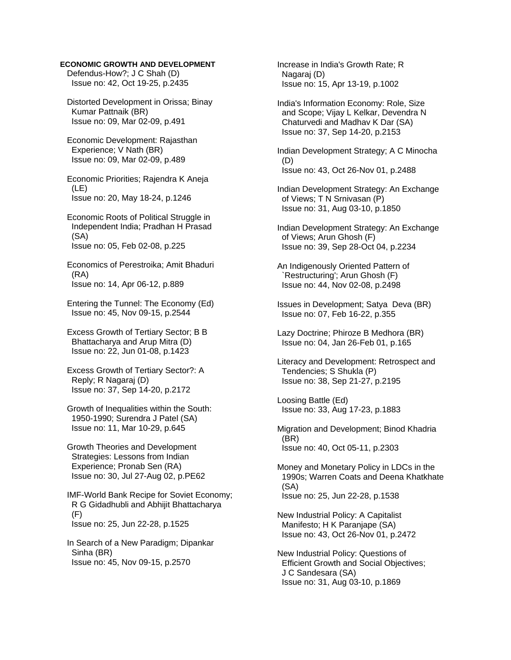## **ECONOMIC GROWTH AND DEVELOPMENT**

 Defendus-How?; J C Shah (D) Issue no: 42, Oct 19-25, p.2435

 Distorted Development in Orissa; Binay Kumar Pattnaik (BR) Issue no: 09, Mar 02-09, p.491

- Economic Development: Rajasthan Experience; V Nath (BR) Issue no: 09, Mar 02-09, p.489
- Economic Priorities; Rajendra K Aneja (LE) Issue no: 20, May 18-24, p.1246
- Economic Roots of Political Struggle in Independent India; Pradhan H Prasad (SA) Issue no: 05, Feb 02-08, p.225

 Economics of Perestroika; Amit Bhaduri (RA) Issue no: 14, Apr 06-12, p.889

 Entering the Tunnel: The Economy (Ed) Issue no: 45, Nov 09-15, p.2544

 Excess Growth of Tertiary Sector; B B Bhattacharya and Arup Mitra (D) Issue no: 22, Jun 01-08, p.1423

- Excess Growth of Tertiary Sector?: A Reply; R Nagaraj (D) Issue no: 37, Sep 14-20, p.2172
- Growth of Inequalities within the South: 1950-1990; Surendra J Patel (SA) Issue no: 11, Mar 10-29, p.645
- Growth Theories and Development Strategies: Lessons from Indian Experience; Pronab Sen (RA) Issue no: 30, Jul 27-Aug 02, p.PE62

 IMF-World Bank Recipe for Soviet Economy; R G Gidadhubli and Abhijit Bhattacharya  $(F)$ Issue no: 25, Jun 22-28, p.1525

 In Search of a New Paradigm; Dipankar Sinha (BR) Issue no: 45, Nov 09-15, p.2570

 Increase in India's Growth Rate; R Nagaraj (D) Issue no: 15, Apr 13-19, p.1002

 India's Information Economy: Role, Size and Scope; Vijay L Kelkar, Devendra N Chaturvedi and Madhav K Dar (SA) Issue no: 37, Sep 14-20, p.2153

 Indian Development Strategy; A C Minocha (D) Issue no: 43, Oct 26-Nov 01, p.2488

- Indian Development Strategy: An Exchange of Views; T N Srnivasan (P) Issue no: 31, Aug 03-10, p.1850
- Indian Development Strategy: An Exchange of Views; Arun Ghosh (F) Issue no: 39, Sep 28-Oct 04, p.2234
- An Indigenously Oriented Pattern of `Restructuring'; Arun Ghosh (F) Issue no: 44, Nov 02-08, p.2498
- Issues in Development; Satya Deva (BR) Issue no: 07, Feb 16-22, p.355

 Lazy Doctrine; Phiroze B Medhora (BR) Issue no: 04, Jan 26-Feb 01, p.165

 Literacy and Development: Retrospect and Tendencies; S Shukla (P) Issue no: 38, Sep 21-27, p.2195

 Loosing Battle (Ed) Issue no: 33, Aug 17-23, p.1883

 Migration and Development; Binod Khadria (BR) Issue no: 40, Oct 05-11, p.2303

 Money and Monetary Policy in LDCs in the 1990s; Warren Coats and Deena Khatkhate (SA) Issue no: 25, Jun 22-28, p.1538

 New Industrial Policy: A Capitalist Manifesto; H K Paranjape (SA) Issue no: 43, Oct 26-Nov 01, p.2472

 New Industrial Policy: Questions of Efficient Growth and Social Objectives; J C Sandesara (SA) Issue no: 31, Aug 03-10, p.1869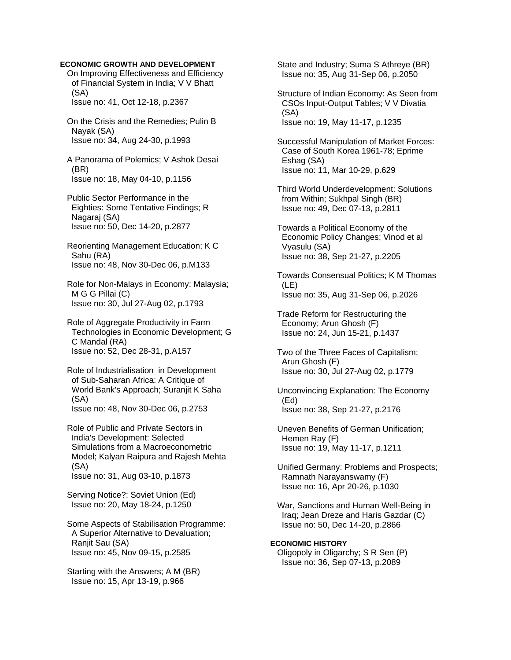#### **ECONOMIC GROWTH AND DEVELOPMENT**

 On Improving Effectiveness and Efficiency of Financial System in India; V V Bhatt (SA) Issue no: 41, Oct 12-18, p.2367

 On the Crisis and the Remedies; Pulin B Nayak (SA) Issue no: 34, Aug 24-30, p.1993

 A Panorama of Polemics; V Ashok Desai (BR) Issue no: 18, May 04-10, p.1156

 Public Sector Performance in the Eighties: Some Tentative Findings; R Nagaraj (SA) Issue no: 50, Dec 14-20, p.2877

 Reorienting Management Education; K C Sahu (RA) Issue no: 48, Nov 30-Dec 06, p.M133

 Role for Non-Malays in Economy: Malaysia; M G G Pillai (C) Issue no: 30, Jul 27-Aug 02, p.1793

 Role of Aggregate Productivity in Farm Technologies in Economic Development; G C Mandal (RA) Issue no: 52, Dec 28-31, p.A157

 Role of Industrialisation in Development of Sub-Saharan Africa: A Critique of World Bank's Approach; Suranjit K Saha (SA) Issue no: 48, Nov 30-Dec 06, p.2753

 Role of Public and Private Sectors in India's Development: Selected Simulations from a Macroeconometric Model; Kalyan Raipura and Rajesh Mehta (SA) Issue no: 31, Aug 03-10, p.1873

 Serving Notice?: Soviet Union (Ed) Issue no: 20, May 18-24, p.1250

 Some Aspects of Stabilisation Programme: A Superior Alternative to Devaluation; Ranjit Sau (SA) Issue no: 45, Nov 09-15, p.2585

 Starting with the Answers; A M (BR) Issue no: 15, Apr 13-19, p.966

 State and Industry; Suma S Athreye (BR) Issue no: 35, Aug 31-Sep 06, p.2050

 Structure of Indian Economy: As Seen from CSOs Input-Output Tables; V V Divatia (SA) Issue no: 19, May 11-17, p.1235

 Successful Manipulation of Market Forces: Case of South Korea 1961-78; Eprime Eshag (SA) Issue no: 11, Mar 10-29, p.629

 Third World Underdevelopment: Solutions from Within; Sukhpal Singh (BR) Issue no: 49, Dec 07-13, p.2811

 Towards a Political Economy of the Economic Policy Changes; Vinod et al Vyasulu (SA) Issue no: 38, Sep 21-27, p.2205

 Towards Consensual Politics; K M Thomas (LE) Issue no: 35, Aug 31-Sep 06, p.2026

 Trade Reform for Restructuring the Economy; Arun Ghosh (F) Issue no: 24, Jun 15-21, p.1437

 Two of the Three Faces of Capitalism; Arun Ghosh (F) Issue no: 30, Jul 27-Aug 02, p.1779

 Unconvincing Explanation: The Economy (Ed) Issue no: 38, Sep 21-27, p.2176

 Uneven Benefits of German Unification; Hemen Ray (F) Issue no: 19, May 11-17, p.1211

 Unified Germany: Problems and Prospects; Ramnath Narayanswamy (F) Issue no: 16, Apr 20-26, p.1030

 War, Sanctions and Human Well-Being in Iraq; Jean Dreze and Haris Gazdar (C) Issue no: 50, Dec 14-20, p.2866

## **ECONOMIC HISTORY**

 Oligopoly in Oligarchy; S R Sen (P) Issue no: 36, Sep 07-13, p.2089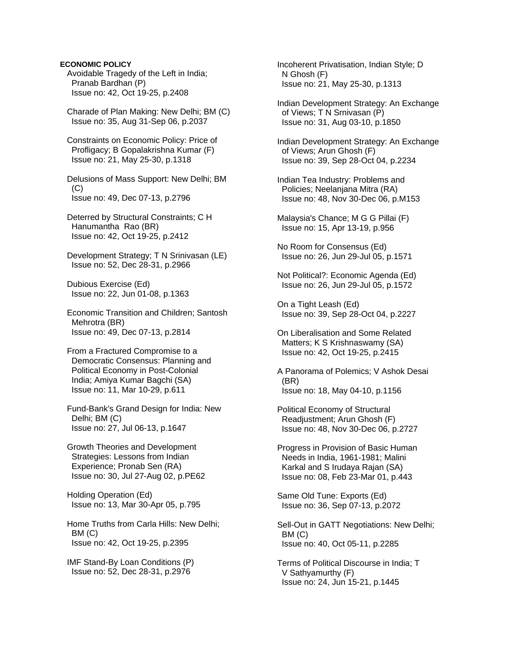### **ECONOMIC POLICY**

- Avoidable Tragedy of the Left in India; Pranab Bardhan (P) Issue no: 42, Oct 19-25, p.2408
- Charade of Plan Making: New Delhi; BM (C) Issue no: 35, Aug 31-Sep 06, p.2037
- Constraints on Economic Policy: Price of Profligacy; B Gopalakrishna Kumar (F) Issue no: 21, May 25-30, p.1318
- Delusions of Mass Support: New Delhi; BM (C) Issue no: 49, Dec 07-13, p.2796
- Deterred by Structural Constraints; C H Hanumantha Rao (BR) Issue no: 42, Oct 19-25, p.2412
- Development Strategy; T N Srinivasan (LE) Issue no: 52, Dec 28-31, p.2966
- Dubious Exercise (Ed) Issue no: 22, Jun 01-08, p.1363
- Economic Transition and Children; Santosh Mehrotra (BR) Issue no: 49, Dec 07-13, p.2814
- From a Fractured Compromise to a Democratic Consensus: Planning and Political Economy in Post-Colonial India; Amiya Kumar Bagchi (SA) Issue no: 11, Mar 10-29, p.611
- Fund-Bank's Grand Design for India: New Delhi; BM (C) Issue no: 27, Jul 06-13, p.1647
- Growth Theories and Development Strategies: Lessons from Indian Experience; Pronab Sen (RA) Issue no: 30, Jul 27-Aug 02, p.PE62
- Holding Operation (Ed) Issue no: 13, Mar 30-Apr 05, p.795
- Home Truths from Carla Hills: New Delhi; BM (C) Issue no: 42, Oct 19-25, p.2395
- IMF Stand-By Loan Conditions (P) Issue no: 52, Dec 28-31, p.2976

 Incoherent Privatisation, Indian Style; D N Ghosh (F) Issue no: 21, May 25-30, p.1313

- Indian Development Strategy: An Exchange of Views; T N Srnivasan (P) Issue no: 31, Aug 03-10, p.1850
- Indian Development Strategy: An Exchange of Views; Arun Ghosh (F) Issue no: 39, Sep 28-Oct 04, p.2234
- Indian Tea Industry: Problems and Policies; Neelanjana Mitra (RA) Issue no: 48, Nov 30-Dec 06, p.M153
- Malaysia's Chance; M G G Pillai (F) Issue no: 15, Apr 13-19, p.956
- No Room for Consensus (Ed) Issue no: 26, Jun 29-Jul 05, p.1571
- Not Political?: Economic Agenda (Ed) Issue no: 26, Jun 29-Jul 05, p.1572
- On a Tight Leash (Ed) Issue no: 39, Sep 28-Oct 04, p.2227
- On Liberalisation and Some Related Matters; K S Krishnaswamy (SA) Issue no: 42, Oct 19-25, p.2415
- A Panorama of Polemics; V Ashok Desai (BR) Issue no: 18, May 04-10, p.1156
- Political Economy of Structural Readjustment; Arun Ghosh (F) Issue no: 48, Nov 30-Dec 06, p.2727
- Progress in Provision of Basic Human Needs in India, 1961-1981; Malini Karkal and S Irudaya Rajan (SA) Issue no: 08, Feb 23-Mar 01, p.443
- Same Old Tune: Exports (Ed) Issue no: 36, Sep 07-13, p.2072
- Sell-Out in GATT Negotiations: New Delhi; BM (C) Issue no: 40, Oct 05-11, p.2285
- Terms of Political Discourse in India; T V Sathyamurthy (F) Issue no: 24, Jun 15-21, p.1445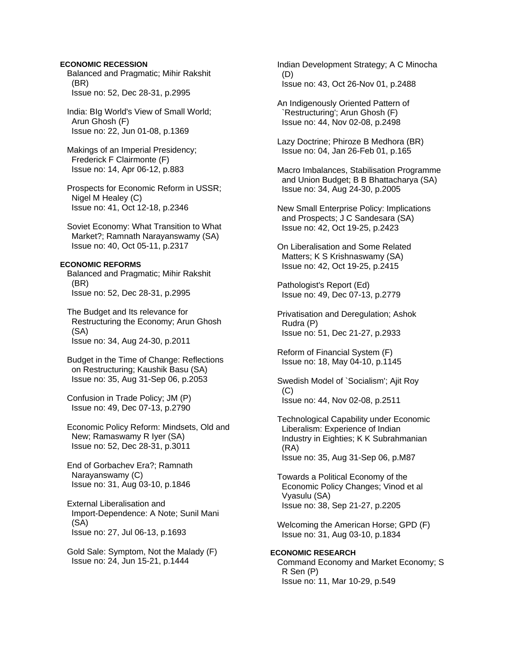### **ECONOMIC RECESSION**

 Balanced and Pragmatic; Mihir Rakshit (BR) Issue no: 52, Dec 28-31, p.2995

 India: BIg World's View of Small World; Arun Ghosh (F) Issue no: 22, Jun 01-08, p.1369

 Makings of an Imperial Presidency; Frederick F Clairmonte (F) Issue no: 14, Apr 06-12, p.883

 Prospects for Economic Reform in USSR; Nigel M Healey (C) Issue no: 41, Oct 12-18, p.2346

 Soviet Economy: What Transition to What Market?; Ramnath Narayanswamy (SA) Issue no: 40, Oct 05-11, p.2317

### **ECONOMIC REFORMS**

 Balanced and Pragmatic; Mihir Rakshit (BR) Issue no: 52, Dec 28-31, p.2995

 The Budget and Its relevance for Restructuring the Economy; Arun Ghosh (SA) Issue no: 34, Aug 24-30, p.2011

 Budget in the Time of Change: Reflections on Restructuring; Kaushik Basu (SA) Issue no: 35, Aug 31-Sep 06, p.2053

 Confusion in Trade Policy; JM (P) Issue no: 49, Dec 07-13, p.2790

 Economic Policy Reform: Mindsets, Old and New; Ramaswamy R Iyer (SA) Issue no: 52, Dec 28-31, p.3011

 End of Gorbachev Era?; Ramnath Narayanswamy (C) Issue no: 31, Aug 03-10, p.1846

 External Liberalisation and Import-Dependence: A Note; Sunil Mani (SA) Issue no: 27, Jul 06-13, p.1693

 Gold Sale: Symptom, Not the Malady (F) Issue no: 24, Jun 15-21, p.1444

 Indian Development Strategy; A C Minocha (D) Issue no: 43, Oct 26-Nov 01, p.2488

 An Indigenously Oriented Pattern of `Restructuring'; Arun Ghosh (F) Issue no: 44, Nov 02-08, p.2498

 Lazy Doctrine; Phiroze B Medhora (BR) Issue no: 04, Jan 26-Feb 01, p.165

 Macro Imbalances, Stabilisation Programme and Union Budget; B B Bhattacharya (SA) Issue no: 34, Aug 24-30, p.2005

 New Small Enterprise Policy: Implications and Prospects; J C Sandesara (SA) Issue no: 42, Oct 19-25, p.2423

 On Liberalisation and Some Related Matters; K S Krishnaswamy (SA) Issue no: 42, Oct 19-25, p.2415

 Pathologist's Report (Ed) Issue no: 49, Dec 07-13, p.2779

 Privatisation and Deregulation; Ashok Rudra (P) Issue no: 51, Dec 21-27, p.2933

 Reform of Financial System (F) Issue no: 18, May 04-10, p.1145

 Swedish Model of `Socialism'; Ajit Roy  $(C)$ Issue no: 44, Nov 02-08, p.2511

 Technological Capability under Economic Liberalism: Experience of Indian Industry in Eighties; K K Subrahmanian (RA) Issue no: 35, Aug 31-Sep 06, p.M87

 Towards a Political Economy of the Economic Policy Changes; Vinod et al Vyasulu (SA) Issue no: 38, Sep 21-27, p.2205

 Welcoming the American Horse; GPD (F) Issue no: 31, Aug 03-10, p.1834

# **ECONOMIC RESEARCH**  Command Economy and Market Economy; S R Sen (P) Issue no: 11, Mar 10-29, p.549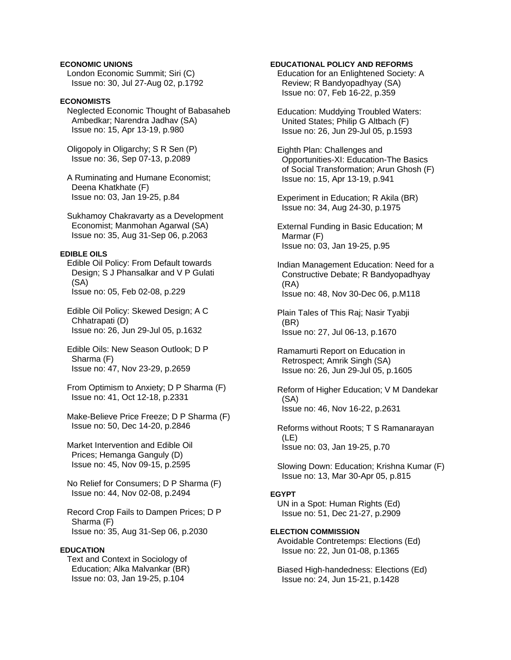### **ECONOMIC UNIONS**

 London Economic Summit; Siri (C) Issue no: 30, Jul 27-Aug 02, p.1792

# **ECONOMISTS**

 Neglected Economic Thought of Babasaheb Ambedkar; Narendra Jadhav (SA) Issue no: 15, Apr 13-19, p.980

 Oligopoly in Oligarchy; S R Sen (P) Issue no: 36, Sep 07-13, p.2089

 A Ruminating and Humane Economist; Deena Khatkhate (F) Issue no: 03, Jan 19-25, p.84

 Sukhamoy Chakravarty as a Development Economist; Manmohan Agarwal (SA) Issue no: 35, Aug 31-Sep 06, p.2063

# **EDIBLE OILS**

 Edible Oil Policy: From Default towards Design; S J Phansalkar and V P Gulati (SA) Issue no: 05, Feb 02-08, p.229

 Edible Oil Policy: Skewed Design; A C Chhatrapati (D) Issue no: 26, Jun 29-Jul 05, p.1632

 Edible Oils: New Season Outlook; D P Sharma (F) Issue no: 47, Nov 23-29, p.2659

 From Optimism to Anxiety; D P Sharma (F) Issue no: 41, Oct 12-18, p.2331

 Make-Believe Price Freeze; D P Sharma (F) Issue no: 50, Dec 14-20, p.2846

 Market Intervention and Edible Oil Prices; Hemanga Ganguly (D) Issue no: 45, Nov 09-15, p.2595

 No Relief for Consumers; D P Sharma (F) Issue no: 44, Nov 02-08, p.2494

 Record Crop Fails to Dampen Prices; D P Sharma (F) Issue no: 35, Aug 31-Sep 06, p.2030

#### **EDUCATION**

 Text and Context in Sociology of Education; Alka Malvankar (BR) Issue no: 03, Jan 19-25, p.104

### **EDUCATIONAL POLICY AND REFORMS**

 Education for an Enlightened Society: A Review; R Bandyopadhyay (SA) Issue no: 07, Feb 16-22, p.359

 Education: Muddying Troubled Waters: United States; Philip G Altbach (F) Issue no: 26, Jun 29-Jul 05, p.1593

 Eighth Plan: Challenges and Opportunities-XI: Education-The Basics of Social Transformation; Arun Ghosh (F) Issue no: 15, Apr 13-19, p.941

 Experiment in Education; R Akila (BR) Issue no: 34, Aug 24-30, p.1975

 External Funding in Basic Education; M Marmar (F) Issue no: 03, Jan 19-25, p.95

 Indian Management Education: Need for a Constructive Debate; R Bandyopadhyay (RA) Issue no: 48, Nov 30-Dec 06, p.M118

 Plain Tales of This Raj; Nasir Tyabji (BR) Issue no: 27, Jul 06-13, p.1670

 Ramamurti Report on Education in Retrospect; Amrik Singh (SA) Issue no: 26, Jun 29-Jul 05, p.1605

 Reform of Higher Education; V M Dandekar (SA) Issue no: 46, Nov 16-22, p.2631

 Reforms without Roots; T S Ramanarayan (LE) Issue no: 03, Jan 19-25, p.70

 Slowing Down: Education; Krishna Kumar (F) Issue no: 13, Mar 30-Apr 05, p.815

### **EGYPT**

 UN in a Spot: Human Rights (Ed) Issue no: 51, Dec 21-27, p.2909

**ELECTION COMMISSION**  Avoidable Contretemps: Elections (Ed) Issue no: 22, Jun 01-08, p.1365

 Biased High-handedness: Elections (Ed) Issue no: 24, Jun 15-21, p.1428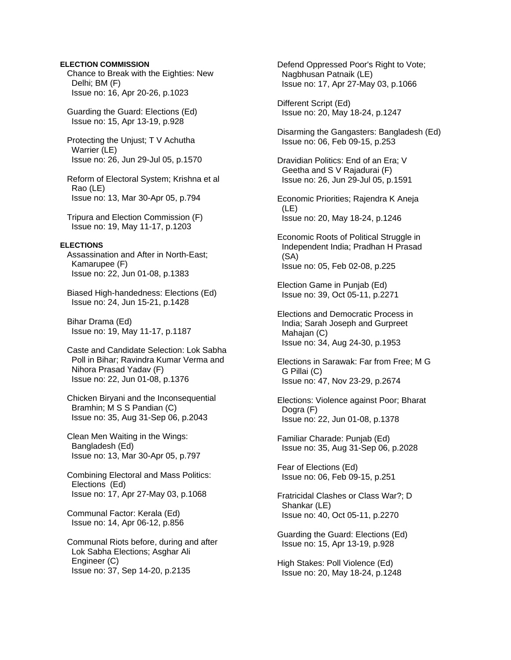### **ELECTION COMMISSION**

 Chance to Break with the Eighties: New Delhi; BM (F) Issue no: 16, Apr 20-26, p.1023

 Guarding the Guard: Elections (Ed) Issue no: 15, Apr 13-19, p.928

 Protecting the Unjust; T V Achutha Warrier (LE) Issue no: 26, Jun 29-Jul 05, p.1570

 Reform of Electoral System; Krishna et al Rao (LE) Issue no: 13, Mar 30-Apr 05, p.794

 Tripura and Election Commission (F) Issue no: 19, May 11-17, p.1203

#### **ELECTIONS**

 Assassination and After in North-East; Kamarupee (F) Issue no: 22, Jun 01-08, p.1383

 Biased High-handedness: Elections (Ed) Issue no: 24, Jun 15-21, p.1428

 Bihar Drama (Ed) Issue no: 19, May 11-17, p.1187

 Caste and Candidate Selection: Lok Sabha Poll in Bihar; Ravindra Kumar Verma and Nihora Prasad Yadav (F) Issue no: 22, Jun 01-08, p.1376

 Chicken Biryani and the Inconsequential Bramhin; M S S Pandian (C) Issue no: 35, Aug 31-Sep 06, p.2043

 Clean Men Waiting in the Wings: Bangladesh (Ed) Issue no: 13, Mar 30-Apr 05, p.797

 Combining Electoral and Mass Politics: Elections (Ed) Issue no: 17, Apr 27-May 03, p.1068

 Communal Factor: Kerala (Ed) Issue no: 14, Apr 06-12, p.856

 Communal Riots before, during and after Lok Sabha Elections; Asghar Ali Engineer (C) Issue no: 37, Sep 14-20, p.2135

 Defend Oppressed Poor's Right to Vote; Nagbhusan Patnaik (LE) Issue no: 17, Apr 27-May 03, p.1066

 Different Script (Ed) Issue no: 20, May 18-24, p.1247

 Disarming the Gangasters: Bangladesh (Ed) Issue no: 06, Feb 09-15, p.253

 Dravidian Politics: End of an Era; V Geetha and S V Rajadurai (F) Issue no: 26, Jun 29-Jul 05, p.1591

 Economic Priorities; Rajendra K Aneja (LE) Issue no: 20, May 18-24, p.1246

 Economic Roots of Political Struggle in Independent India; Pradhan H Prasad (SA) Issue no: 05, Feb 02-08, p.225

 Election Game in Punjab (Ed) Issue no: 39, Oct 05-11, p.2271

 Elections and Democratic Process in India; Sarah Joseph and Gurpreet Mahajan (C) Issue no: 34, Aug 24-30, p.1953

 Elections in Sarawak: Far from Free; M G G Pillai (C) Issue no: 47, Nov 23-29, p.2674

 Elections: Violence against Poor; Bharat Dogra (F) Issue no: 22, Jun 01-08, p.1378

 Familiar Charade: Punjab (Ed) Issue no: 35, Aug 31-Sep 06, p.2028

 Fear of Elections (Ed) Issue no: 06, Feb 09-15, p.251

 Fratricidal Clashes or Class War?; D Shankar (LE) Issue no: 40, Oct 05-11, p.2270

 Guarding the Guard: Elections (Ed) Issue no: 15, Apr 13-19, p.928

 High Stakes: Poll Violence (Ed) Issue no: 20, May 18-24, p.1248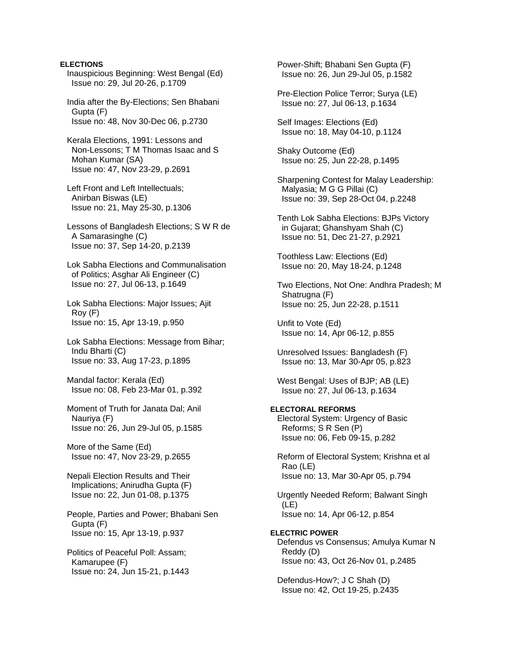### **ELECTIONS**

 Inauspicious Beginning: West Bengal (Ed) Issue no: 29, Jul 20-26, p.1709

 India after the By-Elections; Sen Bhabani Gupta (F) Issue no: 48, Nov 30-Dec 06, p.2730

 Kerala Elections, 1991: Lessons and Non-Lessons; T M Thomas Isaac and S Mohan Kumar (SA) Issue no: 47, Nov 23-29, p.2691

 Left Front and Left Intellectuals; Anirban Biswas (LE) Issue no: 21, May 25-30, p.1306

 Lessons of Bangladesh Elections; S W R de A Samarasinghe (C) Issue no: 37, Sep 14-20, p.2139

 Lok Sabha Elections and Communalisation of Politics; Asghar Ali Engineer (C) Issue no: 27, Jul 06-13, p.1649

 Lok Sabha Elections: Major Issues; Ajit Roy (F) Issue no: 15, Apr 13-19, p.950

 Lok Sabha Elections: Message from Bihar; Indu Bharti (C) Issue no: 33, Aug 17-23, p.1895

 Mandal factor: Kerala (Ed) Issue no: 08, Feb 23-Mar 01, p.392

 Moment of Truth for Janata Dal; Anil Nauriya (F) Issue no: 26, Jun 29-Jul 05, p.1585

 More of the Same (Ed) Issue no: 47, Nov 23-29, p.2655

 Nepali Election Results and Their Implications; Anirudha Gupta (F) Issue no: 22, Jun 01-08, p.1375

 People, Parties and Power; Bhabani Sen Gupta (F) Issue no: 15, Apr 13-19, p.937

 Politics of Peaceful Poll: Assam; Kamarupee (F) Issue no: 24, Jun 15-21, p.1443  Power-Shift; Bhabani Sen Gupta (F) Issue no: 26, Jun 29-Jul 05, p.1582

 Pre-Election Police Terror; Surya (LE) Issue no: 27, Jul 06-13, p.1634

 Self Images: Elections (Ed) Issue no: 18, May 04-10, p.1124

 Shaky Outcome (Ed) Issue no: 25, Jun 22-28, p.1495

 Sharpening Contest for Malay Leadership: Malyasia; M G G Pillai (C) Issue no: 39, Sep 28-Oct 04, p.2248

 Tenth Lok Sabha Elections: BJPs Victory in Gujarat; Ghanshyam Shah (C) Issue no: 51, Dec 21-27, p.2921

 Toothless Law: Elections (Ed) Issue no: 20, May 18-24, p.1248

 Two Elections, Not One: Andhra Pradesh; M Shatrugna (F) Issue no: 25, Jun 22-28, p.1511

 Unfit to Vote (Ed) Issue no: 14, Apr 06-12, p.855

 Unresolved Issues: Bangladesh (F) Issue no: 13, Mar 30-Apr 05, p.823

 West Bengal: Uses of BJP; AB (LE) Issue no: 27, Jul 06-13, p.1634

### **ELECTORAL REFORMS**

 Electoral System: Urgency of Basic Reforms; S R Sen (P) Issue no: 06, Feb 09-15, p.282

 Reform of Electoral System; Krishna et al Rao (LE) Issue no: 13, Mar 30-Apr 05, p.794

 Urgently Needed Reform; Balwant Singh (LE) Issue no: 14, Apr 06-12, p.854

### **ELECTRIC POWER**

 Defendus vs Consensus; Amulya Kumar N Reddy (D) Issue no: 43, Oct 26-Nov 01, p.2485

 Defendus-How?; J C Shah (D) Issue no: 42, Oct 19-25, p.2435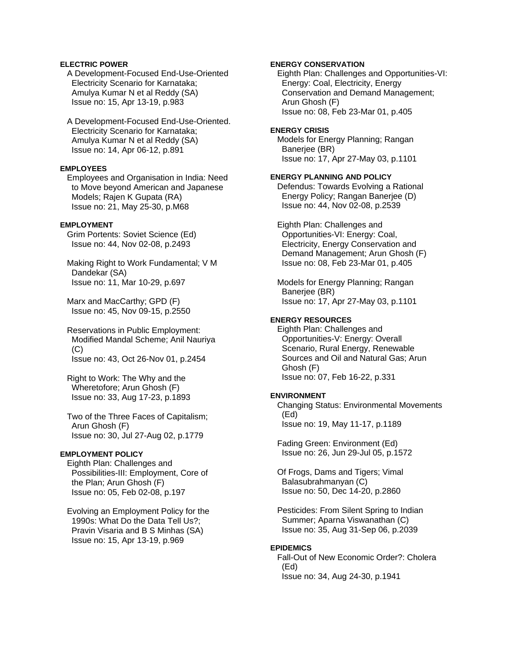### **ELECTRIC POWER**

 A Development-Focused End-Use-Oriented Electricity Scenario for Karnataka; Amulya Kumar N et al Reddy (SA) Issue no: 15, Apr 13-19, p.983

 A Development-Focused End-Use-Oriented. Electricity Scenario for Karnataka; Amulya Kumar N et al Reddy (SA) Issue no: 14, Apr 06-12, p.891

### **EMPLOYEES**

 Employees and Organisation in India: Need to Move beyond American and Japanese Models; Rajen K Gupata (RA) Issue no: 21, May 25-30, p.M68

### **EMPLOYMENT**

 Grim Portents: Soviet Science (Ed) Issue no: 44, Nov 02-08, p.2493

 Making Right to Work Fundamental; V M Dandekar (SA) Issue no: 11, Mar 10-29, p.697

 Marx and MacCarthy; GPD (F) Issue no: 45, Nov 09-15, p.2550

 Reservations in Public Employment: Modified Mandal Scheme; Anil Nauriya  $(C)$ Issue no: 43, Oct 26-Nov 01, p.2454

 Right to Work: The Why and the Wheretofore; Arun Ghosh (F) Issue no: 33, Aug 17-23, p.1893

 Two of the Three Faces of Capitalism; Arun Ghosh (F) Issue no: 30, Jul 27-Aug 02, p.1779

### **EMPLOYMENT POLICY**

 Eighth Plan: Challenges and Possibilities-III: Employment, Core of the Plan; Arun Ghosh (F) Issue no: 05, Feb 02-08, p.197

 Evolving an Employment Policy for the 1990s: What Do the Data Tell Us?; Pravin Visaria and B S Minhas (SA) Issue no: 15, Apr 13-19, p.969

### **ENERGY CONSERVATION**

 Eighth Plan: Challenges and Opportunities-VI: Energy: Coal, Electricity, Energy Conservation and Demand Management; Arun Ghosh (F) Issue no: 08, Feb 23-Mar 01, p.405

### **ENERGY CRISIS**

 Models for Energy Planning; Rangan Banerjee (BR) Issue no: 17, Apr 27-May 03, p.1101

## **ENERGY PLANNING AND POLICY**

 Defendus: Towards Evolving a Rational Energy Policy; Rangan Banerjee (D) Issue no: 44, Nov 02-08, p.2539

 Eighth Plan: Challenges and Opportunities-VI: Energy: Coal, Electricity, Energy Conservation and Demand Management; Arun Ghosh (F) Issue no: 08, Feb 23-Mar 01, p.405

 Models for Energy Planning; Rangan Banerjee (BR) Issue no: 17, Apr 27-May 03, p.1101

### **ENERGY RESOURCES**

 Eighth Plan: Challenges and Opportunities-V: Energy: Overall Scenario, Rural Energy, Renewable Sources and Oil and Natural Gas; Arun Ghosh (F) Issue no: 07, Feb 16-22, p.331

### **ENVIRONMENT**

 Changing Status: Environmental Movements (Ed) Issue no: 19, May 11-17, p.1189

 Fading Green: Environment (Ed) Issue no: 26, Jun 29-Jul 05, p.1572

 Of Frogs, Dams and Tigers; Vimal Balasubrahmanyan (C) Issue no: 50, Dec 14-20, p.2860

 Pesticides: From Silent Spring to Indian Summer; Aparna Viswanathan (C) Issue no: 35, Aug 31-Sep 06, p.2039

#### **EPIDEMICS**

 Fall-Out of New Economic Order?: Cholera (Ed) Issue no: 34, Aug 24-30, p.1941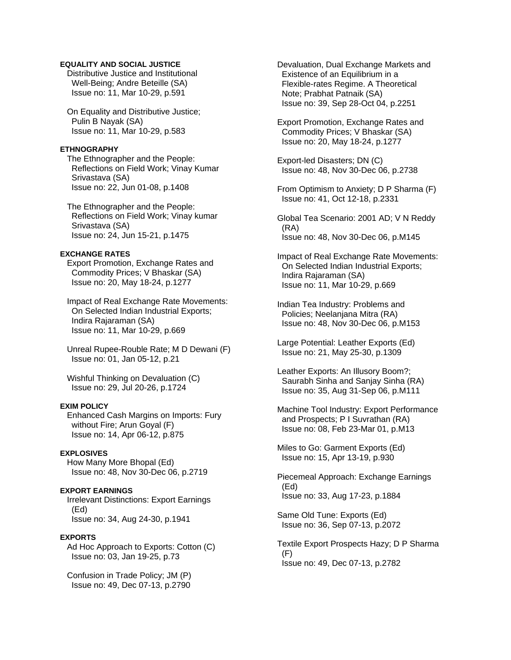### **EQUALITY AND SOCIAL JUSTICE**

 Distributive Justice and Institutional Well-Being; Andre Beteille (SA) Issue no: 11, Mar 10-29, p.591

 On Equality and Distributive Justice; Pulin B Nayak (SA) Issue no: 11, Mar 10-29, p.583

#### **ETHNOGRAPHY**

 The Ethnographer and the People: Reflections on Field Work; Vinay Kumar Srivastava (SA) Issue no: 22, Jun 01-08, p.1408

 The Ethnographer and the People: Reflections on Field Work; Vinay kumar Srivastava (SA) Issue no: 24, Jun 15-21, p.1475

## **EXCHANGE RATES**

 Export Promotion, Exchange Rates and Commodity Prices; V Bhaskar (SA) Issue no: 20, May 18-24, p.1277

 Impact of Real Exchange Rate Movements: On Selected Indian Industrial Exports; Indira Rajaraman (SA) Issue no: 11, Mar 10-29, p.669

 Unreal Rupee-Rouble Rate; M D Dewani (F) Issue no: 01, Jan 05-12, p.21

 Wishful Thinking on Devaluation (C) Issue no: 29, Jul 20-26, p.1724

# **EXIM POLICY**

 Enhanced Cash Margins on Imports: Fury without Fire; Arun Goyal (F) Issue no: 14, Apr 06-12, p.875

### **EXPLOSIVES**

 How Many More Bhopal (Ed) Issue no: 48, Nov 30-Dec 06, p.2719

# **EXPORT EARNINGS**

 Irrelevant Distinctions: Export Earnings (Ed) Issue no: 34, Aug 24-30, p.1941

### **EXPORTS**

 Ad Hoc Approach to Exports: Cotton (C) Issue no: 03, Jan 19-25, p.73

 Confusion in Trade Policy; JM (P) Issue no: 49, Dec 07-13, p.2790

 Devaluation, Dual Exchange Markets and Existence of an Equilibrium in a Flexible-rates Regime. A Theoretical Note; Prabhat Patnaik (SA) Issue no: 39, Sep 28-Oct 04, p.2251

 Export Promotion, Exchange Rates and Commodity Prices; V Bhaskar (SA) Issue no: 20, May 18-24, p.1277

 Export-led Disasters; DN (C) Issue no: 48, Nov 30-Dec 06, p.2738

- From Optimism to Anxiety; D P Sharma (F) Issue no: 41, Oct 12-18, p.2331
- Global Tea Scenario: 2001 AD; V N Reddy (RA) Issue no: 48, Nov 30-Dec 06, p.M145

 Impact of Real Exchange Rate Movements: On Selected Indian Industrial Exports; Indira Rajaraman (SA) Issue no: 11, Mar 10-29, p.669

 Indian Tea Industry: Problems and Policies; Neelanjana Mitra (RA) Issue no: 48, Nov 30-Dec 06, p.M153

 Large Potential: Leather Exports (Ed) Issue no: 21, May 25-30, p.1309

 Leather Exports: An Illusory Boom?; Saurabh Sinha and Sanjay Sinha (RA) Issue no: 35, Aug 31-Sep 06, p.M111

 Machine Tool Industry: Export Performance and Prospects; P I Suvrathan (RA) Issue no: 08, Feb 23-Mar 01, p.M13

 Miles to Go: Garment Exports (Ed) Issue no: 15, Apr 13-19, p.930

 Piecemeal Approach: Exchange Earnings (Ed) Issue no: 33, Aug 17-23, p.1884

 Same Old Tune: Exports (Ed) Issue no: 36, Sep 07-13, p.2072

 Textile Export Prospects Hazy; D P Sharma (F) Issue no: 49, Dec 07-13, p.2782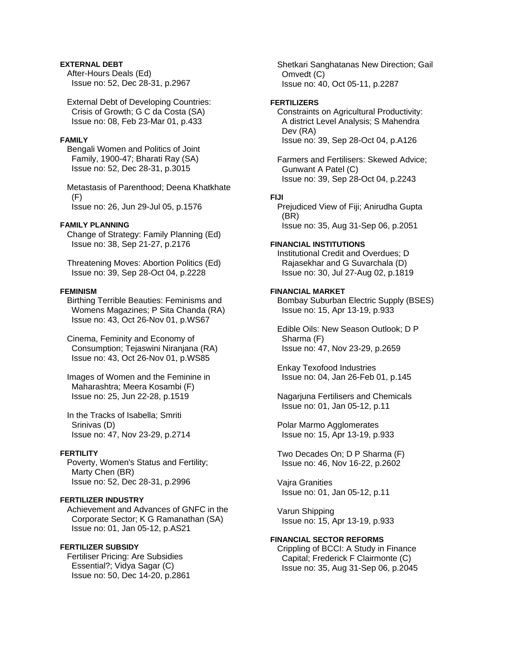# **EXTERNAL DEBT**

 After-Hours Deals (Ed) Issue no: 52, Dec 28-31, p.2967

 External Debt of Developing Countries: Crisis of Growth; G C da Costa (SA) Issue no: 08, Feb 23-Mar 01, p.433

#### **FAMILY**

 Bengali Women and Politics of Joint Family, 1900-47; Bharati Ray (SA) Issue no: 52, Dec 28-31, p.3015

 Metastasis of Parenthood; Deena Khatkhate (F) Issue no: 26, Jun 29-Jul 05, p.1576

#### **FAMILY PLANNING**

 Change of Strategy: Family Planning (Ed) Issue no: 38, Sep 21-27, p.2176

 Threatening Moves: Abortion Politics (Ed) Issue no: 39, Sep 28-Oct 04, p.2228

### **FEMINISM**

 Birthing Terrible Beauties: Feminisms and Womens Magazines; P Sita Chanda (RA) Issue no: 43, Oct 26-Nov 01, p.WS67

 Cinema, Feminity and Economy of Consumption; Tejaswini Niranjana (RA) Issue no: 43, Oct 26-Nov 01, p.WS85

 Images of Women and the Feminine in Maharashtra; Meera Kosambi (F) Issue no: 25, Jun 22-28, p.1519

 In the Tracks of Isabella; Smriti Srinivas (D) Issue no: 47, Nov 23-29, p.2714

### **FERTILITY**

 Poverty, Women's Status and Fertility; Marty Chen (BR) Issue no: 52, Dec 28-31, p.2996

# **FERTILIZER INDUSTRY**

 Achievement and Advances of GNFC in the Corporate Sector; K G Ramanathan (SA) Issue no: 01, Jan 05-12, p.AS21

# **FERTILIZER SUBSIDY**

 Fertiliser Pricing: Are Subsidies Essential?; Vidya Sagar (C) Issue no: 50, Dec 14-20, p.2861  Shetkari Sanghatanas New Direction; Gail Omvedt (C) Issue no: 40, Oct 05-11, p.2287

#### **FERTILIZERS**

 Constraints on Agricultural Productivity: A district Level Analysis; S Mahendra Dev (RA) Issue no: 39, Sep 28-Oct 04, p.A126

 Farmers and Fertilisers: Skewed Advice; Gunwant A Patel (C) Issue no: 39, Sep 28-Oct 04, p.2243

### **FIJI**

 Prejudiced View of Fiji; Anirudha Gupta (BR) Issue no: 35, Aug 31-Sep 06, p.2051

#### **FINANCIAL INSTITUTIONS**

 Institutional Credit and Overdues; D Rajasekhar and G Suvarchala (D) Issue no: 30, Jul 27-Aug 02, p.1819

# **FINANCIAL MARKET**

 Bombay Suburban Electric Supply (BSES) Issue no: 15, Apr 13-19, p.933

 Edible Oils: New Season Outlook; D P Sharma (F) Issue no: 47, Nov 23-29, p.2659

 Enkay Texofood Industries Issue no: 04, Jan 26-Feb 01, p.145

 Nagarjuna Fertilisers and Chemicals Issue no: 01, Jan 05-12, p.11

 Polar Marmo Agglomerates Issue no: 15, Apr 13-19, p.933

 Two Decades On; D P Sharma (F) Issue no: 46, Nov 16-22, p.2602

 Vajra Granities Issue no: 01, Jan 05-12, p.11

 Varun Shipping Issue no: 15, Apr 13-19, p.933

### **FINANCIAL SECTOR REFORMS**

 Crippling of BCCI: A Study in Finance Capital; Frederick F Clairmonte (C) Issue no: 35, Aug 31-Sep 06, p.2045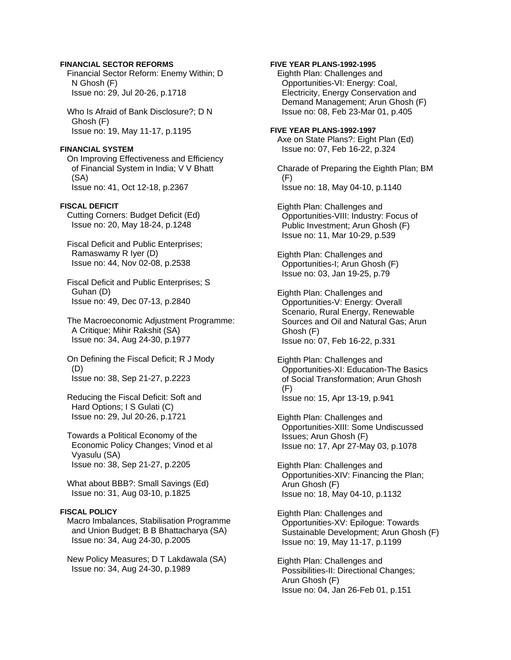### **FINANCIAL SECTOR REFORMS**

 Financial Sector Reform: Enemy Within; D N Ghosh (F) Issue no: 29, Jul 20-26, p.1718

 Who Is Afraid of Bank Disclosure?; D N Ghosh (F) Issue no: 19, May 11-17, p.1195

### **FINANCIAL SYSTEM**

 On Improving Effectiveness and Efficiency of Financial System in India; V V Bhatt (SA) Issue no: 41, Oct 12-18, p.2367

### **FISCAL DEFICIT**

 Cutting Corners: Budget Deficit (Ed) Issue no: 20, May 18-24, p.1248

 Fiscal Deficit and Public Enterprises; Ramaswamy R Iyer (D) Issue no: 44, Nov 02-08, p.2538

 Fiscal Deficit and Public Enterprises; S Guhan (D) Issue no: 49, Dec 07-13, p.2840

 The Macroeconomic Adjustment Programme: A Critique; Mihir Rakshit (SA) Issue no: 34, Aug 24-30, p.1977

 On Defining the Fiscal Deficit; R J Mody (D) Issue no: 38, Sep 21-27, p.2223

 Reducing the Fiscal Deficit: Soft and Hard Options; I S Gulati (C) Issue no: 29, Jul 20-26, p.1721

 Towards a Political Economy of the Economic Policy Changes; Vinod et al Vyasulu (SA) Issue no: 38, Sep 21-27, p.2205

 What about BBB?: Small Savings (Ed) Issue no: 31, Aug 03-10, p.1825

### **FISCAL POLICY**

 Macro Imbalances, Stabilisation Programme and Union Budget; B B Bhattacharya (SA) Issue no: 34, Aug 24-30, p.2005

 New Policy Measures; D T Lakdawala (SA) Issue no: 34, Aug 24-30, p.1989

### **FIVE YEAR PLANS-1992-1995**

 Eighth Plan: Challenges and Opportunities-VI: Energy: Coal, Electricity, Energy Conservation and Demand Management; Arun Ghosh (F) Issue no: 08, Feb 23-Mar 01, p.405

# **FIVE YEAR PLANS-1992-1997**

 Axe on State Plans?: Eight Plan (Ed) Issue no: 07, Feb 16-22, p.324

 Charade of Preparing the Eighth Plan; BM (F) Issue no: 18, May 04-10, p.1140

 Eighth Plan: Challenges and Opportunities-VIII: Industry: Focus of Public Investment; Arun Ghosh (F) Issue no: 11, Mar 10-29, p.539

 Eighth Plan: Challenges and Opportunities-I; Arun Ghosh (F) Issue no: 03, Jan 19-25, p.79

 Eighth Plan: Challenges and Opportunities-V: Energy: Overall Scenario, Rural Energy, Renewable Sources and Oil and Natural Gas; Arun Ghosh (F) Issue no: 07, Feb 16-22, p.331

 Eighth Plan: Challenges and Opportunities-XI: Education-The Basics of Social Transformation; Arun Ghosh (F) Issue no: 15, Apr 13-19, p.941

 Eighth Plan: Challenges and Opportunities-XIII: Some Undiscussed Issues; Arun Ghosh (F) Issue no: 17, Apr 27-May 03, p.1078

 Eighth Plan: Challenges and Opportunities-XIV: Financing the Plan; Arun Ghosh (F) Issue no: 18, May 04-10, p.1132

 Eighth Plan: Challenges and Opportunities-XV: Epilogue: Towards Sustainable Development; Arun Ghosh (F) Issue no: 19, May 11-17, p.1199

 Eighth Plan: Challenges and Possibilities-II: Directional Changes; Arun Ghosh (F) Issue no: 04, Jan 26-Feb 01, p.151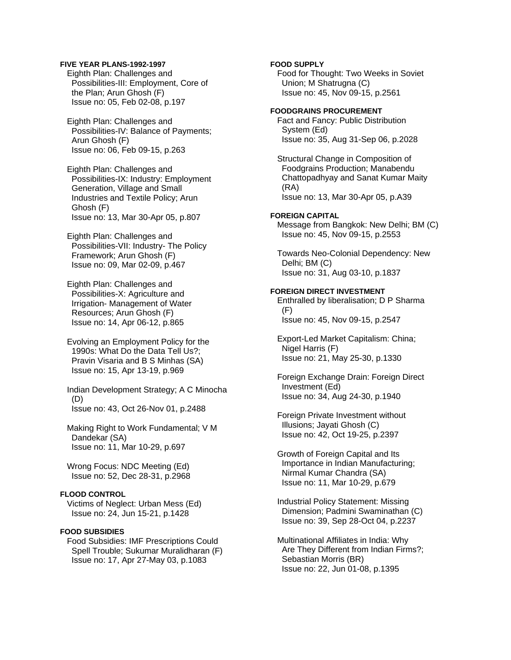### **FIVE YEAR PLANS-1992-1997**

 Eighth Plan: Challenges and Possibilities-III: Employment, Core of the Plan; Arun Ghosh (F) Issue no: 05, Feb 02-08, p.197

 Eighth Plan: Challenges and Possibilities-IV: Balance of Payments; Arun Ghosh (F) Issue no: 06, Feb 09-15, p.263

 Eighth Plan: Challenges and Possibilities-IX: Industry: Employment Generation, Village and Small Industries and Textile Policy; Arun Ghosh (F) Issue no: 13, Mar 30-Apr 05, p.807

 Eighth Plan: Challenges and Possibilities-VII: Industry- The Policy Framework; Arun Ghosh (F) Issue no: 09, Mar 02-09, p.467

 Eighth Plan: Challenges and Possibilities-X: Agriculture and Irrigation- Management of Water Resources; Arun Ghosh (F) Issue no: 14, Apr 06-12, p.865

 Evolving an Employment Policy for the 1990s: What Do the Data Tell Us?; Pravin Visaria and B S Minhas (SA) Issue no: 15, Apr 13-19, p.969

 Indian Development Strategy; A C Minocha (D) Issue no: 43, Oct 26-Nov 01, p.2488

 Making Right to Work Fundamental; V M Dandekar (SA) Issue no: 11, Mar 10-29, p.697

 Wrong Focus: NDC Meeting (Ed) Issue no: 52, Dec 28-31, p.2968

# **FLOOD CONTROL**

 Victims of Neglect: Urban Mess (Ed) Issue no: 24, Jun 15-21, p.1428

# **FOOD SUBSIDIES**

 Food Subsidies: IMF Prescriptions Could Spell Trouble; Sukumar Muralidharan (F) Issue no: 17, Apr 27-May 03, p.1083

# **FOOD SUPPLY**

 Food for Thought: Two Weeks in Soviet Union; M Shatrugna (C) Issue no: 45, Nov 09-15, p.2561

#### **FOODGRAINS PROCUREMENT**

 Fact and Fancy: Public Distribution System (Ed) Issue no: 35, Aug 31-Sep 06, p.2028

 Structural Change in Composition of Foodgrains Production; Manabendu Chattopadhyay and Sanat Kumar Maity (RA) Issue no: 13, Mar 30-Apr 05, p.A39

#### **FOREIGN CAPITAL**

 Message from Bangkok: New Delhi; BM (C) Issue no: 45, Nov 09-15, p.2553

 Towards Neo-Colonial Dependency: New Delhi; BM (C) Issue no: 31, Aug 03-10, p.1837

### **FOREIGN DIRECT INVESTMENT**

 Enthralled by liberalisation; D P Sharma (F) Issue no: 45, Nov 09-15, p.2547

 Export-Led Market Capitalism: China; Nigel Harris (F) Issue no: 21, May 25-30, p.1330

 Foreign Exchange Drain: Foreign Direct Investment (Ed) Issue no: 34, Aug 24-30, p.1940

 Foreign Private Investment without Illusions; Jayati Ghosh (C) Issue no: 42, Oct 19-25, p.2397

 Growth of Foreign Capital and Its Importance in Indian Manufacturing; Nirmal Kumar Chandra (SA) Issue no: 11, Mar 10-29, p.679

 Industrial Policy Statement: Missing Dimension; Padmini Swaminathan (C) Issue no: 39, Sep 28-Oct 04, p.2237

 Multinational Affiliates in India: Why Are They Different from Indian Firms?; Sebastian Morris (BR) Issue no: 22, Jun 01-08, p.1395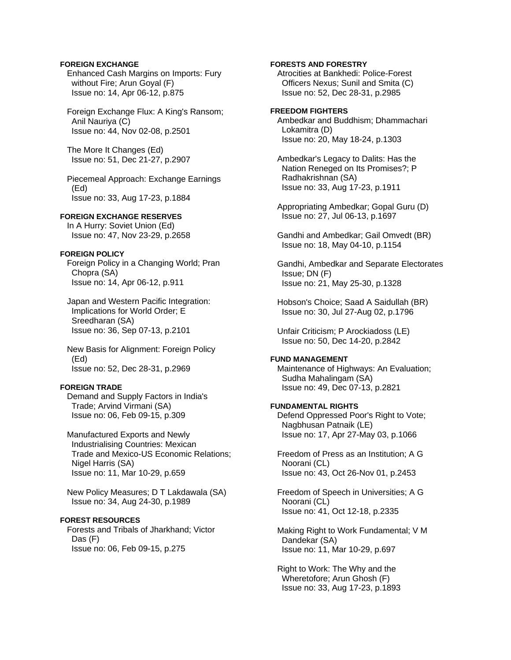### **FOREIGN EXCHANGE**

 Enhanced Cash Margins on Imports: Fury without Fire; Arun Goyal (F) Issue no: 14, Apr 06-12, p.875

 Foreign Exchange Flux: A King's Ransom; Anil Nauriya (C) Issue no: 44, Nov 02-08, p.2501

 The More It Changes (Ed) Issue no: 51, Dec 21-27, p.2907

 Piecemeal Approach: Exchange Earnings (Ed) Issue no: 33, Aug 17-23, p.1884

### **FOREIGN EXCHANGE RESERVES**

 In A Hurry: Soviet Union (Ed) Issue no: 47, Nov 23-29, p.2658

# **FOREIGN POLICY**

 Foreign Policy in a Changing World; Pran Chopra (SA) Issue no: 14, Apr 06-12, p.911

 Japan and Western Pacific Integration: Implications for World Order; E Sreedharan (SA) Issue no: 36, Sep 07-13, p.2101

 New Basis for Alignment: Foreign Policy (Ed) Issue no: 52, Dec 28-31, p.2969

### **FOREIGN TRADE**

 Demand and Supply Factors in India's Trade; Arvind Virmani (SA) Issue no: 06, Feb 09-15, p.309

 Manufactured Exports and Newly Industrialising Countries: Mexican Trade and Mexico-US Economic Relations; Nigel Harris (SA) Issue no: 11, Mar 10-29, p.659

 New Policy Measures; D T Lakdawala (SA) Issue no: 34, Aug 24-30, p.1989

# **FOREST RESOURCES**

 Forests and Tribals of Jharkhand; Victor Das (F) Issue no: 06, Feb 09-15, p.275

### **FORESTS AND FORESTRY**

 Atrocities at Bankhedi: Police-Forest Officers Nexus; Sunil and Smita (C) Issue no: 52, Dec 28-31, p.2985

# **FREEDOM FIGHTERS**

 Ambedkar and Buddhism; Dhammachari Lokamitra (D) Issue no: 20, May 18-24, p.1303

 Ambedkar's Legacy to Dalits: Has the Nation Reneged on Its Promises?; P Radhakrishnan (SA) Issue no: 33, Aug 17-23, p.1911

 Appropriating Ambedkar; Gopal Guru (D) Issue no: 27, Jul 06-13, p.1697

 Gandhi and Ambedkar; Gail Omvedt (BR) Issue no: 18, May 04-10, p.1154

 Gandhi, Ambedkar and Separate Electorates Issue; DN (F) Issue no: 21, May 25-30, p.1328

 Hobson's Choice; Saad A Saidullah (BR) Issue no: 30, Jul 27-Aug 02, p.1796

 Unfair Criticism; P Arockiadoss (LE) Issue no: 50, Dec 14-20, p.2842

#### **FUND MANAGEMENT**

 Maintenance of Highways: An Evaluation; Sudha Mahalingam (SA) Issue no: 49, Dec 07-13, p.2821

### **FUNDAMENTAL RIGHTS**

 Defend Oppressed Poor's Right to Vote; Nagbhusan Patnaik (LE) Issue no: 17, Apr 27-May 03, p.1066

 Freedom of Press as an Institution; A G Noorani (CL) Issue no: 43, Oct 26-Nov 01, p.2453

 Freedom of Speech in Universities; A G Noorani (CL) Issue no: 41, Oct 12-18, p.2335

 Making Right to Work Fundamental; V M Dandekar (SA) Issue no: 11, Mar 10-29, p.697

 Right to Work: The Why and the Wheretofore; Arun Ghosh (F) Issue no: 33, Aug 17-23, p.1893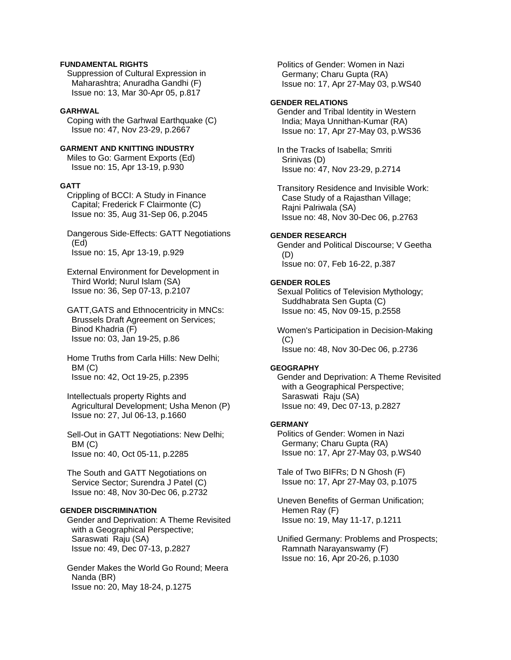### **FUNDAMENTAL RIGHTS**

 Suppression of Cultural Expression in Maharashtra; Anuradha Gandhi (F) Issue no: 13, Mar 30-Apr 05, p.817

### **GARHWAL**

 Coping with the Garhwal Earthquake (C) Issue no: 47, Nov 23-29, p.2667

# **GARMENT AND KNITTING INDUSTRY**

 Miles to Go: Garment Exports (Ed) Issue no: 15, Apr 13-19, p.930

#### **GATT**

 Crippling of BCCI: A Study in Finance Capital; Frederick F Clairmonte (C) Issue no: 35, Aug 31-Sep 06, p.2045

 Dangerous Side-Effects: GATT Negotiations (Ed) Issue no: 15, Apr 13-19, p.929

 External Environment for Development in Third World; Nurul Islam (SA) Issue no: 36, Sep 07-13, p.2107

 GATT,GATS and Ethnocentricity in MNCs: Brussels Draft Agreement on Services; Binod Khadria (F) Issue no: 03, Jan 19-25, p.86

 Home Truths from Carla Hills: New Delhi; BM (C) Issue no: 42, Oct 19-25, p.2395

 Intellectuals property Rights and Agricultural Development; Usha Menon (P) Issue no: 27, Jul 06-13, p.1660

 Sell-Out in GATT Negotiations: New Delhi; BM (C) Issue no: 40, Oct 05-11, p.2285

 The South and GATT Negotiations on Service Sector; Surendra J Patel (C) Issue no: 48, Nov 30-Dec 06, p.2732

### **GENDER DISCRIMINATION**

 Gender and Deprivation: A Theme Revisited with a Geographical Perspective; Saraswati Raju (SA) Issue no: 49, Dec 07-13, p.2827

 Gender Makes the World Go Round; Meera Nanda (BR) Issue no: 20, May 18-24, p.1275

 Politics of Gender: Women in Nazi Germany; Charu Gupta (RA) Issue no: 17, Apr 27-May 03, p.WS40

# **GENDER RELATIONS**

 Gender and Tribal Identity in Western India; Maya Unnithan-Kumar (RA) Issue no: 17, Apr 27-May 03, p.WS36

 In the Tracks of Isabella; Smriti Srinivas (D) Issue no: 47, Nov 23-29, p.2714

 Transitory Residence and Invisible Work: Case Study of a Rajasthan Village; Rajni Palriwala (SA) Issue no: 48, Nov 30-Dec 06, p.2763

### **GENDER RESEARCH**

 Gender and Political Discourse; V Geetha (D) Issue no: 07, Feb 16-22, p.387

#### **GENDER ROLES**

 Sexual Politics of Television Mythology; Suddhabrata Sen Gupta (C) Issue no: 45, Nov 09-15, p.2558

 Women's Participation in Decision-Making  $(C)$ Issue no: 48, Nov 30-Dec 06, p.2736

### **GEOGRAPHY**

 Gender and Deprivation: A Theme Revisited with a Geographical Perspective; Saraswati Raju (SA) Issue no: 49, Dec 07-13, p.2827

#### **GERMANY**

 Politics of Gender: Women in Nazi Germany; Charu Gupta (RA) Issue no: 17, Apr 27-May 03, p.WS40

 Tale of Two BIFRs; D N Ghosh (F) Issue no: 17, Apr 27-May 03, p.1075

 Uneven Benefits of German Unification; Hemen Ray (F) Issue no: 19, May 11-17, p.1211

 Unified Germany: Problems and Prospects; Ramnath Narayanswamy (F) Issue no: 16, Apr 20-26, p.1030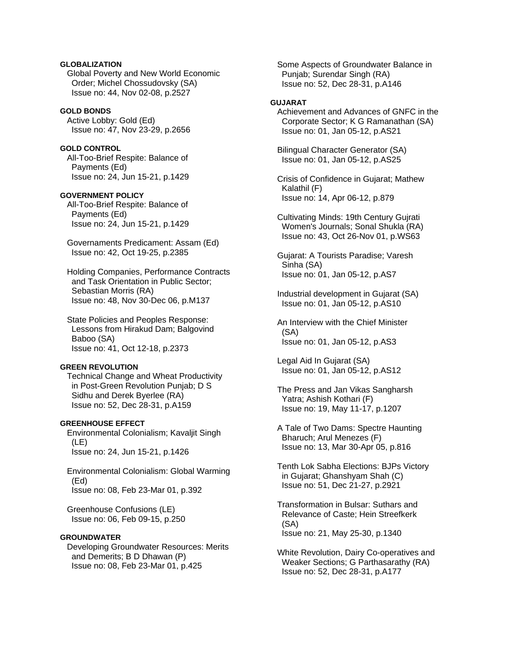# **GLOBALIZATION**

 Global Poverty and New World Economic Order; Michel Chossudovsky (SA) Issue no: 44, Nov 02-08, p.2527

### **GOLD BONDS**

 Active Lobby: Gold (Ed) Issue no: 47, Nov 23-29, p.2656

# **GOLD CONTROL**

 All-Too-Brief Respite: Balance of Payments (Ed) Issue no: 24, Jun 15-21, p.1429

### **GOVERNMENT POLICY**

 All-Too-Brief Respite: Balance of Payments (Ed) Issue no: 24, Jun 15-21, p.1429

 Governaments Predicament: Assam (Ed) Issue no: 42, Oct 19-25, p.2385

 Holding Companies, Performance Contracts and Task Orientation in Public Sector; Sebastian Morris (RA) Issue no: 48, Nov 30-Dec 06, p.M137

 State Policies and Peoples Response: Lessons from Hirakud Dam; Balgovind Baboo (SA) Issue no: 41, Oct 12-18, p.2373

#### **GREEN REVOLUTION**

 Technical Change and Wheat Productivity in Post-Green Revolution Punjab; D S Sidhu and Derek Byerlee (RA) Issue no: 52, Dec 28-31, p.A159

# **GREENHOUSE EFFECT**

 Environmental Colonialism; Kavaljit Singh (LE) Issue no: 24, Jun 15-21, p.1426

 Environmental Colonialism: Global Warming (Ed) Issue no: 08, Feb 23-Mar 01, p.392

 Greenhouse Confusions (LE) Issue no: 06, Feb 09-15, p.250

# **GROUNDWATER**

 Developing Groundwater Resources: Merits and Demerits; B D Dhawan (P) Issue no: 08, Feb 23-Mar 01, p.425

 Some Aspects of Groundwater Balance in Punjab; Surendar Singh (RA) Issue no: 52, Dec 28-31, p.A146

# **GUJARAT**

 Achievement and Advances of GNFC in the Corporate Sector; K G Ramanathan (SA) Issue no: 01, Jan 05-12, p.AS21

 Bilingual Character Generator (SA) Issue no: 01, Jan 05-12, p.AS25

 Crisis of Confidence in Gujarat; Mathew Kalathil (F) Issue no: 14, Apr 06-12, p.879

 Cultivating Minds: 19th Century Gujrati Women's Journals; Sonal Shukla (RA) Issue no: 43, Oct 26-Nov 01, p.WS63

 Gujarat: A Tourists Paradise; Varesh Sinha (SA) Issue no: 01, Jan 05-12, p.AS7

 Industrial development in Gujarat (SA) Issue no: 01, Jan 05-12, p.AS10

 An Interview with the Chief Minister (SA) Issue no: 01, Jan 05-12, p.AS3

 Legal Aid In Gujarat (SA) Issue no: 01, Jan 05-12, p.AS12

 The Press and Jan Vikas Sangharsh Yatra; Ashish Kothari (F) Issue no: 19, May 11-17, p.1207

 A Tale of Two Dams: Spectre Haunting Bharuch; Arul Menezes (F) Issue no: 13, Mar 30-Apr 05, p.816

 Tenth Lok Sabha Elections: BJPs Victory in Gujarat; Ghanshyam Shah (C) Issue no: 51, Dec 21-27, p.2921

 Transformation in Bulsar: Suthars and Relevance of Caste; Hein Streefkerk (SA) Issue no: 21, May 25-30, p.1340

 White Revolution, Dairy Co-operatives and Weaker Sections; G Parthasarathy (RA) Issue no: 52, Dec 28-31, p.A177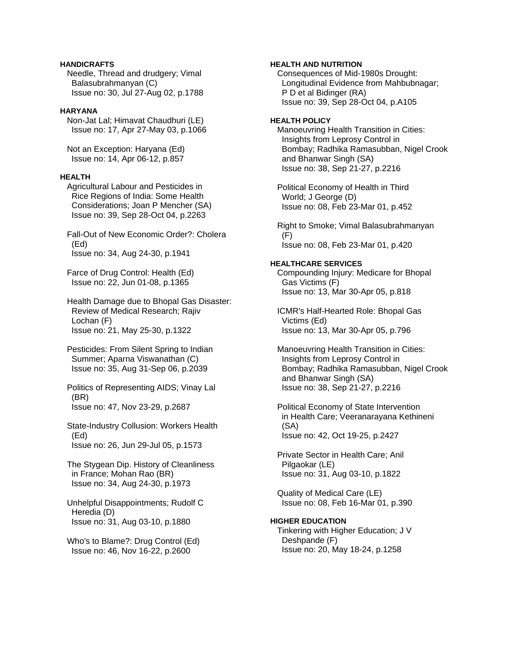### **HANDICRAFTS**

 Needle, Thread and drudgery; Vimal Balasubrahmanyan (C) Issue no: 30, Jul 27-Aug 02, p.1788

### **HARYANA**

 Non-Jat Lal; Himavat Chaudhuri (LE) Issue no: 17, Apr 27-May 03, p.1066

 Not an Exception: Haryana (Ed) Issue no: 14, Apr 06-12, p.857

#### **HEALTH**

 Agricultural Labour and Pesticides in Rice Regions of India: Some Health Considerations; Joan P Mencher (SA) Issue no: 39, Sep 28-Oct 04, p.2263

 Fall-Out of New Economic Order?: Cholera (Ed) Issue no: 34, Aug 24-30, p.1941

 Farce of Drug Control: Health (Ed) Issue no: 22, Jun 01-08, p.1365

 Health Damage due to Bhopal Gas Disaster: Review of Medical Research; Rajiv Lochan (F) Issue no: 21, May 25-30, p.1322

 Pesticides: From Silent Spring to Indian Summer; Aparna Viswanathan (C) Issue no: 35, Aug 31-Sep 06, p.2039

 Politics of Representing AIDS; Vinay Lal (BR) Issue no: 47, Nov 23-29, p.2687

 State-Industry Collusion: Workers Health (Ed) Issue no: 26, Jun 29-Jul 05, p.1573

 The Stygean Dip. History of Cleanliness in France; Mohan Rao (BR) Issue no: 34, Aug 24-30, p.1973

 Unhelpful Disappointments; Rudolf C Heredia (D) Issue no: 31, Aug 03-10, p.1880

 Who's to Blame?: Drug Control (Ed) Issue no: 46, Nov 16-22, p.2600

### **HEALTH AND NUTRITION**

 Consequences of Mid-1980s Drought: Longitudinal Evidence from Mahbubnagar; P D et al Bidinger (RA) Issue no: 39, Sep 28-Oct 04, p.A105

#### **HEALTH POLICY**

 Manoeuvring Health Transition in Cities: Insights from Leprosy Control in Bombay; Radhika Ramasubban, Nigel Crook and Bhanwar Singh (SA) Issue no: 38, Sep 21-27, p.2216

 Political Economy of Health in Third World; J George (D) Issue no: 08, Feb 23-Mar 01, p.452

 Right to Smoke; Vimal Balasubrahmanyan (F) Issue no: 08, Feb 23-Mar 01, p.420

#### **HEALTHCARE SERVICES**

 Compounding Injury: Medicare for Bhopal Gas Victims (F) Issue no: 13, Mar 30-Apr 05, p.818

 ICMR's Half-Hearted Role: Bhopal Gas Victims (Ed) Issue no: 13, Mar 30-Apr 05, p.796

 Manoeuvring Health Transition in Cities: Insights from Leprosy Control in Bombay; Radhika Ramasubban, Nigel Crook and Bhanwar Singh (SA) Issue no: 38, Sep 21-27, p.2216

 Political Economy of State Intervention in Health Care; Veeranarayana Kethineni (SA) Issue no: 42, Oct 19-25, p.2427

 Private Sector in Health Care; Anil Pilgaokar (LE) Issue no: 31, Aug 03-10, p.1822

 Quality of Medical Care (LE) Issue no: 08, Feb 16-Mar 01, p.390

### **HIGHER EDUCATION**

 Tinkering with Higher Education; J V Deshpande (F) Issue no: 20, May 18-24, p.1258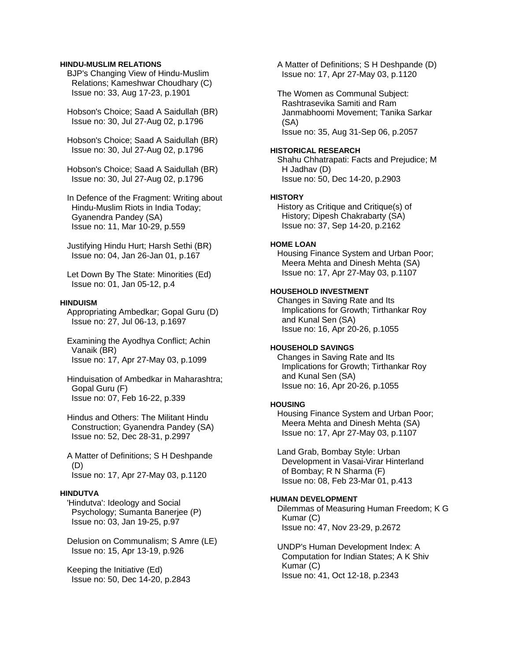### **HINDU-MUSLIM RELATIONS**

 BJP's Changing View of Hindu-Muslim Relations; Kameshwar Choudhary (C) Issue no: 33, Aug 17-23, p.1901

 Hobson's Choice; Saad A Saidullah (BR) Issue no: 30, Jul 27-Aug 02, p.1796

 Hobson's Choice; Saad A Saidullah (BR) Issue no: 30, Jul 27-Aug 02, p.1796

 Hobson's Choice; Saad A Saidullah (BR) Issue no: 30, Jul 27-Aug 02, p.1796

 In Defence of the Fragment: Writing about Hindu-Muslim Riots in India Today; Gyanendra Pandey (SA) Issue no: 11, Mar 10-29, p.559

 Justifying Hindu Hurt; Harsh Sethi (BR) Issue no: 04, Jan 26-Jan 01, p.167

 Let Down By The State: Minorities (Ed) Issue no: 01, Jan 05-12, p.4

### **HINDUISM**

 Appropriating Ambedkar; Gopal Guru (D) Issue no: 27, Jul 06-13, p.1697

 Examining the Ayodhya Conflict; Achin Vanaik (BR) Issue no: 17, Apr 27-May 03, p.1099

 Hinduisation of Ambedkar in Maharashtra; Gopal Guru (F) Issue no: 07, Feb 16-22, p.339

 Hindus and Others: The Militant Hindu Construction; Gyanendra Pandey (SA) Issue no: 52, Dec 28-31, p.2997

 A Matter of Definitions; S H Deshpande (D) Issue no: 17, Apr 27-May 03, p.1120

### **HINDUTVA**

 'Hindutva': Ideology and Social Psychology; Sumanta Banerjee (P) Issue no: 03, Jan 19-25, p.97

 Delusion on Communalism; S Amre (LE) Issue no: 15, Apr 13-19, p.926

 Keeping the Initiative (Ed) Issue no: 50, Dec 14-20, p.2843  A Matter of Definitions; S H Deshpande (D) Issue no: 17, Apr 27-May 03, p.1120

 The Women as Communal Subject: Rashtrasevika Samiti and Ram Janmabhoomi Movement; Tanika Sarkar (SA) Issue no: 35, Aug 31-Sep 06, p.2057

#### **HISTORICAL RESEARCH**

 Shahu Chhatrapati: Facts and Prejudice; M H Jadhav (D) Issue no: 50, Dec 14-20, p.2903

### **HISTORY**

 History as Critique and Critique(s) of History; Dipesh Chakrabarty (SA) Issue no: 37, Sep 14-20, p.2162

#### **HOME LOAN**

 Housing Finance System and Urban Poor; Meera Mehta and Dinesh Mehta (SA) Issue no: 17, Apr 27-May 03, p.1107

# **HOUSEHOLD INVESTMENT**

 Changes in Saving Rate and Its Implications for Growth; Tirthankar Roy and Kunal Sen (SA) Issue no: 16, Apr 20-26, p.1055

### **HOUSEHOLD SAVINGS**

 Changes in Saving Rate and Its Implications for Growth; Tirthankar Roy and Kunal Sen (SA) Issue no: 16, Apr 20-26, p.1055

#### **HOUSING**

 Housing Finance System and Urban Poor; Meera Mehta and Dinesh Mehta (SA) Issue no: 17, Apr 27-May 03, p.1107

 Land Grab, Bombay Style: Urban Development in Vasai-Virar Hinterland of Bombay; R N Sharma (F) Issue no: 08, Feb 23-Mar 01, p.413

### **HUMAN DEVELOPMENT**

 Dilemmas of Measuring Human Freedom; K G Kumar (C) Issue no: 47, Nov 23-29, p.2672

 UNDP's Human Development Index: A Computation for Indian States; A K Shiv Kumar (C) Issue no: 41, Oct 12-18, p.2343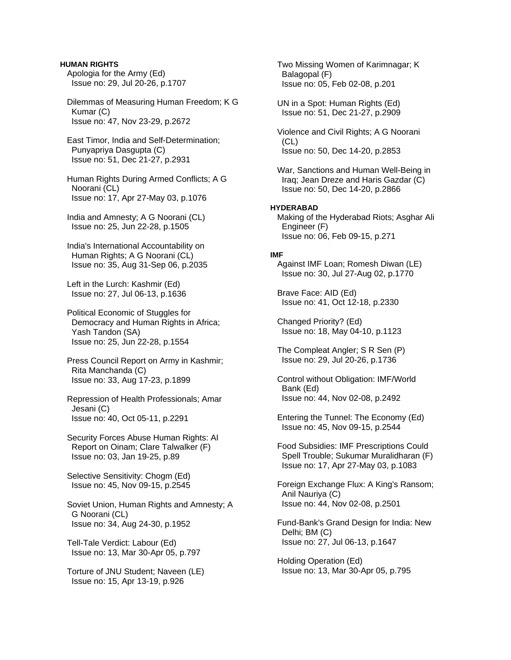**HUMAN RIGHTS**  Apologia for the Army (Ed) Issue no: 29, Jul 20-26, p.1707

 Dilemmas of Measuring Human Freedom; K G Kumar (C) Issue no: 47, Nov 23-29, p.2672

 East Timor, India and Self-Determination; Punyapriya Dasgupta (C) Issue no: 51, Dec 21-27, p.2931

 Human Rights During Armed Conflicts; A G Noorani (CL) Issue no: 17, Apr 27-May 03, p.1076

 India and Amnesty; A G Noorani (CL) Issue no: 25, Jun 22-28, p.1505

 India's International Accountability on Human Rights; A G Noorani (CL) Issue no: 35, Aug 31-Sep 06, p.2035

 Left in the Lurch: Kashmir (Ed) Issue no: 27, Jul 06-13, p.1636

 Political Economic of Stuggles for Democracy and Human Rights in Africa; Yash Tandon (SA) Issue no: 25, Jun 22-28, p.1554

 Press Council Report on Army in Kashmir; Rita Manchanda (C) Issue no: 33, Aug 17-23, p.1899

 Repression of Health Professionals; Amar Jesani (C) Issue no: 40, Oct 05-11, p.2291

 Security Forces Abuse Human Rights: AI Report on Oinam; Clare Talwalker (F) Issue no: 03, Jan 19-25, p.89

 Selective Sensitivity: Chogm (Ed) Issue no: 45, Nov 09-15, p.2545

 Soviet Union, Human Rights and Amnesty; A G Noorani (CL) Issue no: 34, Aug 24-30, p.1952

 Tell-Tale Verdict: Labour (Ed) Issue no: 13, Mar 30-Apr 05, p.797

 Torture of JNU Student; Naveen (LE) Issue no: 15, Apr 13-19, p.926

 Two Missing Women of Karimnagar; K Balagopal (F) Issue no: 05, Feb 02-08, p.201

 UN in a Spot: Human Rights (Ed) Issue no: 51, Dec 21-27, p.2909

 Violence and Civil Rights; A G Noorani  $(CL)$ Issue no: 50, Dec 14-20, p.2853

 War, Sanctions and Human Well-Being in Iraq; Jean Dreze and Haris Gazdar (C) Issue no: 50, Dec 14-20, p.2866

### **HYDERABAD**

 Making of the Hyderabad Riots; Asghar Ali Engineer (F) Issue no: 06, Feb 09-15, p.271

### **IMF**

 Against IMF Loan; Romesh Diwan (LE) Issue no: 30, Jul 27-Aug 02, p.1770

 Brave Face: AID (Ed) Issue no: 41, Oct 12-18, p.2330

 Changed Priority? (Ed) Issue no: 18, May 04-10, p.1123

 The Compleat Angler; S R Sen (P) Issue no: 29, Jul 20-26, p.1736

 Control without Obligation: IMF/World Bank (Ed) Issue no: 44, Nov 02-08, p.2492

 Entering the Tunnel: The Economy (Ed) Issue no: 45, Nov 09-15, p.2544

 Food Subsidies: IMF Prescriptions Could Spell Trouble; Sukumar Muralidharan (F) Issue no: 17, Apr 27-May 03, p.1083

 Foreign Exchange Flux: A King's Ransom; Anil Nauriya (C) Issue no: 44, Nov 02-08, p.2501

 Fund-Bank's Grand Design for India: New Delhi; BM (C) Issue no: 27, Jul 06-13, p.1647

 Holding Operation (Ed) Issue no: 13, Mar 30-Apr 05, p.795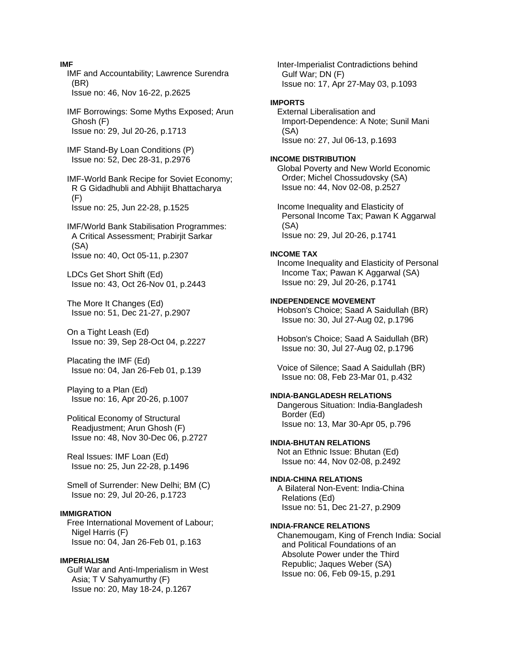IMF and Accountability; Lawrence Surendra (BR) Issue no: 46, Nov 16-22, p.2625 IMF Borrowings: Some Myths Exposed; Arun Ghosh (F) Issue no: 29, Jul 20-26, p.1713 IMF Stand-By Loan Conditions (P) Issue no: 52, Dec 28-31, p.2976 IMF-World Bank Recipe for Soviet Economy; R G Gidadhubli and Abhijit Bhattacharya  $(F)$  Issue no: 25, Jun 22-28, p.1525 IMF/World Bank Stabilisation Programmes: A Critical Assessment; Prabirjit Sarkar (SA) Issue no: 40, Oct 05-11, p.2307 LDCs Get Short Shift (Ed) Issue no: 43, Oct 26-Nov 01, p.2443 The More It Changes (Ed) Issue no: 51, Dec 21-27, p.2907 On a Tight Leash (Ed) Issue no: 39, Sep 28-Oct 04, p.2227 Placating the IMF (Ed) Issue no: 04, Jan 26-Feb 01, p.139 Playing to a Plan (Ed) Issue no: 16, Apr 20-26, p.1007 Political Economy of Structural Readjustment; Arun Ghosh (F) Issue no: 48, Nov 30-Dec 06, p.2727 Real Issues: IMF Loan (Ed) Issue no: 25, Jun 22-28, p.1496 Smell of Surrender: New Delhi; BM (C) Issue no: 29, Jul 20-26, p.1723 **IMMIGRATION**  Free International Movement of Labour; Nigel Harris (F) Issue no: 04, Jan 26-Feb 01, p.163 **IMPERIALISM**  Gulf War and Anti-Imperialism in West Asia; T V Sahyamurthy (F) Issue no: 20, May 18-24, p.1267

 Inter-Imperialist Contradictions behind Gulf War; DN (F) Issue no: 17, Apr 27-May 03, p.1093 **IMPORTS** 

 External Liberalisation and Import-Dependence: A Note; Sunil Mani (SA) Issue no: 27, Jul 06-13, p.1693

#### **INCOME DISTRIBUTION**

 Global Poverty and New World Economic Order; Michel Chossudovsky (SA) Issue no: 44, Nov 02-08, p.2527

 Income Inequality and Elasticity of Personal Income Tax; Pawan K Aggarwal (SA) Issue no: 29, Jul 20-26, p.1741

### **INCOME TAX**

 Income Inequality and Elasticity of Personal Income Tax; Pawan K Aggarwal (SA) Issue no: 29, Jul 20-26, p.1741

### **INDEPENDENCE MOVEMENT**

 Hobson's Choice; Saad A Saidullah (BR) Issue no: 30, Jul 27-Aug 02, p.1796

 Hobson's Choice; Saad A Saidullah (BR) Issue no: 30, Jul 27-Aug 02, p.1796

 Voice of Silence; Saad A Saidullah (BR) Issue no: 08, Feb 23-Mar 01, p.432

### **INDIA-BANGLADESH RELATIONS**

 Dangerous Situation: India-Bangladesh Border (Ed) Issue no: 13, Mar 30-Apr 05, p.796

#### **INDIA-BHUTAN RELATIONS**

 Not an Ethnic Issue: Bhutan (Ed) Issue no: 44, Nov 02-08, p.2492

# **INDIA-CHINA RELATIONS**

 A Bilateral Non-Event: India-China Relations (Ed) Issue no: 51, Dec 21-27, p.2909

#### **INDIA-FRANCE RELATIONS**

 Chanemougam, King of French India: Social and Political Foundations of an Absolute Power under the Third Republic; Jaques Weber (SA) Issue no: 06, Feb 09-15, p.291

# **IMF**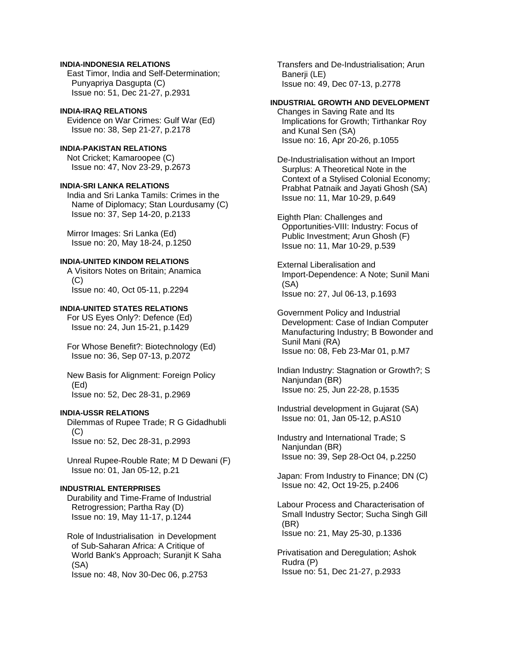### **INDIA-INDONESIA RELATIONS**

 East Timor, India and Self-Determination; Punyapriya Dasgupta (C) Issue no: 51, Dec 21-27, p.2931

### **INDIA-IRAQ RELATIONS**

 Evidence on War Crimes: Gulf War (Ed) Issue no: 38, Sep 21-27, p.2178

# **INDIA-PAKISTAN RELATIONS**

 Not Cricket; Kamaroopee (C) Issue no: 47, Nov 23-29, p.2673

### **INDIA-SRI LANKA RELATIONS**

 India and Sri Lanka Tamils: Crimes in the Name of Diplomacy; Stan Lourdusamy (C) Issue no: 37, Sep 14-20, p.2133

 Mirror Images: Sri Lanka (Ed) Issue no: 20, May 18-24, p.1250

### **INDIA-UNITED KINDOM RELATIONS**

 A Visitors Notes on Britain; Anamica  $(C)$ Issue no: 40, Oct 05-11, p.2294

# **INDIA-UNITED STATES RELATIONS**

 For US Eyes Only?: Defence (Ed) Issue no: 24, Jun 15-21, p.1429

 For Whose Benefit?: Biotechnology (Ed) Issue no: 36, Sep 07-13, p.2072

 New Basis for Alignment: Foreign Policy (Ed) Issue no: 52, Dec 28-31, p.2969

### **INDIA-USSR RELATIONS**

 Dilemmas of Rupee Trade; R G Gidadhubli (C) Issue no: 52, Dec 28-31, p.2993

 Unreal Rupee-Rouble Rate; M D Dewani (F) Issue no: 01, Jan 05-12, p.21

### **INDUSTRIAL ENTERPRISES**

 Durability and Time-Frame of Industrial Retrogression; Partha Ray (D) Issue no: 19, May 11-17, p.1244

 Role of Industrialisation in Development of Sub-Saharan Africa: A Critique of World Bank's Approach; Suranjit K Saha (SA)

Issue no: 48, Nov 30-Dec 06, p.2753

 Transfers and De-Industrialisation; Arun Banerji (LE) Issue no: 49, Dec 07-13, p.2778

# **INDUSTRIAL GROWTH AND DEVELOPMENT**

 Changes in Saving Rate and Its Implications for Growth; Tirthankar Roy and Kunal Sen (SA) Issue no: 16, Apr 20-26, p.1055

 De-Industrialisation without an Import Surplus: A Theoretical Note in the Context of a Stylised Colonial Economy; Prabhat Patnaik and Jayati Ghosh (SA) Issue no: 11, Mar 10-29, p.649

 Eighth Plan: Challenges and Opportunities-VIII: Industry: Focus of Public Investment; Arun Ghosh (F) Issue no: 11, Mar 10-29, p.539

 External Liberalisation and Import-Dependence: A Note; Sunil Mani (SA) Issue no: 27, Jul 06-13, p.1693

 Government Policy and Industrial Development: Case of Indian Computer Manufacturing Industry; B Bowonder and Sunil Mani (RA) Issue no: 08, Feb 23-Mar 01, p.M7

 Indian Industry: Stagnation or Growth?; S Nanjundan (BR) Issue no: 25, Jun 22-28, p.1535

 Industrial development in Gujarat (SA) Issue no: 01, Jan 05-12, p.AS10

 Industry and International Trade; S Nanjundan (BR) Issue no: 39, Sep 28-Oct 04, p.2250

 Japan: From Industry to Finance; DN (C) Issue no: 42, Oct 19-25, p.2406

 Labour Process and Characterisation of Small Industry Sector; Sucha Singh Gill (BR) Issue no: 21, May 25-30, p.1336

 Privatisation and Deregulation; Ashok Rudra (P) Issue no: 51, Dec 21-27, p.2933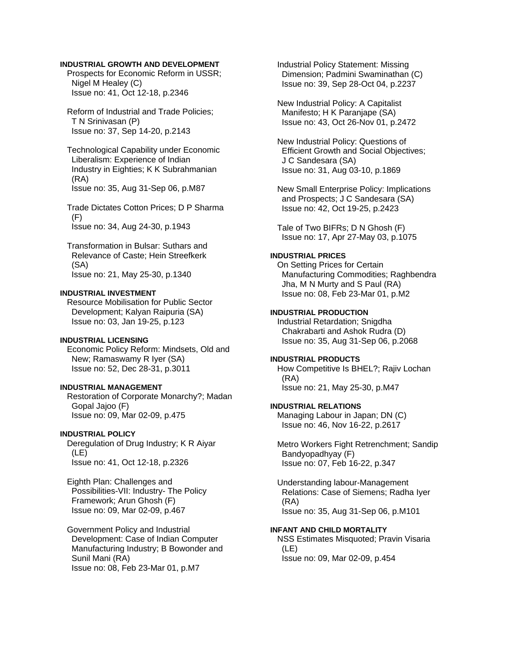### **INDUSTRIAL GROWTH AND DEVELOPMENT**

 Prospects for Economic Reform in USSR; Nigel M Healey (C) Issue no: 41, Oct 12-18, p.2346

 Reform of Industrial and Trade Policies; T N Srinivasan (P) Issue no: 37, Sep 14-20, p.2143

 Technological Capability under Economic Liberalism: Experience of Indian Industry in Eighties; K K Subrahmanian (RA) Issue no: 35, Aug 31-Sep 06, p.M87

 Trade Dictates Cotton Prices; D P Sharma (F) Issue no: 34, Aug 24-30, p.1943

 Transformation in Bulsar: Suthars and Relevance of Caste; Hein Streefkerk (SA) Issue no: 21, May 25-30, p.1340

### **INDUSTRIAL INVESTMENT**

 Resource Mobilisation for Public Sector Development; Kalyan Raipuria (SA) Issue no: 03, Jan 19-25, p.123

# **INDUSTRIAL LICENSING**

 Economic Policy Reform: Mindsets, Old and New; Ramaswamy R Iyer (SA) Issue no: 52, Dec 28-31, p.3011

#### **INDUSTRIAL MANAGEMENT**

 Restoration of Corporate Monarchy?; Madan Gopal Jajoo (F) Issue no: 09, Mar 02-09, p.475

#### **INDUSTRIAL POLICY**

 Deregulation of Drug Industry; K R Aiyar (LE) Issue no: 41, Oct 12-18, p.2326

 Eighth Plan: Challenges and Possibilities-VII: Industry- The Policy Framework; Arun Ghosh (F) Issue no: 09, Mar 02-09, p.467

 Government Policy and Industrial Development: Case of Indian Computer Manufacturing Industry; B Bowonder and Sunil Mani (RA) Issue no: 08, Feb 23-Mar 01, p.M7

 Industrial Policy Statement: Missing Dimension; Padmini Swaminathan (C) Issue no: 39, Sep 28-Oct 04, p.2237

 New Industrial Policy: A Capitalist Manifesto; H K Paranjape (SA) Issue no: 43, Oct 26-Nov 01, p.2472

 New Industrial Policy: Questions of Efficient Growth and Social Objectives; J C Sandesara (SA) Issue no: 31, Aug 03-10, p.1869

 New Small Enterprise Policy: Implications and Prospects; J C Sandesara (SA) Issue no: 42, Oct 19-25, p.2423

 Tale of Two BIFRs; D N Ghosh (F) Issue no: 17, Apr 27-May 03, p.1075

### **INDUSTRIAL PRICES**

 On Setting Prices for Certain Manufacturing Commodities; Raghbendra Jha, M N Murty and S Paul (RA) Issue no: 08, Feb 23-Mar 01, p.M2

### **INDUSTRIAL PRODUCTION**

 Industrial Retardation; Snigdha Chakrabarti and Ashok Rudra (D) Issue no: 35, Aug 31-Sep 06, p.2068

#### **INDUSTRIAL PRODUCTS**

 How Competitive Is BHEL?; Rajiv Lochan (RA) Issue no: 21, May 25-30, p.M47

### **INDUSTRIAL RELATIONS**

 Managing Labour in Japan; DN (C) Issue no: 46, Nov 16-22, p.2617

 Metro Workers Fight Retrenchment; Sandip Bandyopadhyay (F) Issue no: 07, Feb 16-22, p.347

 Understanding labour-Management Relations: Case of Siemens; Radha Iyer (RA) Issue no: 35, Aug 31-Sep 06, p.M101

### **INFANT AND CHILD MORTALITY**

 NSS Estimates Misquoted; Pravin Visaria (LE) Issue no: 09, Mar 02-09, p.454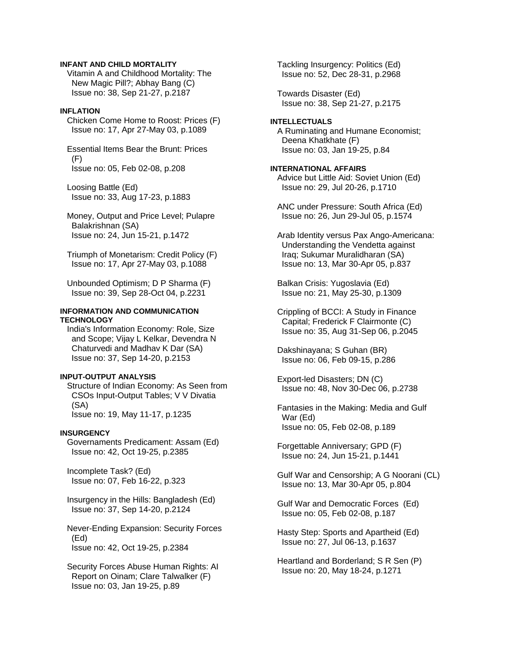### **INFANT AND CHILD MORTALITY**

 Vitamin A and Childhood Mortality: The New Magic Pill?; Abhay Bang (C) Issue no: 38, Sep 21-27, p.2187

### **INFLATION**

 Chicken Come Home to Roost: Prices (F) Issue no: 17, Apr 27-May 03, p.1089

 Essential Items Bear the Brunt: Prices (F) Issue no: 05, Feb 02-08, p.208

 Loosing Battle (Ed) Issue no: 33, Aug 17-23, p.1883

 Money, Output and Price Level; Pulapre Balakrishnan (SA) Issue no: 24, Jun 15-21, p.1472

 Triumph of Monetarism: Credit Policy (F) Issue no: 17, Apr 27-May 03, p.1088

 Unbounded Optimism; D P Sharma (F) Issue no: 39, Sep 28-Oct 04, p.2231

### **INFORMATION AND COMMUNICATION TECHNOLOGY**

 India's Information Economy: Role, Size and Scope; Vijay L Kelkar, Devendra N Chaturvedi and Madhav K Dar (SA) Issue no: 37, Sep 14-20, p.2153

### **INPUT-OUTPUT ANALYSIS**

 Structure of Indian Economy: As Seen from CSOs Input-Output Tables; V V Divatia (SA) Issue no: 19, May 11-17, p.1235

#### **INSURGENCY**

 Governaments Predicament: Assam (Ed) Issue no: 42, Oct 19-25, p.2385

 Incomplete Task? (Ed) Issue no: 07, Feb 16-22, p.323

 Insurgency in the Hills: Bangladesh (Ed) Issue no: 37, Sep 14-20, p.2124

 Never-Ending Expansion: Security Forces (Ed) Issue no: 42, Oct 19-25, p.2384

 Security Forces Abuse Human Rights: AI Report on Oinam; Clare Talwalker (F) Issue no: 03, Jan 19-25, p.89

 Tackling Insurgency: Politics (Ed) Issue no: 52, Dec 28-31, p.2968

 Towards Disaster (Ed) Issue no: 38, Sep 21-27, p.2175

**INTELLECTUALS**  A Ruminating and Humane Economist; Deena Khatkhate (F) Issue no: 03, Jan 19-25, p.84

**INTERNATIONAL AFFAIRS**  Advice but Little Aid: Soviet Union (Ed) Issue no: 29, Jul 20-26, p.1710

 ANC under Pressure: South Africa (Ed) Issue no: 26, Jun 29-Jul 05, p.1574

 Arab Identity versus Pax Ango-Americana: Understanding the Vendetta against Iraq; Sukumar Muralidharan (SA) Issue no: 13, Mar 30-Apr 05, p.837

 Balkan Crisis: Yugoslavia (Ed) Issue no: 21, May 25-30, p.1309

 Crippling of BCCI: A Study in Finance Capital; Frederick F Clairmonte (C) Issue no: 35, Aug 31-Sep 06, p.2045

 Dakshinayana; S Guhan (BR) Issue no: 06, Feb 09-15, p.286

 Export-led Disasters; DN (C) Issue no: 48, Nov 30-Dec 06, p.2738

 Fantasies in the Making: Media and Gulf War (Ed) Issue no: 05, Feb 02-08, p.189

 Forgettable Anniversary; GPD (F) Issue no: 24, Jun 15-21, p.1441

 Gulf War and Censorship; A G Noorani (CL) Issue no: 13, Mar 30-Apr 05, p.804

 Gulf War and Democratic Forces (Ed) Issue no: 05, Feb 02-08, p.187

 Hasty Step: Sports and Apartheid (Ed) Issue no: 27, Jul 06-13, p.1637

 Heartland and Borderland; S R Sen (P) Issue no: 20, May 18-24, p.1271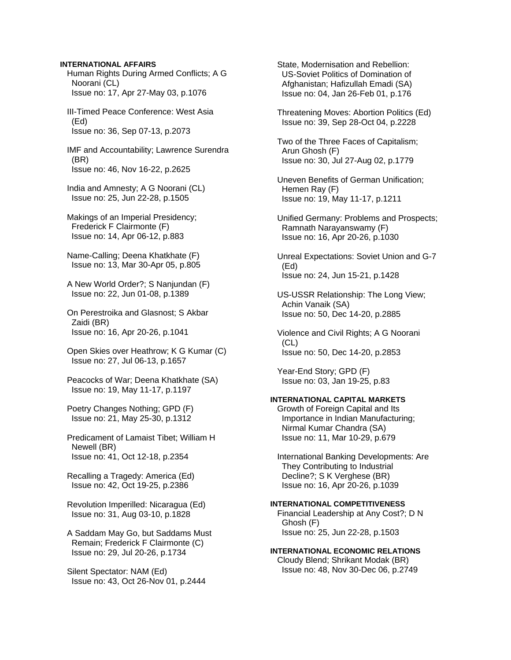### **INTERNATIONAL AFFAIRS**

 Human Rights During Armed Conflicts; A G Noorani (CL) Issue no: 17, Apr 27-May 03, p.1076

 III-Timed Peace Conference: West Asia (Ed) Issue no: 36, Sep 07-13, p.2073

 IMF and Accountability; Lawrence Surendra (BR) Issue no: 46, Nov 16-22, p.2625

 India and Amnesty; A G Noorani (CL) Issue no: 25, Jun 22-28, p.1505

 Makings of an Imperial Presidency; Frederick F Clairmonte (F) Issue no: 14, Apr 06-12, p.883

 Name-Calling; Deena Khatkhate (F) Issue no: 13, Mar 30-Apr 05, p.805

 A New World Order?; S Nanjundan (F) Issue no: 22, Jun 01-08, p.1389

 On Perestroika and Glasnost; S Akbar Zaidi (BR) Issue no: 16, Apr 20-26, p.1041

 Open Skies over Heathrow; K G Kumar (C) Issue no: 27, Jul 06-13, p.1657

 Peacocks of War; Deena Khatkhate (SA) Issue no: 19, May 11-17, p.1197

 Poetry Changes Nothing; GPD (F) Issue no: 21, May 25-30, p.1312

 Predicament of Lamaist Tibet; William H Newell (BR) Issue no: 41, Oct 12-18, p.2354

 Recalling a Tragedy: America (Ed) Issue no: 42, Oct 19-25, p.2386

 Revolution Imperilled: Nicaragua (Ed) Issue no: 31, Aug 03-10, p.1828

 A Saddam May Go, but Saddams Must Remain; Frederick F Clairmonte (C) Issue no: 29, Jul 20-26, p.1734

 Silent Spectator: NAM (Ed) Issue no: 43, Oct 26-Nov 01, p.2444  State, Modernisation and Rebellion: US-Soviet Politics of Domination of Afghanistan; Hafizullah Emadi (SA) Issue no: 04, Jan 26-Feb 01, p.176

 Threatening Moves: Abortion Politics (Ed) Issue no: 39, Sep 28-Oct 04, p.2228

 Two of the Three Faces of Capitalism; Arun Ghosh (F) Issue no: 30, Jul 27-Aug 02, p.1779

 Uneven Benefits of German Unification; Hemen Ray (F) Issue no: 19, May 11-17, p.1211

 Unified Germany: Problems and Prospects; Ramnath Narayanswamy (F) Issue no: 16, Apr 20-26, p.1030

 Unreal Expectations: Soviet Union and G-7 (Ed) Issue no: 24, Jun 15-21, p.1428

 US-USSR Relationship: The Long View; Achin Vanaik (SA) Issue no: 50, Dec 14-20, p.2885

 Violence and Civil Rights; A G Noorani  $(CL)$ Issue no: 50, Dec 14-20, p.2853

 Year-End Story; GPD (F) Issue no: 03, Jan 19-25, p.83

# **INTERNATIONAL CAPITAL MARKETS**

 Growth of Foreign Capital and Its Importance in Indian Manufacturing; Nirmal Kumar Chandra (SA) Issue no: 11, Mar 10-29, p.679

 International Banking Developments: Are They Contributing to Industrial Decline?; S K Verghese (BR) Issue no: 16, Apr 20-26, p.1039

### **INTERNATIONAL COMPETITIVENESS**

 Financial Leadership at Any Cost?; D N Ghosh (F) Issue no: 25, Jun 22-28, p.1503

**INTERNATIONAL ECONOMIC RELATIONS**  Cloudy Blend; Shrikant Modak (BR) Issue no: 48, Nov 30-Dec 06, p.2749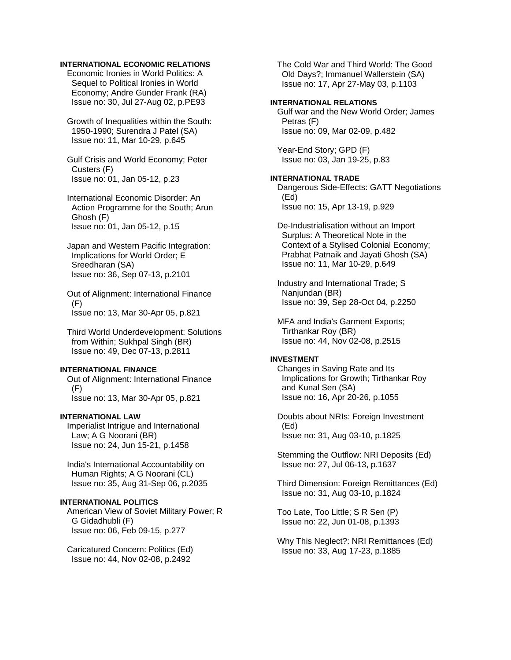### **INTERNATIONAL ECONOMIC RELATIONS**

 Economic Ironies in World Politics: A Sequel to Political Ironies in World Economy; Andre Gunder Frank (RA) Issue no: 30, Jul 27-Aug 02, p.PE93

 Growth of Inequalities within the South: 1950-1990; Surendra J Patel (SA) Issue no: 11, Mar 10-29, p.645

 Gulf Crisis and World Economy; Peter Custers (F) Issue no: 01, Jan 05-12, p.23

 International Economic Disorder: An Action Programme for the South; Arun Ghosh (F) Issue no: 01, Jan 05-12, p.15

 Japan and Western Pacific Integration: Implications for World Order; E Sreedharan (SA) Issue no: 36, Sep 07-13, p.2101

 Out of Alignment: International Finance (F) Issue no: 13, Mar 30-Apr 05, p.821

 Third World Underdevelopment: Solutions from Within; Sukhpal Singh (BR) Issue no: 49, Dec 07-13, p.2811

### **INTERNATIONAL FINANCE**

 Out of Alignment: International Finance (F) Issue no: 13, Mar 30-Apr 05, p.821

# **INTERNATIONAL LAW**

 Imperialist Intrigue and International Law; A G Noorani (BR) Issue no: 24, Jun 15-21, p.1458

 India's International Accountability on Human Rights; A G Noorani (CL) Issue no: 35, Aug 31-Sep 06, p.2035

### **INTERNATIONAL POLITICS**

 American View of Soviet Military Power; R G Gidadhubli (F) Issue no: 06, Feb 09-15, p.277

 Caricatured Concern: Politics (Ed) Issue no: 44, Nov 02-08, p.2492

 The Cold War and Third World: The Good Old Days?; Immanuel Wallerstein (SA) Issue no: 17, Apr 27-May 03, p.1103

## **INTERNATIONAL RELATIONS**

 Gulf war and the New World Order; James Petras (F) Issue no: 09, Mar 02-09, p.482

 Year-End Story; GPD (F) Issue no: 03, Jan 19-25, p.83

# **INTERNATIONAL TRADE**

 Dangerous Side-Effects: GATT Negotiations (Ed) Issue no: 15, Apr 13-19, p.929

 De-Industrialisation without an Import Surplus: A Theoretical Note in the Context of a Stylised Colonial Economy; Prabhat Patnaik and Jayati Ghosh (SA) Issue no: 11, Mar 10-29, p.649

 Industry and International Trade; S Nanjundan (BR) Issue no: 39, Sep 28-Oct 04, p.2250

 MFA and India's Garment Exports; Tirthankar Roy (BR) Issue no: 44, Nov 02-08, p.2515

### **INVESTMENT**

 Changes in Saving Rate and Its Implications for Growth; Tirthankar Roy and Kunal Sen (SA) Issue no: 16, Apr 20-26, p.1055

 Doubts about NRIs: Foreign Investment (Ed) Issue no: 31, Aug 03-10, p.1825

 Stemming the Outflow: NRI Deposits (Ed) Issue no: 27, Jul 06-13, p.1637

 Third Dimension: Foreign Remittances (Ed) Issue no: 31, Aug 03-10, p.1824

 Too Late, Too Little; S R Sen (P) Issue no: 22, Jun 01-08, p.1393

 Why This Neglect?: NRI Remittances (Ed) Issue no: 33, Aug 17-23, p.1885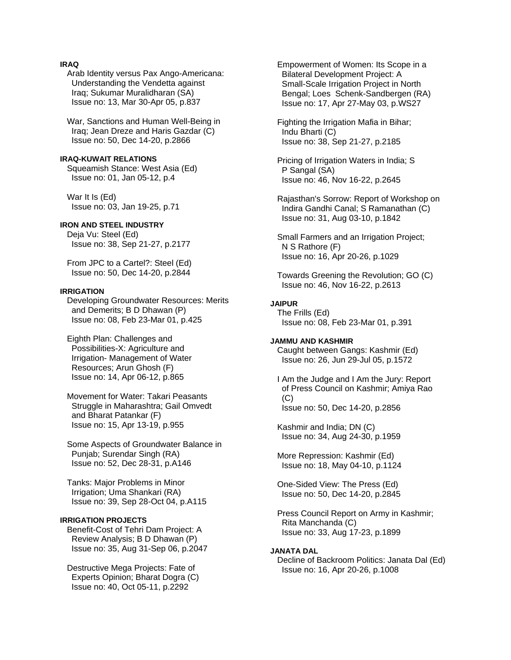## **IRAQ**

 Arab Identity versus Pax Ango-Americana: Understanding the Vendetta against Iraq; Sukumar Muralidharan (SA) Issue no: 13, Mar 30-Apr 05, p.837

 War, Sanctions and Human Well-Being in Iraq; Jean Dreze and Haris Gazdar (C) Issue no: 50, Dec 14-20, p.2866

#### **IRAQ-KUWAIT RELATIONS**

 Squeamish Stance: West Asia (Ed) Issue no: 01, Jan 05-12, p.4

 War It Is (Ed) Issue no: 03, Jan 19-25, p.71

# **IRON AND STEEL INDUSTRY**

 Deja Vu: Steel (Ed) Issue no: 38, Sep 21-27, p.2177

 From JPC to a Cartel?: Steel (Ed) Issue no: 50, Dec 14-20, p.2844

### **IRRIGATION**

 Developing Groundwater Resources: Merits and Demerits; B D Dhawan (P) Issue no: 08, Feb 23-Mar 01, p.425

 Eighth Plan: Challenges and Possibilities-X: Agriculture and Irrigation- Management of Water Resources; Arun Ghosh (F) Issue no: 14, Apr 06-12, p.865

 Movement for Water: Takari Peasants Struggle in Maharashtra; Gail Omvedt and Bharat Patankar (F) Issue no: 15, Apr 13-19, p.955

 Some Aspects of Groundwater Balance in Punjab; Surendar Singh (RA) Issue no: 52, Dec 28-31, p.A146

 Tanks: Major Problems in Minor Irrigation; Uma Shankari (RA) Issue no: 39, Sep 28-Oct 04, p.A115

# **IRRIGATION PROJECTS**

 Benefit-Cost of Tehri Dam Project: A Review Analysis; B D Dhawan (P) Issue no: 35, Aug 31-Sep 06, p.2047

 Destructive Mega Projects: Fate of Experts Opinion; Bharat Dogra (C) Issue no: 40, Oct 05-11, p.2292

 Empowerment of Women: Its Scope in a Bilateral Development Project: A Small-Scale Irrigation Project in North Bengal; Loes Schenk-Sandbergen (RA) Issue no: 17, Apr 27-May 03, p.WS27

 Fighting the Irrigation Mafia in Bihar; Indu Bharti (C) Issue no: 38, Sep 21-27, p.2185

 Pricing of Irrigation Waters in India; S P Sangal (SA) Issue no: 46, Nov 16-22, p.2645

 Rajasthan's Sorrow: Report of Workshop on Indira Gandhi Canal; S Ramanathan (C) Issue no: 31, Aug 03-10, p.1842

 Small Farmers and an Irrigation Project; N S Rathore (F) Issue no: 16, Apr 20-26, p.1029

 Towards Greening the Revolution; GO (C) Issue no: 46, Nov 16-22, p.2613

**JAIPUR**  The Frills (Ed) Issue no: 08, Feb 23-Mar 01, p.391

#### **JAMMU AND KASHMIR**

 Caught between Gangs: Kashmir (Ed) Issue no: 26, Jun 29-Jul 05, p.1572

 I Am the Judge and I Am the Jury: Report of Press Council on Kashmir; Amiya Rao  $(C)$ Issue no: 50, Dec 14-20, p.2856

 Kashmir and India; DN (C) Issue no: 34, Aug 24-30, p.1959

 More Repression: Kashmir (Ed) Issue no: 18, May 04-10, p.1124

 One-Sided View: The Press (Ed) Issue no: 50, Dec 14-20, p.2845

 Press Council Report on Army in Kashmir; Rita Manchanda (C) Issue no: 33, Aug 17-23, p.1899

# **JANATA DAL**

 Decline of Backroom Politics: Janata Dal (Ed) Issue no: 16, Apr 20-26, p.1008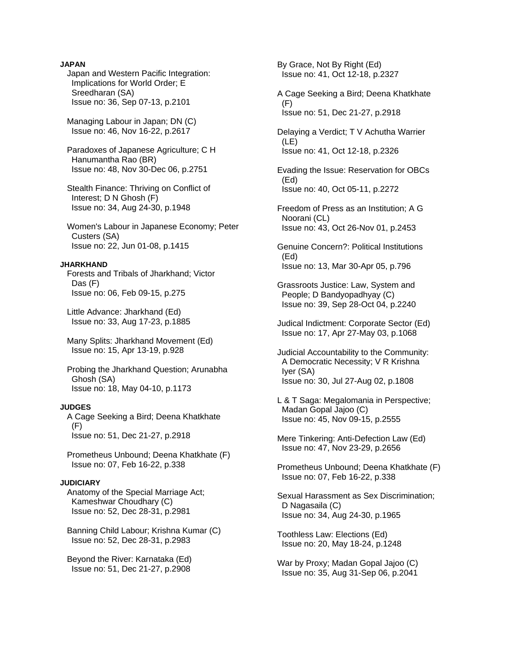### **JAPAN**

 Japan and Western Pacific Integration: Implications for World Order; E Sreedharan (SA) Issue no: 36, Sep 07-13, p.2101

 Managing Labour in Japan; DN (C) Issue no: 46, Nov 16-22, p.2617

 Paradoxes of Japanese Agriculture; C H Hanumantha Rao (BR) Issue no: 48, Nov 30-Dec 06, p.2751

 Stealth Finance: Thriving on Conflict of Interest; D N Ghosh (F) Issue no: 34, Aug 24-30, p.1948

 Women's Labour in Japanese Economy; Peter Custers (SA) Issue no: 22, Jun 01-08, p.1415

### **JHARKHAND**

 Forests and Tribals of Jharkhand; Victor Das (F) Issue no: 06, Feb 09-15, p.275

 Little Advance: Jharkhand (Ed) Issue no: 33, Aug 17-23, p.1885

 Many Splits: Jharkhand Movement (Ed) Issue no: 15, Apr 13-19, p.928

 Probing the Jharkhand Question; Arunabha Ghosh (SA) Issue no: 18, May 04-10, p.1173

# **JUDGES**

 A Cage Seeking a Bird; Deena Khatkhate (F) Issue no: 51, Dec 21-27, p.2918

 Prometheus Unbound; Deena Khatkhate (F) Issue no: 07, Feb 16-22, p.338

### **JUDICIARY**

 Anatomy of the Special Marriage Act; Kameshwar Choudhary (C) Issue no: 52, Dec 28-31, p.2981

 Banning Child Labour; Krishna Kumar (C) Issue no: 52, Dec 28-31, p.2983

 Beyond the River: Karnataka (Ed) Issue no: 51, Dec 21-27, p.2908

 By Grace, Not By Right (Ed) Issue no: 41, Oct 12-18, p.2327

 A Cage Seeking a Bird; Deena Khatkhate (F) Issue no: 51, Dec 21-27, p.2918

 Delaying a Verdict; T V Achutha Warrier (LE) Issue no: 41, Oct 12-18, p.2326

 Evading the Issue: Reservation for OBCs (Ed) Issue no: 40, Oct 05-11, p.2272

 Freedom of Press as an Institution; A G Noorani (CL) Issue no: 43, Oct 26-Nov 01, p.2453

 Genuine Concern?: Political Institutions (Ed) Issue no: 13, Mar 30-Apr 05, p.796

 Grassroots Justice: Law, System and People; D Bandyopadhyay (C) Issue no: 39, Sep 28-Oct 04, p.2240

 Judical Indictment: Corporate Sector (Ed) Issue no: 17, Apr 27-May 03, p.1068

 Judicial Accountability to the Community: A Democratic Necessity; V R Krishna Iyer (SA) Issue no: 30, Jul 27-Aug 02, p.1808

 L & T Saga: Megalomania in Perspective; Madan Gopal Jajoo (C) Issue no: 45, Nov 09-15, p.2555

 Mere Tinkering: Anti-Defection Law (Ed) Issue no: 47, Nov 23-29, p.2656

 Prometheus Unbound; Deena Khatkhate (F) Issue no: 07, Feb 16-22, p.338

 Sexual Harassment as Sex Discrimination; D Nagasaila (C) Issue no: 34, Aug 24-30, p.1965

 Toothless Law: Elections (Ed) Issue no: 20, May 18-24, p.1248

 War by Proxy; Madan Gopal Jajoo (C) Issue no: 35, Aug 31-Sep 06, p.2041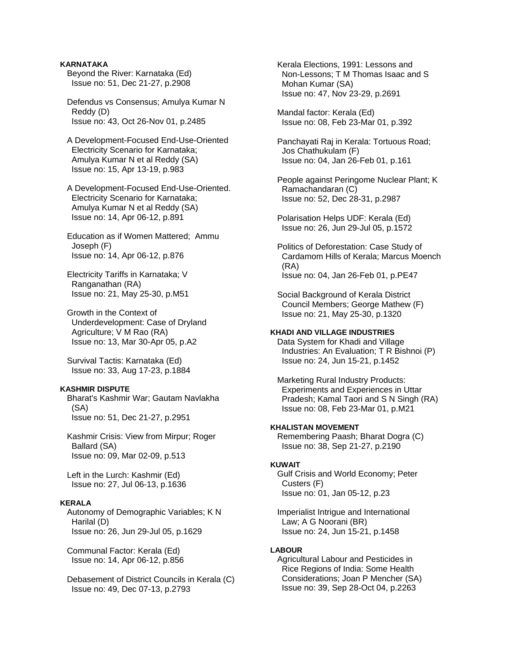### **KARNATAKA**

- Beyond the River: Karnataka (Ed) Issue no: 51, Dec 21-27, p.2908
- Defendus vs Consensus; Amulya Kumar N Reddy (D) Issue no: 43, Oct 26-Nov 01, p.2485
- A Development-Focused End-Use-Oriented Electricity Scenario for Karnataka; Amulya Kumar N et al Reddy (SA) Issue no: 15, Apr 13-19, p.983
- A Development-Focused End-Use-Oriented. Electricity Scenario for Karnataka; Amulya Kumar N et al Reddy (SA) Issue no: 14, Apr 06-12, p.891
- Education as if Women Mattered; Ammu Joseph (F) Issue no: 14, Apr 06-12, p.876
- Electricity Tariffs in Karnataka; V Ranganathan (RA) Issue no: 21, May 25-30, p.M51
- Growth in the Context of Underdevelopment: Case of Dryland Agriculture; V M Rao (RA) Issue no: 13, Mar 30-Apr 05, p.A2
- Survival Tactis: Karnataka (Ed) Issue no: 33, Aug 17-23, p.1884

### **KASHMIR DISPUTE**

- Bharat's Kashmir War; Gautam Navlakha (SA) Issue no: 51, Dec 21-27, p.2951
- Kashmir Crisis: View from Mirpur; Roger Ballard (SA) Issue no: 09, Mar 02-09, p.513
- Left in the Lurch: Kashmir (Ed) Issue no: 27, Jul 06-13, p.1636

### **KERALA**

 Autonomy of Demographic Variables; K N Harilal (D) Issue no: 26, Jun 29-Jul 05, p.1629

 Communal Factor: Kerala (Ed) Issue no: 14, Apr 06-12, p.856

 Debasement of District Councils in Kerala (C) Issue no: 49, Dec 07-13, p.2793

 Kerala Elections, 1991: Lessons and Non-Lessons; T M Thomas Isaac and S Mohan Kumar (SA) Issue no: 47, Nov 23-29, p.2691

- Mandal factor: Kerala (Ed) Issue no: 08, Feb 23-Mar 01, p.392
- Panchayati Raj in Kerala: Tortuous Road; Jos Chathukulam (F) Issue no: 04, Jan 26-Feb 01, p.161
- People against Peringome Nuclear Plant; K Ramachandaran (C) Issue no: 52, Dec 28-31, p.2987
- Polarisation Helps UDF: Kerala (Ed) Issue no: 26, Jun 29-Jul 05, p.1572
- Politics of Deforestation: Case Study of Cardamom Hills of Kerala; Marcus Moench (RA) Issue no: 04, Jan 26-Feb 01, p.PE47
- Social Background of Kerala District Council Members; George Mathew (F) Issue no: 21, May 25-30, p.1320

#### **KHADI AND VILLAGE INDUSTRIES**

 Data System for Khadi and Village Industries: An Evaluation; T R Bishnoi (P) Issue no: 24, Jun 15-21, p.1452

 Marketing Rural Industry Products: Experiments and Experiences in Uttar Pradesh; Kamal Taori and S N Singh (RA) Issue no: 08, Feb 23-Mar 01, p.M21

### **KHALISTAN MOVEMENT**

 Remembering Paash; Bharat Dogra (C) Issue no: 38, Sep 21-27, p.2190

### **KUWAIT**

 Gulf Crisis and World Economy; Peter Custers (F) Issue no: 01, Jan 05-12, p.23

 Imperialist Intrigue and International Law; A G Noorani (BR) Issue no: 24, Jun 15-21, p.1458

### **LABOUR**

 Agricultural Labour and Pesticides in Rice Regions of India: Some Health Considerations; Joan P Mencher (SA) Issue no: 39, Sep 28-Oct 04, p.2263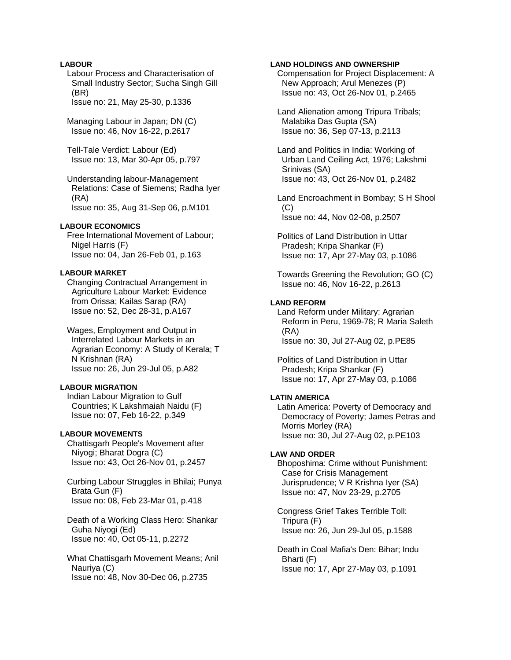### **LABOUR**

 Labour Process and Characterisation of Small Industry Sector; Sucha Singh Gill (BR) Issue no: 21, May 25-30, p.1336

 Managing Labour in Japan; DN (C) Issue no: 46, Nov 16-22, p.2617

 Tell-Tale Verdict: Labour (Ed) Issue no: 13, Mar 30-Apr 05, p.797

 Understanding labour-Management Relations: Case of Siemens; Radha Iyer (RA) Issue no: 35, Aug 31-Sep 06, p.M101

### **LABOUR ECONOMICS**

 Free International Movement of Labour; Nigel Harris (F) Issue no: 04, Jan 26-Feb 01, p.163

#### **LABOUR MARKET**

 Changing Contractual Arrangement in Agriculture Labour Market: Evidence from Orissa; Kailas Sarap (RA) Issue no: 52, Dec 28-31, p.A167

 Wages, Employment and Output in Interrelated Labour Markets in an Agrarian Economy: A Study of Kerala; T N Krishnan (RA) Issue no: 26, Jun 29-Jul 05, p.A82

#### **LABOUR MIGRATION**

 Indian Labour Migration to Gulf Countries; K Lakshmaiah Naidu (F) Issue no: 07, Feb 16-22, p.349

#### **LABOUR MOVEMENTS**

 Chattisgarh People's Movement after Niyogi; Bharat Dogra (C) Issue no: 43, Oct 26-Nov 01, p.2457

 Curbing Labour Struggles in Bhilai; Punya Brata Gun (F) Issue no: 08, Feb 23-Mar 01, p.418

 Death of a Working Class Hero: Shankar Guha Niyogi (Ed) Issue no: 40, Oct 05-11, p.2272

 What Chattisgarh Movement Means; Anil Nauriya (C) Issue no: 48, Nov 30-Dec 06, p.2735

### **LAND HOLDINGS AND OWNERSHIP**

 Compensation for Project Displacement: A New Approach; Arul Menezes (P) Issue no: 43, Oct 26-Nov 01, p.2465

 Land Alienation among Tripura Tribals; Malabika Das Gupta (SA) Issue no: 36, Sep 07-13, p.2113

 Land and Politics in India: Working of Urban Land Ceiling Act, 1976; Lakshmi Srinivas (SA) Issue no: 43, Oct 26-Nov 01, p.2482

 Land Encroachment in Bombay; S H Shool  $(C)$ Issue no: 44, Nov 02-08, p.2507

 Politics of Land Distribution in Uttar Pradesh; Kripa Shankar (F) Issue no: 17, Apr 27-May 03, p.1086

 Towards Greening the Revolution; GO (C) Issue no: 46, Nov 16-22, p.2613

### **LAND REFORM**

 Land Reform under Military: Agrarian Reform in Peru, 1969-78; R Maria Saleth (RA) Issue no: 30, Jul 27-Aug 02, p.PE85

 Politics of Land Distribution in Uttar Pradesh; Kripa Shankar (F) Issue no: 17, Apr 27-May 03, p.1086

### **LATIN AMERICA**

 Latin America: Poverty of Democracy and Democracy of Poverty; James Petras and Morris Morley (RA) Issue no: 30, Jul 27-Aug 02, p.PE103

### **LAW AND ORDER**

 Bhoposhima: Crime without Punishment: Case for Crisis Management Jurisprudence; V R Krishna Iyer (SA) Issue no: 47, Nov 23-29, p.2705

 Congress Grief Takes Terrible Toll: Tripura (F) Issue no: 26, Jun 29-Jul 05, p.1588

 Death in Coal Mafia's Den: Bihar; Indu Bharti (F) Issue no: 17, Apr 27-May 03, p.1091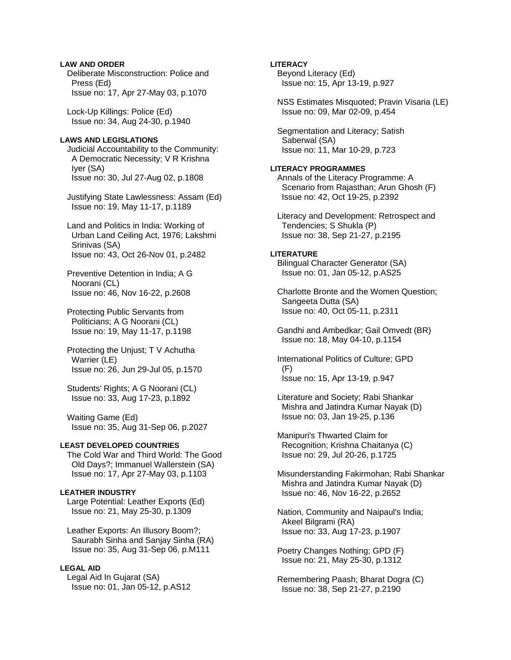# **LAW AND ORDER**

 Deliberate Misconstruction: Police and Press (Ed) Issue no: 17, Apr 27-May 03, p.1070

 Lock-Up Killings: Police (Ed) Issue no: 34, Aug 24-30, p.1940

# **LAWS AND LEGISLATIONS**

 Judicial Accountability to the Community: A Democratic Necessity; V R Krishna Iyer (SA) Issue no: 30, Jul 27-Aug 02, p.1808

 Justifying State Lawlessness: Assam (Ed) Issue no: 19, May 11-17, p.1189

 Land and Politics in India: Working of Urban Land Ceiling Act, 1976; Lakshmi Srinivas (SA) Issue no: 43, Oct 26-Nov 01, p.2482

 Preventive Detention in India; A G Noorani (CL) Issue no: 46, Nov 16-22, p.2608

 Protecting Public Servants from Politicians; A G Noorani (CL) Issue no: 19, May 11-17, p.1198

 Protecting the Unjust; T V Achutha Warrier (LE) Issue no: 26, Jun 29-Jul 05, p.1570

 Students' Rights; A G Noorani (CL) Issue no: 33, Aug 17-23, p.1892

 Waiting Game (Ed) Issue no: 35, Aug 31-Sep 06, p.2027

# **LEAST DEVELOPED COUNTRIES**

 The Cold War and Third World: The Good Old Days?; Immanuel Wallerstein (SA) Issue no: 17, Apr 27-May 03, p.1103

# **LEATHER INDUSTRY**

 Large Potential: Leather Exports (Ed) Issue no: 21, May 25-30, p.1309

 Leather Exports: An Illusory Boom?; Saurabh Sinha and Sanjay Sinha (RA) Issue no: 35, Aug 31-Sep 06, p.M111

# **LEGAL AID**

 Legal Aid In Gujarat (SA) Issue no: 01, Jan 05-12, p.AS12

# **LITERACY** Beyond Literacy (Ed) Issue no: 15, Apr 13-19, p.927 NSS Estimates Misquoted; Pravin Visaria (LE) Issue no: 09, Mar 02-09, p.454 Segmentation and Literacy; Satish Saberwal (SA) Issue no: 11, Mar 10-29, p.723

# **LITERACY PROGRAMMES**

 Annals of the Literacy Programme: A Scenario from Rajasthan; Arun Ghosh (F) Issue no: 42, Oct 19-25, p.2392

 Literacy and Development: Retrospect and Tendencies; S Shukla (P) Issue no: 38, Sep 21-27, p.2195

# **LITERATURE**

 Bilingual Character Generator (SA) Issue no: 01, Jan 05-12, p.AS25

 Charlotte Bronte and the Women Question; Sangeeta Dutta (SA) Issue no: 40, Oct 05-11, p.2311

 Gandhi and Ambedkar; Gail Omvedt (BR) Issue no: 18, May 04-10, p.1154

 International Politics of Culture; GPD (F) Issue no: 15, Apr 13-19, p.947

 Literature and Society; Rabi Shankar Mishra and Jatindra Kumar Nayak (D) Issue no: 03, Jan 19-25, p.136

 Manipuri's Thwarted Claim for Recognition; Krishna Chaitanya (C) Issue no: 29, Jul 20-26, p.1725

 Misunderstanding Fakirmohan; Rabi Shankar Mishra and Jatindra Kumar Nayak (D) Issue no: 46, Nov 16-22, p.2652

 Nation, Community and Naipaul's India; Akeel Bilgrami (RA) Issue no: 33, Aug 17-23, p.1907

 Poetry Changes Nothing; GPD (F) Issue no: 21, May 25-30, p.1312

 Remembering Paash; Bharat Dogra (C) Issue no: 38, Sep 21-27, p.2190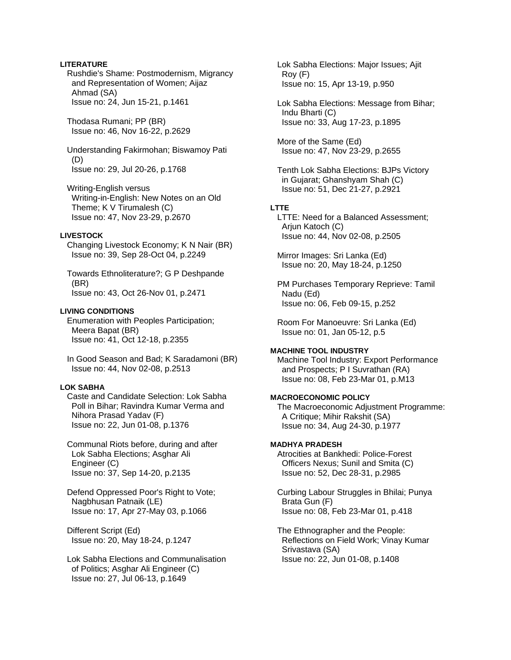### **LITERATURE**

 Rushdie's Shame: Postmodernism, Migrancy and Representation of Women; Aijaz Ahmad (SA) Issue no: 24, Jun 15-21, p.1461

 Thodasa Rumani; PP (BR) Issue no: 46, Nov 16-22, p.2629

 Understanding Fakirmohan; Biswamoy Pati (D) Issue no: 29, Jul 20-26, p.1768

 Writing-English versus Writing-in-English: New Notes on an Old Theme; K V Tirumalesh (C) Issue no: 47, Nov 23-29, p.2670

### **LIVESTOCK**

 Changing Livestock Economy; K N Nair (BR) Issue no: 39, Sep 28-Oct 04, p.2249

 Towards Ethnoliterature?; G P Deshpande (BR) Issue no: 43, Oct 26-Nov 01, p.2471

### **LIVING CONDITIONS**

 Enumeration with Peoples Participation; Meera Bapat (BR) Issue no: 41, Oct 12-18, p.2355

 In Good Season and Bad; K Saradamoni (BR) Issue no: 44, Nov 02-08, p.2513

### **LOK SABHA**

 Caste and Candidate Selection: Lok Sabha Poll in Bihar; Ravindra Kumar Verma and Nihora Prasad Yadav (F) Issue no: 22, Jun 01-08, p.1376

 Communal Riots before, during and after Lok Sabha Elections; Asghar Ali Engineer (C) Issue no: 37, Sep 14-20, p.2135

 Defend Oppressed Poor's Right to Vote; Nagbhusan Patnaik (LE) Issue no: 17, Apr 27-May 03, p.1066

 Different Script (Ed) Issue no: 20, May 18-24, p.1247

 Lok Sabha Elections and Communalisation of Politics; Asghar Ali Engineer (C) Issue no: 27, Jul 06-13, p.1649

 Lok Sabha Elections: Major Issues; Ajit Roy (F) Issue no: 15, Apr 13-19, p.950

 Lok Sabha Elections: Message from Bihar; Indu Bharti (C) Issue no: 33, Aug 17-23, p.1895

 More of the Same (Ed) Issue no: 47, Nov 23-29, p.2655

 Tenth Lok Sabha Elections: BJPs Victory in Gujarat; Ghanshyam Shah (C) Issue no: 51, Dec 21-27, p.2921

#### **LTTE**

 LTTE: Need for a Balanced Assessment; Arjun Katoch (C) Issue no: 44, Nov 02-08, p.2505

 Mirror Images: Sri Lanka (Ed) Issue no: 20, May 18-24, p.1250

 PM Purchases Temporary Reprieve: Tamil Nadu (Ed) Issue no: 06, Feb 09-15, p.252

 Room For Manoeuvre: Sri Lanka (Ed) Issue no: 01, Jan 05-12, p.5

# **MACHINE TOOL INDUSTRY**

 Machine Tool Industry: Export Performance and Prospects; P I Suvrathan (RA) Issue no: 08, Feb 23-Mar 01, p.M13

# **MACROECONOMIC POLICY**

 The Macroeconomic Adjustment Programme: A Critique; Mihir Rakshit (SA) Issue no: 34, Aug 24-30, p.1977

### **MADHYA PRADESH**

 Atrocities at Bankhedi: Police-Forest Officers Nexus; Sunil and Smita (C) Issue no: 52, Dec 28-31, p.2985

 Curbing Labour Struggles in Bhilai; Punya Brata Gun (F) Issue no: 08, Feb 23-Mar 01, p.418

 The Ethnographer and the People: Reflections on Field Work; Vinay Kumar Srivastava (SA) Issue no: 22, Jun 01-08, p.1408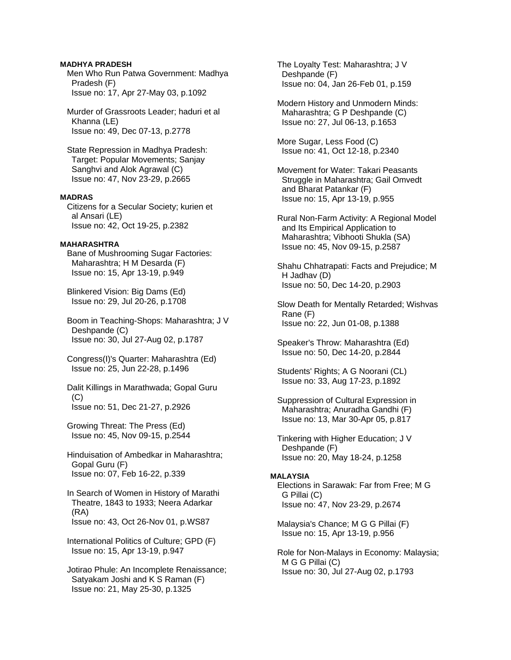### **MADHYA PRADESH**

 Men Who Run Patwa Government: Madhya Pradesh (F) Issue no: 17, Apr 27-May 03, p.1092

 Murder of Grassroots Leader; haduri et al Khanna (LE) Issue no: 49, Dec 07-13, p.2778

 State Repression in Madhya Pradesh: Target: Popular Movements; Sanjay Sanghvi and Alok Agrawal (C) Issue no: 47, Nov 23-29, p.2665

# **MADRAS**

 Citizens for a Secular Society; kurien et al Ansari (LE) Issue no: 42, Oct 19-25, p.2382

#### **MAHARASHTRA**

 Bane of Mushrooming Sugar Factories: Maharashtra; H M Desarda (F) Issue no: 15, Apr 13-19, p.949

 Blinkered Vision: Big Dams (Ed) Issue no: 29, Jul 20-26, p.1708

 Boom in Teaching-Shops: Maharashtra; J V Deshpande (C) Issue no: 30, Jul 27-Aug 02, p.1787

 Congress(I)'s Quarter: Maharashtra (Ed) Issue no: 25, Jun 22-28, p.1496

 Dalit Killings in Marathwada; Gopal Guru  $(C)$ Issue no: 51, Dec 21-27, p.2926

 Growing Threat: The Press (Ed) Issue no: 45, Nov 09-15, p.2544

 Hinduisation of Ambedkar in Maharashtra; Gopal Guru (F) Issue no: 07, Feb 16-22, p.339

 In Search of Women in History of Marathi Theatre, 1843 to 1933; Neera Adarkar (RA) Issue no: 43, Oct 26-Nov 01, p.WS87

 International Politics of Culture; GPD (F) Issue no: 15, Apr 13-19, p.947

 Jotirao Phule: An Incomplete Renaissance; Satyakam Joshi and K S Raman (F) Issue no: 21, May 25-30, p.1325

 The Loyalty Test: Maharashtra; J V Deshpande (F) Issue no: 04, Jan 26-Feb 01, p.159

 Modern History and Unmodern Minds: Maharashtra; G P Deshpande (C) Issue no: 27, Jul 06-13, p.1653

 More Sugar, Less Food (C) Issue no: 41, Oct 12-18, p.2340

 Movement for Water: Takari Peasants Struggle in Maharashtra; Gail Omvedt and Bharat Patankar (F) Issue no: 15, Apr 13-19, p.955

 Rural Non-Farm Activity: A Regional Model and Its Empirical Application to Maharashtra; Vibhooti Shukla (SA) Issue no: 45, Nov 09-15, p.2587

 Shahu Chhatrapati: Facts and Prejudice; M H Jadhav (D) Issue no: 50, Dec 14-20, p.2903

 Slow Death for Mentally Retarded; Wishvas Rane (F) Issue no: 22, Jun 01-08, p.1388

 Speaker's Throw: Maharashtra (Ed) Issue no: 50, Dec 14-20, p.2844

 Students' Rights; A G Noorani (CL) Issue no: 33, Aug 17-23, p.1892

 Suppression of Cultural Expression in Maharashtra; Anuradha Gandhi (F) Issue no: 13, Mar 30-Apr 05, p.817

 Tinkering with Higher Education; J V Deshpande (F) Issue no: 20, May 18-24, p.1258

#### **MALAYSIA**

 Elections in Sarawak: Far from Free; M G G Pillai (C) Issue no: 47, Nov 23-29, p.2674

 Malaysia's Chance; M G G Pillai (F) Issue no: 15, Apr 13-19, p.956

 Role for Non-Malays in Economy: Malaysia; M G G Pillai (C) Issue no: 30, Jul 27-Aug 02, p.1793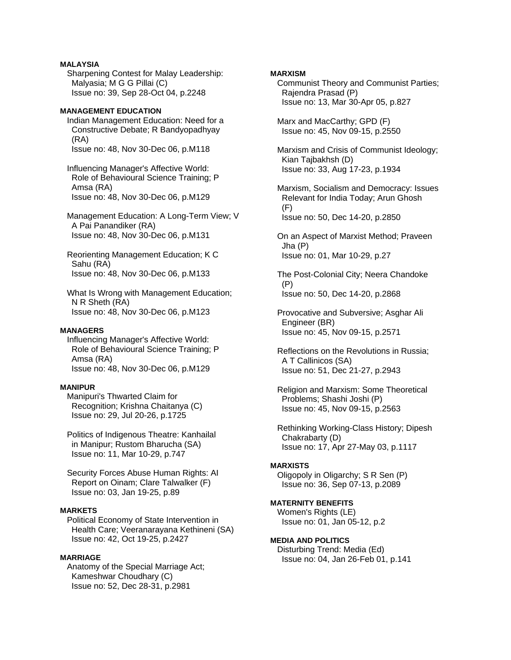# **MALAYSIA**

 Sharpening Contest for Malay Leadership: Malyasia; M G G Pillai (C) Issue no: 39, Sep 28-Oct 04, p.2248

### **MANAGEMENT EDUCATION**

 Indian Management Education: Need for a Constructive Debate; R Bandyopadhyay (RA) Issue no: 48, Nov 30-Dec 06, p.M118

 Influencing Manager's Affective World: Role of Behavioural Science Training; P Amsa (RA) Issue no: 48, Nov 30-Dec 06, p.M129

 Management Education: A Long-Term View; V A Pai Panandiker (RA) Issue no: 48, Nov 30-Dec 06, p.M131

 Reorienting Management Education; K C Sahu (RA) Issue no: 48, Nov 30-Dec 06, p.M133

 What Is Wrong with Management Education; N R Sheth (RA) Issue no: 48, Nov 30-Dec 06, p.M123

### **MANAGERS**

 Influencing Manager's Affective World: Role of Behavioural Science Training; P Amsa (RA) Issue no: 48, Nov 30-Dec 06, p.M129

### **MANIPUR**

 Manipuri's Thwarted Claim for Recognition; Krishna Chaitanya (C) Issue no: 29, Jul 20-26, p.1725

 Politics of Indigenous Theatre: Kanhailal in Manipur; Rustom Bharucha (SA) Issue no: 11, Mar 10-29, p.747

 Security Forces Abuse Human Rights: AI Report on Oinam; Clare Talwalker (F) Issue no: 03, Jan 19-25, p.89

# **MARKETS**

 Political Economy of State Intervention in Health Care; Veeranarayana Kethineni (SA) Issue no: 42, Oct 19-25, p.2427

### **MARRIAGE**

 Anatomy of the Special Marriage Act; Kameshwar Choudhary (C) Issue no: 52, Dec 28-31, p.2981

### **MARXISM**

 Communist Theory and Communist Parties; Rajendra Prasad (P) Issue no: 13, Mar 30-Apr 05, p.827

 Marx and MacCarthy; GPD (F) Issue no: 45, Nov 09-15, p.2550

 Marxism and Crisis of Communist Ideology; Kian Tajbakhsh (D) Issue no: 33, Aug 17-23, p.1934

 Marxism, Socialism and Democracy: Issues Relevant for India Today; Arun Ghosh (F) Issue no: 50, Dec 14-20, p.2850

 On an Aspect of Marxist Method; Praveen Jha (P) Issue no: 01, Mar 10-29, p.27

 The Post-Colonial City; Neera Chandoke (P) Issue no: 50, Dec 14-20, p.2868

 Provocative and Subversive; Asghar Ali Engineer (BR) Issue no: 45, Nov 09-15, p.2571

 Reflections on the Revolutions in Russia; A T Callinicos (SA) Issue no: 51, Dec 21-27, p.2943

 Religion and Marxism: Some Theoretical Problems; Shashi Joshi (P) Issue no: 45, Nov 09-15, p.2563

 Rethinking Working-Class History; Dipesh Chakrabarty (D) Issue no: 17, Apr 27-May 03, p.1117

# **MARXISTS**

 Oligopoly in Oligarchy; S R Sen (P) Issue no: 36, Sep 07-13, p.2089

# **MATERNITY BENEFITS**

 Women's Rights (LE) Issue no: 01, Jan 05-12, p.2

### **MEDIA AND POLITICS**

 Disturbing Trend: Media (Ed) Issue no: 04, Jan 26-Feb 01, p.141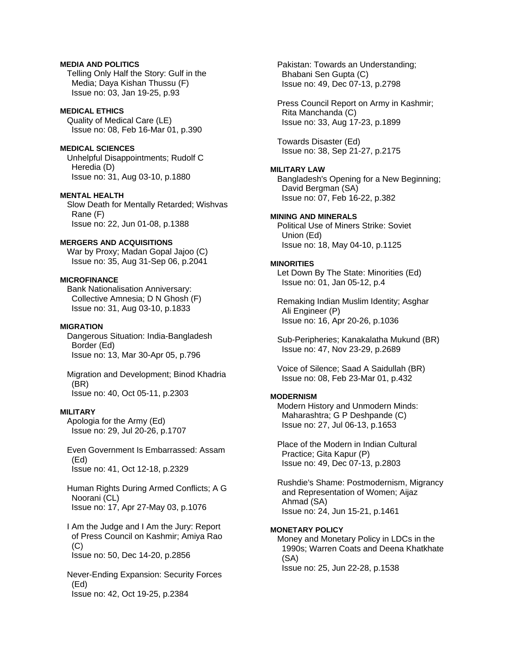## **MEDIA AND POLITICS**

 Telling Only Half the Story: Gulf in the Media; Daya Kishan Thussu (F) Issue no: 03, Jan 19-25, p.93

### **MEDICAL ETHICS**

 Quality of Medical Care (LE) Issue no: 08, Feb 16-Mar 01, p.390

# **MEDICAL SCIENCES**

 Unhelpful Disappointments; Rudolf C Heredia (D) Issue no: 31, Aug 03-10, p.1880

### **MENTAL HEALTH**

 Slow Death for Mentally Retarded; Wishvas Rane (F) Issue no: 22, Jun 01-08, p.1388

### **MERGERS AND ACQUISITIONS**

 War by Proxy; Madan Gopal Jajoo (C) Issue no: 35, Aug 31-Sep 06, p.2041

# **MICROFINANCE**

 Bank Nationalisation Anniversary: Collective Amnesia; D N Ghosh (F) Issue no: 31, Aug 03-10, p.1833

# **MIGRATION**

 Dangerous Situation: India-Bangladesh Border (Ed) Issue no: 13, Mar 30-Apr 05, p.796

#### Migration and Development; Binod Khadria (BR) Issue no: 40, Oct 05-11, p.2303

#### **MILITARY**

 Apologia for the Army (Ed) Issue no: 29, Jul 20-26, p.1707

 Even Government Is Embarrassed: Assam (Ed) Issue no: 41, Oct 12-18, p.2329

 Human Rights During Armed Conflicts; A G Noorani (CL) Issue no: 17, Apr 27-May 03, p.1076

 I Am the Judge and I Am the Jury: Report of Press Council on Kashmir; Amiya Rao  $(C)$ 

Issue no: 50, Dec 14-20, p.2856

 Never-Ending Expansion: Security Forces (Ed) Issue no: 42, Oct 19-25, p.2384

 Pakistan: Towards an Understanding; Bhabani Sen Gupta (C) Issue no: 49, Dec 07-13, p.2798

 Press Council Report on Army in Kashmir; Rita Manchanda (C) Issue no: 33, Aug 17-23, p.1899

 Towards Disaster (Ed) Issue no: 38, Sep 21-27, p.2175

# **MILITARY LAW**

 Bangladesh's Opening for a New Beginning; David Bergman (SA) Issue no: 07, Feb 16-22, p.382

### **MINING AND MINERALS**

 Political Use of Miners Strike: Soviet Union (Ed) Issue no: 18, May 04-10, p.1125

#### **MINORITIES**

 Let Down By The State: Minorities (Ed) Issue no: 01, Jan 05-12, p.4

 Remaking Indian Muslim Identity; Asghar Ali Engineer (P) Issue no: 16, Apr 20-26, p.1036

 Sub-Peripheries; Kanakalatha Mukund (BR) Issue no: 47, Nov 23-29, p.2689

 Voice of Silence; Saad A Saidullah (BR) Issue no: 08, Feb 23-Mar 01, p.432

### **MODERNISM**

 Modern History and Unmodern Minds: Maharashtra; G P Deshpande (C) Issue no: 27, Jul 06-13, p.1653

 Place of the Modern in Indian Cultural Practice; Gita Kapur (P) Issue no: 49, Dec 07-13, p.2803

 Rushdie's Shame: Postmodernism, Migrancy and Representation of Women; Aijaz Ahmad (SA) Issue no: 24, Jun 15-21, p.1461

### **MONETARY POLICY**

 Money and Monetary Policy in LDCs in the 1990s; Warren Coats and Deena Khatkhate (SA) Issue no: 25, Jun 22-28, p.1538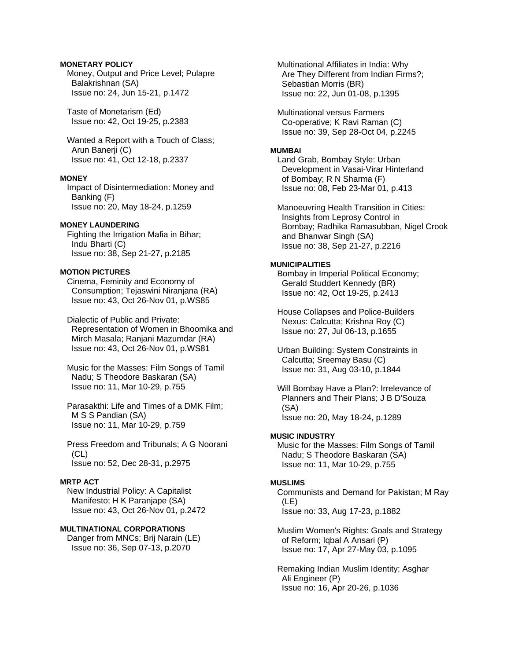### **MONETARY POLICY**

 Money, Output and Price Level; Pulapre Balakrishnan (SA) Issue no: 24, Jun 15-21, p.1472

 Taste of Monetarism (Ed) Issue no: 42, Oct 19-25, p.2383

 Wanted a Report with a Touch of Class; Arun Banerji (C) Issue no: 41, Oct 12-18, p.2337

### **MONEY**

 Impact of Disintermediation: Money and Banking (F) Issue no: 20, May 18-24, p.1259

### **MONEY LAUNDERING**

 Fighting the Irrigation Mafia in Bihar; Indu Bharti (C) Issue no: 38, Sep 21-27, p.2185

# **MOTION PICTURES**

 Cinema, Feminity and Economy of Consumption; Tejaswini Niranjana (RA) Issue no: 43, Oct 26-Nov 01, p.WS85

 Dialectic of Public and Private: Representation of Women in Bhoomika and Mirch Masala; Ranjani Mazumdar (RA) Issue no: 43, Oct 26-Nov 01, p.WS81

 Music for the Masses: Film Songs of Tamil Nadu; S Theodore Baskaran (SA) Issue no: 11, Mar 10-29, p.755

 Parasakthi: Life and Times of a DMK Film; M S S Pandian (SA) Issue no: 11, Mar 10-29, p.759

 Press Freedom and Tribunals; A G Noorani (CL) Issue no: 52, Dec 28-31, p.2975

# **MRTP ACT**

 New Industrial Policy: A Capitalist Manifesto; H K Paranjape (SA) Issue no: 43, Oct 26-Nov 01, p.2472

# **MULTINATIONAL CORPORATIONS**

 Danger from MNCs; Brij Narain (LE) Issue no: 36, Sep 07-13, p.2070

 Multinational Affiliates in India: Why Are They Different from Indian Firms?; Sebastian Morris (BR) Issue no: 22, Jun 01-08, p.1395

 Multinational versus Farmers Co-operative; K Ravi Raman (C) Issue no: 39, Sep 28-Oct 04, p.2245

# **MUMBAI**

 Land Grab, Bombay Style: Urban Development in Vasai-Virar Hinterland of Bombay; R N Sharma (F) Issue no: 08, Feb 23-Mar 01, p.413

 Manoeuvring Health Transition in Cities: Insights from Leprosy Control in Bombay; Radhika Ramasubban, Nigel Crook and Bhanwar Singh (SA) Issue no: 38, Sep 21-27, p.2216

### **MUNICIPALITIES**

 Bombay in Imperial Political Economy; Gerald Studdert Kennedy (BR) Issue no: 42, Oct 19-25, p.2413

 House Collapses and Police-Builders Nexus: Calcutta; Krishna Roy (C) Issue no: 27, Jul 06-13, p.1655

 Urban Building: System Constraints in Calcutta; Sreemay Basu (C) Issue no: 31, Aug 03-10, p.1844

 Will Bombay Have a Plan?: Irrelevance of Planners and Their Plans; J B D'Souza (SA) Issue no: 20, May 18-24, p.1289

### **MUSIC INDUSTRY**

 Music for the Masses: Film Songs of Tamil Nadu; S Theodore Baskaran (SA) Issue no: 11, Mar 10-29, p.755

### **MUSLIMS**

 Communists and Demand for Pakistan; M Ray (LE) Issue no: 33, Aug 17-23, p.1882

 Muslim Women's Rights: Goals and Strategy of Reform; Iqbal A Ansari (P) Issue no: 17, Apr 27-May 03, p.1095

 Remaking Indian Muslim Identity; Asghar Ali Engineer (P) Issue no: 16, Apr 20-26, p.1036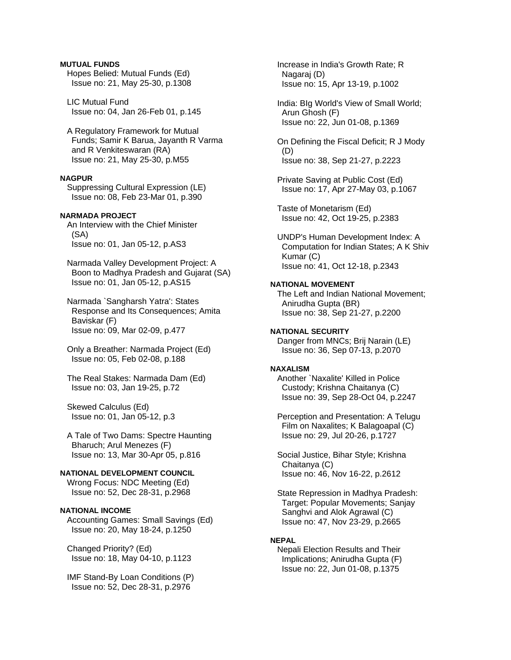### **MUTUAL FUNDS**

 Hopes Belied: Mutual Funds (Ed) Issue no: 21, May 25-30, p.1308

 LIC Mutual Fund Issue no: 04, Jan 26-Feb 01, p.145

 A Regulatory Framework for Mutual Funds; Samir K Barua, Jayanth R Varma and R Venkiteswaran (RA) Issue no: 21, May 25-30, p.M55

# **NAGPUR**

 Suppressing Cultural Expression (LE) Issue no: 08, Feb 23-Mar 01, p.390

# **NARMADA PROJECT**

 An Interview with the Chief Minister (SA) Issue no: 01, Jan 05-12, p.AS3

 Narmada Valley Development Project: A Boon to Madhya Pradesh and Gujarat (SA) Issue no: 01, Jan 05-12, p.AS15

 Narmada `Sangharsh Yatra': States Response and Its Consequences; Amita Baviskar (F) Issue no: 09, Mar 02-09, p.477

 Only a Breather: Narmada Project (Ed) Issue no: 05, Feb 02-08, p.188

 The Real Stakes: Narmada Dam (Ed) Issue no: 03, Jan 19-25, p.72

 Skewed Calculus (Ed) Issue no: 01, Jan 05-12, p.3

 A Tale of Two Dams: Spectre Haunting Bharuch; Arul Menezes (F) Issue no: 13, Mar 30-Apr 05, p.816

# **NATIONAL DEVELOPMENT COUNCIL**

 Wrong Focus: NDC Meeting (Ed) Issue no: 52, Dec 28-31, p.2968

### **NATIONAL INCOME**

 Accounting Games: Small Savings (Ed) Issue no: 20, May 18-24, p.1250

 Changed Priority? (Ed) Issue no: 18, May 04-10, p.1123

 IMF Stand-By Loan Conditions (P) Issue no: 52, Dec 28-31, p.2976

 Increase in India's Growth Rate; R Nagaraj (D) Issue no: 15, Apr 13-19, p.1002

 India: BIg World's View of Small World; Arun Ghosh (F) Issue no: 22, Jun 01-08, p.1369

 On Defining the Fiscal Deficit; R J Mody (D) Issue no: 38, Sep 21-27, p.2223

 Private Saving at Public Cost (Ed) Issue no: 17, Apr 27-May 03, p.1067

 Taste of Monetarism (Ed) Issue no: 42, Oct 19-25, p.2383

 UNDP's Human Development Index: A Computation for Indian States; A K Shiv Kumar (C) Issue no: 41, Oct 12-18, p.2343

### **NATIONAL MOVEMENT**

 The Left and Indian National Movement; Anirudha Gupta (BR) Issue no: 38, Sep 21-27, p.2200

**NATIONAL SECURITY**  Danger from MNCs; Brij Narain (LE) Issue no: 36, Sep 07-13, p.2070

#### **NAXALISM**

 Another `Naxalite' Killed in Police Custody; Krishna Chaitanya (C) Issue no: 39, Sep 28-Oct 04, p.2247

 Perception and Presentation: A Telugu Film on Naxalites; K Balagoapal (C) Issue no: 29, Jul 20-26, p.1727

 Social Justice, Bihar Style; Krishna Chaitanya (C) Issue no: 46, Nov 16-22, p.2612

 State Repression in Madhya Pradesh: Target: Popular Movements; Sanjay Sanghvi and Alok Agrawal (C) Issue no: 47, Nov 23-29, p.2665

### **NEPAL**

 Nepali Election Results and Their Implications; Anirudha Gupta (F) Issue no: 22, Jun 01-08, p.1375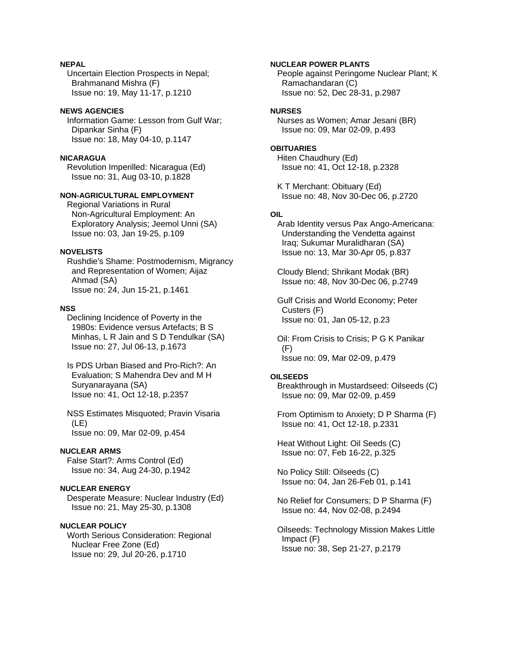### **NEPAL**

 Uncertain Election Prospects in Nepal; Brahmanand Mishra (F) Issue no: 19, May 11-17, p.1210

### **NEWS AGENCIES**

 Information Game: Lesson from Gulf War; Dipankar Sinha (F) Issue no: 18, May 04-10, p.1147

#### **NICARAGUA**

 Revolution Imperilled: Nicaragua (Ed) Issue no: 31, Aug 03-10, p.1828

# **NON-AGRICULTURAL EMPLOYMENT**

 Regional Variations in Rural Non-Agricultural Employment: An Exploratory Analysis; Jeemol Unni (SA) Issue no: 03, Jan 19-25, p.109

### **NOVELISTS**

 Rushdie's Shame: Postmodernism, Migrancy and Representation of Women; Aijaz Ahmad (SA) Issue no: 24, Jun 15-21, p.1461

#### **NSS**

 Declining Incidence of Poverty in the 1980s: Evidence versus Artefacts; B S Minhas, L R Jain and S D Tendulkar (SA) Issue no: 27, Jul 06-13, p.1673

 Is PDS Urban Biased and Pro-Rich?: An Evaluation; S Mahendra Dev and M H Suryanarayana (SA) Issue no: 41, Oct 12-18, p.2357

 NSS Estimates Misquoted; Pravin Visaria (LE) Issue no: 09, Mar 02-09, p.454

#### **NUCLEAR ARMS**

 False Start?: Arms Control (Ed) Issue no: 34, Aug 24-30, p.1942

# **NUCLEAR ENERGY**

 Desperate Measure: Nuclear Industry (Ed) Issue no: 21, May 25-30, p.1308

#### **NUCLEAR POLICY**

 Worth Serious Consideration: Regional Nuclear Free Zone (Ed) Issue no: 29, Jul 20-26, p.1710

### **NUCLEAR POWER PLANTS**

 People against Peringome Nuclear Plant; K Ramachandaran (C) Issue no: 52, Dec 28-31, p.2987

# **NURSES**

 Nurses as Women; Amar Jesani (BR) Issue no: 09, Mar 02-09, p.493

### **OBITUARIES**

 Hiten Chaudhury (Ed) Issue no: 41, Oct 12-18, p.2328

 K T Merchant: Obituary (Ed) Issue no: 48, Nov 30-Dec 06, p.2720

# **OIL**

 Arab Identity versus Pax Ango-Americana: Understanding the Vendetta against Iraq; Sukumar Muralidharan (SA) Issue no: 13, Mar 30-Apr 05, p.837

 Cloudy Blend; Shrikant Modak (BR) Issue no: 48, Nov 30-Dec 06, p.2749

 Gulf Crisis and World Economy; Peter Custers (F) Issue no: 01, Jan 05-12, p.23

 Oil: From Crisis to Crisis; P G K Panikar (F) Issue no: 09, Mar 02-09, p.479

### **OILSEEDS**

 Breakthrough in Mustardseed: Oilseeds (C) Issue no: 09, Mar 02-09, p.459

 From Optimism to Anxiety; D P Sharma (F) Issue no: 41, Oct 12-18, p.2331

 Heat Without Light: Oil Seeds (C) Issue no: 07, Feb 16-22, p.325

 No Policy Still: Oilseeds (C) Issue no: 04, Jan 26-Feb 01, p.141

 No Relief for Consumers; D P Sharma (F) Issue no: 44, Nov 02-08, p.2494

 Oilseeds: Technology Mission Makes Little Impact (F) Issue no: 38, Sep 21-27, p.2179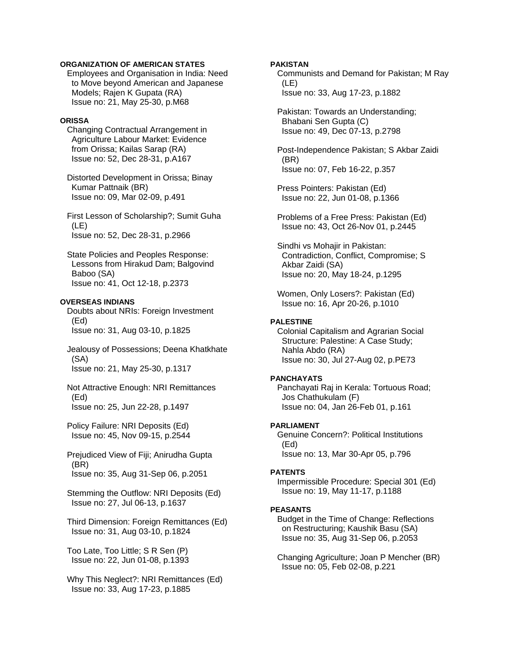### **ORGANIZATION OF AMERICAN STATES**

 Employees and Organisation in India: Need to Move beyond American and Japanese Models; Rajen K Gupata (RA) Issue no: 21, May 25-30, p.M68

#### **ORISSA**

 Changing Contractual Arrangement in Agriculture Labour Market: Evidence from Orissa; Kailas Sarap (RA) Issue no: 52, Dec 28-31, p.A167

 Distorted Development in Orissa; Binay Kumar Pattnaik (BR) Issue no: 09, Mar 02-09, p.491

 First Lesson of Scholarship?; Sumit Guha (LE) Issue no: 52, Dec 28-31, p.2966

 State Policies and Peoples Response: Lessons from Hirakud Dam; Balgovind Baboo (SA) Issue no: 41, Oct 12-18, p.2373

## **OVERSEAS INDIANS**

 Doubts about NRIs: Foreign Investment (Ed) Issue no: 31, Aug 03-10, p.1825

 Jealousy of Possessions; Deena Khatkhate (SA) Issue no: 21, May 25-30, p.1317

 Not Attractive Enough: NRI Remittances (Ed) Issue no: 25, Jun 22-28, p.1497

 Policy Failure: NRI Deposits (Ed) Issue no: 45, Nov 09-15, p.2544

 Prejudiced View of Fiji; Anirudha Gupta (BR) Issue no: 35, Aug 31-Sep 06, p.2051

 Stemming the Outflow: NRI Deposits (Ed) Issue no: 27, Jul 06-13, p.1637

 Third Dimension: Foreign Remittances (Ed) Issue no: 31, Aug 03-10, p.1824

 Too Late, Too Little; S R Sen (P) Issue no: 22, Jun 01-08, p.1393

 Why This Neglect?: NRI Remittances (Ed) Issue no: 33, Aug 17-23, p.1885

### **PAKISTAN**

 Communists and Demand for Pakistan; M Ray (LE) Issue no: 33, Aug 17-23, p.1882

 Pakistan: Towards an Understanding; Bhabani Sen Gupta (C) Issue no: 49, Dec 07-13, p.2798

 Post-Independence Pakistan; S Akbar Zaidi (BR) Issue no: 07, Feb 16-22, p.357

 Press Pointers: Pakistan (Ed) Issue no: 22, Jun 01-08, p.1366

 Problems of a Free Press: Pakistan (Ed) Issue no: 43, Oct 26-Nov 01, p.2445

 Sindhi vs Mohajir in Pakistan: Contradiction, Conflict, Compromise; S Akbar Zaidi (SA) Issue no: 20, May 18-24, p.1295

 Women, Only Losers?: Pakistan (Ed) Issue no: 16, Apr 20-26, p.1010

# **PALESTINE**

 Colonial Capitalism and Agrarian Social Structure: Palestine: A Case Study; Nahla Abdo (RA) Issue no: 30, Jul 27-Aug 02, p.PE73

#### **PANCHAYATS**

 Panchayati Raj in Kerala: Tortuous Road; Jos Chathukulam (F) Issue no: 04, Jan 26-Feb 01, p.161

#### **PARLIAMENT**

 Genuine Concern?: Political Institutions (Ed) Issue no: 13, Mar 30-Apr 05, p.796

#### **PATENTS**

 Impermissible Procedure: Special 301 (Ed) Issue no: 19, May 11-17, p.1188

#### **PEASANTS**

 Budget in the Time of Change: Reflections on Restructuring; Kaushik Basu (SA) Issue no: 35, Aug 31-Sep 06, p.2053

 Changing Agriculture; Joan P Mencher (BR) Issue no: 05, Feb 02-08, p.221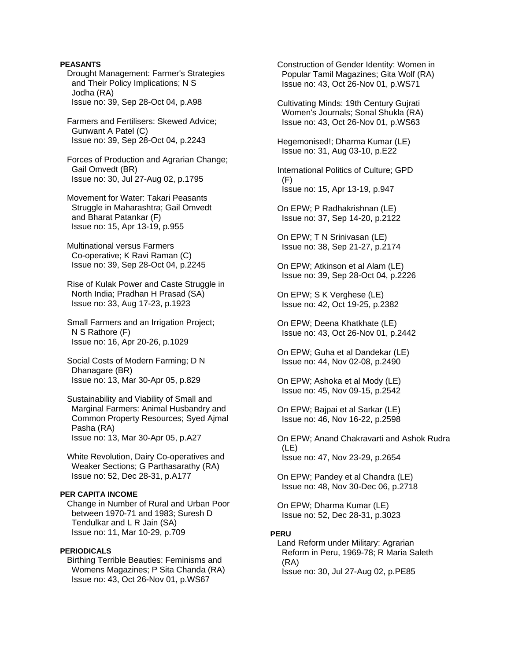### **PEASANTS**

 Drought Management: Farmer's Strategies and Their Policy Implications; N S Jodha (RA) Issue no: 39, Sep 28-Oct 04, p.A98

 Farmers and Fertilisers: Skewed Advice; Gunwant A Patel (C) Issue no: 39, Sep 28-Oct 04, p.2243

 Forces of Production and Agrarian Change; Gail Omvedt (BR) Issue no: 30, Jul 27-Aug 02, p.1795

 Movement for Water: Takari Peasants Struggle in Maharashtra: Gail Omvedt and Bharat Patankar (F) Issue no: 15, Apr 13-19, p.955

 Multinational versus Farmers Co-operative; K Ravi Raman (C) Issue no: 39, Sep 28-Oct 04, p.2245

 Rise of Kulak Power and Caste Struggle in North India; Pradhan H Prasad (SA) Issue no: 33, Aug 17-23, p.1923

 Small Farmers and an Irrigation Project; N S Rathore (F) Issue no: 16, Apr 20-26, p.1029

 Social Costs of Modern Farming; D N Dhanagare (BR) Issue no: 13, Mar 30-Apr 05, p.829

 Sustainability and Viability of Small and Marginal Farmers: Animal Husbandry and Common Property Resources; Syed Ajmal Pasha (RA) Issue no: 13, Mar 30-Apr 05, p.A27

 White Revolution, Dairy Co-operatives and Weaker Sections; G Parthasarathy (RA) Issue no: 52, Dec 28-31, p.A177

### **PER CAPITA INCOME**

 Change in Number of Rural and Urban Poor between 1970-71 and 1983; Suresh D Tendulkar and L R Jain (SA) Issue no: 11, Mar 10-29, p.709

### **PERIODICALS**

 Birthing Terrible Beauties: Feminisms and Womens Magazines; P Sita Chanda (RA) Issue no: 43, Oct 26-Nov 01, p.WS67

 Construction of Gender Identity: Women in Popular Tamil Magazines; Gita Wolf (RA) Issue no: 43, Oct 26-Nov 01, p.WS71

 Cultivating Minds: 19th Century Gujrati Women's Journals; Sonal Shukla (RA) Issue no: 43, Oct 26-Nov 01, p.WS63

 Hegemonised!; Dharma Kumar (LE) Issue no: 31, Aug 03-10, p.E22

 International Politics of Culture; GPD (F) Issue no: 15, Apr 13-19, p.947

 On EPW; P Radhakrishnan (LE) Issue no: 37, Sep 14-20, p.2122

 On EPW; T N Srinivasan (LE) Issue no: 38, Sep 21-27, p.2174

 On EPW; Atkinson et al Alam (LE) Issue no: 39, Sep 28-Oct 04, p.2226

 On EPW; S K Verghese (LE) Issue no: 42, Oct 19-25, p.2382

 On EPW; Deena Khatkhate (LE) Issue no: 43, Oct 26-Nov 01, p.2442

 On EPW; Guha et al Dandekar (LE) Issue no: 44, Nov 02-08, p.2490

 On EPW; Ashoka et al Mody (LE) Issue no: 45, Nov 09-15, p.2542

 On EPW; Bajpai et al Sarkar (LE) Issue no: 46, Nov 16-22, p.2598

 On EPW; Anand Chakravarti and Ashok Rudra (LE) Issue no: 47, Nov 23-29, p.2654

 On EPW; Pandey et al Chandra (LE) Issue no: 48, Nov 30-Dec 06, p.2718

 On EPW; Dharma Kumar (LE) Issue no: 52, Dec 28-31, p.3023

### **PERU**

 Land Reform under Military: Agrarian Reform in Peru, 1969-78; R Maria Saleth (RA) Issue no: 30, Jul 27-Aug 02, p.PE85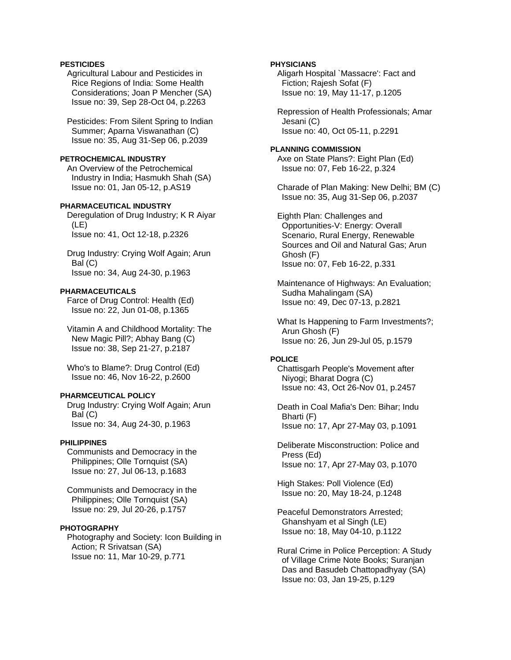## **PESTICIDES**

 Agricultural Labour and Pesticides in Rice Regions of India: Some Health Considerations; Joan P Mencher (SA) Issue no: 39, Sep 28-Oct 04, p.2263

 Pesticides: From Silent Spring to Indian Summer; Aparna Viswanathan (C) Issue no: 35, Aug 31-Sep 06, p.2039

### **PETROCHEMICAL INDUSTRY**

 An Overview of the Petrochemical Industry in India; Hasmukh Shah (SA) Issue no: 01, Jan 05-12, p.AS19

## **PHARMACEUTICAL INDUSTRY**

 Deregulation of Drug Industry; K R Aiyar (LE) Issue no: 41, Oct 12-18, p.2326

 Drug Industry: Crying Wolf Again; Arun Bal (C) Issue no: 34, Aug 24-30, p.1963

### **PHARMACEUTICALS**

 Farce of Drug Control: Health (Ed) Issue no: 22, Jun 01-08, p.1365

 Vitamin A and Childhood Mortality: The New Magic Pill?; Abhay Bang (C) Issue no: 38, Sep 21-27, p.2187

 Who's to Blame?: Drug Control (Ed) Issue no: 46, Nov 16-22, p.2600

## **PHARMCEUTICAL POLICY**

 Drug Industry: Crying Wolf Again; Arun Bal (C) Issue no: 34, Aug 24-30, p.1963

#### **PHILIPPINES**

 Communists and Democracy in the Philippines; Olle Tornquist (SA) Issue no: 27, Jul 06-13, p.1683

 Communists and Democracy in the Philippines; Olle Tornquist (SA) Issue no: 29, Jul 20-26, p.1757

#### **PHOTOGRAPHY**

 Photography and Society: Icon Building in Action; R Srivatsan (SA) Issue no: 11, Mar 10-29, p.771

#### **PHYSICIANS**

 Aligarh Hospital `Massacre': Fact and Fiction; Rajesh Sofat (F) Issue no: 19, May 11-17, p.1205

 Repression of Health Professionals; Amar Jesani (C) Issue no: 40, Oct 05-11, p.2291

#### **PLANNING COMMISSION**  Axe on State Plans?: Eight Plan (Ed) Issue no: 07, Feb 16-22, p.324

 Charade of Plan Making: New Delhi; BM (C) Issue no: 35, Aug 31-Sep 06, p.2037

 Eighth Plan: Challenges and Opportunities-V: Energy: Overall Scenario, Rural Energy, Renewable Sources and Oil and Natural Gas; Arun Ghosh (F) Issue no: 07, Feb 16-22, p.331

 Maintenance of Highways: An Evaluation; Sudha Mahalingam (SA) Issue no: 49, Dec 07-13, p.2821

 What Is Happening to Farm Investments?; Arun Ghosh (F) Issue no: 26, Jun 29-Jul 05, p.1579

## **POLICE**

 Chattisgarh People's Movement after Niyogi; Bharat Dogra (C) Issue no: 43, Oct 26-Nov 01, p.2457

 Death in Coal Mafia's Den: Bihar; Indu Bharti (F) Issue no: 17, Apr 27-May 03, p.1091

 Deliberate Misconstruction: Police and Press (Ed) Issue no: 17, Apr 27-May 03, p.1070

 High Stakes: Poll Violence (Ed) Issue no: 20, May 18-24, p.1248

 Peaceful Demonstrators Arrested; Ghanshyam et al Singh (LE) Issue no: 18, May 04-10, p.1122

 Rural Crime in Police Perception: A Study of Village Crime Note Books; Suranjan Das and Basudeb Chattopadhyay (SA) Issue no: 03, Jan 19-25, p.129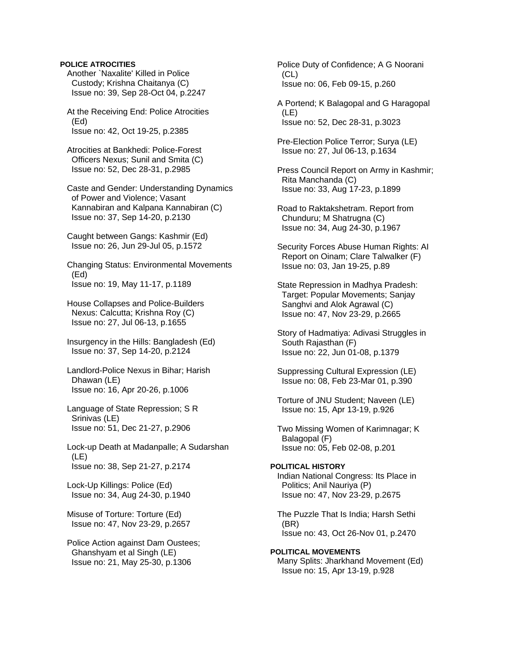#### **POLICE ATROCITIES**

 Another `Naxalite' Killed in Police Custody; Krishna Chaitanya (C) Issue no: 39, Sep 28-Oct 04, p.2247

 At the Receiving End: Police Atrocities (Ed) Issue no: 42, Oct 19-25, p.2385

 Atrocities at Bankhedi: Police-Forest Officers Nexus; Sunil and Smita (C) Issue no: 52, Dec 28-31, p.2985

 Caste and Gender: Understanding Dynamics of Power and Violence; Vasant Kannabiran and Kalpana Kannabiran (C) Issue no: 37, Sep 14-20, p.2130

 Caught between Gangs: Kashmir (Ed) Issue no: 26, Jun 29-Jul 05, p.1572

 Changing Status: Environmental Movements (Ed) Issue no: 19, May 11-17, p.1189

 House Collapses and Police-Builders Nexus: Calcutta; Krishna Roy (C) Issue no: 27, Jul 06-13, p.1655

 Insurgency in the Hills: Bangladesh (Ed) Issue no: 37, Sep 14-20, p.2124

 Landlord-Police Nexus in Bihar; Harish Dhawan (LE) Issue no: 16, Apr 20-26, p.1006

 Language of State Repression; S R Srinivas (LE) Issue no: 51, Dec 21-27, p.2906

 Lock-up Death at Madanpalle; A Sudarshan (LE) Issue no: 38, Sep 21-27, p.2174

 Lock-Up Killings: Police (Ed) Issue no: 34, Aug 24-30, p.1940

 Misuse of Torture: Torture (Ed) Issue no: 47, Nov 23-29, p.2657

 Police Action against Dam Oustees; Ghanshyam et al Singh (LE) Issue no: 21, May 25-30, p.1306

 Police Duty of Confidence; A G Noorani (CL) Issue no: 06, Feb 09-15, p.260

 A Portend; K Balagopal and G Haragopal (LE) Issue no: 52, Dec 28-31, p.3023

 Pre-Election Police Terror; Surya (LE) Issue no: 27, Jul 06-13, p.1634

 Press Council Report on Army in Kashmir; Rita Manchanda (C) Issue no: 33, Aug 17-23, p.1899

 Road to Raktakshetram. Report from Chunduru; M Shatrugna (C) Issue no: 34, Aug 24-30, p.1967

 Security Forces Abuse Human Rights: AI Report on Oinam; Clare Talwalker (F) Issue no: 03, Jan 19-25, p.89

 State Repression in Madhya Pradesh: Target: Popular Movements: Sanjay Sanghvi and Alok Agrawal (C) Issue no: 47, Nov 23-29, p.2665

 Story of Hadmatiya: Adivasi Struggles in South Rajasthan (F) Issue no: 22, Jun 01-08, p.1379

 Suppressing Cultural Expression (LE) Issue no: 08, Feb 23-Mar 01, p.390

 Torture of JNU Student; Naveen (LE) Issue no: 15, Apr 13-19, p.926

 Two Missing Women of Karimnagar; K Balagopal (F) Issue no: 05, Feb 02-08, p.201

**POLITICAL HISTORY**  Indian National Congress: Its Place in Politics; Anil Nauriya (P) Issue no: 47, Nov 23-29, p.2675

 The Puzzle That Is India; Harsh Sethi (BR) Issue no: 43, Oct 26-Nov 01, p.2470

**POLITICAL MOVEMENTS**  Many Splits: Jharkhand Movement (Ed) Issue no: 15, Apr 13-19, p.928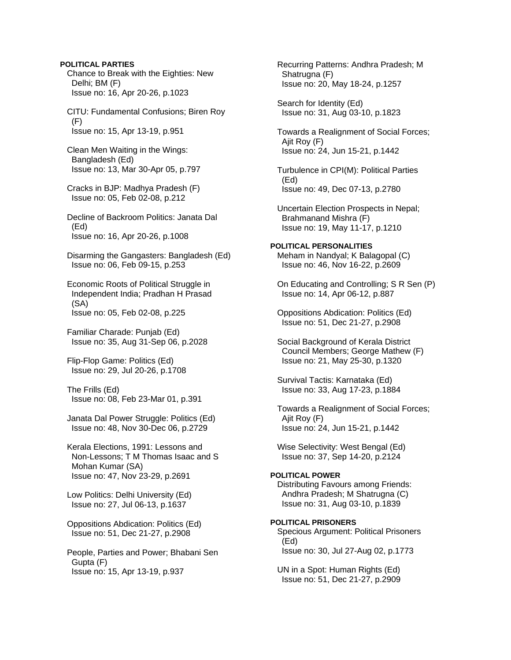#### **POLITICAL PARTIES**

 Chance to Break with the Eighties: New Delhi; BM (F) Issue no: 16, Apr 20-26, p.1023

 CITU: Fundamental Confusions; Biren Roy (F) Issue no: 15, Apr 13-19, p.951

 Clean Men Waiting in the Wings: Bangladesh (Ed) Issue no: 13, Mar 30-Apr 05, p.797

 Cracks in BJP: Madhya Pradesh (F) Issue no: 05, Feb 02-08, p.212

 Decline of Backroom Politics: Janata Dal (Ed) Issue no: 16, Apr 20-26, p.1008

 Disarming the Gangasters: Bangladesh (Ed) Issue no: 06, Feb 09-15, p.253

 Economic Roots of Political Struggle in Independent India; Pradhan H Prasad (SA) Issue no: 05, Feb 02-08, p.225

 Familiar Charade: Punjab (Ed) Issue no: 35, Aug 31-Sep 06, p.2028

 Flip-Flop Game: Politics (Ed) Issue no: 29, Jul 20-26, p.1708

 The Frills (Ed) Issue no: 08, Feb 23-Mar 01, p.391

 Janata Dal Power Struggle: Politics (Ed) Issue no: 48, Nov 30-Dec 06, p.2729

 Kerala Elections, 1991: Lessons and Non-Lessons; T M Thomas Isaac and S Mohan Kumar (SA) Issue no: 47, Nov 23-29, p.2691

 Low Politics: Delhi University (Ed) Issue no: 27, Jul 06-13, p.1637

 Oppositions Abdication: Politics (Ed) Issue no: 51, Dec 21-27, p.2908

 People, Parties and Power; Bhabani Sen Gupta (F) Issue no: 15, Apr 13-19, p.937

 Recurring Patterns: Andhra Pradesh; M Shatrugna (F) Issue no: 20, May 18-24, p.1257

 Search for Identity (Ed) Issue no: 31, Aug 03-10, p.1823

 Towards a Realignment of Social Forces; Ajit Roy (F) Issue no: 24, Jun 15-21, p.1442

 Turbulence in CPI(M): Political Parties (Ed) Issue no: 49, Dec 07-13, p.2780

 Uncertain Election Prospects in Nepal; Brahmanand Mishra (F) Issue no: 19, May 11-17, p.1210

**POLITICAL PERSONALITIES**  Meham in Nandyal; K Balagopal (C) Issue no: 46, Nov 16-22, p.2609

 On Educating and Controlling; S R Sen (P) Issue no: 14, Apr 06-12, p.887

 Oppositions Abdication: Politics (Ed) Issue no: 51, Dec 21-27, p.2908

 Social Background of Kerala District Council Members; George Mathew (F) Issue no: 21, May 25-30, p.1320

 Survival Tactis: Karnataka (Ed) Issue no: 33, Aug 17-23, p.1884

 Towards a Realignment of Social Forces; Ajit Roy (F) Issue no: 24, Jun 15-21, p.1442

 Wise Selectivity: West Bengal (Ed) Issue no: 37, Sep 14-20, p.2124

#### **POLITICAL POWER**

 Distributing Favours among Friends: Andhra Pradesh; M Shatrugna (C) Issue no: 31, Aug 03-10, p.1839

## **POLITICAL PRISONERS**

 Specious Argument: Political Prisoners (Ed) Issue no: 30, Jul 27-Aug 02, p.1773

 UN in a Spot: Human Rights (Ed) Issue no: 51, Dec 21-27, p.2909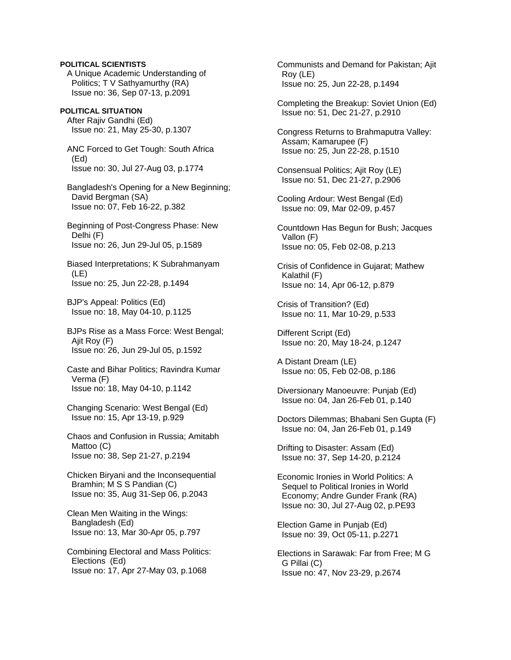A Unique Academic Understanding of Politics; T V Sathyamurthy (RA) Issue no: 36, Sep 07-13, p.2091 **POLITICAL SITUATION** After Rajiv Gandhi (Ed) Issue no: 21, May 25-30, p.1307 ANC Forced to Get Tough: South Africa (Ed) Issue no: 30, Jul 27-Aug 03, p.1774 Bangladesh's Opening for a New Beginning; David Bergman (SA) Issue no: 07, Feb 16-22, p.382 Beginning of Post-Congress Phase: New Delhi (F) Issue no: 26, Jun 29-Jul 05, p.1589 Biased Interpretations; K Subrahmanyam (LE) Issue no: 25, Jun 22-28, p.1494 BJP's Appeal: Politics (Ed) Issue no: 18, May 04-10, p.1125 BJPs Rise as a Mass Force: West Bengal; Ajit Roy (F) Issue no: 26, Jun 29-Jul 05, p.1592 Caste and Bihar Politics; Ravindra Kumar Verma (F)

**POLITICAL SCIENTISTS** 

Issue no: 18, May 04-10, p.1142

 Changing Scenario: West Bengal (Ed) Issue no: 15, Apr 13-19, p.929

 Chaos and Confusion in Russia; Amitabh Mattoo (C) Issue no: 38, Sep 21-27, p.2194

 Chicken Biryani and the Inconsequential Bramhin; M S S Pandian (C) Issue no: 35, Aug 31-Sep 06, p.2043

 Clean Men Waiting in the Wings: Bangladesh (Ed) Issue no: 13, Mar 30-Apr 05, p.797

 Combining Electoral and Mass Politics: Elections (Ed) Issue no: 17, Apr 27-May 03, p.1068

 Communists and Demand for Pakistan; Ajit Roy (LE) Issue no: 25, Jun 22-28, p.1494

 Completing the Breakup: Soviet Union (Ed) Issue no: 51, Dec 21-27, p.2910

 Congress Returns to Brahmaputra Valley: Assam; Kamarupee (F) Issue no: 25, Jun 22-28, p.1510

 Consensual Politics; Ajit Roy (LE) Issue no: 51, Dec 21-27, p.2906

 Cooling Ardour: West Bengal (Ed) Issue no: 09, Mar 02-09, p.457

 Countdown Has Begun for Bush; Jacques Vallon (F) Issue no: 05, Feb 02-08, p.213

 Crisis of Confidence in Gujarat; Mathew Kalathil (F) Issue no: 14, Apr 06-12, p.879

 Crisis of Transition? (Ed) Issue no: 11, Mar 10-29, p.533

 Different Script (Ed) Issue no: 20, May 18-24, p.1247

 A Distant Dream (LE) Issue no: 05, Feb 02-08, p.186

 Diversionary Manoeuvre: Punjab (Ed) Issue no: 04, Jan 26-Feb 01, p.140

 Doctors Dilemmas; Bhabani Sen Gupta (F) Issue no: 04, Jan 26-Feb 01, p.149

 Drifting to Disaster: Assam (Ed) Issue no: 37, Sep 14-20, p.2124

 Economic Ironies in World Politics: A Sequel to Political Ironies in World Economy; Andre Gunder Frank (RA) Issue no: 30, Jul 27-Aug 02, p.PE93

 Election Game in Punjab (Ed) Issue no: 39, Oct 05-11, p.2271

 Elections in Sarawak: Far from Free; M G G Pillai (C) Issue no: 47, Nov 23-29, p.2674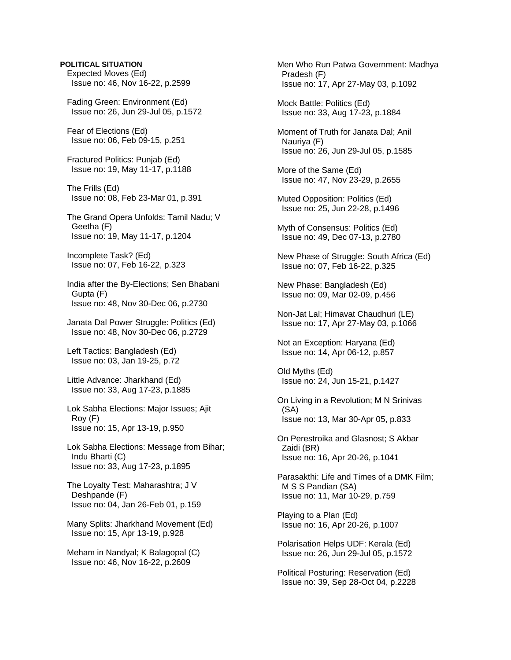## **POLITICAL SITUATION**

 Expected Moves (Ed) Issue no: 46, Nov 16-22, p.2599

 Fading Green: Environment (Ed) Issue no: 26, Jun 29-Jul 05, p.1572

 Fear of Elections (Ed) Issue no: 06, Feb 09-15, p.251

 Fractured Politics: Punjab (Ed) Issue no: 19, May 11-17, p.1188

 The Frills (Ed) Issue no: 08, Feb 23-Mar 01, p.391

 The Grand Opera Unfolds: Tamil Nadu; V Geetha (F) Issue no: 19, May 11-17, p.1204

 Incomplete Task? (Ed) Issue no: 07, Feb 16-22, p.323

 India after the By-Elections; Sen Bhabani Gupta (F) Issue no: 48, Nov 30-Dec 06, p.2730

 Janata Dal Power Struggle: Politics (Ed) Issue no: 48, Nov 30-Dec 06, p.2729

 Left Tactics: Bangladesh (Ed) Issue no: 03, Jan 19-25, p.72

 Little Advance: Jharkhand (Ed) Issue no: 33, Aug 17-23, p.1885

 Lok Sabha Elections: Major Issues; Ajit Roy (F) Issue no: 15, Apr 13-19, p.950

 Lok Sabha Elections: Message from Bihar; Indu Bharti (C) Issue no: 33, Aug 17-23, p.1895

 The Loyalty Test: Maharashtra; J V Deshpande (F) Issue no: 04, Jan 26-Feb 01, p.159

 Many Splits: Jharkhand Movement (Ed) Issue no: 15, Apr 13-19, p.928

 Meham in Nandyal; K Balagopal (C) Issue no: 46, Nov 16-22, p.2609

 Men Who Run Patwa Government: Madhya Pradesh (F) Issue no: 17, Apr 27-May 03, p.1092

 Mock Battle: Politics (Ed) Issue no: 33, Aug 17-23, p.1884

 Moment of Truth for Janata Dal; Anil Nauriya (F) Issue no: 26, Jun 29-Jul 05, p.1585

 More of the Same (Ed) Issue no: 47, Nov 23-29, p.2655

 Muted Opposition: Politics (Ed) Issue no: 25, Jun 22-28, p.1496

 Myth of Consensus: Politics (Ed) Issue no: 49, Dec 07-13, p.2780

 New Phase of Struggle: South Africa (Ed) Issue no: 07, Feb 16-22, p.325

 New Phase: Bangladesh (Ed) Issue no: 09, Mar 02-09, p.456

 Non-Jat Lal; Himavat Chaudhuri (LE) Issue no: 17, Apr 27-May 03, p.1066

 Not an Exception: Haryana (Ed) Issue no: 14, Apr 06-12, p.857

 Old Myths (Ed) Issue no: 24, Jun 15-21, p.1427

 On Living in a Revolution; M N Srinivas (SA) Issue no: 13, Mar 30-Apr 05, p.833

 On Perestroika and Glasnost; S Akbar Zaidi (BR) Issue no: 16, Apr 20-26, p.1041

 Parasakthi: Life and Times of a DMK Film; M S S Pandian (SA) Issue no: 11, Mar 10-29, p.759

 Playing to a Plan (Ed) Issue no: 16, Apr 20-26, p.1007

 Polarisation Helps UDF: Kerala (Ed) Issue no: 26, Jun 29-Jul 05, p.1572

 Political Posturing: Reservation (Ed) Issue no: 39, Sep 28-Oct 04, p.2228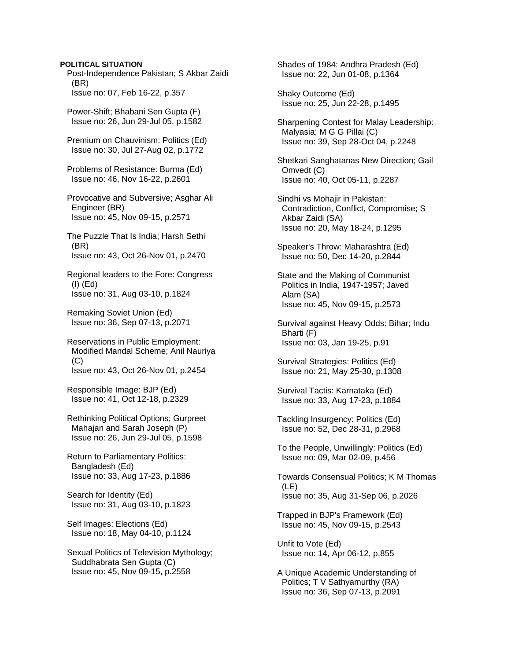### **POLITICAL SITUATION**

 Post-Independence Pakistan; S Akbar Zaidi (BR) Issue no: 07, Feb 16-22, p.357

 Power-Shift; Bhabani Sen Gupta (F) Issue no: 26, Jun 29-Jul 05, p.1582

 Premium on Chauvinism: Politics (Ed) Issue no: 30, Jul 27-Aug 02, p.1772

 Problems of Resistance: Burma (Ed) Issue no: 46, Nov 16-22, p.2601

 Provocative and Subversive; Asghar Ali Engineer (BR) Issue no: 45, Nov 09-15, p.2571

 The Puzzle That Is India; Harsh Sethi (BR) Issue no: 43, Oct 26-Nov 01, p.2470

 Regional leaders to the Fore: Congress (I) (Ed) Issue no: 31, Aug 03-10, p.1824

 Remaking Soviet Union (Ed) Issue no: 36, Sep 07-13, p.2071

 Reservations in Public Employment: Modified Mandal Scheme; Anil Nauriya (C) Issue no: 43, Oct 26-Nov 01, p.2454

 Responsible Image: BJP (Ed) Issue no: 41, Oct 12-18, p.2329

 Rethinking Political Options; Gurpreet Mahajan and Sarah Joseph (P) Issue no: 26, Jun 29-Jul 05, p.1598

 Return to Parliamentary Politics: Bangladesh (Ed) Issue no: 33, Aug 17-23, p.1886

 Search for Identity (Ed) Issue no: 31, Aug 03-10, p.1823

 Self Images: Elections (Ed) Issue no: 18, May 04-10, p.1124

 Sexual Politics of Television Mythology; Suddhabrata Sen Gupta (C) Issue no: 45, Nov 09-15, p.2558

 Shades of 1984: Andhra Pradesh (Ed) Issue no: 22, Jun 01-08, p.1364

 Shaky Outcome (Ed) Issue no: 25, Jun 22-28, p.1495

 Sharpening Contest for Malay Leadership: Malyasia; M G G Pillai (C) Issue no: 39, Sep 28-Oct 04, p.2248

 Shetkari Sanghatanas New Direction; Gail Omvedt (C) Issue no: 40, Oct 05-11, p.2287

 Sindhi vs Mohajir in Pakistan: Contradiction, Conflict, Compromise; S Akbar Zaidi (SA) Issue no: 20, May 18-24, p.1295

 Speaker's Throw: Maharashtra (Ed) Issue no: 50, Dec 14-20, p.2844

 State and the Making of Communist Politics in India, 1947-1957; Javed Alam (SA) Issue no: 45, Nov 09-15, p.2573

 Survival against Heavy Odds: Bihar; Indu Bharti (F) Issue no: 03, Jan 19-25, p.91

 Survival Strategies: Politics (Ed) Issue no: 21, May 25-30, p.1308

 Survival Tactis: Karnataka (Ed) Issue no: 33, Aug 17-23, p.1884

 Tackling Insurgency: Politics (Ed) Issue no: 52, Dec 28-31, p.2968

 To the People, Unwillingly: Politics (Ed) Issue no: 09, Mar 02-09, p.456

 Towards Consensual Politics; K M Thomas (LE) Issue no: 35, Aug 31-Sep 06, p.2026

 Trapped in BJP's Framework (Ed) Issue no: 45, Nov 09-15, p.2543

 Unfit to Vote (Ed) Issue no: 14, Apr 06-12, p.855

 A Unique Academic Understanding of Politics; T V Sathyamurthy (RA) Issue no: 36, Sep 07-13, p.2091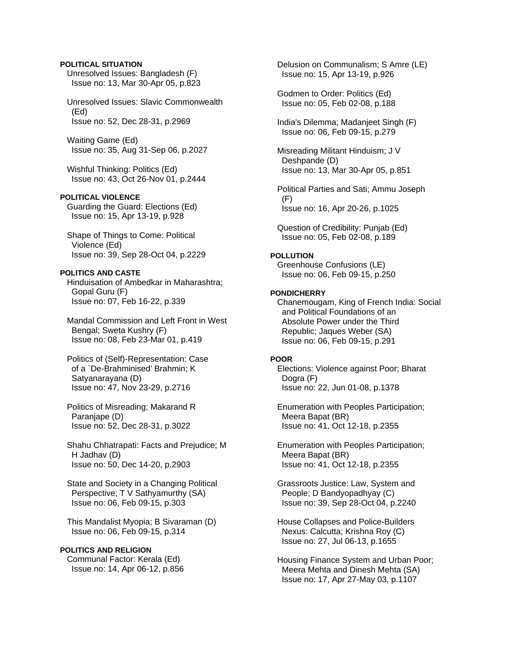### **POLITICAL SITUATION**

 Unresolved Issues: Bangladesh (F) Issue no: 13, Mar 30-Apr 05, p.823

 Unresolved Issues: Slavic Commonwealth (Ed) Issue no: 52, Dec 28-31, p.2969

 Waiting Game (Ed) Issue no: 35, Aug 31-Sep 06, p.2027

 Wishful Thinking: Politics (Ed) Issue no: 43, Oct 26-Nov 01, p.2444

## **POLITICAL VIOLENCE**

 Guarding the Guard: Elections (Ed) Issue no: 15, Apr 13-19, p.928

 Shape of Things to Come: Political Violence (Ed) Issue no: 39, Sep 28-Oct 04, p.2229

#### **POLITICS AND CASTE**

 Hinduisation of Ambedkar in Maharashtra; Gopal Guru (F) Issue no: 07, Feb 16-22, p.339

 Mandal Commission and Left Front in West Bengal; Sweta Kushry (F) Issue no: 08, Feb 23-Mar 01, p.419

 Politics of (Self)-Representation: Case of a `De-Brahminised' Brahmin; K Satyanarayana (D) Issue no: 47, Nov 23-29, p.2716

 Politics of Misreading; Makarand R Paranjape (D) Issue no: 52, Dec 28-31, p.3022

 Shahu Chhatrapati: Facts and Prejudice; M H Jadhav (D) Issue no: 50, Dec 14-20, p.2903

 State and Society in a Changing Political Perspective; T V Sathyamurthy (SA) Issue no: 06, Feb 09-15, p.303

 This Mandalist Myopia; B Sivaraman (D) Issue no: 06, Feb 09-15, p.314

### **POLITICS AND RELIGION**

 Communal Factor: Kerala (Ed) Issue no: 14, Apr 06-12, p.856  Delusion on Communalism; S Amre (LE) Issue no: 15, Apr 13-19, p.926

 Godmen to Order: Politics (Ed) Issue no: 05, Feb 02-08, p.188

 India's Dilemma; Madanjeet Singh (F) Issue no: 06, Feb 09-15, p.279

 Misreading Militant Hinduism; J V Deshpande (D) Issue no: 13, Mar 30-Apr 05, p.851

 Political Parties and Sati; Ammu Joseph (F) Issue no: 16, Apr 20-26, p.1025

 Question of Credibility: Punjab (Ed) Issue no: 05, Feb 02-08, p.189

### **POLLUTION**

 Greenhouse Confusions (LE) Issue no: 06, Feb 09-15, p.250

#### **PONDICHERRY**

 Chanemougam, King of French India: Social and Political Foundations of an Absolute Power under the Third Republic; Jaques Weber (SA) Issue no: 06, Feb 09-15, p.291

## **POOR**

 Elections: Violence against Poor; Bharat Dogra (F) Issue no: 22, Jun 01-08, p.1378

 Enumeration with Peoples Participation; Meera Bapat (BR) Issue no: 41, Oct 12-18, p.2355

 Enumeration with Peoples Participation; Meera Bapat (BR) Issue no: 41, Oct 12-18, p.2355

 Grassroots Justice: Law, System and People; D Bandyopadhyay (C) Issue no: 39, Sep 28-Oct 04, p.2240

 House Collapses and Police-Builders Nexus: Calcutta; Krishna Roy (C) Issue no: 27, Jul 06-13, p.1655

 Housing Finance System and Urban Poor; Meera Mehta and Dinesh Mehta (SA) Issue no: 17, Apr 27-May 03, p.1107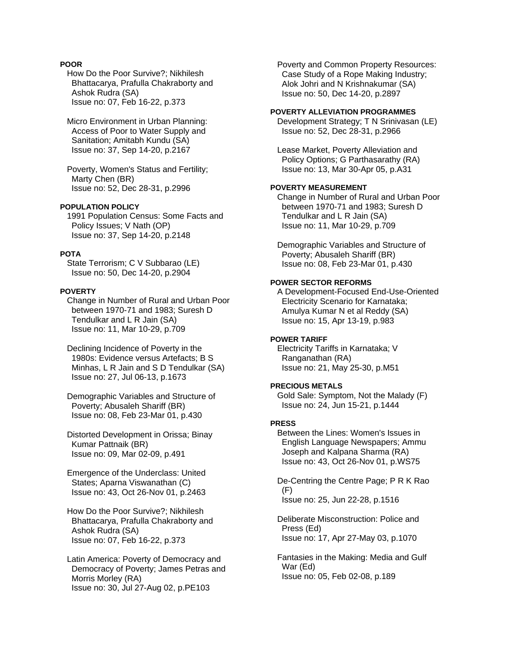## **POOR**

 How Do the Poor Survive?; Nikhilesh Bhattacarya, Prafulla Chakraborty and Ashok Rudra (SA) Issue no: 07, Feb 16-22, p.373

 Micro Environment in Urban Planning: Access of Poor to Water Supply and Sanitation; Amitabh Kundu (SA) Issue no: 37, Sep 14-20, p.2167

 Poverty, Women's Status and Fertility; Marty Chen (BR) Issue no: 52, Dec 28-31, p.2996

## **POPULATION POLICY**

 1991 Population Census: Some Facts and Policy Issues; V Nath (OP) Issue no: 37, Sep 14-20, p.2148

## **POTA**

 State Terrorism; C V Subbarao (LE) Issue no: 50, Dec 14-20, p.2904

### **POVERTY**

 Change in Number of Rural and Urban Poor between 1970-71 and 1983; Suresh D Tendulkar and L R Jain (SA) Issue no: 11, Mar 10-29, p.709

 Declining Incidence of Poverty in the 1980s: Evidence versus Artefacts; B S Minhas, L R Jain and S D Tendulkar (SA) Issue no: 27, Jul 06-13, p.1673

 Demographic Variables and Structure of Poverty; Abusaleh Shariff (BR) Issue no: 08, Feb 23-Mar 01, p.430

 Distorted Development in Orissa; Binay Kumar Pattnaik (BR) Issue no: 09, Mar 02-09, p.491

 Emergence of the Underclass: United States; Aparna Viswanathan (C) Issue no: 43, Oct 26-Nov 01, p.2463

 How Do the Poor Survive?; Nikhilesh Bhattacarya, Prafulla Chakraborty and Ashok Rudra (SA) Issue no: 07, Feb 16-22, p.373

 Latin America: Poverty of Democracy and Democracy of Poverty; James Petras and Morris Morley (RA) Issue no: 30, Jul 27-Aug 02, p.PE103

 Poverty and Common Property Resources: Case Study of a Rope Making Industry; Alok Johri and N Krishnakumar (SA) Issue no: 50, Dec 14-20, p.2897

#### **POVERTY ALLEVIATION PROGRAMMES**

 Development Strategy; T N Srinivasan (LE) Issue no: 52, Dec 28-31, p.2966

 Lease Market, Poverty Alleviation and Policy Options; G Parthasarathy (RA) Issue no: 13, Mar 30-Apr 05, p.A31

#### **POVERTY MEASUREMENT**

 Change in Number of Rural and Urban Poor between 1970-71 and 1983; Suresh D Tendulkar and L R Jain (SA) Issue no: 11, Mar 10-29, p.709

 Demographic Variables and Structure of Poverty; Abusaleh Shariff (BR) Issue no: 08, Feb 23-Mar 01, p.430

#### **POWER SECTOR REFORMS**

 A Development-Focused End-Use-Oriented Electricity Scenario for Karnataka; Amulya Kumar N et al Reddy (SA) Issue no: 15, Apr 13-19, p.983

## **POWER TARIFF**

 Electricity Tariffs in Karnataka; V Ranganathan (RA) Issue no: 21, May 25-30, p.M51

### **PRECIOUS METALS**

 Gold Sale: Symptom, Not the Malady (F) Issue no: 24, Jun 15-21, p.1444

### **PRESS**

 Between the Lines: Women's Issues in English Language Newspapers; Ammu Joseph and Kalpana Sharma (RA) Issue no: 43, Oct 26-Nov 01, p.WS75

 De-Centring the Centre Page; P R K Rao (F) Issue no: 25, Jun 22-28, p.1516

 Deliberate Misconstruction: Police and Press (Ed) Issue no: 17, Apr 27-May 03, p.1070

 Fantasies in the Making: Media and Gulf War (Ed) Issue no: 05, Feb 02-08, p.189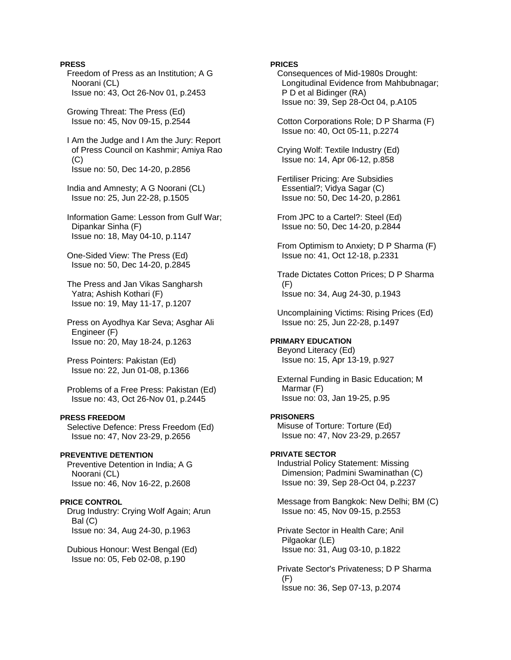### **PRESS**

 Freedom of Press as an Institution; A G Noorani (CL) Issue no: 43, Oct 26-Nov 01, p.2453

 Growing Threat: The Press (Ed) Issue no: 45, Nov 09-15, p.2544

 I Am the Judge and I Am the Jury: Report of Press Council on Kashmir; Amiya Rao  $(C)$ Issue no: 50, Dec 14-20, p.2856

 India and Amnesty; A G Noorani (CL) Issue no: 25, Jun 22-28, p.1505

 Information Game: Lesson from Gulf War; Dipankar Sinha (F) Issue no: 18, May 04-10, p.1147

 One-Sided View: The Press (Ed) Issue no: 50, Dec 14-20, p.2845

 The Press and Jan Vikas Sangharsh Yatra; Ashish Kothari (F) Issue no: 19, May 11-17, p.1207

 Press on Ayodhya Kar Seva; Asghar Ali Engineer (F) Issue no: 20, May 18-24, p.1263

 Press Pointers: Pakistan (Ed) Issue no: 22, Jun 01-08, p.1366

 Problems of a Free Press: Pakistan (Ed) Issue no: 43, Oct 26-Nov 01, p.2445

### **PRESS FREEDOM**

 Selective Defence: Press Freedom (Ed) Issue no: 47, Nov 23-29, p.2656

#### **PREVENTIVE DETENTION**

 Preventive Detention in India; A G Noorani (CL) Issue no: 46, Nov 16-22, p.2608

## **PRICE CONTROL**

 Drug Industry: Crying Wolf Again; Arun Bal (C) Issue no: 34, Aug 24-30, p.1963

 Dubious Honour: West Bengal (Ed) Issue no: 05, Feb 02-08, p.190

### **PRICES**

 Consequences of Mid-1980s Drought: Longitudinal Evidence from Mahbubnagar; P D et al Bidinger (RA) Issue no: 39, Sep 28-Oct 04, p.A105

 Cotton Corporations Role; D P Sharma (F) Issue no: 40, Oct 05-11, p.2274

 Crying Wolf: Textile Industry (Ed) Issue no: 14, Apr 06-12, p.858

 Fertiliser Pricing: Are Subsidies Essential?; Vidya Sagar (C) Issue no: 50, Dec 14-20, p.2861

 From JPC to a Cartel?: Steel (Ed) Issue no: 50, Dec 14-20, p.2844

 From Optimism to Anxiety; D P Sharma (F) Issue no: 41, Oct 12-18, p.2331

 Trade Dictates Cotton Prices; D P Sharma  $(F)$ Issue no: 34, Aug 24-30, p.1943

 Uncomplaining Victims: Rising Prices (Ed) Issue no: 25, Jun 22-28, p.1497

#### **PRIMARY EDUCATION**

 Beyond Literacy (Ed) Issue no: 15, Apr 13-19, p.927

 External Funding in Basic Education; M Marmar (F) Issue no: 03, Jan 19-25, p.95

### **PRISONERS**

 Misuse of Torture: Torture (Ed) Issue no: 47, Nov 23-29, p.2657

### **PRIVATE SECTOR**

 Industrial Policy Statement: Missing Dimension; Padmini Swaminathan (C) Issue no: 39, Sep 28-Oct 04, p.2237

 Message from Bangkok: New Delhi; BM (C) Issue no: 45, Nov 09-15, p.2553

 Private Sector in Health Care; Anil Pilgaokar (LE) Issue no: 31, Aug 03-10, p.1822

 Private Sector's Privateness; D P Sharma (F) Issue no: 36, Sep 07-13, p.2074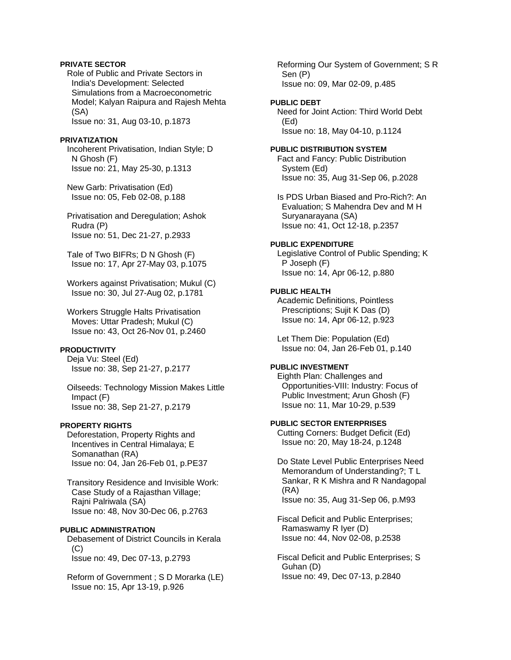### **PRIVATE SECTOR**

 Role of Public and Private Sectors in India's Development: Selected Simulations from a Macroeconometric Model; Kalyan Raipura and Rajesh Mehta (SA) Issue no: 31, Aug 03-10, p.1873

#### **PRIVATIZATION**

 Incoherent Privatisation, Indian Style; D N Ghosh (F) Issue no: 21, May 25-30, p.1313

 New Garb: Privatisation (Ed) Issue no: 05, Feb 02-08, p.188

 Privatisation and Deregulation; Ashok Rudra (P) Issue no: 51, Dec 21-27, p.2933

 Tale of Two BIFRs; D N Ghosh (F) Issue no: 17, Apr 27-May 03, p.1075

 Workers against Privatisation; Mukul (C) Issue no: 30, Jul 27-Aug 02, p.1781

 Workers Struggle Halts Privatisation Moves: Uttar Pradesh; Mukul (C) Issue no: 43, Oct 26-Nov 01, p.2460

#### **PRODUCTIVITY**

 Deja Vu: Steel (Ed) Issue no: 38, Sep 21-27, p.2177

 Oilseeds: Technology Mission Makes Little Impact (F) Issue no: 38, Sep 21-27, p.2179

### **PROPERTY RIGHTS**

 Deforestation, Property Rights and Incentives in Central Himalaya; E Somanathan (RA) Issue no: 04, Jan 26-Feb 01, p.PE37

 Transitory Residence and Invisible Work: Case Study of a Rajasthan Village; Rajni Palriwala (SA) Issue no: 48, Nov 30-Dec 06, p.2763

#### **PUBLIC ADMINISTRATION**

 Debasement of District Councils in Kerala (C) Issue no: 49, Dec 07-13, p.2793

 Reform of Government ; S D Morarka (LE) Issue no: 15, Apr 13-19, p.926

 Reforming Our System of Government; S R Sen (P) Issue no: 09, Mar 02-09, p.485

#### **PUBLIC DEBT**

 Need for Joint Action: Third World Debt (Ed) Issue no: 18, May 04-10, p.1124

#### **PUBLIC DISTRIBUTION SYSTEM**

 Fact and Fancy: Public Distribution System (Ed) Issue no: 35, Aug 31-Sep 06, p.2028

 Is PDS Urban Biased and Pro-Rich?: An Evaluation; S Mahendra Dev and M H Suryanarayana (SA) Issue no: 41, Oct 12-18, p.2357

#### **PUBLIC EXPENDITURE**

 Legislative Control of Public Spending; K P Joseph (F) Issue no: 14, Apr 06-12, p.880

## **PUBLIC HEALTH**

 Academic Definitions, Pointless Prescriptions; Sujit K Das (D) Issue no: 14, Apr 06-12, p.923

 Let Them Die: Population (Ed) Issue no: 04, Jan 26-Feb 01, p.140

## **PUBLIC INVESTMENT**

 Eighth Plan: Challenges and Opportunities-VIII: Industry: Focus of Public Investment; Arun Ghosh (F) Issue no: 11, Mar 10-29, p.539

### **PUBLIC SECTOR ENTERPRISES**

 Cutting Corners: Budget Deficit (Ed) Issue no: 20, May 18-24, p.1248

 Do State Level Public Enterprises Need Memorandum of Understanding?; T L Sankar, R K Mishra and R Nandagopal (RA) Issue no: 35, Aug 31-Sep 06, p.M93

 Fiscal Deficit and Public Enterprises; Ramaswamy R Iyer (D) Issue no: 44, Nov 02-08, p.2538

 Fiscal Deficit and Public Enterprises; S Guhan (D) Issue no: 49, Dec 07-13, p.2840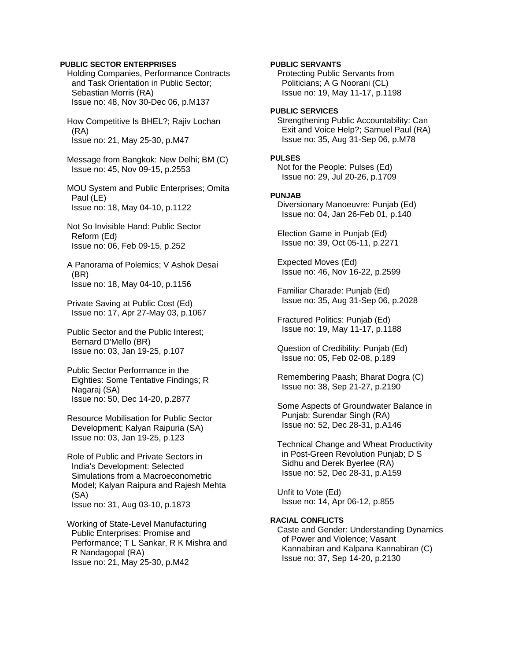### **PUBLIC SECTOR ENTERPRISES**

 Holding Companies, Performance Contracts and Task Orientation in Public Sector; Sebastian Morris (RA) Issue no: 48, Nov 30-Dec 06, p.M137

 How Competitive Is BHEL?; Rajiv Lochan (RA) Issue no: 21, May 25-30, p.M47

 Message from Bangkok: New Delhi; BM (C) Issue no: 45, Nov 09-15, p.2553

 MOU System and Public Enterprises; Omita Paul (LE) Issue no: 18, May 04-10, p.1122

 Not So Invisible Hand: Public Sector Reform (Ed) Issue no: 06, Feb 09-15, p.252

 A Panorama of Polemics; V Ashok Desai (BR) Issue no: 18, May 04-10, p.1156

 Private Saving at Public Cost (Ed) Issue no: 17, Apr 27-May 03, p.1067

 Public Sector and the Public Interest; Bernard D'Mello (BR) Issue no: 03, Jan 19-25, p.107

 Public Sector Performance in the Eighties: Some Tentative Findings; R Nagaraj (SA) Issue no: 50, Dec 14-20, p.2877

 Resource Mobilisation for Public Sector Development; Kalyan Raipuria (SA) Issue no: 03, Jan 19-25, p.123

 Role of Public and Private Sectors in India's Development: Selected Simulations from a Macroeconometric Model; Kalyan Raipura and Rajesh Mehta (SA) Issue no: 31, Aug 03-10, p.1873

 Working of State-Level Manufacturing Public Enterprises: Promise and Performance; T L Sankar, R K Mishra and R Nandagopal (RA) Issue no: 21, May 25-30, p.M42

## **PUBLIC SERVANTS**

 Protecting Public Servants from Politicians; A G Noorani (CL) Issue no: 19, May 11-17, p.1198

### **PUBLIC SERVICES**

 Strengthening Public Accountability: Can Exit and Voice Help?; Samuel Paul (RA) Issue no: 35, Aug 31-Sep 06, p.M78

#### **PULSES**

 Not for the People: Pulses (Ed) Issue no: 29, Jul 20-26, p.1709

#### **PUNJAB**

 Diversionary Manoeuvre: Punjab (Ed) Issue no: 04, Jan 26-Feb 01, p.140

 Election Game in Punjab (Ed) Issue no: 39, Oct 05-11, p.2271

 Expected Moves (Ed) Issue no: 46, Nov 16-22, p.2599

 Familiar Charade: Punjab (Ed) Issue no: 35, Aug 31-Sep 06, p.2028

 Fractured Politics: Punjab (Ed) Issue no: 19, May 11-17, p.1188

 Question of Credibility: Punjab (Ed) Issue no: 05, Feb 02-08, p.189

 Remembering Paash; Bharat Dogra (C) Issue no: 38, Sep 21-27, p.2190

 Some Aspects of Groundwater Balance in Punjab; Surendar Singh (RA) Issue no: 52, Dec 28-31, p.A146

 Technical Change and Wheat Productivity in Post-Green Revolution Punjab; D S Sidhu and Derek Byerlee (RA) Issue no: 52, Dec 28-31, p.A159

 Unfit to Vote (Ed) Issue no: 14, Apr 06-12, p.855

#### **RACIAL CONFLICTS**

 Caste and Gender: Understanding Dynamics of Power and Violence; Vasant Kannabiran and Kalpana Kannabiran (C) Issue no: 37, Sep 14-20, p.2130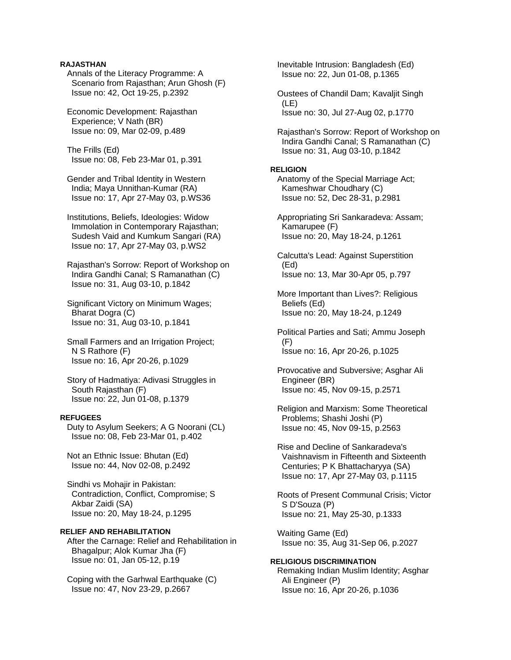## **RAJASTHAN**

 Annals of the Literacy Programme: A Scenario from Rajasthan; Arun Ghosh (F) Issue no: 42, Oct 19-25, p.2392

 Economic Development: Rajasthan Experience; V Nath (BR) Issue no: 09, Mar 02-09, p.489

 The Frills (Ed) Issue no: 08, Feb 23-Mar 01, p.391

 Gender and Tribal Identity in Western India; Maya Unnithan-Kumar (RA) Issue no: 17, Apr 27-May 03, p.WS36

 Institutions, Beliefs, Ideologies: Widow Immolation in Contemporary Rajasthan; Sudesh Vaid and Kumkum Sangari (RA) Issue no: 17, Apr 27-May 03, p.WS2

 Rajasthan's Sorrow: Report of Workshop on Indira Gandhi Canal; S Ramanathan (C) Issue no: 31, Aug 03-10, p.1842

 Significant Victory on Minimum Wages; Bharat Dogra (C) Issue no: 31, Aug 03-10, p.1841

 Small Farmers and an Irrigation Project; N S Rathore (F) Issue no: 16, Apr 20-26, p.1029

 Story of Hadmatiya: Adivasi Struggles in South Rajasthan (F) Issue no: 22, Jun 01-08, p.1379

#### **REFUGEES**

 Duty to Asylum Seekers; A G Noorani (CL) Issue no: 08, Feb 23-Mar 01, p.402

 Not an Ethnic Issue: Bhutan (Ed) Issue no: 44, Nov 02-08, p.2492

 Sindhi vs Mohajir in Pakistan: Contradiction, Conflict, Compromise; S Akbar Zaidi (SA) Issue no: 20, May 18-24, p.1295

## **RELIEF AND REHABILITATION**

 After the Carnage: Relief and Rehabilitation in Bhagalpur; Alok Kumar Jha (F) Issue no: 01, Jan 05-12, p.19

 Coping with the Garhwal Earthquake (C) Issue no: 47, Nov 23-29, p.2667

 Inevitable Intrusion: Bangladesh (Ed) Issue no: 22, Jun 01-08, p.1365

 Oustees of Chandil Dam; Kavaljit Singh (LE) Issue no: 30, Jul 27-Aug 02, p.1770

 Rajasthan's Sorrow: Report of Workshop on Indira Gandhi Canal; S Ramanathan (C) Issue no: 31, Aug 03-10, p.1842

#### **RELIGION**

 Anatomy of the Special Marriage Act; Kameshwar Choudhary (C) Issue no: 52, Dec 28-31, p.2981

 Appropriating Sri Sankaradeva: Assam; Kamarupee (F) Issue no: 20, May 18-24, p.1261

 Calcutta's Lead: Against Superstition (Ed) Issue no: 13, Mar 30-Apr 05, p.797

 More Important than Lives?: Religious Beliefs (Ed) Issue no: 20, May 18-24, p.1249

 Political Parties and Sati; Ammu Joseph (F) Issue no: 16, Apr 20-26, p.1025

 Provocative and Subversive; Asghar Ali Engineer (BR) Issue no: 45, Nov 09-15, p.2571

 Religion and Marxism: Some Theoretical Problems; Shashi Joshi (P) Issue no: 45, Nov 09-15, p.2563

 Rise and Decline of Sankaradeva's Vaishnavism in Fifteenth and Sixteenth Centuries; P K Bhattacharyya (SA) Issue no: 17, Apr 27-May 03, p.1115

 Roots of Present Communal Crisis; Victor S D'Souza (P) Issue no: 21, May 25-30, p.1333

 Waiting Game (Ed) Issue no: 35, Aug 31-Sep 06, p.2027

**RELIGIOUS DISCRIMINATION**  Remaking Indian Muslim Identity; Asghar Ali Engineer (P) Issue no: 16, Apr 20-26, p.1036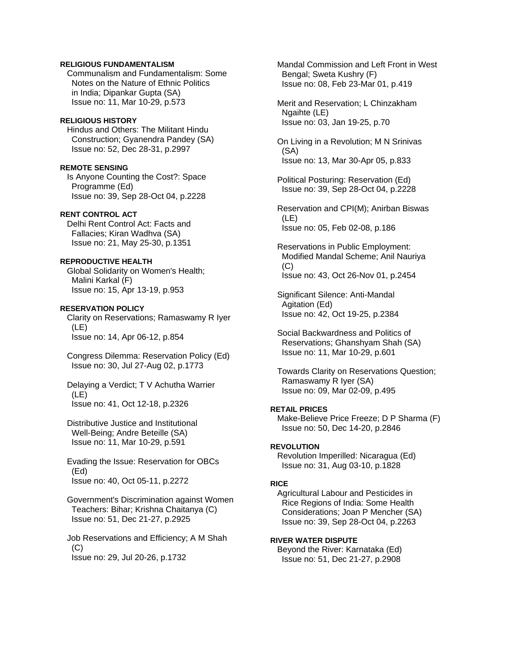#### **RELIGIOUS FUNDAMENTALISM**

 Communalism and Fundamentalism: Some Notes on the Nature of Ethnic Politics in India; Dipankar Gupta (SA) Issue no: 11, Mar 10-29, p.573

#### **RELIGIOUS HISTORY**

 Hindus and Others: The Militant Hindu Construction; Gyanendra Pandey (SA) Issue no: 52, Dec 28-31, p.2997

## **REMOTE SENSING**

 Is Anyone Counting the Cost?: Space Programme (Ed) Issue no: 39, Sep 28-Oct 04, p.2228

## **RENT CONTROL ACT**

 Delhi Rent Control Act: Facts and Fallacies; Kiran Wadhva (SA) Issue no: 21, May 25-30, p.1351

## **REPRODUCTIVE HEALTH**

 Global Solidarity on Women's Health; Malini Karkal (F) Issue no: 15, Apr 13-19, p.953

## **RESERVATION POLICY**

 Clarity on Reservations; Ramaswamy R Iyer (LE) Issue no: 14, Apr 06-12, p.854

 Congress Dilemma: Reservation Policy (Ed) Issue no: 30, Jul 27-Aug 02, p.1773

 Delaying a Verdict; T V Achutha Warrier (LE) Issue no: 41, Oct 12-18, p.2326

 Distributive Justice and Institutional Well-Being; Andre Beteille (SA) Issue no: 11, Mar 10-29, p.591

 Evading the Issue: Reservation for OBCs (Ed) Issue no: 40, Oct 05-11, p.2272

 Government's Discrimination against Women Teachers: Bihar; Krishna Chaitanya (C) Issue no: 51, Dec 21-27, p.2925

 Job Reservations and Efficiency; A M Shah  $(C)$ Issue no: 29, Jul 20-26, p.1732

 Mandal Commission and Left Front in West Bengal; Sweta Kushry (F) Issue no: 08, Feb 23-Mar 01, p.419

 Merit and Reservation; L Chinzakham Ngaihte (LE) Issue no: 03, Jan 19-25, p.70

 On Living in a Revolution; M N Srinivas (SA) Issue no: 13, Mar 30-Apr 05, p.833

 Political Posturing: Reservation (Ed) Issue no: 39, Sep 28-Oct 04, p.2228

 Reservation and CPI(M); Anirban Biswas (LE) Issue no: 05, Feb 02-08, p.186

 Reservations in Public Employment: Modified Mandal Scheme; Anil Nauriya  $(C)$ Issue no: 43, Oct 26-Nov 01, p.2454

 Significant Silence: Anti-Mandal Agitation (Ed) Issue no: 42, Oct 19-25, p.2384

 Social Backwardness and Politics of Reservations; Ghanshyam Shah (SA) Issue no: 11, Mar 10-29, p.601

 Towards Clarity on Reservations Question; Ramaswamy R Iyer (SA) Issue no: 09, Mar 02-09, p.495

## **RETAIL PRICES**

 Make-Believe Price Freeze; D P Sharma (F) Issue no: 50, Dec 14-20, p.2846

#### **REVOLUTION**

 Revolution Imperilled: Nicaragua (Ed) Issue no: 31, Aug 03-10, p.1828

#### **RICE**

 Agricultural Labour and Pesticides in Rice Regions of India: Some Health Considerations; Joan P Mencher (SA) Issue no: 39, Sep 28-Oct 04, p.2263

## **RIVER WATER DISPUTE**

 Beyond the River: Karnataka (Ed) Issue no: 51, Dec 21-27, p.2908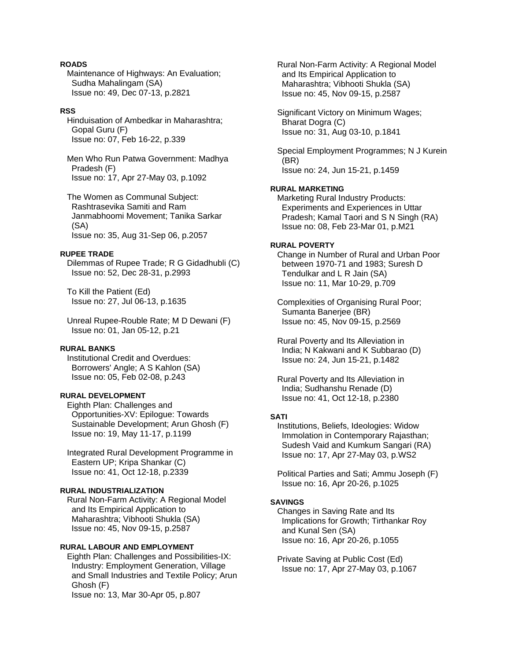## **ROADS**

 Maintenance of Highways: An Evaluation; Sudha Mahalingam (SA) Issue no: 49, Dec 07-13, p.2821

### **RSS**

 Hinduisation of Ambedkar in Maharashtra; Gopal Guru (F) Issue no: 07, Feb 16-22, p.339

 Men Who Run Patwa Government: Madhya Pradesh (F) Issue no: 17, Apr 27-May 03, p.1092

 The Women as Communal Subject: Rashtrasevika Samiti and Ram Janmabhoomi Movement; Tanika Sarkar (SA) Issue no: 35, Aug 31-Sep 06, p.2057

## **RUPEE TRADE**

 Dilemmas of Rupee Trade; R G Gidadhubli (C) Issue no: 52, Dec 28-31, p.2993

 To Kill the Patient (Ed) Issue no: 27, Jul 06-13, p.1635

 Unreal Rupee-Rouble Rate; M D Dewani (F) Issue no: 01, Jan 05-12, p.21

## **RURAL BANKS**

 Institutional Credit and Overdues: Borrowers' Angle; A S Kahlon (SA) Issue no: 05, Feb 02-08, p.243

## **RURAL DEVELOPMENT**

 Eighth Plan: Challenges and Opportunities-XV: Epilogue: Towards Sustainable Development; Arun Ghosh (F) Issue no: 19, May 11-17, p.1199

 Integrated Rural Development Programme in Eastern UP; Kripa Shankar (C) Issue no: 41, Oct 12-18, p.2339

## **RURAL INDUSTRIALIZATION**

 Rural Non-Farm Activity: A Regional Model and Its Empirical Application to Maharashtra; Vibhooti Shukla (SA) Issue no: 45, Nov 09-15, p.2587

## **RURAL LABOUR AND EMPLOYMENT**

 Eighth Plan: Challenges and Possibilities-IX: Industry: Employment Generation, Village and Small Industries and Textile Policy; Arun Ghosh (F) Issue no: 13, Mar 30-Apr 05, p.807

 Rural Non-Farm Activity: A Regional Model and Its Empirical Application to Maharashtra; Vibhooti Shukla (SA) Issue no: 45, Nov 09-15, p.2587

 Significant Victory on Minimum Wages; Bharat Dogra (C) Issue no: 31, Aug 03-10, p.1841

 Special Employment Programmes; N J Kurein (BR) Issue no: 24, Jun 15-21, p.1459

#### **RURAL MARKETING**

 Marketing Rural Industry Products: Experiments and Experiences in Uttar Pradesh; Kamal Taori and S N Singh (RA) Issue no: 08, Feb 23-Mar 01, p.M21

#### **RURAL POVERTY**

 Change in Number of Rural and Urban Poor between 1970-71 and 1983; Suresh D Tendulkar and L R Jain (SA) Issue no: 11, Mar 10-29, p.709

 Complexities of Organising Rural Poor; Sumanta Banerjee (BR) Issue no: 45, Nov 09-15, p.2569

 Rural Poverty and Its Alleviation in India; N Kakwani and K Subbarao (D) Issue no: 24, Jun 15-21, p.1482

 Rural Poverty and Its Alleviation in India; Sudhanshu Renade (D) Issue no: 41, Oct 12-18, p.2380

## **SATI**

 Institutions, Beliefs, Ideologies: Widow Immolation in Contemporary Rajasthan; Sudesh Vaid and Kumkum Sangari (RA) Issue no: 17, Apr 27-May 03, p.WS2

 Political Parties and Sati; Ammu Joseph (F) Issue no: 16, Apr 20-26, p.1025

#### **SAVINGS**

 Changes in Saving Rate and Its Implications for Growth; Tirthankar Roy and Kunal Sen (SA) Issue no: 16, Apr 20-26, p.1055

 Private Saving at Public Cost (Ed) Issue no: 17, Apr 27-May 03, p.1067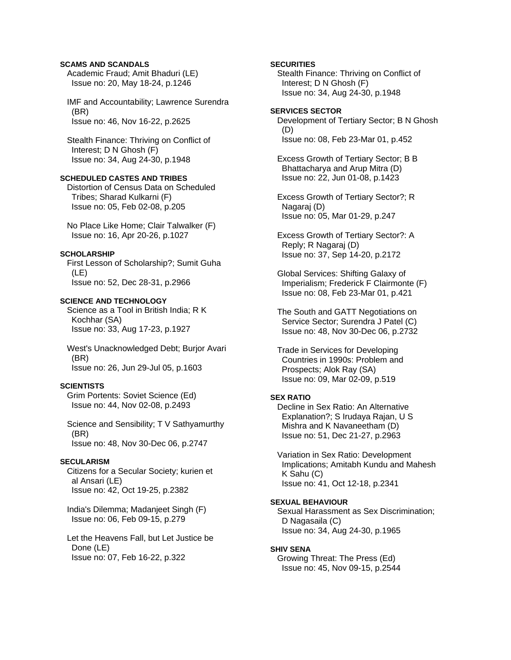## **SCAMS AND SCANDALS**

 Academic Fraud; Amit Bhaduri (LE) Issue no: 20, May 18-24, p.1246

 IMF and Accountability; Lawrence Surendra (BR) Issue no: 46, Nov 16-22, p.2625

 Stealth Finance: Thriving on Conflict of Interest; D N Ghosh (F) Issue no: 34, Aug 24-30, p.1948

### **SCHEDULED CASTES AND TRIBES**

 Distortion of Census Data on Scheduled Tribes; Sharad Kulkarni (F) Issue no: 05, Feb 02-08, p.205

 No Place Like Home; Clair Talwalker (F) Issue no: 16, Apr 20-26, p.1027

## **SCHOLARSHIP**

 First Lesson of Scholarship?; Sumit Guha (LE) Issue no: 52, Dec 28-31, p.2966

#### **SCIENCE AND TECHNOLOGY**

 Science as a Tool in British India; R K Kochhar (SA) Issue no: 33, Aug 17-23, p.1927

 West's Unacknowledged Debt; Burjor Avari (BR) Issue no: 26, Jun 29-Jul 05, p.1603

### **SCIENTISTS**

 Grim Portents: Soviet Science (Ed) Issue no: 44, Nov 02-08, p.2493

 Science and Sensibility; T V Sathyamurthy (BR) Issue no: 48, Nov 30-Dec 06, p.2747

#### **SECULARISM**

 Citizens for a Secular Society; kurien et al Ansari (LE) Issue no: 42, Oct 19-25, p.2382

 India's Dilemma; Madanjeet Singh (F) Issue no: 06, Feb 09-15, p.279

 Let the Heavens Fall, but Let Justice be Done (LE) Issue no: 07, Feb 16-22, p.322

## **SECURITIES**

 Stealth Finance: Thriving on Conflict of Interest; D N Ghosh (F) Issue no: 34, Aug 24-30, p.1948

## **SERVICES SECTOR**  Development of Tertiary Sector; B N Ghosh (D) Issue no: 08, Feb 23-Mar 01, p.452

 Excess Growth of Tertiary Sector; B B Bhattacharya and Arup Mitra (D) Issue no: 22, Jun 01-08, p.1423

 Excess Growth of Tertiary Sector?; R Nagaraj (D) Issue no: 05, Mar 01-29, p.247

 Excess Growth of Tertiary Sector?: A Reply; R Nagaraj (D) Issue no: 37, Sep 14-20, p.2172

 Global Services: Shifting Galaxy of Imperialism; Frederick F Clairmonte (F) Issue no: 08, Feb 23-Mar 01, p.421

 The South and GATT Negotiations on Service Sector; Surendra J Patel (C) Issue no: 48, Nov 30-Dec 06, p.2732

 Trade in Services for Developing Countries in 1990s: Problem and Prospects; Alok Ray (SA) Issue no: 09, Mar 02-09, p.519

#### **SEX RATIO**

 Decline in Sex Ratio: An Alternative Explanation?; S Irudaya Rajan, U S Mishra and K Navaneetham (D) Issue no: 51, Dec 21-27, p.2963

 Variation in Sex Ratio: Development Implications; Amitabh Kundu and Mahesh K Sahu (C) Issue no: 41, Oct 12-18, p.2341

#### **SEXUAL BEHAVIOUR**

 Sexual Harassment as Sex Discrimination; D Nagasaila (C) Issue no: 34, Aug 24-30, p.1965

#### **SHIV SENA**

 Growing Threat: The Press (Ed) Issue no: 45, Nov 09-15, p.2544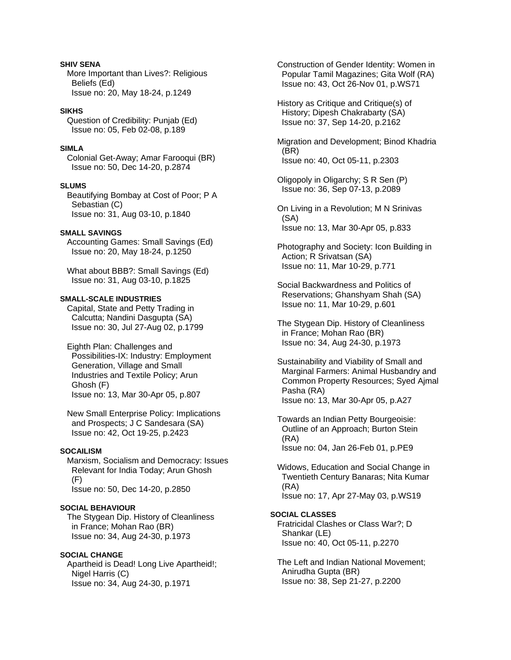## **SHIV SENA**

 More Important than Lives?: Religious Beliefs (Ed) Issue no: 20, May 18-24, p.1249

### **SIKHS**

 Question of Credibility: Punjab (Ed) Issue no: 05, Feb 02-08, p.189

## **SIMLA**

 Colonial Get-Away; Amar Farooqui (BR) Issue no: 50, Dec 14-20, p.2874

#### **SLUMS**

 Beautifying Bombay at Cost of Poor; P A Sebastian (C) Issue no: 31, Aug 03-10, p.1840

## **SMALL SAVINGS**

 Accounting Games: Small Savings (Ed) Issue no: 20, May 18-24, p.1250

 What about BBB?: Small Savings (Ed) Issue no: 31, Aug 03-10, p.1825

#### **SMALL-SCALE INDUSTRIES**

 Capital, State and Petty Trading in Calcutta; Nandini Dasgupta (SA) Issue no: 30, Jul 27-Aug 02, p.1799

 Eighth Plan: Challenges and Possibilities-IX: Industry: Employment Generation, Village and Small Industries and Textile Policy; Arun Ghosh (F) Issue no: 13, Mar 30-Apr 05, p.807

 New Small Enterprise Policy: Implications and Prospects; J C Sandesara (SA) Issue no: 42, Oct 19-25, p.2423

#### **SOCAILISM**

 Marxism, Socialism and Democracy: Issues Relevant for India Today; Arun Ghosh (F) Issue no: 50, Dec 14-20, p.2850

#### **SOCIAL BEHAVIOUR**

 The Stygean Dip. History of Cleanliness in France; Mohan Rao (BR) Issue no: 34, Aug 24-30, p.1973

## **SOCIAL CHANGE**

 Apartheid is Dead! Long Live Apartheid!; Nigel Harris (C) Issue no: 34, Aug 24-30, p.1971

 Construction of Gender Identity: Women in Popular Tamil Magazines; Gita Wolf (RA) Issue no: 43, Oct 26-Nov 01, p.WS71

 History as Critique and Critique(s) of History; Dipesh Chakrabarty (SA) Issue no: 37, Sep 14-20, p.2162

 Migration and Development; Binod Khadria (BR) Issue no: 40, Oct 05-11, p.2303

 Oligopoly in Oligarchy; S R Sen (P) Issue no: 36, Sep 07-13, p.2089

 On Living in a Revolution; M N Srinivas (SA) Issue no: 13, Mar 30-Apr 05, p.833

 Photography and Society: Icon Building in Action; R Srivatsan (SA) Issue no: 11, Mar 10-29, p.771

 Social Backwardness and Politics of Reservations; Ghanshyam Shah (SA) Issue no: 11, Mar 10-29, p.601

 The Stygean Dip. History of Cleanliness in France; Mohan Rao (BR) Issue no: 34, Aug 24-30, p.1973

 Sustainability and Viability of Small and Marginal Farmers: Animal Husbandry and Common Property Resources; Syed Ajmal Pasha (RA) Issue no: 13, Mar 30-Apr 05, p.A27

 Towards an Indian Petty Bourgeoisie: Outline of an Approach; Burton Stein (RA) Issue no: 04, Jan 26-Feb 01, p.PE9

 Widows, Education and Social Change in Twentieth Century Banaras; Nita Kumar (RA) Issue no: 17, Apr 27-May 03, p.WS19

#### **SOCIAL CLASSES**

 Fratricidal Clashes or Class War?; D Shankar (LE) Issue no: 40, Oct 05-11, p.2270

 The Left and Indian National Movement; Anirudha Gupta (BR) Issue no: 38, Sep 21-27, p.2200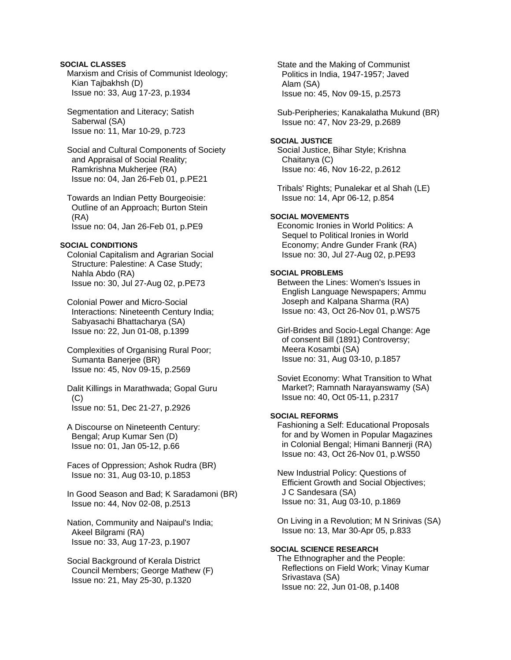## **SOCIAL CLASSES**

 Marxism and Crisis of Communist Ideology; Kian Tajbakhsh (D) Issue no: 33, Aug 17-23, p.1934

 Segmentation and Literacy; Satish Saberwal (SA) Issue no: 11, Mar 10-29, p.723

 Social and Cultural Components of Society and Appraisal of Social Reality; Ramkrishna Mukherjee (RA) Issue no: 04, Jan 26-Feb 01, p.PE21

 Towards an Indian Petty Bourgeoisie: Outline of an Approach; Burton Stein (RA) Issue no: 04, Jan 26-Feb 01, p.PE9

#### **SOCIAL CONDITIONS**

 Colonial Capitalism and Agrarian Social Structure: Palestine: A Case Study; Nahla Abdo (RA) Issue no: 30, Jul 27-Aug 02, p.PE73

 Colonial Power and Micro-Social Interactions: Nineteenth Century India; Sabyasachi Bhattacharya (SA) Issue no: 22, Jun 01-08, p.1399

 Complexities of Organising Rural Poor; Sumanta Banerjee (BR) Issue no: 45, Nov 09-15, p.2569

 Dalit Killings in Marathwada; Gopal Guru  $(C)$ Issue no: 51, Dec 21-27, p.2926

 A Discourse on Nineteenth Century: Bengal; Arup Kumar Sen (D) Issue no: 01, Jan 05-12, p.66

 Faces of Oppression; Ashok Rudra (BR) Issue no: 31, Aug 03-10, p.1853

 In Good Season and Bad; K Saradamoni (BR) Issue no: 44, Nov 02-08, p.2513

 Nation, Community and Naipaul's India; Akeel Bilgrami (RA) Issue no: 33, Aug 17-23, p.1907

 Social Background of Kerala District Council Members; George Mathew (F) Issue no: 21, May 25-30, p.1320

 State and the Making of Communist Politics in India, 1947-1957; Javed Alam (SA) Issue no: 45, Nov 09-15, p.2573

 Sub-Peripheries; Kanakalatha Mukund (BR) Issue no: 47, Nov 23-29, p.2689

### **SOCIAL JUSTICE**

 Social Justice, Bihar Style; Krishna Chaitanya (C) Issue no: 46, Nov 16-22, p.2612

 Tribals' Rights; Punalekar et al Shah (LE) Issue no: 14, Apr 06-12, p.854

### **SOCIAL MOVEMENTS**

 Economic Ironies in World Politics: A Sequel to Political Ironies in World Economy; Andre Gunder Frank (RA) Issue no: 30, Jul 27-Aug 02, p.PE93

## **SOCIAL PROBLEMS**

 Between the Lines: Women's Issues in English Language Newspapers; Ammu Joseph and Kalpana Sharma (RA) Issue no: 43, Oct 26-Nov 01, p.WS75

 Girl-Brides and Socio-Legal Change: Age of consent Bill (1891) Controversy; Meera Kosambi (SA) Issue no: 31, Aug 03-10, p.1857

 Soviet Economy: What Transition to What Market?; Ramnath Narayanswamy (SA) Issue no: 40, Oct 05-11, p.2317

#### **SOCIAL REFORMS**

 Fashioning a Self: Educational Proposals for and by Women in Popular Magazines in Colonial Bengal; Himani Bannerji (RA) Issue no: 43, Oct 26-Nov 01, p.WS50

 New Industrial Policy: Questions of Efficient Growth and Social Objectives; J C Sandesara (SA) Issue no: 31, Aug 03-10, p.1869

 On Living in a Revolution; M N Srinivas (SA) Issue no: 13, Mar 30-Apr 05, p.833

### **SOCIAL SCIENCE RESEARCH**

 The Ethnographer and the People: Reflections on Field Work; Vinay Kumar Srivastava (SA) Issue no: 22, Jun 01-08, p.1408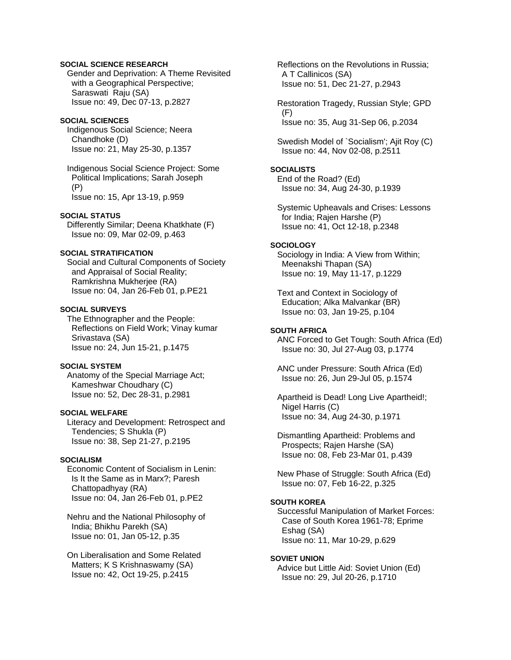## **SOCIAL SCIENCE RESEARCH**

 Gender and Deprivation: A Theme Revisited with a Geographical Perspective; Saraswati Raju (SA) Issue no: 49, Dec 07-13, p.2827

#### **SOCIAL SCIENCES**

 Indigenous Social Science; Neera Chandhoke (D) Issue no: 21, May 25-30, p.1357

 Indigenous Social Science Project: Some Political Implications; Sarah Joseph (P) Issue no: 15, Apr 13-19, p.959

#### **SOCIAL STATUS**

 Differently Similar; Deena Khatkhate (F) Issue no: 09, Mar 02-09, p.463

## **SOCIAL STRATIFICATION**

 Social and Cultural Components of Society and Appraisal of Social Reality; Ramkrishna Mukherjee (RA) Issue no: 04, Jan 26-Feb 01, p.PE21

#### **SOCIAL SURVEYS**

 The Ethnographer and the People: Reflections on Field Work; Vinay kumar Srivastava (SA) Issue no: 24, Jun 15-21, p.1475

### **SOCIAL SYSTEM**

 Anatomy of the Special Marriage Act; Kameshwar Choudhary (C) Issue no: 52, Dec 28-31, p.2981

## **SOCIAL WELFARE**

 Literacy and Development: Retrospect and Tendencies; S Shukla (P) Issue no: 38, Sep 21-27, p.2195

#### **SOCIALISM**

 Economic Content of Socialism in Lenin: Is It the Same as in Marx?; Paresh Chattopadhyay (RA) Issue no: 04, Jan 26-Feb 01, p.PE2

 Nehru and the National Philosophy of India; Bhikhu Parekh (SA) Issue no: 01, Jan 05-12, p.35

 On Liberalisation and Some Related Matters; K S Krishnaswamy (SA) Issue no: 42, Oct 19-25, p.2415

 Reflections on the Revolutions in Russia; A T Callinicos (SA) Issue no: 51, Dec 21-27, p.2943

 Restoration Tragedy, Russian Style; GPD (F) Issue no: 35, Aug 31-Sep 06, p.2034

 Swedish Model of `Socialism'; Ajit Roy (C) Issue no: 44, Nov 02-08, p.2511

# **SOCIALISTS**

 End of the Road? (Ed) Issue no: 34, Aug 24-30, p.1939

 Systemic Upheavals and Crises: Lessons for India; Rajen Harshe (P) Issue no: 41, Oct 12-18, p.2348

#### **SOCIOLOGY**

 Sociology in India: A View from Within; Meenakshi Thapan (SA) Issue no: 19, May 11-17, p.1229

 Text and Context in Sociology of Education; Alka Malvankar (BR) Issue no: 03, Jan 19-25, p.104

### **SOUTH AFRICA**

 ANC Forced to Get Tough: South Africa (Ed) Issue no: 30, Jul 27-Aug 03, p.1774

 ANC under Pressure: South Africa (Ed) Issue no: 26, Jun 29-Jul 05, p.1574

 Apartheid is Dead! Long Live Apartheid!; Nigel Harris (C) Issue no: 34, Aug 24-30, p.1971

 Dismantling Apartheid: Problems and Prospects; Rajen Harshe (SA) Issue no: 08, Feb 23-Mar 01, p.439

 New Phase of Struggle: South Africa (Ed) Issue no: 07, Feb 16-22, p.325

## **SOUTH KOREA**

 Successful Manipulation of Market Forces: Case of South Korea 1961-78; Eprime Eshag (SA) Issue no: 11, Mar 10-29, p.629

#### **SOVIET UNION**

 Advice but Little Aid: Soviet Union (Ed) Issue no: 29, Jul 20-26, p.1710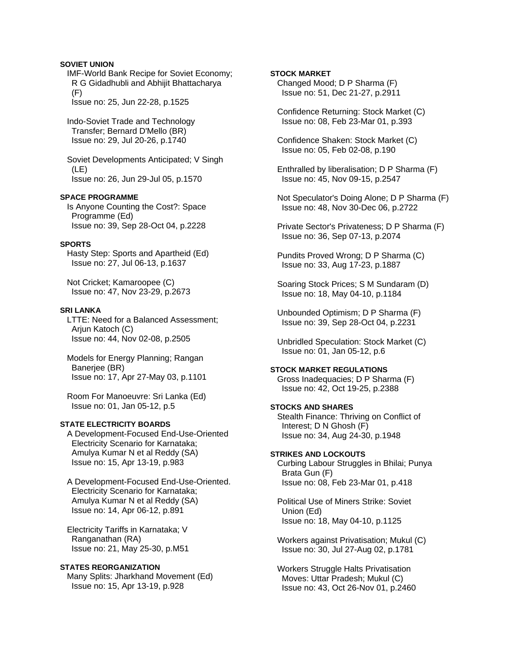### **SOVIET UNION**

 IMF-World Bank Recipe for Soviet Economy; R G Gidadhubli and Abhijit Bhattacharya (F) Issue no: 25, Jun 22-28, p.1525

 Indo-Soviet Trade and Technology Transfer; Bernard D'Mello (BR) Issue no: 29, Jul 20-26, p.1740

 Soviet Developments Anticipated; V Singh (LE) Issue no: 26, Jun 29-Jul 05, p.1570

## **SPACE PROGRAMME**

 Is Anyone Counting the Cost?: Space Programme (Ed) Issue no: 39, Sep 28-Oct 04, p.2228

#### **SPORTS**

 Hasty Step: Sports and Apartheid (Ed) Issue no: 27, Jul 06-13, p.1637

 Not Cricket; Kamaroopee (C) Issue no: 47, Nov 23-29, p.2673

#### **SRI LANKA**

 LTTE: Need for a Balanced Assessment; Arjun Katoch (C) Issue no: 44, Nov 02-08, p.2505

 Models for Energy Planning; Rangan Baneriee (BR) Issue no: 17, Apr 27-May 03, p.1101

 Room For Manoeuvre: Sri Lanka (Ed) Issue no: 01, Jan 05-12, p.5

#### **STATE ELECTRICITY BOARDS**

 A Development-Focused End-Use-Oriented Electricity Scenario for Karnataka; Amulya Kumar N et al Reddy (SA) Issue no: 15, Apr 13-19, p.983

 A Development-Focused End-Use-Oriented. Electricity Scenario for Karnataka; Amulya Kumar N et al Reddy (SA) Issue no: 14, Apr 06-12, p.891

 Electricity Tariffs in Karnataka; V Ranganathan (RA) Issue no: 21, May 25-30, p.M51

#### **STATES REORGANIZATION**

 Many Splits: Jharkhand Movement (Ed) Issue no: 15, Apr 13-19, p.928

### **STOCK MARKET**

 Changed Mood; D P Sharma (F) Issue no: 51, Dec 21-27, p.2911

 Confidence Returning: Stock Market (C) Issue no: 08, Feb 23-Mar 01, p.393

 Confidence Shaken: Stock Market (C) Issue no: 05, Feb 02-08, p.190

 Enthralled by liberalisation; D P Sharma (F) Issue no: 45, Nov 09-15, p.2547

 Not Speculator's Doing Alone; D P Sharma (F) Issue no: 48, Nov 30-Dec 06, p.2722

 Private Sector's Privateness; D P Sharma (F) Issue no: 36, Sep 07-13, p.2074

 Pundits Proved Wrong; D P Sharma (C) Issue no: 33, Aug 17-23, p.1887

 Soaring Stock Prices; S M Sundaram (D) Issue no: 18, May 04-10, p.1184

 Unbounded Optimism; D P Sharma (F) Issue no: 39, Sep 28-Oct 04, p.2231

 Unbridled Speculation: Stock Market (C) Issue no: 01, Jan 05-12, p.6

#### **STOCK MARKET REGULATIONS**

 Gross Inadequacies; D P Sharma (F) Issue no: 42, Oct 19-25, p.2388

### **STOCKS AND SHARES**  Stealth Finance: Thriving on Conflict of Interest; D N Ghosh (F)

 Issue no: 34, Aug 24-30, p.1948 **STRIKES AND LOCKOUTS**  Curbing Labour Struggles in Bhilai; Punya Brata Gun (F)

Issue no: 08, Feb 23-Mar 01, p.418

 Political Use of Miners Strike: Soviet Union (Ed) Issue no: 18, May 04-10, p.1125

 Workers against Privatisation; Mukul (C) Issue no: 30, Jul 27-Aug 02, p.1781

 Workers Struggle Halts Privatisation Moves: Uttar Pradesh; Mukul (C) Issue no: 43, Oct 26-Nov 01, p.2460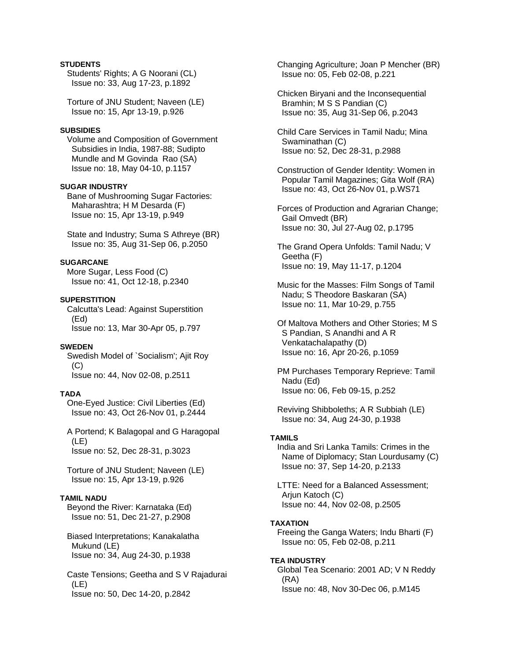## **STUDENTS**

 Students' Rights; A G Noorani (CL) Issue no: 33, Aug 17-23, p.1892

 Torture of JNU Student; Naveen (LE) Issue no: 15, Apr 13-19, p.926

### **SUBSIDIES**

 Volume and Composition of Government Subsidies in India, 1987-88; Sudipto Mundle and M Govinda Rao (SA) Issue no: 18, May 04-10, p.1157

#### **SUGAR INDUSTRY**

 Bane of Mushrooming Sugar Factories: Maharashtra; H M Desarda (F) Issue no: 15, Apr 13-19, p.949

 State and Industry; Suma S Athreye (BR) Issue no: 35, Aug 31-Sep 06, p.2050

## **SUGARCANE**

 More Sugar, Less Food (C) Issue no: 41, Oct 12-18, p.2340

#### **SUPERSTITION**

 Calcutta's Lead: Against Superstition (Ed) Issue no: 13, Mar 30-Apr 05, p.797

#### **SWEDEN**

 Swedish Model of `Socialism'; Ajit Roy (C) Issue no: 44, Nov 02-08, p.2511

## **TADA**

 One-Eyed Justice: Civil Liberties (Ed) Issue no: 43, Oct 26-Nov 01, p.2444

 A Portend; K Balagopal and G Haragopal (LE) Issue no: 52, Dec 28-31, p.3023

 Torture of JNU Student; Naveen (LE) Issue no: 15, Apr 13-19, p.926

#### **TAMIL NADU**

 Beyond the River: Karnataka (Ed) Issue no: 51, Dec 21-27, p.2908

 Biased Interpretations; Kanakalatha Mukund (LE) Issue no: 34, Aug 24-30, p.1938

 Caste Tensions; Geetha and S V Rajadurai (LE) Issue no: 50, Dec 14-20, p.2842

 Changing Agriculture; Joan P Mencher (BR) Issue no: 05, Feb 02-08, p.221

 Chicken Biryani and the Inconsequential Bramhin; M S S Pandian (C) Issue no: 35, Aug 31-Sep 06, p.2043

 Child Care Services in Tamil Nadu; Mina Swaminathan (C) Issue no: 52, Dec 28-31, p.2988

 Construction of Gender Identity: Women in Popular Tamil Magazines; Gita Wolf (RA) Issue no: 43, Oct 26-Nov 01, p.WS71

 Forces of Production and Agrarian Change; Gail Omvedt (BR) Issue no: 30, Jul 27-Aug 02, p.1795

 The Grand Opera Unfolds: Tamil Nadu; V Geetha (F) Issue no: 19, May 11-17, p.1204

 Music for the Masses: Film Songs of Tamil Nadu; S Theodore Baskaran (SA) Issue no: 11, Mar 10-29, p.755

 Of Maltova Mothers and Other Stories; M S S Pandian, S Anandhi and A R Venkatachalapathy (D) Issue no: 16, Apr 20-26, p.1059

 PM Purchases Temporary Reprieve: Tamil Nadu (Ed) Issue no: 06, Feb 09-15, p.252

 Reviving Shibboleths; A R Subbiah (LE) Issue no: 34, Aug 24-30, p.1938

#### **TAMILS**

 India and Sri Lanka Tamils: Crimes in the Name of Diplomacy; Stan Lourdusamy (C) Issue no: 37, Sep 14-20, p.2133

 LTTE: Need for a Balanced Assessment; Arjun Katoch (C) Issue no: 44, Nov 02-08, p.2505

#### **TAXATION**

 Freeing the Ganga Waters; Indu Bharti (F) Issue no: 05, Feb 02-08, p.211

## **TEA INDUSTRY**

 Global Tea Scenario: 2001 AD; V N Reddy (RA) Issue no: 48, Nov 30-Dec 06, p.M145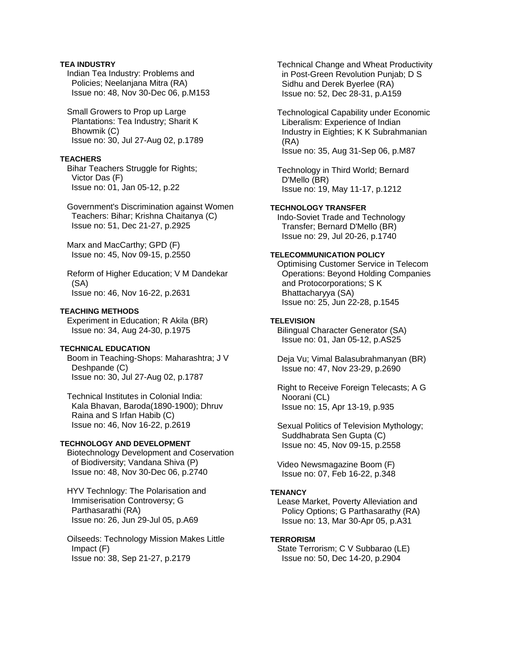## **TEA INDUSTRY**

 Indian Tea Industry: Problems and Policies; Neelanjana Mitra (RA) Issue no: 48, Nov 30-Dec 06, p.M153

 Small Growers to Prop up Large Plantations: Tea Industry; Sharit K Bhowmik (C) Issue no: 30, Jul 27-Aug 02, p.1789

### **TEACHERS**

 Bihar Teachers Struggle for Rights; Victor Das (F) Issue no: 01, Jan 05-12, p.22

 Government's Discrimination against Women Teachers: Bihar; Krishna Chaitanya (C) Issue no: 51, Dec 21-27, p.2925

 Marx and MacCarthy; GPD (F) Issue no: 45, Nov 09-15, p.2550

 Reform of Higher Education; V M Dandekar (SA) Issue no: 46, Nov 16-22, p.2631

## **TEACHING METHODS**

 Experiment in Education; R Akila (BR) Issue no: 34, Aug 24-30, p.1975

## **TECHNICAL EDUCATION**

 Boom in Teaching-Shops: Maharashtra; J V Deshpande (C) Issue no: 30, Jul 27-Aug 02, p.1787

 Technical Institutes in Colonial India: Kala Bhavan, Baroda(1890-1900); Dhruv Raina and S Irfan Habib (C) Issue no: 46, Nov 16-22, p.2619

#### **TECHNOLOGY AND DEVELOPMENT**

 Biotechnology Development and Coservation of Biodiversity; Vandana Shiva (P) Issue no: 48, Nov 30-Dec 06, p.2740

 HYV Technlogy: The Polarisation and Immiserisation Controversy; G Parthasarathi (RA) Issue no: 26, Jun 29-Jul 05, p.A69

 Oilseeds: Technology Mission Makes Little Impact (F) Issue no: 38, Sep 21-27, p.2179

 Technical Change and Wheat Productivity in Post-Green Revolution Punjab; D S Sidhu and Derek Byerlee (RA) Issue no: 52, Dec 28-31, p.A159

 Technological Capability under Economic Liberalism: Experience of Indian Industry in Eighties; K K Subrahmanian (RA) Issue no: 35, Aug 31-Sep 06, p.M87

 Technology in Third World; Bernard D'Mello (BR) Issue no: 19, May 11-17, p.1212

## **TECHNOLOGY TRANSFER**

 Indo-Soviet Trade and Technology Transfer; Bernard D'Mello (BR) Issue no: 29, Jul 20-26, p.1740

## **TELECOMMUNICATION POLICY**

 Optimising Customer Service in Telecom Operations: Beyond Holding Companies and Protocorporations; S K Bhattacharyya (SA) Issue no: 25, Jun 22-28, p.1545

## **TELEVISION**

 Bilingual Character Generator (SA) Issue no: 01, Jan 05-12, p.AS25

 Deja Vu; Vimal Balasubrahmanyan (BR) Issue no: 47, Nov 23-29, p.2690

 Right to Receive Foreign Telecasts; A G Noorani (CL) Issue no: 15, Apr 13-19, p.935

 Sexual Politics of Television Mythology; Suddhabrata Sen Gupta (C) Issue no: 45, Nov 09-15, p.2558

 Video Newsmagazine Boom (F) Issue no: 07, Feb 16-22, p.348

#### **TENANCY**

 Lease Market, Poverty Alleviation and Policy Options; G Parthasarathy (RA) Issue no: 13, Mar 30-Apr 05, p.A31

#### **TERRORISM**

 State Terrorism; C V Subbarao (LE) Issue no: 50, Dec 14-20, p.2904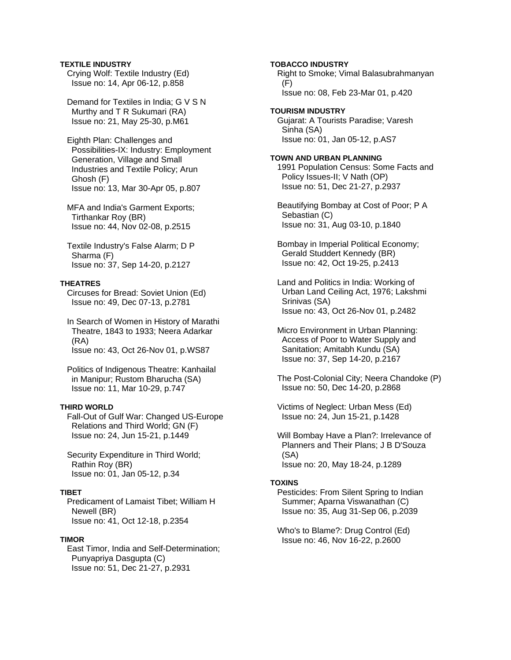## **TEXTILE INDUSTRY**

 Crying Wolf: Textile Industry (Ed) Issue no: 14, Apr 06-12, p.858

 Demand for Textiles in India; G V S N Murthy and T R Sukumari (RA) Issue no: 21, May 25-30, p.M61

 Eighth Plan: Challenges and Possibilities-IX: Industry: Employment Generation, Village and Small Industries and Textile Policy; Arun Ghosh (F) Issue no: 13, Mar 30-Apr 05, p.807

 MFA and India's Garment Exports; Tirthankar Roy (BR) Issue no: 44, Nov 02-08, p.2515

 Textile Industry's False Alarm; D P Sharma (F) Issue no: 37, Sep 14-20, p.2127

### **THEATRES**

 Circuses for Bread: Soviet Union (Ed) Issue no: 49, Dec 07-13, p.2781

 In Search of Women in History of Marathi Theatre, 1843 to 1933; Neera Adarkar (RA)

Issue no: 43, Oct 26-Nov 01, p.WS87

 Politics of Indigenous Theatre: Kanhailal in Manipur; Rustom Bharucha (SA) Issue no: 11, Mar 10-29, p.747

### **THIRD WORLD**

 Fall-Out of Gulf War: Changed US-Europe Relations and Third World; GN (F) Issue no: 24, Jun 15-21, p.1449

 Security Expenditure in Third World; Rathin Roy (BR) Issue no: 01, Jan 05-12, p.34

## **TIBET**

 Predicament of Lamaist Tibet; William H Newell (BR) Issue no: 41, Oct 12-18, p.2354

#### **TIMOR**

 East Timor, India and Self-Determination; Punyapriya Dasgupta (C) Issue no: 51, Dec 21-27, p.2931

**TOBACCO INDUSTRY**  Right to Smoke; Vimal Balasubrahmanyan (F) Issue no: 08, Feb 23-Mar 01, p.420

**TOURISM INDUSTRY**  Gujarat: A Tourists Paradise; Varesh Sinha (SA) Issue no: 01, Jan 05-12, p.AS7

#### **TOWN AND URBAN PLANNING**

 1991 Population Census: Some Facts and Policy Issues-II; V Nath (OP) Issue no: 51, Dec 21-27, p.2937

 Beautifying Bombay at Cost of Poor; P A Sebastian (C) Issue no: 31, Aug 03-10, p.1840

 Bombay in Imperial Political Economy; Gerald Studdert Kennedy (BR) Issue no: 42, Oct 19-25, p.2413

 Land and Politics in India: Working of Urban Land Ceiling Act, 1976; Lakshmi Srinivas (SA) Issue no: 43, Oct 26-Nov 01, p.2482

 Micro Environment in Urban Planning: Access of Poor to Water Supply and Sanitation; Amitabh Kundu (SA) Issue no: 37, Sep 14-20, p.2167

 The Post-Colonial City; Neera Chandoke (P) Issue no: 50, Dec 14-20, p.2868

 Victims of Neglect: Urban Mess (Ed) Issue no: 24, Jun 15-21, p.1428

 Will Bombay Have a Plan?: Irrelevance of Planners and Their Plans; J B D'Souza (SA) Issue no: 20, May 18-24, p.1289

#### **TOXINS**

 Pesticides: From Silent Spring to Indian Summer; Aparna Viswanathan (C) Issue no: 35, Aug 31-Sep 06, p.2039

 Who's to Blame?: Drug Control (Ed) Issue no: 46, Nov 16-22, p.2600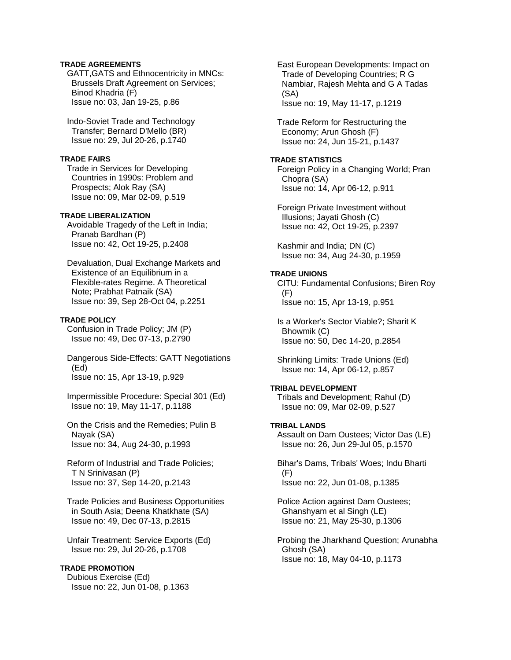### **TRADE AGREEMENTS**

 GATT,GATS and Ethnocentricity in MNCs: Brussels Draft Agreement on Services; Binod Khadria (F) Issue no: 03, Jan 19-25, p.86

 Indo-Soviet Trade and Technology Transfer; Bernard D'Mello (BR) Issue no: 29, Jul 20-26, p.1740

#### **TRADE FAIRS**

 Trade in Services for Developing Countries in 1990s: Problem and Prospects; Alok Ray (SA) Issue no: 09, Mar 02-09, p.519

## **TRADE LIBERALIZATION**

 Avoidable Tragedy of the Left in India; Pranab Bardhan (P) Issue no: 42, Oct 19-25, p.2408

 Devaluation, Dual Exchange Markets and Existence of an Equilibrium in a Flexible-rates Regime. A Theoretical Note; Prabhat Patnaik (SA) Issue no: 39, Sep 28-Oct 04, p.2251

#### **TRADE POLICY**

 Confusion in Trade Policy; JM (P) Issue no: 49, Dec 07-13, p.2790

 Dangerous Side-Effects: GATT Negotiations (Ed) Issue no: 15, Apr 13-19, p.929

 Impermissible Procedure: Special 301 (Ed) Issue no: 19, May 11-17, p.1188

 On the Crisis and the Remedies; Pulin B Nayak (SA) Issue no: 34, Aug 24-30, p.1993

 Reform of Industrial and Trade Policies; T N Srinivasan (P) Issue no: 37, Sep 14-20, p.2143

 Trade Policies and Business Opportunities in South Asia; Deena Khatkhate (SA) Issue no: 49, Dec 07-13, p.2815

 Unfair Treatment: Service Exports (Ed) Issue no: 29, Jul 20-26, p.1708

## **TRADE PROMOTION**

 Dubious Exercise (Ed) Issue no: 22, Jun 01-08, p.1363  East European Developments: Impact on Trade of Developing Countries; R G Nambiar, Rajesh Mehta and G A Tadas (SA) Issue no: 19, May 11-17, p.1219

 Trade Reform for Restructuring the Economy; Arun Ghosh (F) Issue no: 24, Jun 15-21, p.1437

## **TRADE STATISTICS**

 Foreign Policy in a Changing World; Pran Chopra (SA) Issue no: 14, Apr 06-12, p.911

 Foreign Private Investment without Illusions; Jayati Ghosh (C) Issue no: 42, Oct 19-25, p.2397

 Kashmir and India; DN (C) Issue no: 34, Aug 24-30, p.1959

## **TRADE UNIONS**

 CITU: Fundamental Confusions; Biren Roy (F) Issue no: 15, Apr 13-19, p.951

 Is a Worker's Sector Viable?; Sharit K Bhowmik (C) Issue no: 50, Dec 14-20, p.2854

 Shrinking Limits: Trade Unions (Ed) Issue no: 14, Apr 06-12, p.857

## **TRIBAL DEVELOPMENT**

 Tribals and Development; Rahul (D) Issue no: 09, Mar 02-09, p.527

## **TRIBAL LANDS**

 Assault on Dam Oustees; Victor Das (LE) Issue no: 26, Jun 29-Jul 05, p.1570

 Bihar's Dams, Tribals' Woes; Indu Bharti (F) Issue no: 22, Jun 01-08, p.1385

 Police Action against Dam Oustees; Ghanshyam et al Singh (LE) Issue no: 21, May 25-30, p.1306

 Probing the Jharkhand Question; Arunabha Ghosh (SA) Issue no: 18, May 04-10, p.1173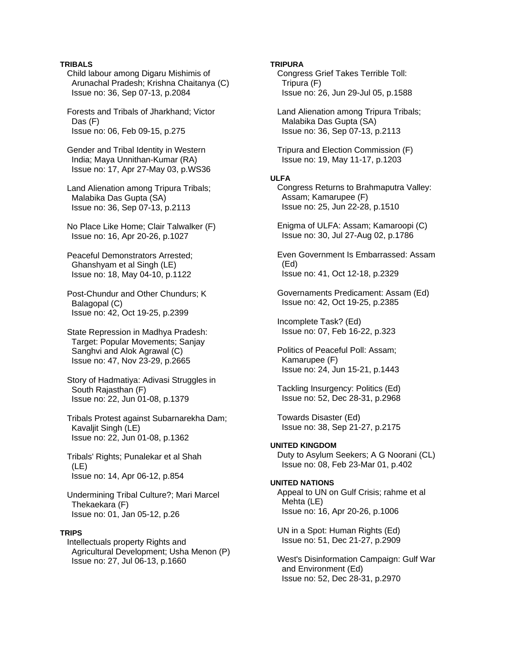## **TRIBALS**

 Child labour among Digaru Mishimis of Arunachal Pradesh; Krishna Chaitanya (C) Issue no: 36, Sep 07-13, p.2084

 Forests and Tribals of Jharkhand; Victor Das (F) Issue no: 06, Feb 09-15, p.275

 Gender and Tribal Identity in Western India; Maya Unnithan-Kumar (RA) Issue no: 17, Apr 27-May 03, p.WS36

 Land Alienation among Tripura Tribals; Malabika Das Gupta (SA) Issue no: 36, Sep 07-13, p.2113

 No Place Like Home; Clair Talwalker (F) Issue no: 16, Apr 20-26, p.1027

 Peaceful Demonstrators Arrested; Ghanshyam et al Singh (LE) Issue no: 18, May 04-10, p.1122

 Post-Chundur and Other Chundurs; K Balagopal (C) Issue no: 42, Oct 19-25, p.2399

 State Repression in Madhya Pradesh: Target: Popular Movements; Sanjay Sanghvi and Alok Agrawal (C) Issue no: 47, Nov 23-29, p.2665

 Story of Hadmatiya: Adivasi Struggles in South Rajasthan (F) Issue no: 22, Jun 01-08, p.1379

 Tribals Protest against Subarnarekha Dam; Kavaljit Singh (LE) Issue no: 22, Jun 01-08, p.1362

 Tribals' Rights; Punalekar et al Shah (LE) Issue no: 14, Apr 06-12, p.854

 Undermining Tribal Culture?; Mari Marcel Thekaekara (F) Issue no: 01, Jan 05-12, p.26

## **TRIPS**

 Intellectuals property Rights and Agricultural Development; Usha Menon (P) Issue no: 27, Jul 06-13, p.1660

#### **TRIPURA**

 Congress Grief Takes Terrible Toll: Tripura (F) Issue no: 26, Jun 29-Jul 05, p.1588

 Land Alienation among Tripura Tribals; Malabika Das Gupta (SA) Issue no: 36, Sep 07-13, p.2113

 Tripura and Election Commission (F) Issue no: 19, May 11-17, p.1203

#### **ULFA**

 Congress Returns to Brahmaputra Valley: Assam; Kamarupee (F) Issue no: 25, Jun 22-28, p.1510

 Enigma of ULFA: Assam; Kamaroopi (C) Issue no: 30, Jul 27-Aug 02, p.1786

 Even Government Is Embarrassed: Assam (Ed) Issue no: 41, Oct 12-18, p.2329

 Governaments Predicament: Assam (Ed) Issue no: 42, Oct 19-25, p.2385

 Incomplete Task? (Ed) Issue no: 07, Feb 16-22, p.323

 Politics of Peaceful Poll: Assam; Kamarupee (F) Issue no: 24, Jun 15-21, p.1443

 Tackling Insurgency: Politics (Ed) Issue no: 52, Dec 28-31, p.2968

 Towards Disaster (Ed) Issue no: 38, Sep 21-27, p.2175

## **UNITED KINGDOM**

 Duty to Asylum Seekers; A G Noorani (CL) Issue no: 08, Feb 23-Mar 01, p.402

## **UNITED NATIONS**

 Appeal to UN on Gulf Crisis; rahme et al Mehta (LE) Issue no: 16, Apr 20-26, p.1006

 UN in a Spot: Human Rights (Ed) Issue no: 51, Dec 21-27, p.2909

 West's Disinformation Campaign: Gulf War and Environment (Ed) Issue no: 52, Dec 28-31, p.2970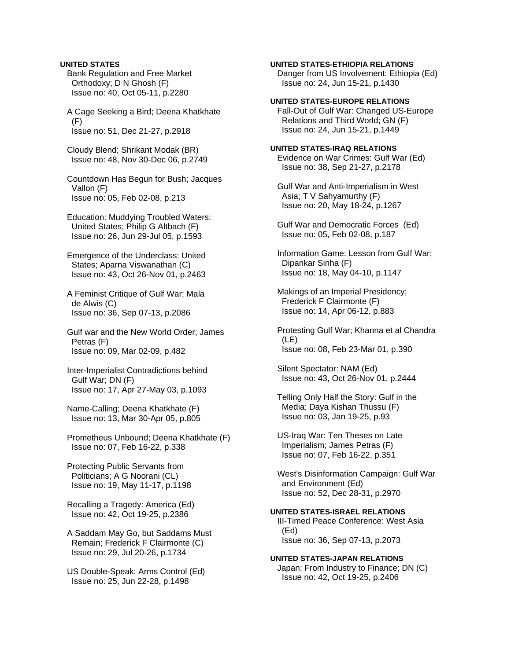#### **UNITED STATES**

 Bank Regulation and Free Market Orthodoxy; D N Ghosh (F) Issue no: 40, Oct 05-11, p.2280

 A Cage Seeking a Bird; Deena Khatkhate (F) Issue no: 51, Dec 21-27, p.2918

 Cloudy Blend; Shrikant Modak (BR) Issue no: 48, Nov 30-Dec 06, p.2749

 Countdown Has Begun for Bush; Jacques Vallon (F) Issue no: 05, Feb 02-08, p.213

 Education: Muddying Troubled Waters: United States; Philip G Altbach (F) Issue no: 26, Jun 29-Jul 05, p.1593

 Emergence of the Underclass: United States; Aparna Viswanathan (C) Issue no: 43, Oct 26-Nov 01, p.2463

 A Feminist Critique of Gulf War; Mala de Alwis (C) Issue no: 36, Sep 07-13, p.2086

 Gulf war and the New World Order; James Petras (F) Issue no: 09, Mar 02-09, p.482

 Inter-Imperialist Contradictions behind Gulf War; DN (F) Issue no: 17, Apr 27-May 03, p.1093

 Name-Calling; Deena Khatkhate (F) Issue no: 13, Mar 30-Apr 05, p.805

 Prometheus Unbound; Deena Khatkhate (F) Issue no: 07, Feb 16-22, p.338

 Protecting Public Servants from Politicians; A G Noorani (CL) Issue no: 19, May 11-17, p.1198

 Recalling a Tragedy: America (Ed) Issue no: 42, Oct 19-25, p.2386

 A Saddam May Go, but Saddams Must Remain; Frederick F Clairmonte (C) Issue no: 29, Jul 20-26, p.1734

 US Double-Speak: Arms Control (Ed) Issue no: 25, Jun 22-28, p.1498

#### **UNITED STATES-ETHIOPIA RELATIONS**

 Danger from US Involvement: Ethiopia (Ed) Issue no: 24, Jun 15-21, p.1430

#### **UNITED STATES-EUROPE RELATIONS**

 Fall-Out of Gulf War: Changed US-Europe Relations and Third World; GN (F) Issue no: 24, Jun 15-21, p.1449

# **UNITED STATES-IRAQ RELATIONS**

 Evidence on War Crimes: Gulf War (Ed) Issue no: 38, Sep 21-27, p.2178

 Gulf War and Anti-Imperialism in West Asia; T V Sahyamurthy (F) Issue no: 20, May 18-24, p.1267

 Gulf War and Democratic Forces (Ed) Issue no: 05, Feb 02-08, p.187

 Information Game: Lesson from Gulf War; Dipankar Sinha (F) Issue no: 18, May 04-10, p.1147

 Makings of an Imperial Presidency; Frederick F Clairmonte (F) Issue no: 14, Apr 06-12, p.883

 Protesting Gulf War; Khanna et al Chandra (LE) Issue no: 08, Feb 23-Mar 01, p.390

 Silent Spectator: NAM (Ed) Issue no: 43, Oct 26-Nov 01, p.2444

 Telling Only Half the Story: Gulf in the Media; Daya Kishan Thussu (F) Issue no: 03, Jan 19-25, p.93

 US-Iraq War: Ten Theses on Late Imperialism; James Petras (F) Issue no: 07, Feb 16-22, p.351

 West's Disinformation Campaign: Gulf War and Environment (Ed) Issue no: 52, Dec 28-31, p.2970

**UNITED STATES-ISRAEL RELATIONS**  III-Timed Peace Conference: West Asia (Ed) Issue no: 36, Sep 07-13, p.2073

### **UNITED STATES-JAPAN RELATIONS**

 Japan: From Industry to Finance; DN (C) Issue no: 42, Oct 19-25, p.2406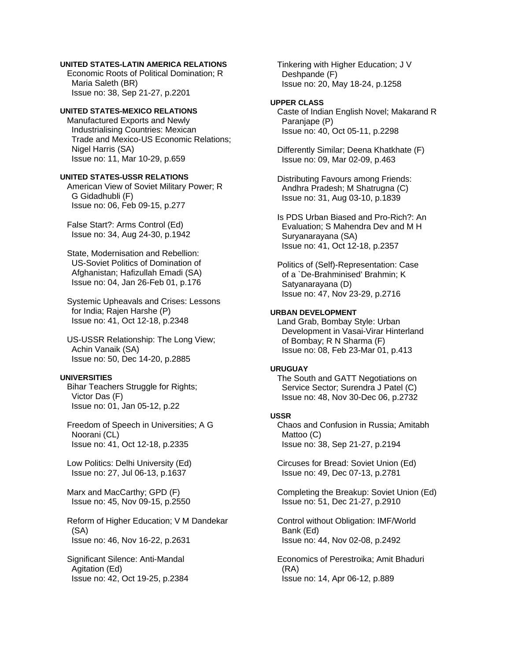#### **UNITED STATES-LATIN AMERICA RELATIONS**

 Economic Roots of Political Domination; R Maria Saleth (BR) Issue no: 38, Sep 21-27, p.2201

### **UNITED STATES-MEXICO RELATIONS**

 Manufactured Exports and Newly Industrialising Countries: Mexican Trade and Mexico-US Economic Relations; Nigel Harris (SA) Issue no: 11, Mar 10-29, p.659

## **UNITED STATES-USSR RELATIONS**

 American View of Soviet Military Power; R G Gidadhubli (F) Issue no: 06, Feb 09-15, p.277

 False Start?: Arms Control (Ed) Issue no: 34, Aug 24-30, p.1942

 State, Modernisation and Rebellion: US-Soviet Politics of Domination of Afghanistan; Hafizullah Emadi (SA) Issue no: 04, Jan 26-Feb 01, p.176

 Systemic Upheavals and Crises: Lessons for India; Rajen Harshe (P) Issue no: 41, Oct 12-18, p.2348

 US-USSR Relationship: The Long View; Achin Vanaik (SA) Issue no: 50, Dec 14-20, p.2885

## **UNIVERSITIES**

 Bihar Teachers Struggle for Rights; Victor Das (F) Issue no: 01, Jan 05-12, p.22

 Freedom of Speech in Universities; A G Noorani (CL) Issue no: 41, Oct 12-18, p.2335

 Low Politics: Delhi University (Ed) Issue no: 27, Jul 06-13, p.1637

 Marx and MacCarthy; GPD (F) Issue no: 45, Nov 09-15, p.2550

 Reform of Higher Education; V M Dandekar (SA) Issue no: 46, Nov 16-22, p.2631

 Significant Silence: Anti-Mandal Agitation (Ed) Issue no: 42, Oct 19-25, p.2384  Tinkering with Higher Education; J V Deshpande (F) Issue no: 20, May 18-24, p.1258

#### **UPPER CLASS**

 Caste of Indian English Novel; Makarand R Paranjape (P) Issue no: 40, Oct 05-11, p.2298

 Differently Similar; Deena Khatkhate (F) Issue no: 09, Mar 02-09, p.463

 Distributing Favours among Friends: Andhra Pradesh; M Shatrugna (C) Issue no: 31, Aug 03-10, p.1839

 Is PDS Urban Biased and Pro-Rich?: An Evaluation; S Mahendra Dev and M H Suryanarayana (SA) Issue no: 41, Oct 12-18, p.2357

 Politics of (Self)-Representation: Case of a `De-Brahminised' Brahmin; K Satyanarayana (D) Issue no: 47, Nov 23-29, p.2716

### **URBAN DEVELOPMENT**

 Land Grab, Bombay Style: Urban Development in Vasai-Virar Hinterland of Bombay; R N Sharma (F) Issue no: 08, Feb 23-Mar 01, p.413

#### **URUGUAY**

 The South and GATT Negotiations on Service Sector; Surendra J Patel (C) Issue no: 48, Nov 30-Dec 06, p.2732

### **USSR**

 Chaos and Confusion in Russia; Amitabh Mattoo (C) Issue no: 38, Sep 21-27, p.2194

 Circuses for Bread: Soviet Union (Ed) Issue no: 49, Dec 07-13, p.2781

 Completing the Breakup: Soviet Union (Ed) Issue no: 51, Dec 21-27, p.2910

 Control without Obligation: IMF/World Bank (Ed) Issue no: 44, Nov 02-08, p.2492

 Economics of Perestroika; Amit Bhaduri (RA) Issue no: 14, Apr 06-12, p.889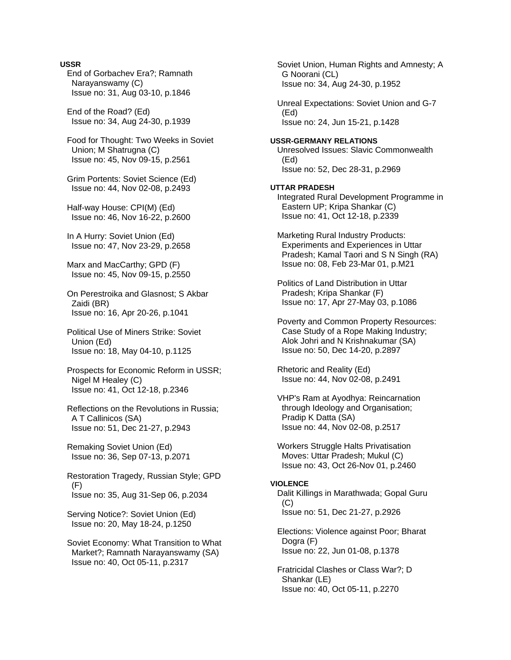### **USSR**

 End of Gorbachev Era?; Ramnath Narayanswamy (C) Issue no: 31, Aug 03-10, p.1846

 End of the Road? (Ed) Issue no: 34, Aug 24-30, p.1939

 Food for Thought: Two Weeks in Soviet Union; M Shatrugna (C) Issue no: 45, Nov 09-15, p.2561

 Grim Portents: Soviet Science (Ed) Issue no: 44, Nov 02-08, p.2493

 Half-way House: CPI(M) (Ed) Issue no: 46, Nov 16-22, p.2600

 In A Hurry: Soviet Union (Ed) Issue no: 47, Nov 23-29, p.2658

 Marx and MacCarthy; GPD (F) Issue no: 45, Nov 09-15, p.2550

 On Perestroika and Glasnost; S Akbar Zaidi (BR) Issue no: 16, Apr 20-26, p.1041

 Political Use of Miners Strike: Soviet Union (Ed) Issue no: 18, May 04-10, p.1125

 Prospects for Economic Reform in USSR; Nigel M Healey (C) Issue no: 41, Oct 12-18, p.2346

 Reflections on the Revolutions in Russia; A T Callinicos (SA) Issue no: 51, Dec 21-27, p.2943

 Remaking Soviet Union (Ed) Issue no: 36, Sep 07-13, p.2071

 Restoration Tragedy, Russian Style; GPD (F) Issue no: 35, Aug 31-Sep 06, p.2034

 Serving Notice?: Soviet Union (Ed) Issue no: 20, May 18-24, p.1250

 Soviet Economy: What Transition to What Market?; Ramnath Narayanswamy (SA) Issue no: 40, Oct 05-11, p.2317

 Soviet Union, Human Rights and Amnesty; A G Noorani (CL) Issue no: 34, Aug 24-30, p.1952 Unreal Expectations: Soviet Union and G-7 (Ed) Issue no: 24, Jun 15-21, p.1428 **USSR-GERMANY RELATIONS**  Unresolved Issues: Slavic Commonwealth (Ed) Issue no: 52, Dec 28-31, p.2969 **UTTAR PRADESH**  Integrated Rural Development Programme in Eastern UP; Kripa Shankar (C) Issue no: 41, Oct 12-18, p.2339 Marketing Rural Industry Products: Experiments and Experiences in Uttar Pradesh; Kamal Taori and S N Singh (RA) Issue no: 08, Feb 23-Mar 01, p.M21 Politics of Land Distribution in Uttar Pradesh; Kripa Shankar (F) Issue no: 17, Apr 27-May 03, p.1086 Poverty and Common Property Resources: Case Study of a Rope Making Industry; Alok Johri and N Krishnakumar (SA) Issue no: 50, Dec 14-20, p.2897 Rhetoric and Reality (Ed) Issue no: 44, Nov 02-08, p.2491 VHP's Ram at Ayodhya: Reincarnation through Ideology and Organisation; Pradip K Datta (SA) Issue no: 44, Nov 02-08, p.2517 Workers Struggle Halts Privatisation Moves: Uttar Pradesh; Mukul (C) Issue no: 43, Oct 26-Nov 01, p.2460 **VIOLENCE**  Dalit Killings in Marathwada; Gopal Guru (C) Issue no: 51, Dec 21-27, p.2926 Elections: Violence against Poor; Bharat Dogra (F) Issue no: 22, Jun 01-08, p.1378

 Fratricidal Clashes or Class War?; D Shankar (LE) Issue no: 40, Oct 05-11, p.2270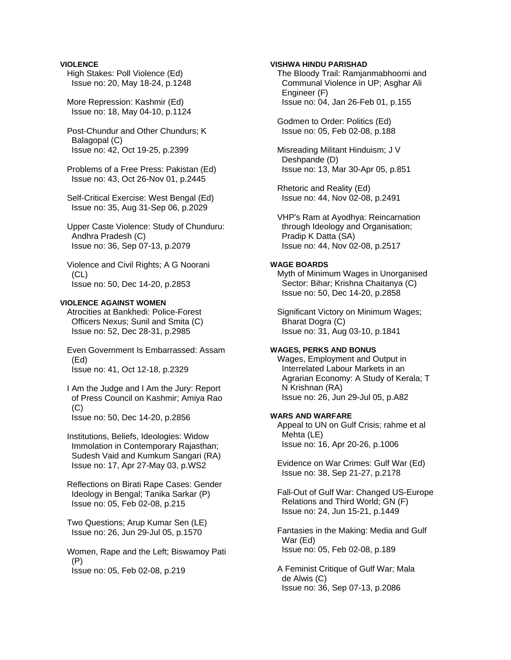### **VIOLENCE**

- High Stakes: Poll Violence (Ed) Issue no: 20, May 18-24, p.1248
- More Repression: Kashmir (Ed) Issue no: 18, May 04-10, p.1124
- Post-Chundur and Other Chundurs; K Balagopal (C) Issue no: 42, Oct 19-25, p.2399
- Problems of a Free Press: Pakistan (Ed) Issue no: 43, Oct 26-Nov 01, p.2445
- Self-Critical Exercise: West Bengal (Ed) Issue no: 35, Aug 31-Sep 06, p.2029
- Upper Caste Violence: Study of Chunduru: Andhra Pradesh (C) Issue no: 36, Sep 07-13, p.2079
- Violence and Civil Rights; A G Noorani (CL) Issue no: 50, Dec 14-20, p.2853

#### **VIOLENCE AGAINST WOMEN**

- Atrocities at Bankhedi: Police-Forest Officers Nexus; Sunil and Smita (C) Issue no: 52, Dec 28-31, p.2985
- Even Government Is Embarrassed: Assam (Ed) Issue no: 41, Oct 12-18, p.2329
- I Am the Judge and I Am the Jury: Report of Press Council on Kashmir; Amiya Rao (C) Issue no: 50, Dec 14-20, p.2856
- Institutions, Beliefs, Ideologies: Widow Immolation in Contemporary Rajasthan; Sudesh Vaid and Kumkum Sangari (RA) Issue no: 17, Apr 27-May 03, p.WS2
- Reflections on Birati Rape Cases: Gender Ideology in Bengal; Tanika Sarkar (P) Issue no: 05, Feb 02-08, p.215
- Two Questions; Arup Kumar Sen (LE) Issue no: 26, Jun 29-Jul 05, p.1570
- Women, Rape and the Left; Biswamoy Pati (P) Issue no: 05, Feb 02-08, p.219

### **VISHWA HINDU PARISHAD**

- The Bloody Trail: Ramjanmabhoomi and Communal Violence in UP; Asghar Ali Engineer (F) Issue no: 04, Jan 26-Feb 01, p.155
- Godmen to Order: Politics (Ed) Issue no: 05, Feb 02-08, p.188
- Misreading Militant Hinduism; J V Deshpande (D) Issue no: 13, Mar 30-Apr 05, p.851
- Rhetoric and Reality (Ed) Issue no: 44, Nov 02-08, p.2491
- VHP's Ram at Ayodhya: Reincarnation through Ideology and Organisation; Pradip K Datta (SA) Issue no: 44, Nov 02-08, p.2517

### **WAGE BOARDS**

- Myth of Minimum Wages in Unorganised Sector: Bihar; Krishna Chaitanya (C) Issue no: 50, Dec 14-20, p.2858
- Significant Victory on Minimum Wages; Bharat Dogra (C) Issue no: 31, Aug 03-10, p.1841

#### **WAGES, PERKS AND BONUS**

 Wages, Employment and Output in Interrelated Labour Markets in an Agrarian Economy: A Study of Kerala; T N Krishnan (RA) Issue no: 26, Jun 29-Jul 05, p.A82

#### **WARS AND WARFARE**

 Appeal to UN on Gulf Crisis; rahme et al Mehta (LE) Issue no: 16, Apr 20-26, p.1006

- Evidence on War Crimes: Gulf War (Ed) Issue no: 38, Sep 21-27, p.2178
- Fall-Out of Gulf War: Changed US-Europe Relations and Third World; GN (F) Issue no: 24, Jun 15-21, p.1449
- Fantasies in the Making: Media and Gulf War (Ed) Issue no: 05, Feb 02-08, p.189
- A Feminist Critique of Gulf War; Mala de Alwis (C) Issue no: 36, Sep 07-13, p.2086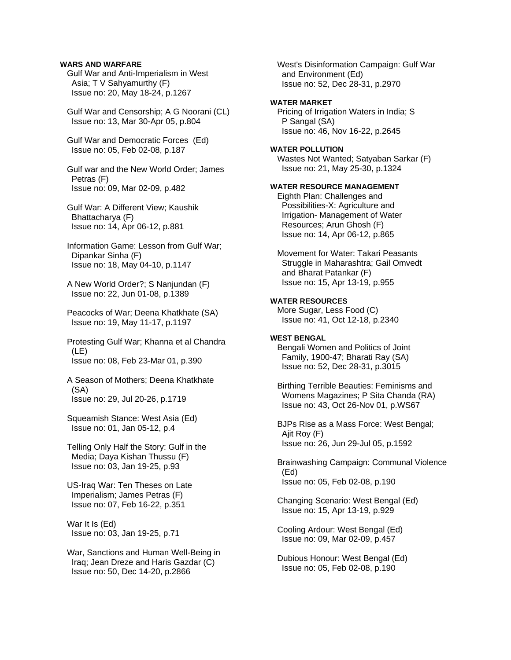### **WARS AND WARFARE**

 Gulf War and Anti-Imperialism in West Asia; T V Sahyamurthy (F) Issue no: 20, May 18-24, p.1267

 Gulf War and Censorship; A G Noorani (CL) Issue no: 13, Mar 30-Apr 05, p.804

 Gulf War and Democratic Forces (Ed) Issue no: 05, Feb 02-08, p.187

 Gulf war and the New World Order; James Petras (F) Issue no: 09, Mar 02-09, p.482

 Gulf War: A Different View; Kaushik Bhattacharya (F) Issue no: 14, Apr 06-12, p.881

## Information Game: Lesson from Gulf War; Dipankar Sinha (F) Issue no: 18, May 04-10, p.1147

 A New World Order?; S Nanjundan (F) Issue no: 22, Jun 01-08, p.1389

 Peacocks of War; Deena Khatkhate (SA) Issue no: 19, May 11-17, p.1197

 Protesting Gulf War; Khanna et al Chandra (LE) Issue no: 08, Feb 23-Mar 01, p.390

 A Season of Mothers; Deena Khatkhate (SA) Issue no: 29, Jul 20-26, p.1719

 Squeamish Stance: West Asia (Ed) Issue no: 01, Jan 05-12, p.4

 Telling Only Half the Story: Gulf in the Media; Daya Kishan Thussu (F) Issue no: 03, Jan 19-25, p.93

 US-Iraq War: Ten Theses on Late Imperialism; James Petras (F) Issue no: 07, Feb 16-22, p.351

 War It Is (Ed) Issue no: 03, Jan 19-25, p.71

 War, Sanctions and Human Well-Being in Iraq; Jean Dreze and Haris Gazdar (C) Issue no: 50, Dec 14-20, p.2866

 West's Disinformation Campaign: Gulf War and Environment (Ed) Issue no: 52, Dec 28-31, p.2970

## **WATER MARKET**

 Pricing of Irrigation Waters in India; S P Sangal (SA) Issue no: 46, Nov 16-22, p.2645

#### **WATER POLLUTION**

 Wastes Not Wanted; Satyaban Sarkar (F) Issue no: 21, May 25-30, p.1324

#### **WATER RESOURCE MANAGEMENT**

 Eighth Plan: Challenges and Possibilities-X: Agriculture and Irrigation- Management of Water Resources; Arun Ghosh (F) Issue no: 14, Apr 06-12, p.865

 Movement for Water: Takari Peasants Struggle in Maharashtra; Gail Omvedt and Bharat Patankar (F) Issue no: 15, Apr 13-19, p.955

#### **WATER RESOURCES**

 More Sugar, Less Food (C) Issue no: 41, Oct 12-18, p.2340

#### **WEST BENGAL**

 Bengali Women and Politics of Joint Family, 1900-47; Bharati Ray (SA) Issue no: 52, Dec 28-31, p.3015

 Birthing Terrible Beauties: Feminisms and Womens Magazines; P Sita Chanda (RA) Issue no: 43, Oct 26-Nov 01, p.WS67

 BJPs Rise as a Mass Force: West Bengal; Ajit Roy (F) Issue no: 26, Jun 29-Jul 05, p.1592

 Brainwashing Campaign: Communal Violence (Ed) Issue no: 05, Feb 02-08, p.190

 Changing Scenario: West Bengal (Ed) Issue no: 15, Apr 13-19, p.929

 Cooling Ardour: West Bengal (Ed) Issue no: 09, Mar 02-09, p.457

 Dubious Honour: West Bengal (Ed) Issue no: 05, Feb 02-08, p.190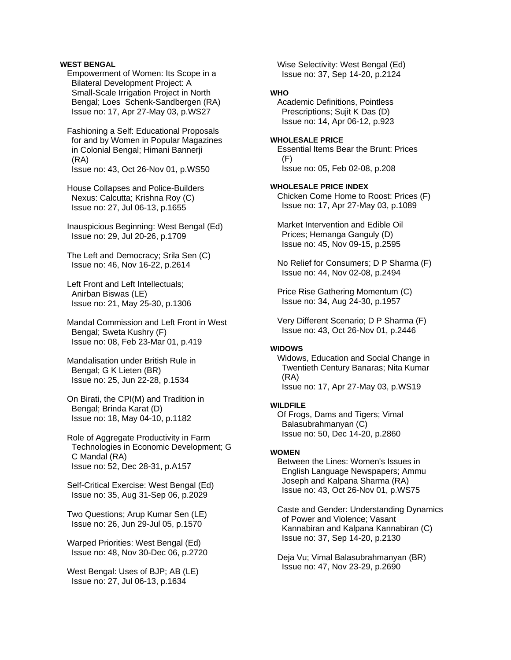## **WEST BENGAL**

 Empowerment of Women: Its Scope in a Bilateral Development Project: A Small-Scale Irrigation Project in North Bengal; Loes Schenk-Sandbergen (RA) Issue no: 17, Apr 27-May 03, p.WS27

 Fashioning a Self: Educational Proposals for and by Women in Popular Magazines in Colonial Bengal; Himani Bannerji (RA) Issue no: 43, Oct 26-Nov 01, p.WS50

 House Collapses and Police-Builders Nexus: Calcutta; Krishna Roy (C) Issue no: 27, Jul 06-13, p.1655

 Inauspicious Beginning: West Bengal (Ed) Issue no: 29, Jul 20-26, p.1709

 The Left and Democracy; Srila Sen (C) Issue no: 46, Nov 16-22, p.2614

 Left Front and Left Intellectuals; Anirban Biswas (LE) Issue no: 21, May 25-30, p.1306

 Mandal Commission and Left Front in West Bengal; Sweta Kushry (F) Issue no: 08, Feb 23-Mar 01, p.419

 Mandalisation under British Rule in Bengal; G K Lieten (BR) Issue no: 25, Jun 22-28, p.1534

 On Birati, the CPI(M) and Tradition in Bengal; Brinda Karat (D) Issue no: 18, May 04-10, p.1182

 Role of Aggregate Productivity in Farm Technologies in Economic Development; G C Mandal (RA) Issue no: 52, Dec 28-31, p.A157

 Self-Critical Exercise: West Bengal (Ed) Issue no: 35, Aug 31-Sep 06, p.2029

 Two Questions; Arup Kumar Sen (LE) Issue no: 26, Jun 29-Jul 05, p.1570

 Warped Priorities: West Bengal (Ed) Issue no: 48, Nov 30-Dec 06, p.2720

 West Bengal: Uses of BJP; AB (LE) Issue no: 27, Jul 06-13, p.1634

 Wise Selectivity: West Bengal (Ed) Issue no: 37, Sep 14-20, p.2124

## **WHO**

 Academic Definitions, Pointless Prescriptions; Sujit K Das (D) Issue no: 14, Apr 06-12, p.923

### **WHOLESALE PRICE**

 Essential Items Bear the Brunt: Prices (F) Issue no: 05, Feb 02-08, p.208

#### **WHOLESALE PRICE INDEX**

 Chicken Come Home to Roost: Prices (F) Issue no: 17, Apr 27-May 03, p.1089

 Market Intervention and Edible Oil Prices; Hemanga Ganguly (D) Issue no: 45, Nov 09-15, p.2595

 No Relief for Consumers; D P Sharma (F) Issue no: 44, Nov 02-08, p.2494

 Price Rise Gathering Momentum (C) Issue no: 34, Aug 24-30, p.1957

 Very Different Scenario; D P Sharma (F) Issue no: 43, Oct 26-Nov 01, p.2446

## **WIDOWS**

 Widows, Education and Social Change in Twentieth Century Banaras; Nita Kumar (RA) Issue no: 17, Apr 27-May 03, p.WS19

#### **WILDFILE**

 Of Frogs, Dams and Tigers; Vimal Balasubrahmanyan (C) Issue no: 50, Dec 14-20, p.2860

#### **WOMEN**

 Between the Lines: Women's Issues in English Language Newspapers; Ammu Joseph and Kalpana Sharma (RA) Issue no: 43, Oct 26-Nov 01, p.WS75

 Caste and Gender: Understanding Dynamics of Power and Violence; Vasant Kannabiran and Kalpana Kannabiran (C) Issue no: 37, Sep 14-20, p.2130

 Deja Vu; Vimal Balasubrahmanyan (BR) Issue no: 47, Nov 23-29, p.2690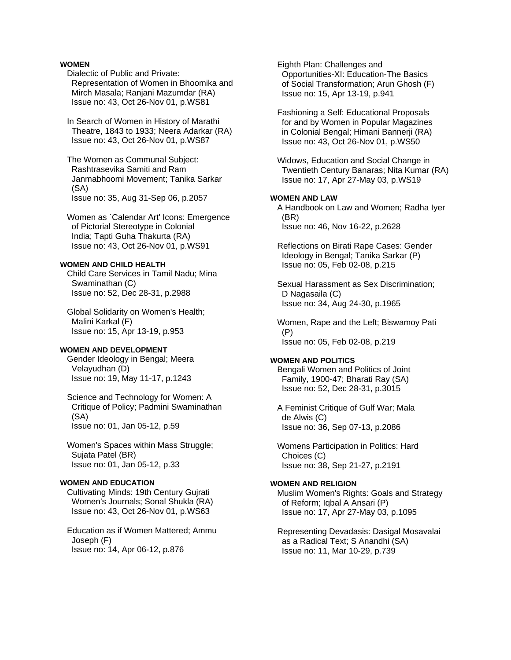## **WOMEN**

 Dialectic of Public and Private: Representation of Women in Bhoomika and Mirch Masala; Ranjani Mazumdar (RA) Issue no: 43, Oct 26-Nov 01, p.WS81

 In Search of Women in History of Marathi Theatre, 1843 to 1933; Neera Adarkar (RA) Issue no: 43, Oct 26-Nov 01, p.WS87

 The Women as Communal Subject: Rashtrasevika Samiti and Ram Janmabhoomi Movement; Tanika Sarkar (SA) Issue no: 35, Aug 31-Sep 06, p.2057

 Women as `Calendar Art' Icons: Emergence of Pictorial Stereotype in Colonial India; Tapti Guha Thakurta (RA) Issue no: 43, Oct 26-Nov 01, p.WS91

#### **WOMEN AND CHILD HEALTH**

 Child Care Services in Tamil Nadu; Mina Swaminathan (C) Issue no: 52, Dec 28-31, p.2988

 Global Solidarity on Women's Health; Malini Karkal (F) Issue no: 15, Apr 13-19, p.953

#### **WOMEN AND DEVELOPMENT**

 Gender Ideology in Bengal; Meera Velayudhan (D) Issue no: 19, May 11-17, p.1243

 Science and Technology for Women: A Critique of Policy; Padmini Swaminathan (SA) Issue no: 01, Jan 05-12, p.59

 Women's Spaces within Mass Struggle; Sujata Patel (BR) Issue no: 01, Jan 05-12, p.33

#### **WOMEN AND EDUCATION**

 Cultivating Minds: 19th Century Gujrati Women's Journals; Sonal Shukla (RA) Issue no: 43, Oct 26-Nov 01, p.WS63

 Education as if Women Mattered; Ammu Joseph (F) Issue no: 14, Apr 06-12, p.876

 Eighth Plan: Challenges and Opportunities-XI: Education-The Basics of Social Transformation; Arun Ghosh (F) Issue no: 15, Apr 13-19, p.941

 Fashioning a Self: Educational Proposals for and by Women in Popular Magazines in Colonial Bengal; Himani Bannerji (RA) Issue no: 43, Oct 26-Nov 01, p.WS50

 Widows, Education and Social Change in Twentieth Century Banaras; Nita Kumar (RA) Issue no: 17, Apr 27-May 03, p.WS19

## **WOMEN AND LAW**

 A Handbook on Law and Women; Radha Iyer (BR) Issue no: 46, Nov 16-22, p.2628

 Reflections on Birati Rape Cases: Gender Ideology in Bengal; Tanika Sarkar (P) Issue no: 05, Feb 02-08, p.215

 Sexual Harassment as Sex Discrimination; D Nagasaila (C) Issue no: 34, Aug 24-30, p.1965

 Women, Rape and the Left; Biswamoy Pati (P) Issue no: 05, Feb 02-08, p.219

#### **WOMEN AND POLITICS**

 Bengali Women and Politics of Joint Family, 1900-47; Bharati Ray (SA) Issue no: 52, Dec 28-31, p.3015

 A Feminist Critique of Gulf War; Mala de Alwis (C) Issue no: 36, Sep 07-13, p.2086

 Womens Participation in Politics: Hard Choices (C) Issue no: 38, Sep 21-27, p.2191

#### **WOMEN AND RELIGION**

 Muslim Women's Rights: Goals and Strategy of Reform; Iqbal A Ansari (P) Issue no: 17, Apr 27-May 03, p.1095

 Representing Devadasis: Dasigal Mosavalai as a Radical Text; S Anandhi (SA) Issue no: 11, Mar 10-29, p.739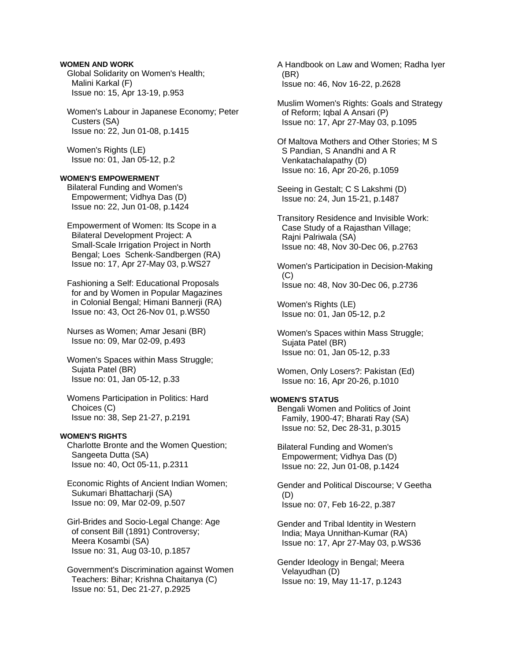## **WOMEN AND WORK**

 Global Solidarity on Women's Health; Malini Karkal (F) Issue no: 15, Apr 13-19, p.953

 Women's Labour in Japanese Economy; Peter Custers (SA) Issue no: 22, Jun 01-08, p.1415

 Women's Rights (LE) Issue no: 01, Jan 05-12, p.2

## **WOMEN'S EMPOWERMENT**

 Bilateral Funding and Women's Empowerment; Vidhya Das (D) Issue no: 22, Jun 01-08, p.1424

 Empowerment of Women: Its Scope in a Bilateral Development Project: A Small-Scale Irrigation Project in North Bengal; Loes Schenk-Sandbergen (RA) Issue no: 17, Apr 27-May 03, p.WS27

 Fashioning a Self: Educational Proposals for and by Women in Popular Magazines in Colonial Bengal; Himani Bannerji (RA) Issue no: 43, Oct 26-Nov 01, p.WS50

 Nurses as Women; Amar Jesani (BR) Issue no: 09, Mar 02-09, p.493

 Women's Spaces within Mass Struggle; Sujata Patel (BR) Issue no: 01, Jan 05-12, p.33

 Womens Participation in Politics: Hard Choices (C) Issue no: 38, Sep 21-27, p.2191

## **WOMEN'S RIGHTS**

 Charlotte Bronte and the Women Question; Sangeeta Dutta (SA) Issue no: 40, Oct 05-11, p.2311

 Economic Rights of Ancient Indian Women; Sukumari Bhattacharji (SA) Issue no: 09, Mar 02-09, p.507

 Girl-Brides and Socio-Legal Change: Age of consent Bill (1891) Controversy; Meera Kosambi (SA) Issue no: 31, Aug 03-10, p.1857

 Government's Discrimination against Women Teachers: Bihar; Krishna Chaitanya (C) Issue no: 51, Dec 21-27, p.2925

 A Handbook on Law and Women; Radha Iyer (BR) Issue no: 46, Nov 16-22, p.2628

 Muslim Women's Rights: Goals and Strategy of Reform; Iqbal A Ansari (P) Issue no: 17, Apr 27-May 03, p.1095

 Of Maltova Mothers and Other Stories; M S S Pandian, S Anandhi and A R Venkatachalapathy (D) Issue no: 16, Apr 20-26, p.1059

 Seeing in Gestalt; C S Lakshmi (D) Issue no: 24, Jun 15-21, p.1487

 Transitory Residence and Invisible Work: Case Study of a Rajasthan Village; Rajni Palriwala (SA) Issue no: 48, Nov 30-Dec 06, p.2763

 Women's Participation in Decision-Making (C) Issue no: 48, Nov 30-Dec 06, p.2736

 Women's Rights (LE) Issue no: 01, Jan 05-12, p.2

 Women's Spaces within Mass Struggle; Sujata Patel (BR) Issue no: 01, Jan 05-12, p.33

 Women, Only Losers?: Pakistan (Ed) Issue no: 16, Apr 20-26, p.1010

## **WOMEN'S STATUS**

 Bengali Women and Politics of Joint Family, 1900-47; Bharati Ray (SA) Issue no: 52, Dec 28-31, p.3015

 Bilateral Funding and Women's Empowerment; Vidhya Das (D) Issue no: 22, Jun 01-08, p.1424

 Gender and Political Discourse; V Geetha (D) Issue no: 07, Feb 16-22, p.387

 Gender and Tribal Identity in Western India; Maya Unnithan-Kumar (RA) Issue no: 17, Apr 27-May 03, p.WS36

 Gender Ideology in Bengal; Meera Velayudhan (D) Issue no: 19, May 11-17, p.1243